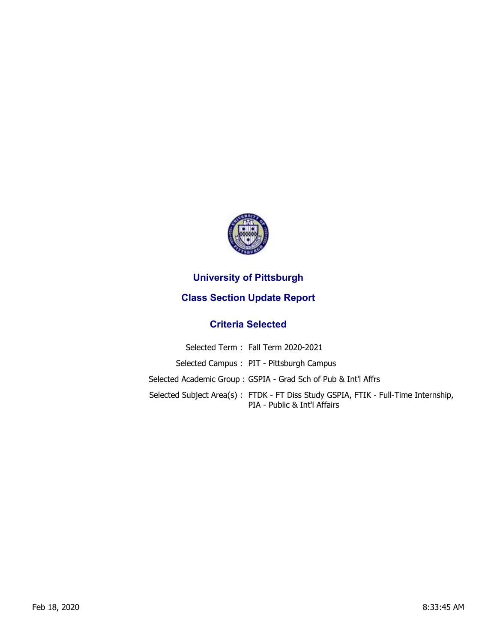

## **University of Pittsburgh**

## **Class Section Update Report**

## **Criteria Selected**

| Selected Term: Fall Term 2020-2021                                                                                 |
|--------------------------------------------------------------------------------------------------------------------|
| Selected Campus: PIT - Pittsburgh Campus                                                                           |
| Selected Academic Group : GSPIA - Grad Sch of Pub & Int'l Affrs                                                    |
| Selected Subject Area(s): FTDK - FT Diss Study GSPIA, FTIK - Full-Time Internship,<br>PIA - Public & Int'l Affairs |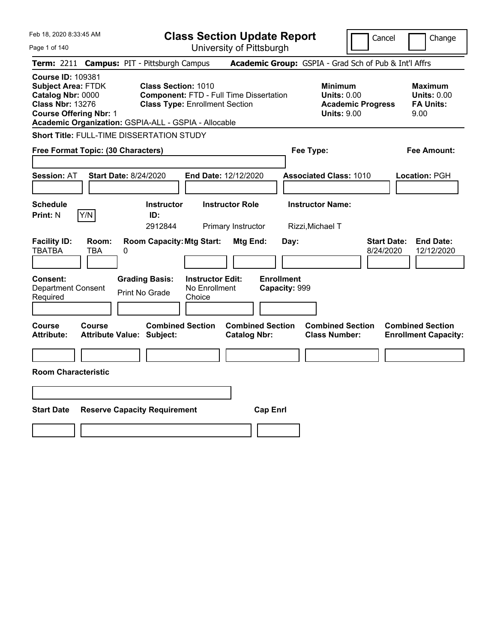| Feb 18, 2020 8:33:45 AM                                                                                                                                                                        | <b>Class Section Update Report</b>                                                                                                         | Cancel<br>Change                                                                                                                                           |
|------------------------------------------------------------------------------------------------------------------------------------------------------------------------------------------------|--------------------------------------------------------------------------------------------------------------------------------------------|------------------------------------------------------------------------------------------------------------------------------------------------------------|
| Page 1 of 140                                                                                                                                                                                  | University of Pittsburgh                                                                                                                   |                                                                                                                                                            |
| <b>Term: 2211</b>                                                                                                                                                                              | <b>Campus: PIT - Pittsburgh Campus</b>                                                                                                     | Academic Group: GSPIA - Grad Sch of Pub & Int'l Affrs                                                                                                      |
| <b>Course ID: 109381</b><br><b>Subject Area: FTDK</b><br>Catalog Nbr: 0000<br><b>Class Nbr: 13276</b><br><b>Course Offering Nbr: 1</b><br>Academic Organization: GSPIA-ALL - GSPIA - Allocable | Class Section: 1010<br><b>Component: FTD - Full Time Dissertation</b><br><b>Class Type: Enrollment Section</b>                             | <b>Minimum</b><br><b>Maximum</b><br><b>Units: 0.00</b><br><b>Units: 0.00</b><br><b>FA Units:</b><br><b>Academic Progress</b><br><b>Units: 9.00</b><br>9.00 |
| Short Title: FULL-TIME DISSERTATION STUDY                                                                                                                                                      |                                                                                                                                            |                                                                                                                                                            |
| Free Format Topic: (30 Characters)                                                                                                                                                             | Fee Type:                                                                                                                                  | Fee Amount:                                                                                                                                                |
| <b>Start Date: 8/24/2020</b><br><b>Session: AT</b>                                                                                                                                             | End Date: 12/12/2020                                                                                                                       | <b>Associated Class: 1010</b><br>Location: PGH                                                                                                             |
| <b>Schedule</b><br>Y/N<br><b>Print: N</b>                                                                                                                                                      | <b>Instructor</b><br><b>Instructor Role</b><br>ID:<br>2912844<br>Primary Instructor<br>Rizzi, Michael T                                    | <b>Instructor Name:</b>                                                                                                                                    |
| <b>Facility ID:</b><br>Room:<br><b>TBATBA</b><br><b>TBA</b><br>0                                                                                                                               | <b>Room Capacity: Mtg Start:</b><br>Mtg End:<br>Day:                                                                                       | <b>Start Date:</b><br><b>End Date:</b><br>8/24/2020<br>12/12/2020                                                                                          |
| Consent:<br><b>Department Consent</b><br>Required                                                                                                                                              | <b>Enrollment</b><br><b>Grading Basis:</b><br><b>Instructor Edit:</b><br>No Enrollment<br>Capacity: 999<br><b>Print No Grade</b><br>Choice |                                                                                                                                                            |
| Course<br>Course<br><b>Attribute:</b><br><b>Attribute Value: Subject:</b>                                                                                                                      | <b>Combined Section</b><br><b>Combined Section</b><br><b>Catalog Nbr:</b>                                                                  | <b>Combined Section</b><br><b>Combined Section</b><br><b>Class Number:</b><br><b>Enrollment Capacity:</b>                                                  |
|                                                                                                                                                                                                |                                                                                                                                            |                                                                                                                                                            |
| <b>Room Characteristic</b>                                                                                                                                                                     |                                                                                                                                            |                                                                                                                                                            |
|                                                                                                                                                                                                |                                                                                                                                            |                                                                                                                                                            |
| <b>Start Date</b><br><b>Reserve Capacity Requirement</b>                                                                                                                                       | <b>Cap Enrl</b>                                                                                                                            |                                                                                                                                                            |
|                                                                                                                                                                                                |                                                                                                                                            |                                                                                                                                                            |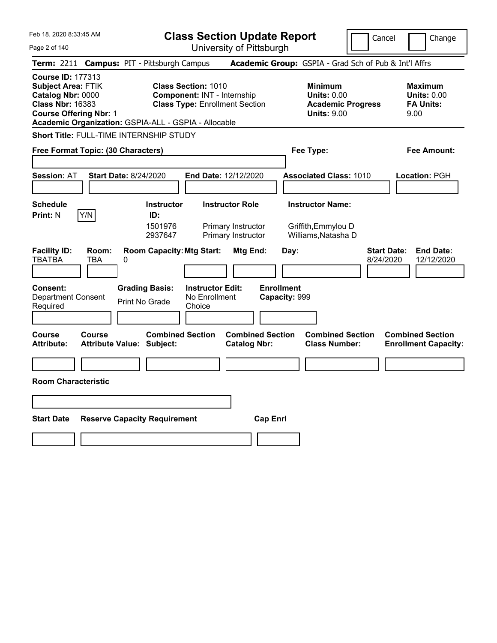| <b>Class Section Update Report</b><br>University of Pittsburgh<br>Page 2 of 140<br>Term: 2211 Campus: PIT - Pittsburgh Campus<br><b>Academic Group:</b> GSPIA - Grad Sch of Pub & Int'l Affrs<br><b>Course ID: 177313</b><br><b>Subject Area: FTIK</b><br><b>Class Section: 1010</b><br><b>Minimum</b><br><b>Maximum</b>                                       | Change                         |  |  |  |  |  |
|----------------------------------------------------------------------------------------------------------------------------------------------------------------------------------------------------------------------------------------------------------------------------------------------------------------------------------------------------------------|--------------------------------|--|--|--|--|--|
|                                                                                                                                                                                                                                                                                                                                                                |                                |  |  |  |  |  |
|                                                                                                                                                                                                                                                                                                                                                                |                                |  |  |  |  |  |
| Catalog Nbr: 0000<br>Component: INT - Internship<br><b>Units: 0.00</b><br><b>Units: 0.00</b><br><b>Class Nbr: 16383</b><br><b>Class Type: Enrollment Section</b><br><b>FA Units:</b><br><b>Academic Progress</b><br><b>Course Offering Nbr: 1</b><br><b>Units: 9.00</b><br>9.00<br>Academic Organization: GSPIA-ALL - GSPIA - Allocable                        |                                |  |  |  |  |  |
| <b>Short Title: FULL-TIME INTERNSHIP STUDY</b>                                                                                                                                                                                                                                                                                                                 |                                |  |  |  |  |  |
| Free Format Topic: (30 Characters)<br>Fee Type:<br>Fee Amount:                                                                                                                                                                                                                                                                                                 |                                |  |  |  |  |  |
| <b>Start Date: 8/24/2020</b><br>End Date: 12/12/2020<br><b>Associated Class: 1010</b><br>Location: PGH<br><b>Session: AT</b>                                                                                                                                                                                                                                   |                                |  |  |  |  |  |
| <b>Schedule</b><br><b>Instructor Role</b><br><b>Instructor Name:</b><br><b>Instructor</b><br>Y/N<br><b>Print: N</b><br>ID:<br>1501976<br>Primary Instructor<br>Griffith, Emmylou D<br>Williams, Natasha D<br>2937647<br>Primary Instructor                                                                                                                     |                                |  |  |  |  |  |
| <b>Facility ID:</b><br><b>Room Capacity: Mtg Start:</b><br>Mtg End:<br><b>Start Date:</b><br>Room:<br>Day:<br><b>TBATBA</b><br>TBA<br>0<br>8/24/2020<br><b>Enrollment</b><br><b>Consent:</b><br><b>Grading Basis:</b><br><b>Instructor Edit:</b><br>No Enrollment<br>Capacity: 999<br><b>Department Consent</b><br><b>Print No Grade</b><br>Required<br>Choice | <b>End Date:</b><br>12/12/2020 |  |  |  |  |  |
| <b>Combined Section</b><br><b>Combined Section</b><br><b>Combined Section</b><br><b>Combined Section</b><br>Course<br>Course<br><b>Attribute:</b><br><b>Attribute Value: Subject:</b><br><b>Class Number:</b><br><b>Catalog Nbr:</b><br><b>Enrollment Capacity:</b>                                                                                            |                                |  |  |  |  |  |
|                                                                                                                                                                                                                                                                                                                                                                |                                |  |  |  |  |  |
| <b>Room Characteristic</b>                                                                                                                                                                                                                                                                                                                                     |                                |  |  |  |  |  |
|                                                                                                                                                                                                                                                                                                                                                                |                                |  |  |  |  |  |
|                                                                                                                                                                                                                                                                                                                                                                |                                |  |  |  |  |  |
| <b>Reserve Capacity Requirement</b><br><b>Cap Enrl</b><br><b>Start Date</b>                                                                                                                                                                                                                                                                                    |                                |  |  |  |  |  |
|                                                                                                                                                                                                                                                                                                                                                                |                                |  |  |  |  |  |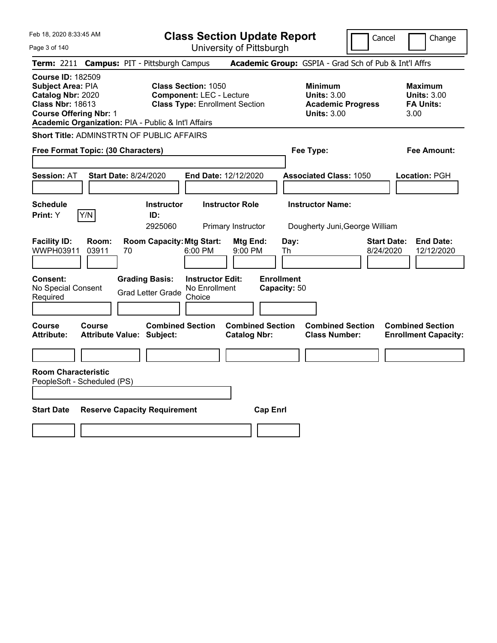Page 3 of 140

**Class Section Update Report**

Cancel **Change** 

| Term: 2211 Campus: PIT - Pittsburgh Campus                                                                                                                                            |                |                                                   |                                                               |                                                |                                   | Academic Group: GSPIA - Grad Sch of Pub & Int'l Affrs                                  |                                 |                                                                  |
|---------------------------------------------------------------------------------------------------------------------------------------------------------------------------------------|----------------|---------------------------------------------------|---------------------------------------------------------------|------------------------------------------------|-----------------------------------|----------------------------------------------------------------------------------------|---------------------------------|------------------------------------------------------------------|
| <b>Course ID: 182509</b><br>Subject Area: PIA<br>Catalog Nbr: 2020<br><b>Class Nbr: 18613</b><br><b>Course Offering Nbr: 1</b><br>Academic Organization: PIA - Public & Int'l Affairs |                |                                                   | <b>Class Section: 1050</b><br><b>Component: LEC - Lecture</b> | <b>Class Type: Enrollment Section</b>          |                                   | <b>Minimum</b><br><b>Units: 3.00</b><br><b>Academic Progress</b><br><b>Units: 3.00</b> |                                 | <b>Maximum</b><br><b>Units: 3.00</b><br><b>FA Units:</b><br>3.00 |
| <b>Short Title: ADMINSTRTN OF PUBLIC AFFAIRS</b>                                                                                                                                      |                |                                                   |                                                               |                                                |                                   |                                                                                        |                                 |                                                                  |
| Free Format Topic: (30 Characters)                                                                                                                                                    |                |                                                   |                                                               |                                                |                                   | Fee Type:                                                                              |                                 | Fee Amount:                                                      |
| <b>Session: AT</b>                                                                                                                                                                    |                | <b>Start Date: 8/24/2020</b>                      |                                                               | <b>End Date: 12/12/2020</b>                    |                                   | <b>Associated Class: 1050</b>                                                          |                                 | Location: PGH                                                    |
|                                                                                                                                                                                       |                |                                                   |                                                               |                                                |                                   |                                                                                        |                                 |                                                                  |
| <b>Schedule</b><br>Print: Y                                                                                                                                                           | Y/N            | <b>Instructor</b><br>ID:<br>2925060               |                                                               | <b>Instructor Role</b><br>Primary Instructor   |                                   | <b>Instructor Name:</b><br>Dougherty Juni, George William                              |                                 |                                                                  |
| <b>Facility ID:</b><br>WWPH03911                                                                                                                                                      | Room:<br>03911 | 70                                                | <b>Room Capacity: Mtg Start:</b><br>6:00 PM                   | Mtg End:<br>9:00 PM                            | Day:<br>Th                        |                                                                                        | <b>Start Date:</b><br>8/24/2020 | <b>End Date:</b><br>12/12/2020                                   |
| <b>Consent:</b><br>No Special Consent<br>Required                                                                                                                                     |                | <b>Grading Basis:</b><br><b>Grad Letter Grade</b> | No Enrollment<br>Choice                                       | <b>Instructor Edit:</b>                        | <b>Enrollment</b><br>Capacity: 50 |                                                                                        |                                 |                                                                  |
| Course<br><b>Attribute:</b>                                                                                                                                                           | Course         | <b>Attribute Value: Subject:</b>                  | <b>Combined Section</b>                                       | <b>Combined Section</b><br><b>Catalog Nbr:</b> |                                   | <b>Combined Section</b><br><b>Class Number:</b>                                        |                                 | <b>Combined Section</b><br><b>Enrollment Capacity:</b>           |
|                                                                                                                                                                                       |                |                                                   |                                                               |                                                |                                   |                                                                                        |                                 |                                                                  |
| <b>Room Characteristic</b><br>PeopleSoft - Scheduled (PS)                                                                                                                             |                |                                                   |                                                               |                                                |                                   |                                                                                        |                                 |                                                                  |
| <b>Start Date</b>                                                                                                                                                                     |                | <b>Reserve Capacity Requirement</b>               |                                                               |                                                | <b>Cap Enrl</b>                   |                                                                                        |                                 |                                                                  |
|                                                                                                                                                                                       |                |                                                   |                                                               |                                                |                                   |                                                                                        |                                 |                                                                  |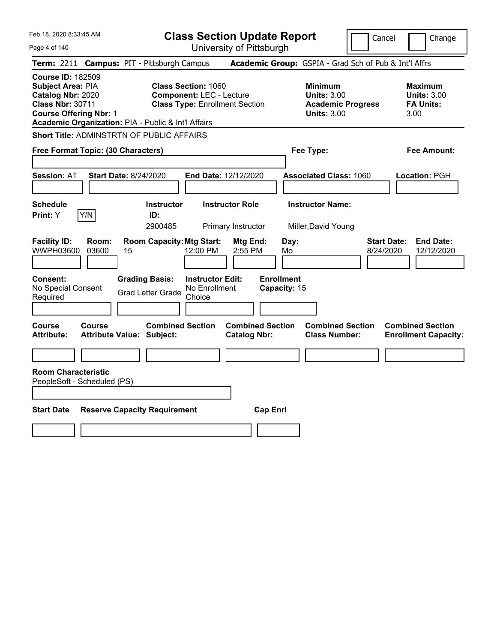**Class Section Update Report**

Cancel **Change** 

| Page 4 of 140                                                                                                                                                                                |                                            |                                                   |                                                               | University of Pittsburgh                       |                                   |                                                                                        | כםו וככו<br>ululiya                                               |
|----------------------------------------------------------------------------------------------------------------------------------------------------------------------------------------------|--------------------------------------------|---------------------------------------------------|---------------------------------------------------------------|------------------------------------------------|-----------------------------------|----------------------------------------------------------------------------------------|-------------------------------------------------------------------|
| <b>Term: 2211</b>                                                                                                                                                                            | <b>Campus: PIT - Pittsburgh Campus</b>     |                                                   |                                                               |                                                |                                   | Academic Group: GSPIA - Grad Sch of Pub & Int'l Affrs                                  |                                                                   |
| <b>Course ID: 182509</b><br><b>Subject Area: PIA</b><br>Catalog Nbr: 2020<br><b>Class Nbr: 30711</b><br><b>Course Offering Nbr: 1</b><br>Academic Organization: PIA - Public & Int'l Affairs |                                            |                                                   | <b>Class Section: 1060</b><br><b>Component: LEC - Lecture</b> | <b>Class Type: Enrollment Section</b>          |                                   | <b>Minimum</b><br><b>Units: 3.00</b><br><b>Academic Progress</b><br><b>Units: 3.00</b> | <b>Maximum</b><br><b>Units: 3.00</b><br><b>FA Units:</b><br>3.00  |
| Short Title: ADMINSTRTN OF PUBLIC AFFAIRS                                                                                                                                                    |                                            |                                                   |                                                               |                                                |                                   |                                                                                        |                                                                   |
| Free Format Topic: (30 Characters)                                                                                                                                                           |                                            |                                                   |                                                               |                                                |                                   | Fee Type:                                                                              | Fee Amount:                                                       |
| <b>Session: AT</b>                                                                                                                                                                           | <b>Start Date: 8/24/2020</b>               |                                                   |                                                               | End Date: 12/12/2020                           |                                   | <b>Associated Class: 1060</b>                                                          | Location: PGH                                                     |
| <b>Schedule</b><br>Print: Y                                                                                                                                                                  | Y/N                                        | <b>Instructor</b><br>ID:<br>2900485               |                                                               | <b>Instructor Role</b><br>Primary Instructor   |                                   | <b>Instructor Name:</b><br>Miller, David Young                                         |                                                                   |
| <b>Facility ID:</b><br><b>WWPH03600</b>                                                                                                                                                      | Room:<br>03600<br>15                       | <b>Room Capacity: Mtg Start:</b>                  | 12:00 PM                                                      | Mtg End:<br>2:55 PM                            | Mo                                | Day:                                                                                   | <b>Start Date:</b><br><b>End Date:</b><br>12/12/2020<br>8/24/2020 |
| <b>Consent:</b><br>No Special Consent<br>Required                                                                                                                                            |                                            | <b>Grading Basis:</b><br><b>Grad Letter Grade</b> | <b>Instructor Edit:</b><br>No Enrollment<br>Choice            |                                                | <b>Enrollment</b><br>Capacity: 15 |                                                                                        |                                                                   |
| <b>Course</b><br><b>Attribute:</b>                                                                                                                                                           | Course<br><b>Attribute Value: Subject:</b> | <b>Combined Section</b>                           |                                                               | <b>Combined Section</b><br><b>Catalog Nbr:</b> |                                   | <b>Combined Section</b><br><b>Class Number:</b>                                        | <b>Combined Section</b><br><b>Enrollment Capacity:</b>            |
|                                                                                                                                                                                              |                                            |                                                   |                                                               |                                                |                                   |                                                                                        |                                                                   |
| <b>Room Characteristic</b><br>PeopleSoft - Scheduled (PS)                                                                                                                                    |                                            |                                                   |                                                               |                                                |                                   |                                                                                        |                                                                   |
| <b>Start Date</b><br><b>Reserve Capacity Requirement</b><br><b>Cap Enri</b>                                                                                                                  |                                            |                                                   |                                                               |                                                |                                   |                                                                                        |                                                                   |
|                                                                                                                                                                                              |                                            |                                                   |                                                               |                                                |                                   |                                                                                        |                                                                   |
|                                                                                                                                                                                              |                                            |                                                   |                                                               |                                                |                                   |                                                                                        |                                                                   |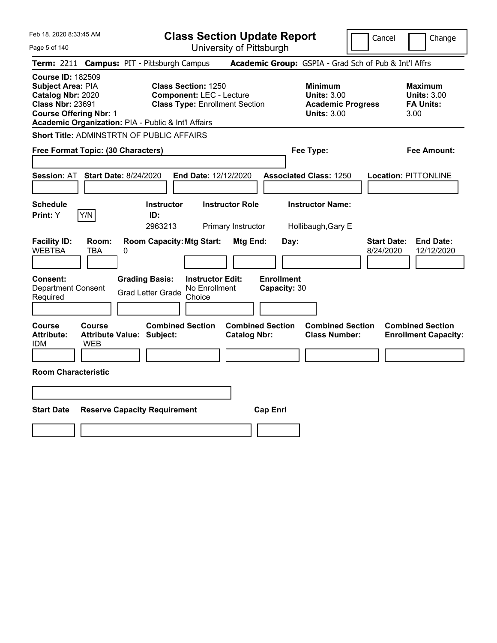Feb 18, 2020 8:33:45 AM Page 5 of 140 **Class Section Update Report** University of Pittsburgh Cancel Change **Term:** 2211 **Campus:** PIT - Pittsburgh Campus **Academic Group:** GSPIA - Grad Sch of Pub & Int'l Affrs **Course ID:** 182509 **Subject Area:** PIA **Class Section:** 1250 **Minimum Maximum Catalog Nbr:** 2020 **Component:** LEC - Lecture **Units:** 3.00 **Units:** 3.00 **Class Type: Enrollment Section <b>Academic Progress FA Units: Course Offering Nbr:** 1 **Units:** 3.00 3.00 **Academic Organization:** PIA - Public & Int'l Affairs **Short Title:** ADMINSTRTN OF PUBLIC AFFAIRS **Free Format Topic: (30 Characters) Fee Type: Fee Amount: Session:** AT **Start Date:** 8/24/2020 **End Date:** 12/12/2020 **Associated Class:** 1250 **Location:** PITTONLINE **Schedule Instructor Instructor Role Instructor Name: Print:**  $Y$   $|Y/N|$  **ID:** 2963213 Primary Instructor Hollibaugh,Gary E **Facility ID: Room: Room Capacity:Mtg Start: Mtg End: Day: Start Date: End Date:** WEBTBA TBA 0 8/24/2020 12/12/2020 **Consent: Grading Basis: Instructor Edit: Enrollment** Department Consent Required Grad Letter Grade No Enrollment Choice **Capacity:** 30 **Course Course Combined Section Combined Section Combined Section Combined Section Attribute: Attribute Value: Subject: Catalog Nbr: Class Number: Enrollment Capacity:**  IDM WEB **Room Characteristic Start Date Reserve Capacity Requirement Cap Enrl**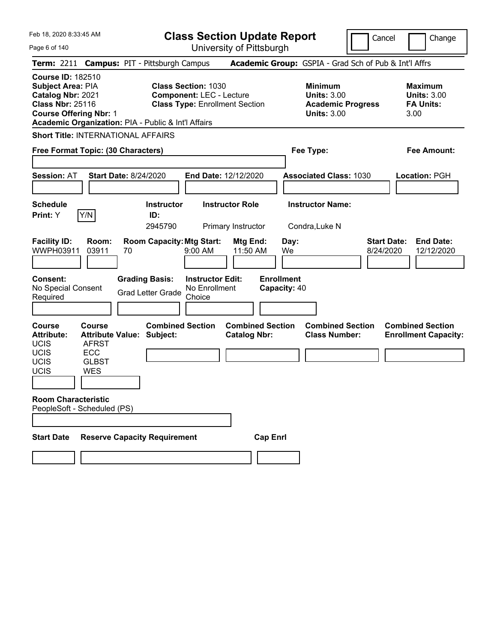**Class Section Update Report**

Cancel **Change** 

| Page 6 of 140                                                                                                                         |                                                                    |                                                             |                                                                                                        | University of Pittsburgh                     |                                   |           |                                                                                        |                                 |                                                                  |
|---------------------------------------------------------------------------------------------------------------------------------------|--------------------------------------------------------------------|-------------------------------------------------------------|--------------------------------------------------------------------------------------------------------|----------------------------------------------|-----------------------------------|-----------|----------------------------------------------------------------------------------------|---------------------------------|------------------------------------------------------------------|
| <b>Term: 2211</b>                                                                                                                     |                                                                    | <b>Campus: PIT - Pittsburgh Campus</b>                      |                                                                                                        |                                              |                                   |           | Academic Group: GSPIA - Grad Sch of Pub & Int'l Affrs                                  |                                 |                                                                  |
| <b>Course ID: 182510</b><br><b>Subject Area: PIA</b><br>Catalog Nbr: 2021<br><b>Class Nbr: 25116</b><br><b>Course Offering Nbr: 1</b> |                                                                    | Academic Organization: PIA - Public & Int'l Affairs         | <b>Class Section: 1030</b><br><b>Component: LEC - Lecture</b><br><b>Class Type: Enrollment Section</b> |                                              |                                   |           | <b>Minimum</b><br><b>Units: 3.00</b><br><b>Academic Progress</b><br><b>Units: 3.00</b> |                                 | <b>Maximum</b><br><b>Units: 3.00</b><br><b>FA Units:</b><br>3.00 |
|                                                                                                                                       | Free Format Topic: (30 Characters)                                 | <b>Short Title: INTERNATIONAL AFFAIRS</b>                   |                                                                                                        |                                              |                                   | Fee Type: |                                                                                        |                                 | Fee Amount:                                                      |
| Session: AT                                                                                                                           |                                                                    | <b>Start Date: 8/24/2020</b>                                | <b>End Date: 12/12/2020</b>                                                                            |                                              |                                   |           | <b>Associated Class: 1030</b>                                                          |                                 | <b>Location: PGH</b>                                             |
| <b>Schedule</b><br>Print: Y                                                                                                           | Y/N                                                                | <b>Instructor</b><br>ID:<br>2945790                         |                                                                                                        | <b>Instructor Role</b><br>Primary Instructor |                                   |           | <b>Instructor Name:</b><br>Condra, Luke N                                              |                                 |                                                                  |
| <b>Facility ID:</b><br>WWPH03911                                                                                                      | Room:<br>03911                                                     | <b>Room Capacity: Mtg Start:</b><br>70                      | $9:00 \, \text{AM}$                                                                                    | Mtg End:<br>11:50 AM                         | We                                | Day:      |                                                                                        | <b>Start Date:</b><br>8/24/2020 | <b>End Date:</b><br>12/12/2020                                   |
| <b>Consent:</b><br>No Special Consent<br>Required                                                                                     |                                                                    | <b>Grading Basis:</b><br><b>Grad Letter Grade</b>           | <b>Instructor Edit:</b><br>No Enrollment<br>Choice                                                     |                                              | <b>Enrollment</b><br>Capacity: 40 |           |                                                                                        |                                 |                                                                  |
| <b>Course</b><br><b>Attribute:</b><br><b>UCIS</b><br>UCIS<br><b>UCIS</b><br>UCIS                                                      | Course<br><b>AFRST</b><br><b>ECC</b><br><b>GLBST</b><br><b>WES</b> | <b>Combined Section</b><br><b>Attribute Value: Subject:</b> |                                                                                                        | <b>Catalog Nbr:</b>                          | <b>Combined Section</b>           |           | <b>Combined Section</b><br><b>Class Number:</b>                                        |                                 | <b>Combined Section</b><br><b>Enrollment Capacity:</b>           |
| <b>Room Characteristic</b>                                                                                                            | PeopleSoft - Scheduled (PS)                                        |                                                             |                                                                                                        |                                              |                                   |           |                                                                                        |                                 |                                                                  |
| <b>Start Date</b>                                                                                                                     |                                                                    | <b>Reserve Capacity Requirement</b>                         |                                                                                                        |                                              | <b>Cap Enrl</b>                   |           |                                                                                        |                                 |                                                                  |
|                                                                                                                                       |                                                                    |                                                             |                                                                                                        |                                              |                                   |           |                                                                                        |                                 |                                                                  |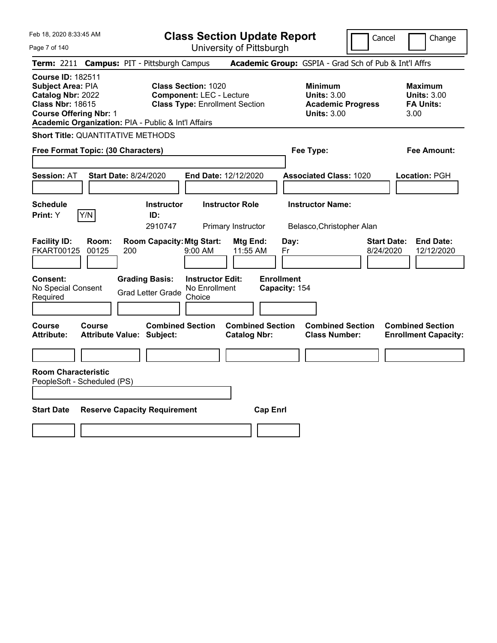**Class Section Update Report**

Cancel **Change** 

| Page 7 of 140                                                                                                                                                                         |                                                               | University of Pittsburgh                       |                                                                                        |                                                                   |  |  |  |
|---------------------------------------------------------------------------------------------------------------------------------------------------------------------------------------|---------------------------------------------------------------|------------------------------------------------|----------------------------------------------------------------------------------------|-------------------------------------------------------------------|--|--|--|
| <b>Term: 2211</b>                                                                                                                                                                     | <b>Campus: PIT - Pittsburgh Campus</b>                        |                                                | Academic Group: GSPIA - Grad Sch of Pub & Int'l Affrs                                  |                                                                   |  |  |  |
| <b>Course ID: 182511</b><br>Subject Area: PIA<br>Catalog Nbr: 2022<br><b>Class Nbr: 18615</b><br><b>Course Offering Nbr: 1</b><br>Academic Organization: PIA - Public & Int'l Affairs | <b>Class Section: 1020</b><br><b>Component: LEC - Lecture</b> | <b>Class Type: Enrollment Section</b>          | <b>Minimum</b><br><b>Units: 3.00</b><br><b>Academic Progress</b><br><b>Units: 3.00</b> | <b>Maximum</b><br><b>Units: 3.00</b><br><b>FA Units:</b><br>3.00  |  |  |  |
| <b>Short Title: QUANTITATIVE METHODS</b>                                                                                                                                              |                                                               |                                                |                                                                                        |                                                                   |  |  |  |
| Free Format Topic: (30 Characters)                                                                                                                                                    |                                                               |                                                | Fee Type:                                                                              | Fee Amount:                                                       |  |  |  |
| <b>Start Date: 8/24/2020</b><br><b>Session: AT</b>                                                                                                                                    |                                                               | End Date: 12/12/2020                           | <b>Associated Class: 1020</b>                                                          | Location: PGH                                                     |  |  |  |
| <b>Schedule</b>                                                                                                                                                                       | <b>Instructor</b>                                             | <b>Instructor Role</b>                         | <b>Instructor Name:</b>                                                                |                                                                   |  |  |  |
| Y/N<br><b>Print:</b> Y                                                                                                                                                                | ID:                                                           |                                                |                                                                                        |                                                                   |  |  |  |
|                                                                                                                                                                                       | 2910747                                                       | Primary Instructor                             | Belasco, Christopher Alan                                                              |                                                                   |  |  |  |
| <b>Facility ID:</b><br>Room:<br><b>FKART00125</b><br>00125<br>200                                                                                                                     | <b>Room Capacity: Mtg Start:</b><br>$9:00$ AM                 | Mtg End:<br>11:55 AM                           | Day:<br>Fr                                                                             | <b>End Date:</b><br><b>Start Date:</b><br>8/24/2020<br>12/12/2020 |  |  |  |
| <b>Consent:</b><br>No Special Consent<br>Required                                                                                                                                     | <b>Grading Basis:</b><br><b>Grad Letter Grade</b><br>Choice   | <b>Instructor Edit:</b><br>No Enrollment       | <b>Enrollment</b><br>Capacity: 154                                                     |                                                                   |  |  |  |
| Course<br>Course<br>Attribute Value: Subject:<br><b>Attribute:</b>                                                                                                                    | <b>Combined Section</b>                                       | <b>Combined Section</b><br><b>Catalog Nbr:</b> | <b>Combined Section</b><br><b>Class Number:</b>                                        | <b>Combined Section</b><br><b>Enrollment Capacity:</b>            |  |  |  |
|                                                                                                                                                                                       |                                                               |                                                |                                                                                        |                                                                   |  |  |  |
| <b>Room Characteristic</b><br>PeopleSoft - Scheduled (PS)                                                                                                                             |                                                               |                                                |                                                                                        |                                                                   |  |  |  |
| <b>Start Date</b><br><b>Reserve Capacity Requirement</b><br><b>Cap Enrl</b>                                                                                                           |                                                               |                                                |                                                                                        |                                                                   |  |  |  |
|                                                                                                                                                                                       |                                                               |                                                |                                                                                        |                                                                   |  |  |  |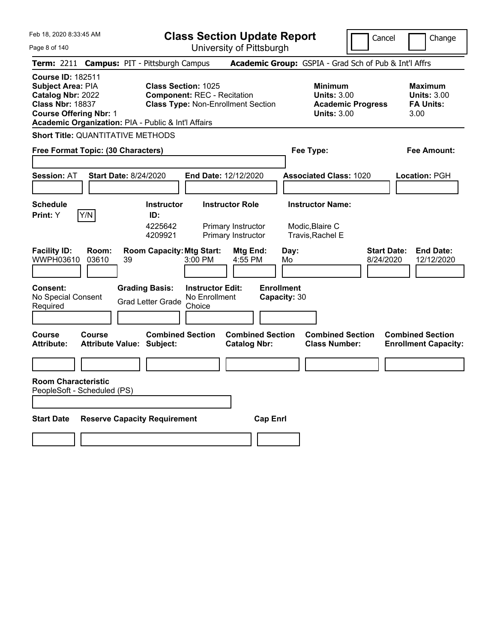**Class Section Update Report**

Page 8 of 140

| Feb 18, 2020 8:33:45 AM<br>Page 8 of 140                                                                                                                                                     |                                                                                                               | <b>Class Section Update Report</b><br>University of Pittsburgh     |                                                                                 | Cancel<br>Change                                                  |
|----------------------------------------------------------------------------------------------------------------------------------------------------------------------------------------------|---------------------------------------------------------------------------------------------------------------|--------------------------------------------------------------------|---------------------------------------------------------------------------------|-------------------------------------------------------------------|
| Term: 2211 Campus: PIT - Pittsburgh Campus                                                                                                                                                   |                                                                                                               |                                                                    | Academic Group: GSPIA - Grad Sch of Pub & Int'l Affrs                           |                                                                   |
| <b>Course ID: 182511</b><br><b>Subject Area: PIA</b><br>Catalog Nbr: 2022<br><b>Class Nbr: 18837</b><br><b>Course Offering Nbr: 1</b><br>Academic Organization: PIA - Public & Int'l Affairs | <b>Class Section: 1025</b><br><b>Component: REC - Recitation</b><br><b>Class Type: Non-Enrollment Section</b> |                                                                    | Minimum<br><b>Units: 3.00</b><br><b>Academic Progress</b><br><b>Units: 3.00</b> | Maximum<br><b>Units: 3.00</b><br><b>FA Units:</b><br>3.00         |
| <b>Short Title: QUANTITATIVE METHODS</b>                                                                                                                                                     |                                                                                                               |                                                                    |                                                                                 |                                                                   |
| Free Format Topic: (30 Characters)                                                                                                                                                           |                                                                                                               |                                                                    | Fee Type:                                                                       | Fee Amount:                                                       |
| <b>Session: AT</b><br><b>Start Date: 8/24/2020</b>                                                                                                                                           |                                                                                                               | End Date: 12/12/2020                                               | <b>Associated Class: 1020</b>                                                   | Location: PGH                                                     |
| <b>Schedule</b><br>Y/N<br>Print: Y                                                                                                                                                           | <b>Instructor</b><br>ID:<br>4225642<br>4209921                                                                | <b>Instructor Role</b><br>Primary Instructor<br>Primary Instructor | <b>Instructor Name:</b><br>Modic, Blaire C<br>Travis, Rachel E                  |                                                                   |
| <b>Facility ID:</b><br>Room:<br>WWPH03610<br>03610<br>39                                                                                                                                     | <b>Room Capacity: Mtg Start:</b><br>3:00 PM                                                                   | Mtg End:<br>4:55 PM                                                | Day:<br>Mo                                                                      | <b>Start Date:</b><br><b>End Date:</b><br>8/24/2020<br>12/12/2020 |
| <b>Consent:</b><br>No Special Consent<br>Required                                                                                                                                            | <b>Grading Basis:</b><br><b>Instructor Edit:</b><br>No Enrollment<br><b>Grad Letter Grade</b><br>Choice       | <b>Enrollment</b>                                                  | Capacity: 30                                                                    |                                                                   |
| <b>Course</b><br>Course<br><b>Attribute:</b><br><b>Attribute Value: Subject:</b>                                                                                                             | <b>Combined Section</b>                                                                                       | <b>Combined Section</b><br><b>Catalog Nbr:</b>                     | <b>Combined Section</b><br><b>Class Number:</b>                                 | <b>Combined Section</b><br><b>Enrollment Capacity:</b>            |
| <b>Room Characteristic</b><br>PeopleSoft - Scheduled (PS)                                                                                                                                    |                                                                                                               |                                                                    |                                                                                 |                                                                   |
| <b>Start Date</b>                                                                                                                                                                            | <b>Reserve Capacity Requirement</b>                                                                           | <b>Cap Enrl</b>                                                    |                                                                                 |                                                                   |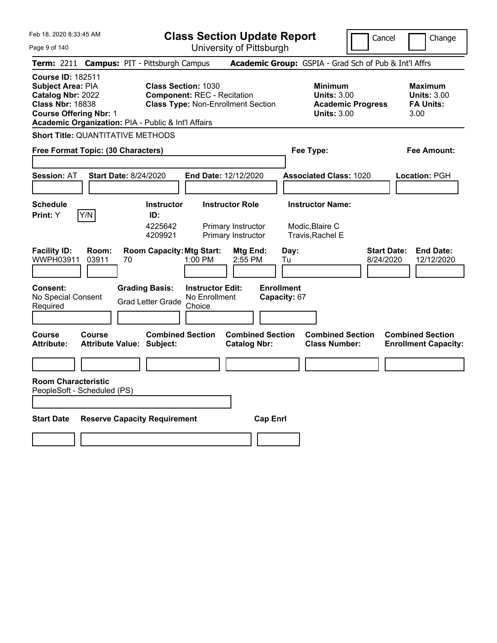**Class Section Update Report**

Cancel | Change

Page 9 of 140

University of Pittsburgh **Term:** 2211 **Campus:** PIT - Pittsburgh Campus **Academic Group:** GSPIA - Grad Sch of Pub & Int'l Affrs **Course ID:** 182511 **Subject Area: PIA <b>Class Section:** 1030 **Minimum Maximum Maximum Maximum Catalog Nbr:** 2022 **Component:** REC - Recitation **Units:** 3.00 **Units:** 3.00 **Class Nbr:** 18838 **Class Type:** Non-Enrollment Section **Academic Progress FA Units: Course Offering Nbr:** 1 **Units:** 3.00 3.00 **Academic Organization:** PIA - Public & Int'l Affairs **Short Title:** QUANTITATIVE METHODS **Free Format Topic: (30 Characters) Fee Type: Fee Amount: Session:** AT **Start Date:** 8/24/2020 **End Date:** 12/12/2020 **Associated Class:** 1020 **Location:** PGH **Schedule Instructor Instructor Role Instructor Name: Print:**  $Y$   $|Y/N|$  **ID:** 4225642 Primary Instructor Modic,Blaire C 4209921 Primary Instructor Travis,Rachel E **Facility ID: Room: Room Capacity:Mtg Start: Mtg End: Day: Start Date: End Date:** WWPH03911 03911 70 1:00 PM 2:55 PM Tu 8/24/2020 12/12/2020 **Consent: Grading Basis: Instructor Edit: Enrollment** No Special Consent No Special Consent Grad Letter Grade No Enrollment<br>Required Choice Choice **Capacity:** 67 **Course Course Combined Section Combined Section Combined Section Combined Section**  Attribute: Attribute Value: Subject: Catalog Nbr: Class Number: Enrollment Capacity: **Room Characteristic** PeopleSoft - Scheduled (PS) **Start Date Reserve Capacity Requirement Cap Enrl**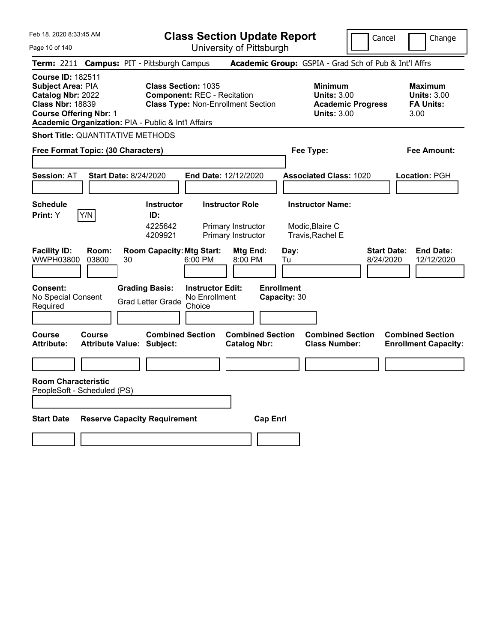**Class Section Update Report**

Cancel | Change

Page 10 of 140

University of Pittsburgh **Term:** 2211 **Campus:** PIT - Pittsburgh Campus **Academic Group:** GSPIA - Grad Sch of Pub & Int'l Affrs **Course ID:** 182511 **Subject Area:** PIA **Class Section:** 1035 **Minimum Maximum Maximum Catalog Nbr:** 2022 **Component:** REC - Recitation **Units:** 3.00 **Units:** 3.00 **Class Nbr:** 18839 **Class Type:** Non-Enrollment Section **Academic Progress FA Units: Course Offering Nbr:** 1 **Units:** 3.00 3.00 **Academic Organization:** PIA - Public & Int'l Affairs **Short Title:** QUANTITATIVE METHODS **Free Format Topic: (30 Characters) Fee Type: Fee Amount: Session:** AT **Start Date:** 8/24/2020 **End Date:** 12/12/2020 **Associated Class:** 1020 **Location:** PGH **Schedule Instructor Instructor Role Instructor Name: Print:**  $Y$   $|Y/N|$  **ID:** 4225642 Primary Instructor Modic,Blaire C 4209921 Primary Instructor Travis,Rachel E **Facility ID: Room: Room Capacity:Mtg Start: Mtg End: Day: Start Date: End Date:** WWPH03800 03800 30 6:00 PM 8:00 PM Tu 8/24/2020 12/12/2020 **Consent: Grading Basis: Instructor Edit: Enrollment** No Special Consent No Special Consent Grad Letter Grade No Enrollment<br>Required Choice Choice **Capacity:** 30 **Course Course Combined Section Combined Section Combined Section Combined Section**  Attribute: Attribute Value: Subject: Catalog Nbr: Class Number: Enrollment Capacity: **Room Characteristic** PeopleSoft - Scheduled (PS) **Start Date Reserve Capacity Requirement Cap Enrl**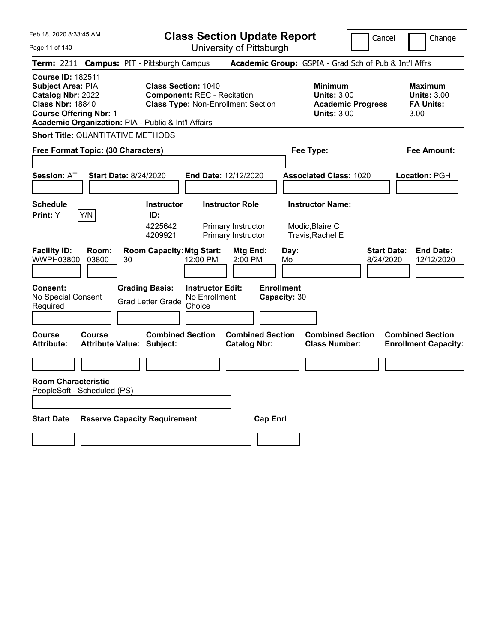**Class Section Update Report**

Cancel | Change

Page 11 of 140

University of Pittsburgh **Term:** 2211 **Campus:** PIT - Pittsburgh Campus **Academic Group:** GSPIA - Grad Sch of Pub & Int'l Affrs **Course ID:** 182511 **Subject Area:** PIA **Class Section:** 1040 **Minimum Maximum Maximum Catalog Nbr:** 2022 **Component:** REC - Recitation **Units:** 3.00 **Units:** 3.00 **Class Nbr:** 18840 **Class Type:** Non-Enrollment Section **Academic Progress FA Units: Course Offering Nbr:** 1 **Units:** 3.00 3.00 **Academic Organization:** PIA - Public & Int'l Affairs **Short Title:** QUANTITATIVE METHODS **Free Format Topic: (30 Characters) Fee Type: Fee Amount: Session:** AT **Start Date:** 8/24/2020 **End Date:** 12/12/2020 **Associated Class:** 1020 **Location:** PGH **Schedule Instructor Instructor Role Instructor Name: Print:**  $Y$   $|Y/N|$  **ID:** 4225642 Primary Instructor Modic,Blaire C 4209921 Primary Instructor Travis,Rachel E **Facility ID: Room: Room Capacity:Mtg Start: Mtg End: Day: Start Date: End Date:** WWPH03800 03800 30 12:00 PM 2:00 PM Mo 8/24/2020 12/12/2020 **Consent: Grading Basis: Instructor Edit: Enrollment** No Special Consent No Special Consent Grad Letter Grade No Enrollment<br>Required Choice Choice **Capacity:** 30 **Course Course Combined Section Combined Section Combined Section Combined Section**  Attribute: Attribute Value: Subject: Catalog Nbr: Class Number: Enrollment Capacity: **Room Characteristic** PeopleSoft - Scheduled (PS) **Start Date Reserve Capacity Requirement Cap Enrl**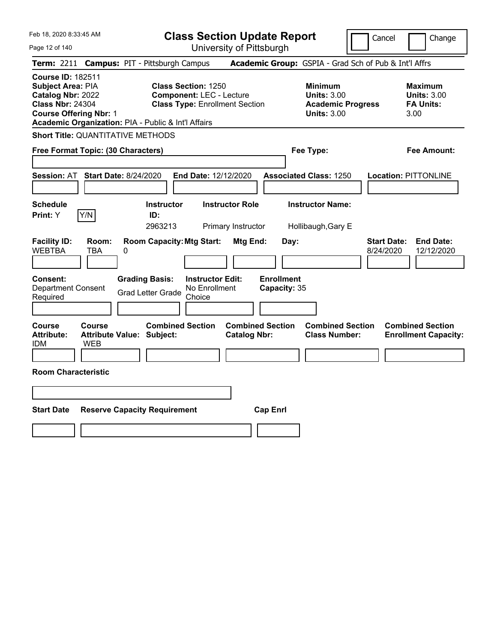| Feb 18, 2020 8:33:45 AM<br>Page 12 of 140                                                                                                                                                    | <b>Class Section Update Report</b><br>University of Pittsburgh                                         | Cancel                                                                                 | Change                                                           |
|----------------------------------------------------------------------------------------------------------------------------------------------------------------------------------------------|--------------------------------------------------------------------------------------------------------|----------------------------------------------------------------------------------------|------------------------------------------------------------------|
| Term: 2211 Campus: PIT - Pittsburgh Campus                                                                                                                                                   |                                                                                                        | Academic Group: GSPIA - Grad Sch of Pub & Int'l Affrs                                  |                                                                  |
| <b>Course ID: 182511</b><br><b>Subject Area: PIA</b><br>Catalog Nbr: 2022<br><b>Class Nbr: 24304</b><br><b>Course Offering Nbr: 1</b><br>Academic Organization: PIA - Public & Int'l Affairs | <b>Class Section: 1250</b><br><b>Component: LEC - Lecture</b><br><b>Class Type: Enrollment Section</b> | <b>Minimum</b><br><b>Units: 3.00</b><br><b>Academic Progress</b><br><b>Units: 3.00</b> | <b>Maximum</b><br><b>Units: 3.00</b><br><b>FA Units:</b><br>3.00 |
| <b>Short Title: QUANTITATIVE METHODS</b>                                                                                                                                                     |                                                                                                        |                                                                                        |                                                                  |
| Free Format Topic: (30 Characters)                                                                                                                                                           |                                                                                                        | Fee Type:                                                                              | <b>Fee Amount:</b>                                               |
| <b>Session: AT</b><br><b>Start Date: 8/24/2020</b>                                                                                                                                           | <b>End Date: 12/12/2020</b>                                                                            | <b>Associated Class: 1250</b>                                                          | <b>Location: PITTONLINE</b>                                      |
| <b>Schedule</b><br>Y/N<br>Print: Y<br>ID:                                                                                                                                                    | <b>Instructor</b><br><b>Instructor Role</b>                                                            | <b>Instructor Name:</b>                                                                |                                                                  |
|                                                                                                                                                                                              | 2963213<br>Primary Instructor                                                                          | Hollibaugh, Gary E                                                                     |                                                                  |
| <b>Facility ID:</b><br>Room:<br><b>WEBTBA</b><br><b>TBA</b><br>0                                                                                                                             | <b>Room Capacity: Mtg Start:</b><br>Mtg End:<br>Day:                                                   | <b>Start Date:</b><br>8/24/2020                                                        | <b>End Date:</b><br>12/12/2020                                   |
| Consent:<br><b>Grading Basis:</b><br>Department Consent<br><b>Grad Letter Grade</b><br>Required                                                                                              | <b>Enrollment</b><br><b>Instructor Edit:</b><br>No Enrollment<br>Capacity: 35<br>Choice                |                                                                                        |                                                                  |
| Course<br>Course<br><b>Attribute:</b><br><b>Attribute Value: Subject:</b><br><b>IDM</b><br><b>WEB</b>                                                                                        | <b>Combined Section</b><br><b>Combined Section</b><br><b>Catalog Nbr:</b>                              | <b>Combined Section</b><br><b>Class Number:</b>                                        | <b>Combined Section</b><br><b>Enrollment Capacity:</b>           |
|                                                                                                                                                                                              |                                                                                                        |                                                                                        |                                                                  |
| <b>Room Characteristic</b>                                                                                                                                                                   |                                                                                                        |                                                                                        |                                                                  |
|                                                                                                                                                                                              |                                                                                                        |                                                                                        |                                                                  |
|                                                                                                                                                                                              |                                                                                                        |                                                                                        |                                                                  |
| <b>Start Date</b><br><b>Reserve Capacity Requirement</b>                                                                                                                                     | <b>Cap Enrl</b>                                                                                        |                                                                                        |                                                                  |
|                                                                                                                                                                                              |                                                                                                        |                                                                                        |                                                                  |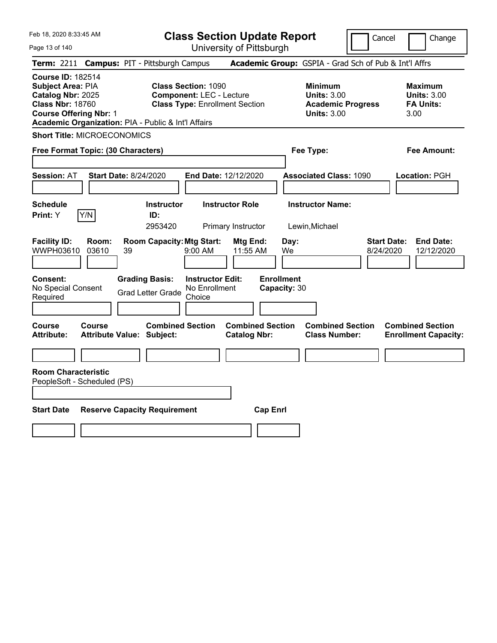Page 13 of 140

**Class Section Update Report**

Cancel **Change** 

|                                                                                                                                                                                       |                                                             | UNIVUUTIY UITTILUUUIYN                                                                                 |                                                                                        |                                                                  |
|---------------------------------------------------------------------------------------------------------------------------------------------------------------------------------------|-------------------------------------------------------------|--------------------------------------------------------------------------------------------------------|----------------------------------------------------------------------------------------|------------------------------------------------------------------|
| Term: 2211 Campus: PIT - Pittsburgh Campus                                                                                                                                            |                                                             |                                                                                                        | Academic Group: GSPIA - Grad Sch of Pub & Int'l Affrs                                  |                                                                  |
| <b>Course ID: 182514</b><br>Subject Area: PIA<br>Catalog Nbr: 2025<br><b>Class Nbr: 18760</b><br><b>Course Offering Nbr: 1</b><br>Academic Organization: PIA - Public & Int'l Affairs |                                                             | <b>Class Section: 1090</b><br><b>Component: LEC - Lecture</b><br><b>Class Type: Enrollment Section</b> | <b>Minimum</b><br><b>Units: 3.00</b><br><b>Academic Progress</b><br><b>Units: 3.00</b> | <b>Maximum</b><br><b>Units: 3.00</b><br><b>FA Units:</b><br>3.00 |
| <b>Short Title: MICROECONOMICS</b>                                                                                                                                                    |                                                             |                                                                                                        |                                                                                        |                                                                  |
| Free Format Topic: (30 Characters)                                                                                                                                                    |                                                             |                                                                                                        | Fee Type:                                                                              | Fee Amount:                                                      |
| <b>Session: AT</b>                                                                                                                                                                    | <b>Start Date: 8/24/2020</b>                                | End Date: 12/12/2020                                                                                   | <b>Associated Class: 1090</b>                                                          | Location: PGH                                                    |
| <b>Schedule</b><br>Y/N<br>Print: Y                                                                                                                                                    | Instructor<br>ID:<br>2953420                                | <b>Instructor Role</b><br>Primary Instructor                                                           | <b>Instructor Name:</b><br>Lewin, Michael                                              |                                                                  |
| <b>Facility ID:</b><br>Room:<br>WWPH03610<br>03610                                                                                                                                    | <b>Room Capacity: Mtg Start:</b><br>39                      | Mtg End:<br>9:00 AM<br>11:55 AM                                                                        | <b>Start Date:</b><br>Day:<br>We<br>8/24/2020                                          | <b>End Date:</b><br>12/12/2020                                   |
| <b>Consent:</b><br>No Special Consent<br>Required                                                                                                                                     | <b>Grading Basis:</b><br><b>Grad Letter Grade</b>           | <b>Instructor Edit:</b><br>No Enrollment<br>Choice                                                     | <b>Enrollment</b><br>Capacity: 30                                                      |                                                                  |
| Course<br>Course<br><b>Attribute:</b>                                                                                                                                                 | <b>Combined Section</b><br><b>Attribute Value: Subject:</b> | <b>Combined Section</b><br><b>Catalog Nbr:</b>                                                         | <b>Combined Section</b><br><b>Class Number:</b>                                        | <b>Combined Section</b><br><b>Enrollment Capacity:</b>           |
|                                                                                                                                                                                       |                                                             |                                                                                                        |                                                                                        |                                                                  |
| <b>Room Characteristic</b><br>PeopleSoft - Scheduled (PS)<br><b>Start Date</b>                                                                                                        | <b>Reserve Capacity Requirement</b>                         | <b>Cap Enrl</b>                                                                                        |                                                                                        |                                                                  |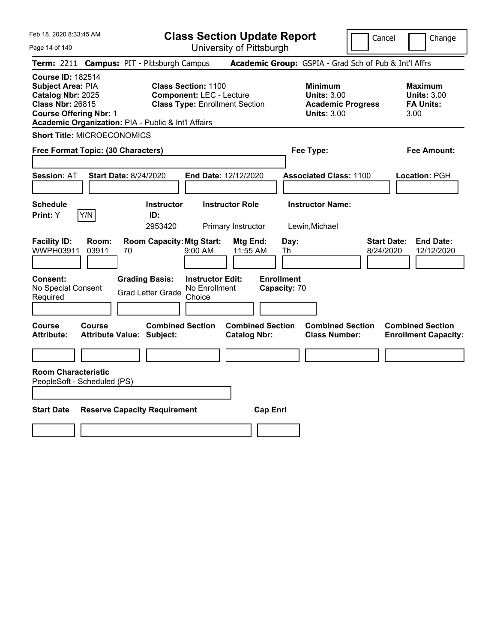Page 14 of 140

**Class Section Update Report**

Cancel **Change** 

| Term: 2211 Campus: PIT - Pittsburgh Campus                                                                                                                                            |                                                                                                                                                       | Academic Group: GSPIA - Grad Sch of Pub & Int'l Affrs                                  |                                                                  |
|---------------------------------------------------------------------------------------------------------------------------------------------------------------------------------------|-------------------------------------------------------------------------------------------------------------------------------------------------------|----------------------------------------------------------------------------------------|------------------------------------------------------------------|
| <b>Course ID: 182514</b><br>Subject Area: PIA<br>Catalog Nbr: 2025<br><b>Class Nbr: 26815</b><br><b>Course Offering Nbr: 1</b><br>Academic Organization: PIA - Public & Int'l Affairs | <b>Class Section: 1100</b><br><b>Component: LEC - Lecture</b><br><b>Class Type: Enrollment Section</b>                                                | <b>Minimum</b><br><b>Units: 3.00</b><br><b>Academic Progress</b><br><b>Units: 3.00</b> | <b>Maximum</b><br><b>Units: 3.00</b><br><b>FA Units:</b><br>3.00 |
| <b>Short Title: MICROECONOMICS</b>                                                                                                                                                    |                                                                                                                                                       |                                                                                        |                                                                  |
| Free Format Topic: (30 Characters)                                                                                                                                                    |                                                                                                                                                       | Fee Type:                                                                              | <b>Fee Amount:</b>                                               |
| <b>Session: AT</b><br><b>Start Date: 8/24/2020</b>                                                                                                                                    | <b>End Date: 12/12/2020</b>                                                                                                                           | <b>Associated Class: 1100</b>                                                          | Location: PGH                                                    |
| <b>Schedule</b><br>Y/N<br>Print: Y                                                                                                                                                    | <b>Instructor Role</b><br><b>Instructor</b><br>ID:<br>2953420<br>Primary Instructor                                                                   | <b>Instructor Name:</b><br>Lewin, Michael                                              |                                                                  |
| <b>Facility ID:</b><br>Room:<br>WWPH03911<br>03911<br>70<br><b>Grading Basis:</b><br>Consent:<br>No Special Consent<br>Required                                                       | <b>Room Capacity: Mtg Start:</b><br>Mtg End:<br>9:00 AM<br>11:55 AM<br><b>Instructor Edit:</b><br>No Enrollment<br><b>Grad Letter Grade</b><br>Choice | Day:<br><b>Start Date:</b><br>8/24/2020<br>Th<br><b>Enrollment</b><br>Capacity: 70     | <b>End Date:</b><br>12/12/2020                                   |
| Course<br><b>Course</b><br><b>Attribute:</b><br><b>Attribute Value: Subject:</b>                                                                                                      | <b>Combined Section</b><br><b>Combined Section</b><br><b>Catalog Nbr:</b>                                                                             | <b>Combined Section</b><br><b>Class Number:</b>                                        | <b>Combined Section</b><br><b>Enrollment Capacity:</b>           |
| <b>Room Characteristic</b><br>PeopleSoft - Scheduled (PS)<br><b>Start Date</b><br><b>Reserve Capacity Requirement</b>                                                                 | <b>Cap Enrl</b>                                                                                                                                       |                                                                                        |                                                                  |
|                                                                                                                                                                                       |                                                                                                                                                       |                                                                                        |                                                                  |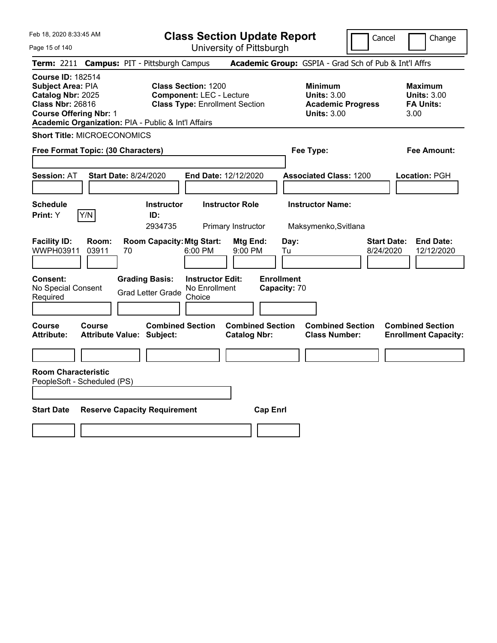**Class Section Update Report**

Cancel **Change** 

| Page 15 of 140                                                                                                                                                                        |                                                             | University of Pittsburgh                                                 |                                                                                        |                                 |                                                                  |
|---------------------------------------------------------------------------------------------------------------------------------------------------------------------------------------|-------------------------------------------------------------|--------------------------------------------------------------------------|----------------------------------------------------------------------------------------|---------------------------------|------------------------------------------------------------------|
| <b>Term: 2211</b>                                                                                                                                                                     | <b>Campus: PIT - Pittsburgh Campus</b>                      |                                                                          | Academic Group: GSPIA - Grad Sch of Pub & Int'l Affrs                                  |                                 |                                                                  |
| <b>Course ID: 182514</b><br>Subject Area: PIA<br>Catalog Nbr: 2025<br><b>Class Nbr: 26816</b><br><b>Course Offering Nbr: 1</b><br>Academic Organization: PIA - Public & Int'l Affairs | <b>Class Section: 1200</b>                                  | <b>Component: LEC - Lecture</b><br><b>Class Type: Enrollment Section</b> | <b>Minimum</b><br><b>Units: 3.00</b><br><b>Academic Progress</b><br><b>Units: 3.00</b> |                                 | <b>Maximum</b><br><b>Units: 3.00</b><br><b>FA Units:</b><br>3.00 |
| <b>Short Title: MICROECONOMICS</b>                                                                                                                                                    |                                                             |                                                                          |                                                                                        |                                 |                                                                  |
| Free Format Topic: (30 Characters)                                                                                                                                                    |                                                             |                                                                          | Fee Type:                                                                              |                                 | Fee Amount:                                                      |
| <b>Session: AT</b>                                                                                                                                                                    | <b>Start Date: 8/24/2020</b>                                | End Date: 12/12/2020                                                     | <b>Associated Class: 1200</b>                                                          |                                 | Location: PGH                                                    |
| <b>Schedule</b>                                                                                                                                                                       | <b>Instructor</b>                                           | <b>Instructor Role</b>                                                   | <b>Instructor Name:</b>                                                                |                                 |                                                                  |
| Print: Y<br>Y/N                                                                                                                                                                       | ID:                                                         |                                                                          |                                                                                        |                                 |                                                                  |
|                                                                                                                                                                                       | 2934735                                                     | Primary Instructor                                                       | Maksymenko, Svitlana                                                                   |                                 |                                                                  |
| <b>Facility ID:</b><br>Room:<br>WWPH03911<br>03911                                                                                                                                    | <b>Room Capacity: Mtg Start:</b><br>70                      | Mtg End:<br>6:00 PM<br>9:00 PM                                           | Day:<br>Tu                                                                             | <b>Start Date:</b><br>8/24/2020 | <b>End Date:</b><br>12/12/2020                                   |
| Consent:<br>No Special Consent<br>Required                                                                                                                                            | <b>Grading Basis:</b><br><b>Grad Letter Grade</b>           | <b>Instructor Edit:</b><br>No Enrollment<br>Choice                       | <b>Enrollment</b><br>Capacity: 70                                                      |                                 |                                                                  |
| Course<br>Course<br><b>Attribute:</b>                                                                                                                                                 | <b>Combined Section</b><br><b>Attribute Value: Subject:</b> | <b>Combined Section</b><br><b>Catalog Nbr:</b>                           | <b>Combined Section</b><br><b>Class Number:</b>                                        |                                 | <b>Combined Section</b><br><b>Enrollment Capacity:</b>           |
|                                                                                                                                                                                       |                                                             |                                                                          |                                                                                        |                                 |                                                                  |
| <b>Room Characteristic</b><br>PeopleSoft - Scheduled (PS)                                                                                                                             |                                                             |                                                                          |                                                                                        |                                 |                                                                  |
| <b>Start Date</b>                                                                                                                                                                     | <b>Reserve Capacity Requirement</b>                         |                                                                          | <b>Cap Enrl</b>                                                                        |                                 |                                                                  |
|                                                                                                                                                                                       |                                                             |                                                                          |                                                                                        |                                 |                                                                  |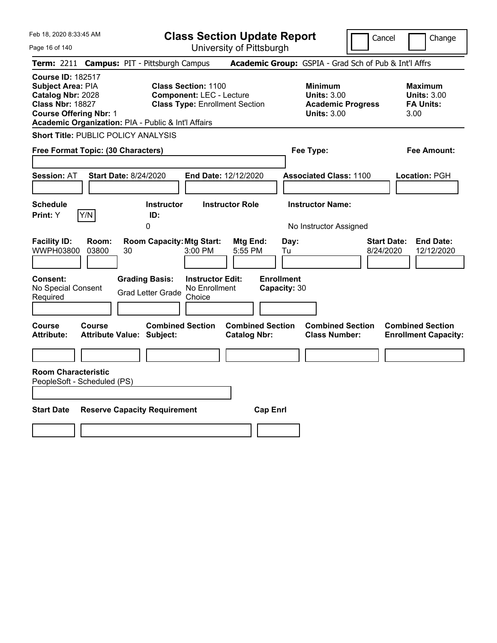Page 16 of 140

**Class Section Update Report**

Cancel **Change** 

| <b>Course ID: 182517</b>                                                                                                                                                                                                                                                                                                                                              |                                                          |
|-----------------------------------------------------------------------------------------------------------------------------------------------------------------------------------------------------------------------------------------------------------------------------------------------------------------------------------------------------------------------|----------------------------------------------------------|
| Subject Area: PIA<br><b>Class Section: 1100</b><br><b>Minimum</b><br>Catalog Nbr: 2028<br><b>Component: LEC - Lecture</b><br><b>Units: 3.00</b><br><b>Class Nbr: 18827</b><br><b>Class Type: Enrollment Section</b><br><b>Academic Progress</b><br><b>Course Offering Nbr: 1</b><br><b>Units: 3.00</b><br>3.00<br>Academic Organization: PIA - Public & Int'l Affairs | <b>Maximum</b><br><b>Units: 3.00</b><br><b>FA Units:</b> |
| <b>Short Title: PUBLIC POLICY ANALYSIS</b>                                                                                                                                                                                                                                                                                                                            |                                                          |
| Free Format Topic: (30 Characters)<br>Fee Type:                                                                                                                                                                                                                                                                                                                       | <b>Fee Amount:</b>                                       |
| Session: AT<br><b>Start Date: 8/24/2020</b><br><b>Associated Class: 1100</b><br><b>End Date: 12/12/2020</b>                                                                                                                                                                                                                                                           | Location: PGH                                            |
| <b>Instructor Name:</b><br><b>Schedule</b><br><b>Instructor</b><br><b>Instructor Role</b><br>Y/N<br>Print: Y<br>ID:<br>0<br>No Instructor Assigned                                                                                                                                                                                                                    |                                                          |
| <b>Facility ID:</b><br><b>Room Capacity: Mtg Start:</b><br><b>Start Date:</b><br>Room:<br>Mtg End:<br>Day:<br>WWPH03800<br>03800<br>30<br>3:00 PM<br>5:55 PM<br>Tu<br>8/24/2020                                                                                                                                                                                       | <b>End Date:</b><br>12/12/2020                           |
| <b>Enrollment</b><br>Consent:<br><b>Grading Basis:</b><br><b>Instructor Edit:</b><br>No Special Consent<br>No Enrollment<br>Capacity: 30<br><b>Grad Letter Grade</b><br>Required<br>Choice                                                                                                                                                                            |                                                          |
| <b>Combined Section</b><br><b>Combined Section</b><br>Course<br><b>Combined Section</b><br>Course<br><b>Attribute:</b><br><b>Attribute Value: Subject:</b><br><b>Catalog Nbr:</b><br><b>Class Number:</b>                                                                                                                                                             | <b>Combined Section</b><br><b>Enrollment Capacity:</b>   |
|                                                                                                                                                                                                                                                                                                                                                                       |                                                          |
| <b>Room Characteristic</b><br>PeopleSoft - Scheduled (PS)                                                                                                                                                                                                                                                                                                             |                                                          |
| <b>Start Date</b><br><b>Reserve Capacity Requirement</b><br><b>Cap Enrl</b>                                                                                                                                                                                                                                                                                           |                                                          |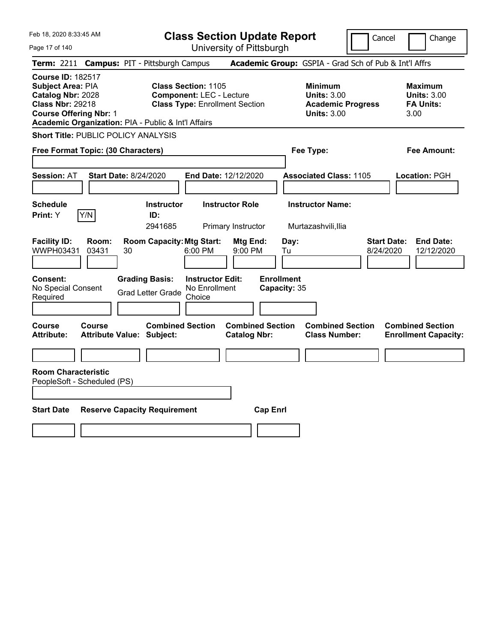**Class Section Update Report**

Cancel **Change** 

| Page 17 of 140                                                                                                                                                                        |                                                             | University of Pittsburgh                                                 |                                   |                                                                                        |                                                                   |
|---------------------------------------------------------------------------------------------------------------------------------------------------------------------------------------|-------------------------------------------------------------|--------------------------------------------------------------------------|-----------------------------------|----------------------------------------------------------------------------------------|-------------------------------------------------------------------|
| <b>Term: 2211</b>                                                                                                                                                                     | <b>Campus: PIT - Pittsburgh Campus</b>                      |                                                                          |                                   |                                                                                        | Academic Group: GSPIA - Grad Sch of Pub & Int'l Affrs             |
| <b>Course ID: 182517</b><br>Subject Area: PIA<br>Catalog Nbr: 2028<br><b>Class Nbr: 29218</b><br><b>Course Offering Nbr: 1</b><br>Academic Organization: PIA - Public & Int'l Affairs | <b>Class Section: 1105</b>                                  | <b>Component: LEC - Lecture</b><br><b>Class Type: Enrollment Section</b> |                                   | <b>Minimum</b><br><b>Units: 3.00</b><br><b>Academic Progress</b><br><b>Units: 3.00</b> | <b>Maximum</b><br><b>Units: 3.00</b><br><b>FA Units:</b><br>3.00  |
| <b>Short Title: PUBLIC POLICY ANALYSIS</b>                                                                                                                                            |                                                             |                                                                          |                                   |                                                                                        |                                                                   |
| Free Format Topic: (30 Characters)                                                                                                                                                    |                                                             |                                                                          |                                   | Fee Type:                                                                              | Fee Amount:                                                       |
| <b>Session: AT</b>                                                                                                                                                                    | <b>Start Date: 8/24/2020</b>                                | End Date: 12/12/2020                                                     |                                   | <b>Associated Class: 1105</b>                                                          | Location: PGH                                                     |
| <b>Schedule</b>                                                                                                                                                                       | <b>Instructor</b>                                           | <b>Instructor Role</b>                                                   |                                   | <b>Instructor Name:</b>                                                                |                                                                   |
| Print: Y<br>Y/N                                                                                                                                                                       | ID:                                                         |                                                                          |                                   |                                                                                        |                                                                   |
| <b>Facility ID:</b><br>Room:<br>WWPH03431<br>03431                                                                                                                                    | 2941685<br><b>Room Capacity: Mtg Start:</b><br>30           | Primary Instructor<br>Mtg End:<br>6:00 PM<br>9:00 PM                     | Day:<br>Tu                        | Murtazashvili, Ilia                                                                    | <b>Start Date:</b><br><b>End Date:</b><br>8/24/2020<br>12/12/2020 |
| <b>Consent:</b><br>No Special Consent<br>Required                                                                                                                                     | <b>Grading Basis:</b><br><b>Grad Letter Grade</b>           | <b>Instructor Edit:</b><br>No Enrollment<br>Choice                       | <b>Enrollment</b><br>Capacity: 35 |                                                                                        |                                                                   |
| Course<br>Course<br><b>Attribute:</b>                                                                                                                                                 | <b>Combined Section</b><br><b>Attribute Value: Subject:</b> | <b>Catalog Nbr:</b>                                                      | <b>Combined Section</b>           | <b>Combined Section</b><br><b>Class Number:</b>                                        | <b>Combined Section</b><br><b>Enrollment Capacity:</b>            |
|                                                                                                                                                                                       |                                                             |                                                                          |                                   |                                                                                        |                                                                   |
| <b>Room Characteristic</b><br>PeopleSoft - Scheduled (PS)<br><b>Start Date</b>                                                                                                        | <b>Reserve Capacity Requirement</b>                         |                                                                          | <b>Cap Enrl</b>                   |                                                                                        |                                                                   |
|                                                                                                                                                                                       |                                                             |                                                                          |                                   |                                                                                        |                                                                   |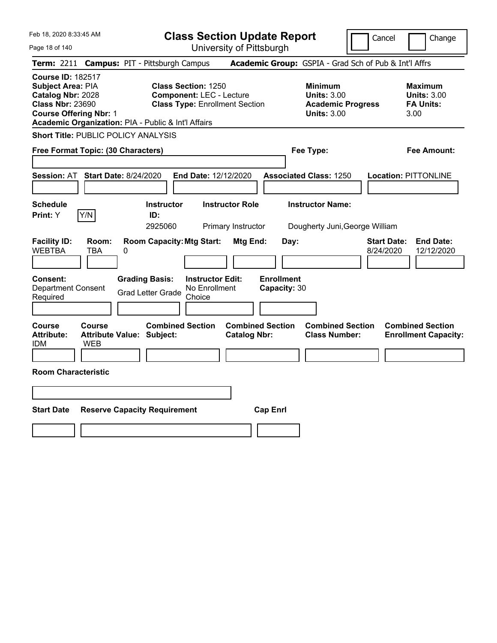|  |  | Feb 18, 2020 8:33:45 AM |  |
|--|--|-------------------------|--|
|--|--|-------------------------|--|

Cancel **Change** 

| Page 18 of 140                                                                                                                 |                                                             | University of Pittsburgh                                                                               |                                                |                                                                                        |                                                                   |
|--------------------------------------------------------------------------------------------------------------------------------|-------------------------------------------------------------|--------------------------------------------------------------------------------------------------------|------------------------------------------------|----------------------------------------------------------------------------------------|-------------------------------------------------------------------|
| <b>Term: 2211</b>                                                                                                              | <b>Campus: PIT - Pittsburgh Campus</b>                      |                                                                                                        |                                                | Academic Group: GSPIA - Grad Sch of Pub & Int'l Affrs                                  |                                                                   |
| <b>Course ID: 182517</b><br>Subject Area: PIA<br>Catalog Nbr: 2028<br><b>Class Nbr: 23690</b><br><b>Course Offering Nbr: 1</b> | Academic Organization: PIA - Public & Int'l Affairs         | <b>Class Section: 1250</b><br><b>Component: LEC - Lecture</b><br><b>Class Type: Enrollment Section</b> |                                                | <b>Minimum</b><br><b>Units: 3.00</b><br><b>Academic Progress</b><br><b>Units: 3.00</b> | <b>Maximum</b><br><b>Units: 3.00</b><br><b>FA Units:</b><br>3.00  |
|                                                                                                                                | <b>Short Title: PUBLIC POLICY ANALYSIS</b>                  |                                                                                                        |                                                |                                                                                        |                                                                   |
| Free Format Topic: (30 Characters)                                                                                             |                                                             |                                                                                                        |                                                | Fee Type:                                                                              | <b>Fee Amount:</b>                                                |
|                                                                                                                                |                                                             |                                                                                                        |                                                |                                                                                        |                                                                   |
| <b>Session: AT</b>                                                                                                             | <b>Start Date: 8/24/2020</b>                                | End Date: 12/12/2020                                                                                   |                                                | <b>Associated Class: 1250</b>                                                          | <b>Location: PITTONLINE</b>                                       |
|                                                                                                                                |                                                             |                                                                                                        |                                                |                                                                                        |                                                                   |
| <b>Schedule</b>                                                                                                                | <b>Instructor</b>                                           | <b>Instructor Role</b>                                                                                 |                                                | <b>Instructor Name:</b>                                                                |                                                                   |
| Y/N<br><b>Print:</b> Y                                                                                                         | ID:                                                         |                                                                                                        |                                                |                                                                                        |                                                                   |
|                                                                                                                                | 2925060                                                     | Primary Instructor                                                                                     |                                                | Dougherty Juni, George William                                                         |                                                                   |
| <b>Facility ID:</b><br>Room:<br><b>WEBTBA</b><br>TBA                                                                           | <b>Room Capacity: Mtg Start:</b><br>0                       |                                                                                                        | Mtg End:<br>Day:                               |                                                                                        | <b>Start Date:</b><br><b>End Date:</b><br>8/24/2020<br>12/12/2020 |
| <b>Consent:</b><br><b>Department Consent</b><br>Required                                                                       | <b>Grading Basis:</b><br><b>Grad Letter Grade</b>           | <b>Instructor Edit:</b><br>No Enrollment<br>Choice                                                     | <b>Enrollment</b><br>Capacity: 30              |                                                                                        |                                                                   |
| <b>Course</b><br>Course<br><b>Attribute:</b><br><b>WEB</b><br><b>IDM</b>                                                       | <b>Combined Section</b><br><b>Attribute Value: Subject:</b> |                                                                                                        | <b>Combined Section</b><br><b>Catalog Nbr:</b> | <b>Combined Section</b><br><b>Class Number:</b>                                        | <b>Combined Section</b><br><b>Enrollment Capacity:</b>            |
|                                                                                                                                |                                                             |                                                                                                        |                                                |                                                                                        |                                                                   |
| <b>Room Characteristic</b>                                                                                                     |                                                             |                                                                                                        |                                                |                                                                                        |                                                                   |
|                                                                                                                                |                                                             |                                                                                                        |                                                |                                                                                        |                                                                   |
|                                                                                                                                |                                                             |                                                                                                        |                                                |                                                                                        |                                                                   |
| <b>Start Date</b>                                                                                                              | <b>Reserve Capacity Requirement</b>                         |                                                                                                        | <b>Cap Enrl</b>                                |                                                                                        |                                                                   |
|                                                                                                                                |                                                             |                                                                                                        |                                                |                                                                                        |                                                                   |
|                                                                                                                                |                                                             |                                                                                                        |                                                |                                                                                        |                                                                   |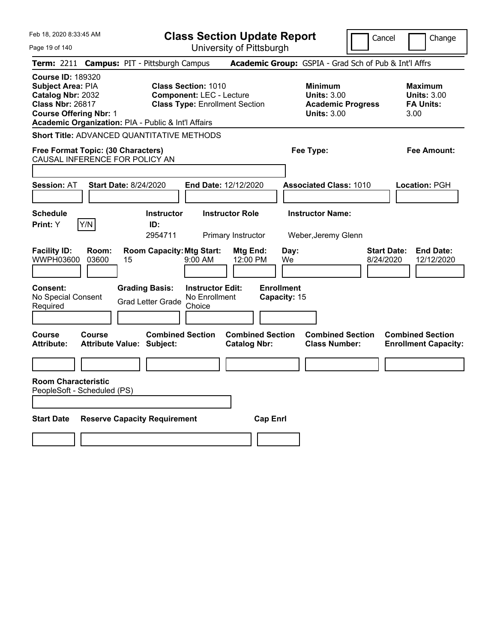Feb 18, 2020 8:33:45 AM Page 19 of 140 **Class Section Update Report** University of Pittsburgh Cancel Change **Term:** 2211 **Campus:** PIT - Pittsburgh Campus **Academic Group:** GSPIA - Grad Sch of Pub & Int'l Affrs **Course ID:** 189320 **Subject Area:** PIA **Class Section:** 1010 **Minimum Maximum Catalog Nbr:** 2032 **Component:** LEC - Lecture **Units:** 3.00 **Units:** 3.00 **Class Nbr:** 26817 **Class Type:** Enrollment Section **Academic Progress FA Units: Course Offering Nbr:** 1 **Units:** 3.00 3.00 **Academic Organization:** PIA - Public & Int'l Affairs **Short Title:** ADVANCED QUANTITATIVE METHODS **Free Format Topic: (30 Characters) Fee Type: Fee Amount:**  CAUSAL INFERENCE FOR POLICY AN **Session:** AT **Start Date:** 8/24/2020 **End Date:** 12/12/2020 **Associated Class:** 1010 **Location:** PGH **Schedule Instructor Instructor Role Instructor Name: Print:**  $Y$   $|Y/N|$  **ID:** 2954711 Primary Instructor Weber,Jeremy Glenn **Facility ID: Room: Room Capacity:Mtg Start: Mtg End: Day: Start Date: End Date:** WWPH03600 03600 15 9:00 AM 12:00 PM We 8/24/2020 12/12/2020 **Consent: Grading Basis: Instructor Edit: Enrollment** No Special Consent No Special Consent Grad Letter Grade No Enrollment<br>Required **Choice Capacity:** 15 **Course Course Combined Section Combined Section Combined Section Combined Section Attribute: Attribute Value: Subject: Catalog Nbr: Class Number: Enrollment Capacity: Room Characteristic** PeopleSoft - Scheduled (PS) **Start Date Reserve Capacity Requirement Cap Enrl**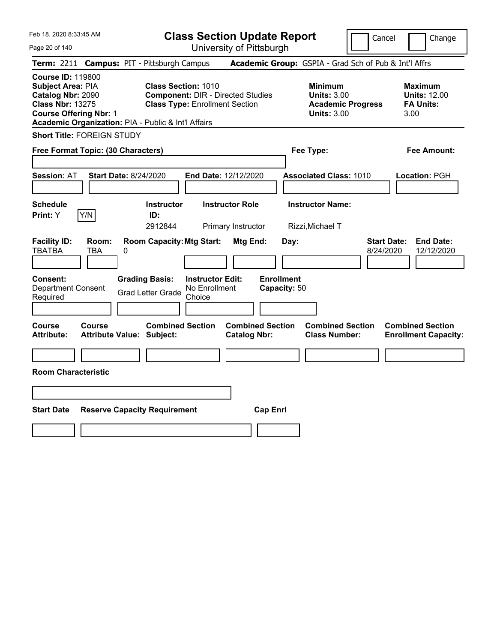| Feb 18, 2020 8:33:45 AM<br>Page 20 of 140                                                                                                                                                    | <b>Class Section Update Report</b><br>University of Pittsburgh                                                  | Cancel                                                                                 | Change                                                            |
|----------------------------------------------------------------------------------------------------------------------------------------------------------------------------------------------|-----------------------------------------------------------------------------------------------------------------|----------------------------------------------------------------------------------------|-------------------------------------------------------------------|
| Term: 2211 Campus: PIT - Pittsburgh Campus                                                                                                                                                   |                                                                                                                 | Academic Group: GSPIA - Grad Sch of Pub & Int'l Affrs                                  |                                                                   |
| <b>Course ID: 119800</b><br><b>Subject Area: PIA</b><br>Catalog Nbr: 2090<br><b>Class Nbr: 13275</b><br><b>Course Offering Nbr: 1</b><br>Academic Organization: PIA - Public & Int'l Affairs | <b>Class Section: 1010</b><br><b>Component: DIR - Directed Studies</b><br><b>Class Type: Enrollment Section</b> | <b>Minimum</b><br><b>Units: 3.00</b><br><b>Academic Progress</b><br><b>Units: 3.00</b> | <b>Maximum</b><br><b>Units: 12.00</b><br><b>FA Units:</b><br>3.00 |
| <b>Short Title: FOREIGN STUDY</b>                                                                                                                                                            |                                                                                                                 |                                                                                        |                                                                   |
| Free Format Topic: (30 Characters)                                                                                                                                                           |                                                                                                                 | Fee Type:                                                                              | Fee Amount:                                                       |
| <b>Start Date: 8/24/2020</b><br><b>Session: AT</b>                                                                                                                                           | End Date: 12/12/2020                                                                                            | <b>Associated Class: 1010</b>                                                          | Location: PGH                                                     |
| <b>Schedule</b><br>Y/N<br>Print: Y                                                                                                                                                           | <b>Instructor</b><br><b>Instructor Role</b><br>ID:<br>2912844<br>Primary Instructor                             | <b>Instructor Name:</b><br>Rizzi, Michael T                                            |                                                                   |
| <b>Facility ID:</b><br>Room:<br><b>TBATBA</b><br>TBA<br>0                                                                                                                                    | <b>Room Capacity: Mtg Start:</b><br>Mtg End:                                                                    | Day:<br>8/24/2020                                                                      | <b>Start Date:</b><br><b>End Date:</b><br>12/12/2020              |
| <b>Grading Basis:</b><br><b>Consent:</b><br><b>Department Consent</b><br>Required                                                                                                            | <b>Instructor Edit:</b><br>No Enrollment<br><b>Grad Letter Grade</b><br>Choice                                  | <b>Enrollment</b><br>Capacity: 50                                                      |                                                                   |
| Course<br><b>Course</b><br><b>Attribute Value: Subject:</b><br><b>Attribute:</b>                                                                                                             | <b>Combined Section</b><br><b>Combined Section</b><br><b>Catalog Nbr:</b>                                       | <b>Combined Section</b><br><b>Class Number:</b>                                        | <b>Combined Section</b><br><b>Enrollment Capacity:</b>            |
| <b>Room Characteristic</b>                                                                                                                                                                   |                                                                                                                 |                                                                                        |                                                                   |
|                                                                                                                                                                                              |                                                                                                                 |                                                                                        |                                                                   |
|                                                                                                                                                                                              |                                                                                                                 |                                                                                        |                                                                   |
| <b>Start Date</b><br><b>Reserve Capacity Requirement</b>                                                                                                                                     | <b>Cap Enrl</b>                                                                                                 |                                                                                        |                                                                   |
|                                                                                                                                                                                              |                                                                                                                 |                                                                                        |                                                                   |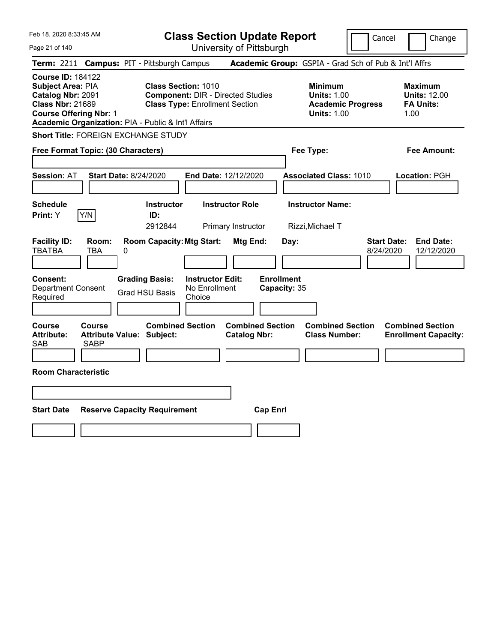| Feb 18, 2020 8:33:45 AM                                                                                                                                                                      | <b>Class Section Update Report</b>                                                                              |                                                                                        | Change<br>Cancel                                                  |
|----------------------------------------------------------------------------------------------------------------------------------------------------------------------------------------------|-----------------------------------------------------------------------------------------------------------------|----------------------------------------------------------------------------------------|-------------------------------------------------------------------|
| Page 21 of 140                                                                                                                                                                               | University of Pittsburgh                                                                                        |                                                                                        |                                                                   |
| <b>Term: 2211</b>                                                                                                                                                                            | <b>Campus: PIT - Pittsburgh Campus</b>                                                                          | Academic Group: GSPIA - Grad Sch of Pub & Int'l Affrs                                  |                                                                   |
| <b>Course ID: 184122</b><br><b>Subject Area: PIA</b><br>Catalog Nbr: 2091<br><b>Class Nbr: 21689</b><br><b>Course Offering Nbr: 1</b><br>Academic Organization: PIA - Public & Int'l Affairs | <b>Class Section: 1010</b><br><b>Component: DIR - Directed Studies</b><br><b>Class Type: Enrollment Section</b> | <b>Minimum</b><br><b>Units: 1.00</b><br><b>Academic Progress</b><br><b>Units: 1.00</b> | <b>Maximum</b><br><b>Units: 12.00</b><br><b>FA Units:</b><br>1.00 |
| Short Title: FOREIGN EXCHANGE STUDY                                                                                                                                                          |                                                                                                                 |                                                                                        |                                                                   |
| Free Format Topic: (30 Characters)                                                                                                                                                           |                                                                                                                 | Fee Type:                                                                              | Fee Amount:                                                       |
| <b>Session: AT</b><br><b>Start Date: 8/24/2020</b>                                                                                                                                           | <b>End Date: 12/12/2020</b>                                                                                     | <b>Associated Class: 1010</b>                                                          | Location: PGH                                                     |
| <b>Schedule</b><br>Y/N<br><b>Print: Y</b>                                                                                                                                                    | <b>Instructor</b><br><b>Instructor Role</b><br>ID:<br>2912844<br>Primary Instructor                             | <b>Instructor Name:</b><br>Rizzi, Michael T                                            |                                                                   |
| <b>Facility ID:</b><br>Room:<br><b>TBATBA</b><br>TBA<br>0                                                                                                                                    | <b>Room Capacity: Mtg Start:</b><br>Mtg End:                                                                    | Day:                                                                                   | <b>Start Date:</b><br><b>End Date:</b><br>8/24/2020<br>12/12/2020 |
| Consent:<br><b>Department Consent</b><br>Required                                                                                                                                            | <b>Grading Basis:</b><br><b>Instructor Edit:</b><br>No Enrollment<br><b>Grad HSU Basis</b><br>Choice            | <b>Enrollment</b><br>Capacity: 35                                                      |                                                                   |
| Course<br><b>Course</b><br><b>Attribute:</b><br><b>Attribute Value: Subject:</b><br><b>SAB</b><br><b>SABP</b>                                                                                | <b>Combined Section</b><br><b>Combined Section</b><br><b>Catalog Nbr:</b>                                       | <b>Combined Section</b><br><b>Class Number:</b>                                        | <b>Combined Section</b><br><b>Enrollment Capacity:</b>            |
| <b>Room Characteristic</b>                                                                                                                                                                   |                                                                                                                 |                                                                                        |                                                                   |
|                                                                                                                                                                                              |                                                                                                                 |                                                                                        |                                                                   |
| <b>Start Date</b>                                                                                                                                                                            | <b>Reserve Capacity Requirement</b><br><b>Cap Enrl</b>                                                          |                                                                                        |                                                                   |
|                                                                                                                                                                                              |                                                                                                                 |                                                                                        |                                                                   |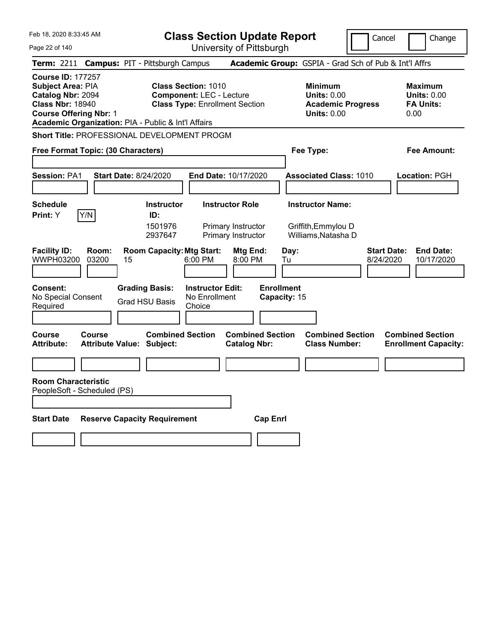**Class Section Update Report**

University of Pittsburgh

Cancel Change

Page 22 of 140

|                                                                                                                                                                                              |                                                             | University of Fillspurgh                                                 |                                                                                        |                                                                   |
|----------------------------------------------------------------------------------------------------------------------------------------------------------------------------------------------|-------------------------------------------------------------|--------------------------------------------------------------------------|----------------------------------------------------------------------------------------|-------------------------------------------------------------------|
| Term: 2211 Campus: PIT - Pittsburgh Campus                                                                                                                                                   |                                                             |                                                                          | <b>Academic Group:</b> GSPIA - Grad Sch of Pub & Int'l Affrs                           |                                                                   |
| <b>Course ID: 177257</b><br><b>Subject Area: PIA</b><br>Catalog Nbr: 2094<br><b>Class Nbr: 18940</b><br><b>Course Offering Nbr: 1</b><br>Academic Organization: PIA - Public & Int'l Affairs | <b>Class Section: 1010</b>                                  | <b>Component: LEC - Lecture</b><br><b>Class Type: Enrollment Section</b> | <b>Minimum</b><br><b>Units: 0.00</b><br><b>Academic Progress</b><br><b>Units: 0.00</b> | <b>Maximum</b><br><b>Units: 0.00</b><br><b>FA Units:</b><br>0.00  |
| Short Title: PROFESSIONAL DEVELOPMENT PROGM                                                                                                                                                  |                                                             |                                                                          |                                                                                        |                                                                   |
| Free Format Topic: (30 Characters)                                                                                                                                                           |                                                             |                                                                          | Fee Type:                                                                              | Fee Amount:                                                       |
| <b>Session: PA1</b>                                                                                                                                                                          | <b>Start Date: 8/24/2020</b>                                | End Date: 10/17/2020                                                     | <b>Associated Class: 1010</b>                                                          | Location: PGH                                                     |
| Schedule                                                                                                                                                                                     | <b>Instructor</b>                                           | <b>Instructor Role</b>                                                   | <b>Instructor Name:</b>                                                                |                                                                   |
| Y/N<br>Print: Y                                                                                                                                                                              | ID:<br>1501976<br>2937647                                   | Primary Instructor<br>Primary Instructor                                 | Griffith, Emmylou D<br>Williams, Natasha D                                             |                                                                   |
| <b>Facility ID:</b><br>Room:<br>WWPH03200<br>03200                                                                                                                                           | <b>Room Capacity: Mtg Start:</b><br>15                      | Mtg End:<br>6:00 PM<br>8:00 PM                                           | Day:<br>Tu                                                                             | <b>End Date:</b><br><b>Start Date:</b><br>8/24/2020<br>10/17/2020 |
| Consent:<br>No Special Consent<br>Required                                                                                                                                                   | <b>Grading Basis:</b><br><b>Grad HSU Basis</b>              | <b>Instructor Edit:</b><br>No Enrollment<br>Choice                       | <b>Enrollment</b><br>Capacity: 15                                                      |                                                                   |
| Course<br>Course<br>Attribute:                                                                                                                                                               | <b>Combined Section</b><br><b>Attribute Value: Subject:</b> | <b>Combined Section</b><br><b>Catalog Nbr:</b>                           | <b>Combined Section</b><br><b>Class Number:</b>                                        | <b>Combined Section</b><br><b>Enrollment Capacity:</b>            |
| <b>Room Characteristic</b><br>PeopleSoft - Scheduled (PS)                                                                                                                                    |                                                             |                                                                          |                                                                                        |                                                                   |
| <b>Start Date</b>                                                                                                                                                                            | <b>Reserve Capacity Requirement</b>                         | <b>Cap Enrl</b>                                                          |                                                                                        |                                                                   |
|                                                                                                                                                                                              |                                                             |                                                                          |                                                                                        |                                                                   |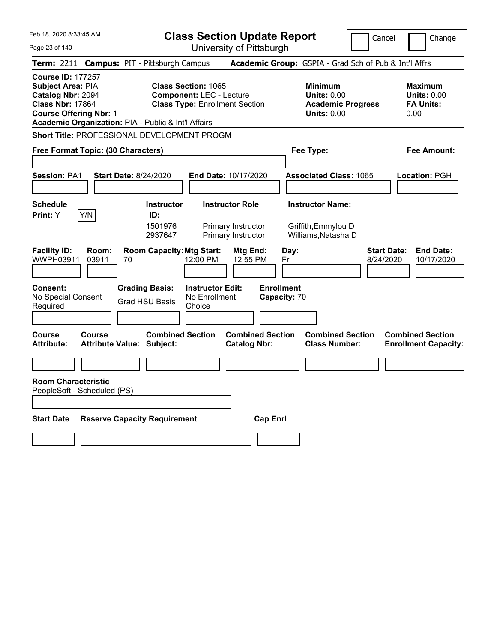|  | Feb 18, 2020 8:33:45 AM |  |
|--|-------------------------|--|
|  |                         |  |

Cancel **Change** 

| Page 23 of 140                                                                                                                                                                                      | University of Pittsburgh                                                                                    |                                                                                        |                                                                   |
|-----------------------------------------------------------------------------------------------------------------------------------------------------------------------------------------------------|-------------------------------------------------------------------------------------------------------------|----------------------------------------------------------------------------------------|-------------------------------------------------------------------|
| <b>Term: 2211</b><br><b>Campus: PIT - Pittsburgh Campus</b>                                                                                                                                         |                                                                                                             | Academic Group: GSPIA - Grad Sch of Pub & Int'l Affrs                                  |                                                                   |
| <b>Course ID: 177257</b><br>Subject Area: PIA<br>Catalog Nbr: 2094<br><b>Class Nbr: 17864</b><br><b>Course Offering Nbr: 1</b><br>Academic Organization: PIA - Public & Int'l Affairs               | <b>Class Section: 1065</b><br><b>Component: LEC - Lecture</b><br><b>Class Type: Enrollment Section</b>      | <b>Minimum</b><br><b>Units: 0.00</b><br><b>Academic Progress</b><br><b>Units: 0.00</b> | <b>Maximum</b><br><b>Units: 0.00</b><br><b>FA Units:</b><br>0.00  |
| Short Title: PROFESSIONAL DEVELOPMENT PROGM                                                                                                                                                         |                                                                                                             |                                                                                        |                                                                   |
| Free Format Topic: (30 Characters)                                                                                                                                                                  |                                                                                                             | Fee Type:                                                                              | Fee Amount:                                                       |
| Session: PA1<br><b>Start Date: 8/24/2020</b>                                                                                                                                                        | End Date: 10/17/2020                                                                                        | <b>Associated Class: 1065</b>                                                          | Location: PGH                                                     |
| <b>Schedule</b><br><b>Instructor</b><br>Print: Y<br>Y/N<br>ID:<br>1501976<br>2937647                                                                                                                | <b>Instructor Role</b><br>Primary Instructor<br>Primary Instructor                                          | <b>Instructor Name:</b><br>Griffith, Emmylou D<br>Williams, Natasha D                  |                                                                   |
| <b>Facility ID:</b><br><b>Room Capacity: Mtg Start:</b><br>Room:<br>WWPH03911<br>03911<br>70<br><b>Consent:</b><br><b>Grading Basis:</b><br>No Special Consent<br><b>Grad HSU Basis</b><br>Required | Mtg End:<br>12:00 PM<br>12:55 PM<br><b>Enrollment</b><br><b>Instructor Edit:</b><br>No Enrollment<br>Choice | Day:<br>Fr<br>Capacity: 70                                                             | <b>Start Date:</b><br><b>End Date:</b><br>8/24/2020<br>10/17/2020 |
| <b>Combined Section</b><br>Course<br><b>Course</b><br><b>Attribute:</b><br><b>Attribute Value: Subject:</b><br><b>Room Characteristic</b><br>PeopleSoft - Scheduled (PS)                            | <b>Combined Section</b><br><b>Catalog Nbr:</b>                                                              | <b>Combined Section</b><br><b>Class Number:</b>                                        | <b>Combined Section</b><br><b>Enrollment Capacity:</b>            |
| <b>Start Date</b><br><b>Reserve Capacity Requirement</b>                                                                                                                                            | <b>Cap Enrl</b>                                                                                             |                                                                                        |                                                                   |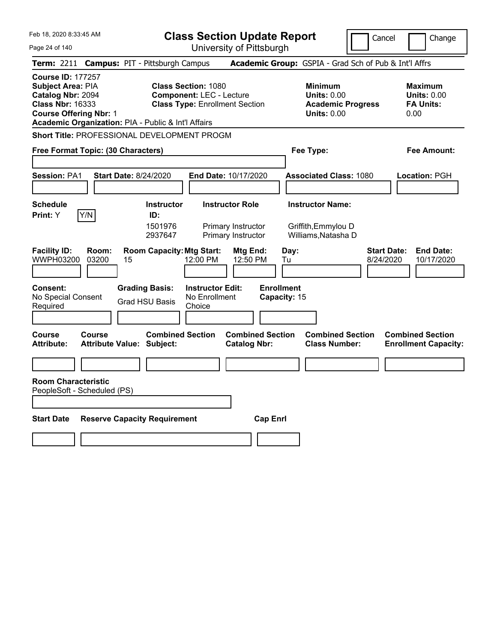|  | Feb 18, 2020 8:33:45 AM |  |
|--|-------------------------|--|
|  |                         |  |

Cancel **Change** 

| Page 24 of 140                                                                                                                                                                        | University of Pittsburgh                                                                               |                                                                                        |                                                                   |
|---------------------------------------------------------------------------------------------------------------------------------------------------------------------------------------|--------------------------------------------------------------------------------------------------------|----------------------------------------------------------------------------------------|-------------------------------------------------------------------|
| <b>Term: 2211</b><br><b>Campus: PIT - Pittsburgh Campus</b>                                                                                                                           |                                                                                                        | Academic Group: GSPIA - Grad Sch of Pub & Int'l Affrs                                  |                                                                   |
| <b>Course ID: 177257</b><br>Subject Area: PIA<br>Catalog Nbr: 2094<br><b>Class Nbr: 16333</b><br><b>Course Offering Nbr: 1</b><br>Academic Organization: PIA - Public & Int'l Affairs | <b>Class Section: 1080</b><br><b>Component: LEC - Lecture</b><br><b>Class Type: Enrollment Section</b> | <b>Minimum</b><br><b>Units: 0.00</b><br><b>Academic Progress</b><br><b>Units: 0.00</b> | <b>Maximum</b><br><b>Units: 0.00</b><br><b>FA Units:</b><br>0.00  |
| <b>Short Title: PROFESSIONAL DEVELOPMENT PROGM</b>                                                                                                                                    |                                                                                                        |                                                                                        |                                                                   |
| Free Format Topic: (30 Characters)                                                                                                                                                    |                                                                                                        | Fee Type:                                                                              | Fee Amount:                                                       |
| <b>Session: PA1</b><br><b>Start Date: 8/24/2020</b>                                                                                                                                   | End Date: 10/17/2020                                                                                   | <b>Associated Class: 1080</b>                                                          | Location: PGH                                                     |
| <b>Schedule</b><br><b>Instructor</b><br>Print: Y<br>Y/N<br>ID:<br>1501976<br>2937647                                                                                                  | <b>Instructor Role</b><br>Primary Instructor<br>Primary Instructor                                     | <b>Instructor Name:</b><br>Griffith, Emmylou D<br>Williams, Natasha D                  |                                                                   |
| <b>Facility ID:</b><br><b>Room Capacity: Mtg Start:</b><br>Room:<br>WWPH03200<br>03200<br>15                                                                                          | Mtg End:<br>12:00 PM<br>12:50 PM                                                                       | Day:<br>Tu                                                                             | <b>Start Date:</b><br><b>End Date:</b><br>8/24/2020<br>10/17/2020 |
| Consent:<br><b>Grading Basis:</b><br>No Special Consent<br><b>Grad HSU Basis</b><br>Required                                                                                          | <b>Enrollment</b><br><b>Instructor Edit:</b><br>No Enrollment<br>Choice                                | Capacity: 15                                                                           |                                                                   |
| <b>Combined Section</b><br>Course<br>Course<br><b>Attribute:</b><br><b>Attribute Value: Subject:</b>                                                                                  | <b>Combined Section</b><br><b>Catalog Nbr:</b>                                                         | <b>Combined Section</b><br><b>Class Number:</b>                                        | <b>Combined Section</b><br><b>Enrollment Capacity:</b>            |
|                                                                                                                                                                                       |                                                                                                        |                                                                                        |                                                                   |
| <b>Room Characteristic</b><br>PeopleSoft - Scheduled (PS)                                                                                                                             |                                                                                                        |                                                                                        |                                                                   |
| <b>Start Date</b><br><b>Reserve Capacity Requirement</b>                                                                                                                              | <b>Cap Enrl</b>                                                                                        |                                                                                        |                                                                   |
|                                                                                                                                                                                       |                                                                                                        |                                                                                        |                                                                   |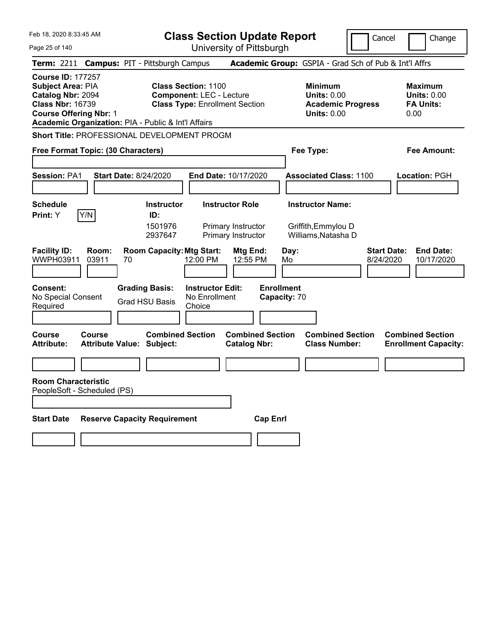|  | Feb 18, 2020 8:33:45 AM |  |
|--|-------------------------|--|
|  |                         |  |

University of Pittsburgh

Cancel **I** Change

Page 25 of 140 **Te**<br> **Co**<br> **Su**<br> **Co** 

|                                                                                                                                |                | Term: 2211 Campus: PIT - Pittsburgh Campus                  |                                                                                                        |                                                |                                   | Academic Group: GSPIA - Grad Sch of Pub & Int'l Affrs                                  |                                                                   |
|--------------------------------------------------------------------------------------------------------------------------------|----------------|-------------------------------------------------------------|--------------------------------------------------------------------------------------------------------|------------------------------------------------|-----------------------------------|----------------------------------------------------------------------------------------|-------------------------------------------------------------------|
| <b>Course ID: 177257</b><br>Subject Area: PIA<br>Catalog Nbr: 2094<br><b>Class Nbr: 16739</b><br><b>Course Offering Nbr: 1</b> |                | Academic Organization: PIA - Public & Int'l Affairs         | <b>Class Section: 1100</b><br><b>Component: LEC - Lecture</b><br><b>Class Type: Enrollment Section</b> |                                                |                                   | <b>Minimum</b><br><b>Units: 0.00</b><br><b>Academic Progress</b><br><b>Units: 0.00</b> | <b>Maximum</b><br><b>Units: 0.00</b><br><b>FA Units:</b><br>0.00  |
|                                                                                                                                |                | <b>Short Title: PROFESSIONAL DEVELOPMENT PROGM</b>          |                                                                                                        |                                                |                                   |                                                                                        |                                                                   |
| Free Format Topic: (30 Characters)                                                                                             |                |                                                             |                                                                                                        |                                                |                                   | Fee Type:                                                                              | Fee Amount:                                                       |
| Session: PA1                                                                                                                   |                | <b>Start Date: 8/24/2020</b>                                | End Date: 10/17/2020                                                                                   |                                                |                                   | <b>Associated Class: 1100</b>                                                          | Location: PGH                                                     |
| <b>Schedule</b>                                                                                                                |                | Instructor                                                  |                                                                                                        | <b>Instructor Role</b>                         |                                   | <b>Instructor Name:</b>                                                                |                                                                   |
| Print: Y                                                                                                                       | Y/N            | ID:<br>1501976<br>2937647                                   |                                                                                                        | Primary Instructor<br>Primary Instructor       |                                   | Griffith, Emmylou D<br>Williams, Natasha D                                             |                                                                   |
| <b>Facility ID:</b><br>WWPH03911                                                                                               | Room:<br>03911 | <b>Room Capacity: Mtg Start:</b><br>70                      | 12:00 PM                                                                                               | Mtg End:<br>12:55 PM                           | Day:<br>Mo                        |                                                                                        | <b>Start Date:</b><br><b>End Date:</b><br>8/24/2020<br>10/17/2020 |
| Consent:<br>No Special Consent<br>Required                                                                                     |                | <b>Grading Basis:</b><br><b>Grad HSU Basis</b>              | <b>Instructor Edit:</b><br>No Enrollment<br>Choice                                                     |                                                | <b>Enrollment</b><br>Capacity: 70 |                                                                                        |                                                                   |
| Course<br><b>Attribute:</b>                                                                                                    | Course         | <b>Combined Section</b><br><b>Attribute Value: Subject:</b> |                                                                                                        | <b>Combined Section</b><br><b>Catalog Nbr:</b> |                                   | <b>Combined Section</b><br><b>Class Number:</b>                                        | <b>Combined Section</b><br><b>Enrollment Capacity:</b>            |
|                                                                                                                                |                |                                                             |                                                                                                        |                                                |                                   |                                                                                        |                                                                   |
| <b>Room Characteristic</b><br>PeopleSoft - Scheduled (PS)<br><b>Start Date</b>                                                 |                | <b>Reserve Capacity Requirement</b>                         |                                                                                                        | <b>Cap Enrl</b>                                |                                   |                                                                                        |                                                                   |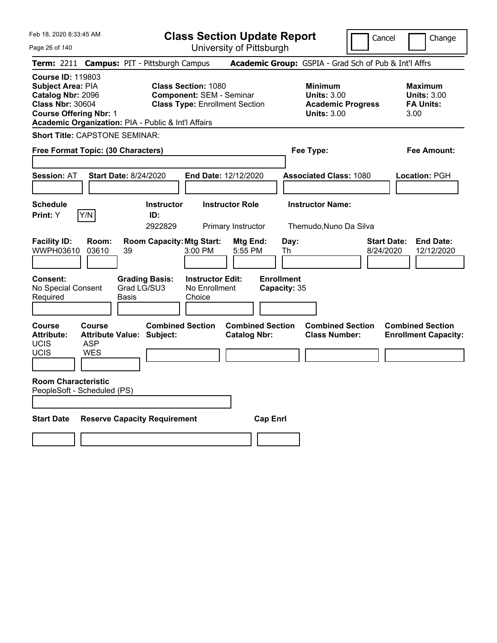**Class Section Update Report** University of Pittsburgh

Cancel Change

Page 26 of 140

|                                                                                                                                       |                                    | Term: 2211 Campus: PIT - Pittsburgh Campus                  |                                                                                                        | Academic Group: GSPIA - Grad Sch of Pub & Int'l Affrs                                  |                                                                  |
|---------------------------------------------------------------------------------------------------------------------------------------|------------------------------------|-------------------------------------------------------------|--------------------------------------------------------------------------------------------------------|----------------------------------------------------------------------------------------|------------------------------------------------------------------|
| <b>Course ID: 119803</b><br><b>Subject Area: PIA</b><br>Catalog Nbr: 2096<br><b>Class Nbr: 30604</b><br><b>Course Offering Nbr: 1</b> |                                    | Academic Organization: PIA - Public & Int'l Affairs         | <b>Class Section: 1080</b><br><b>Component: SEM - Seminar</b><br><b>Class Type: Enrollment Section</b> | <b>Minimum</b><br><b>Units: 3.00</b><br><b>Academic Progress</b><br><b>Units: 3.00</b> | <b>Maximum</b><br><b>Units: 3.00</b><br><b>FA Units:</b><br>3.00 |
| <b>Short Title: CAPSTONE SEMINAR:</b>                                                                                                 |                                    |                                                             |                                                                                                        |                                                                                        |                                                                  |
| Free Format Topic: (30 Characters)                                                                                                    |                                    |                                                             |                                                                                                        | Fee Type:                                                                              | <b>Fee Amount:</b>                                               |
| <b>Session: AT</b>                                                                                                                    |                                    | <b>Start Date: 8/24/2020</b>                                | End Date: 12/12/2020                                                                                   | <b>Associated Class: 1080</b>                                                          | Location: PGH                                                    |
| <b>Schedule</b><br>Print: Y                                                                                                           | Y/N                                | <b>Instructor</b><br>ID:<br>2922829                         | <b>Instructor Role</b><br>Primary Instructor                                                           | <b>Instructor Name:</b><br>Themudo, Nuno Da Silva                                      |                                                                  |
| <b>Facility ID:</b><br>WWPH03610                                                                                                      | Room:<br>03610                     | <b>Room Capacity: Mtg Start:</b><br>39                      | Mtg End:<br>3:00 PM<br>5:55 PM                                                                         | Day:<br>8/24/2020<br>Th                                                                | <b>Start Date:</b><br><b>End Date:</b><br>12/12/2020             |
| Consent:<br>No Special Consent<br>Required                                                                                            |                                    | <b>Grading Basis:</b><br>Grad LG/SU3<br>Basis               | <b>Instructor Edit:</b><br>No Enrollment<br>Choice                                                     | <b>Enrollment</b><br>Capacity: 35                                                      |                                                                  |
| Course<br><b>Attribute:</b><br>UCIS<br>UCIS                                                                                           | Course<br><b>ASP</b><br><b>WES</b> | <b>Combined Section</b><br><b>Attribute Value: Subject:</b> | <b>Combined Section</b><br><b>Catalog Nbr:</b>                                                         | <b>Combined Section</b><br><b>Class Number:</b>                                        | <b>Combined Section</b><br><b>Enrollment Capacity:</b>           |
| <b>Room Characteristic</b><br>PeopleSoft - Scheduled (PS)                                                                             |                                    |                                                             |                                                                                                        |                                                                                        |                                                                  |
| <b>Start Date</b>                                                                                                                     |                                    | <b>Reserve Capacity Requirement</b>                         | <b>Cap Enrl</b>                                                                                        |                                                                                        |                                                                  |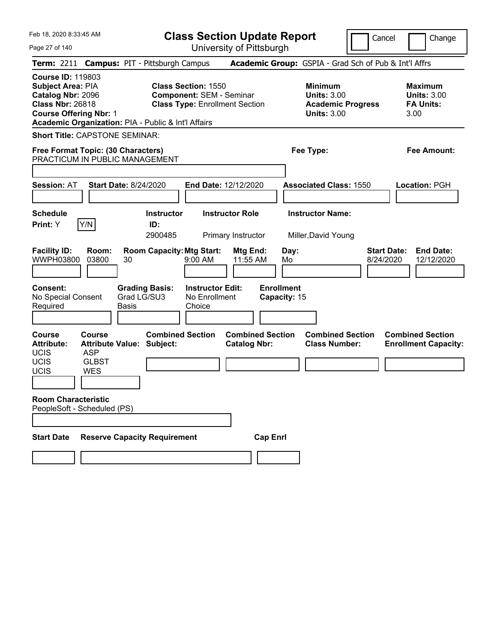| Feb 18, 2020 8:33:45 AM<br>Page 27 of 140                                                                                                                                             |                                                                                        |                                                            |                                     |                                                               | <b>Class Section Update Report</b><br>University of Pittsburgh |                                                 |                                                                                        | Cancel                          | Change                                                           |
|---------------------------------------------------------------------------------------------------------------------------------------------------------------------------------------|----------------------------------------------------------------------------------------|------------------------------------------------------------|-------------------------------------|---------------------------------------------------------------|----------------------------------------------------------------|-------------------------------------------------|----------------------------------------------------------------------------------------|---------------------------------|------------------------------------------------------------------|
| Term: 2211 Campus: PIT - Pittsburgh Campus                                                                                                                                            |                                                                                        |                                                            |                                     |                                                               |                                                                |                                                 | Academic Group: GSPIA - Grad Sch of Pub & Int'l Affrs                                  |                                 |                                                                  |
| <b>Course ID: 119803</b><br>Subject Area: PIA<br>Catalog Nbr: 2096<br><b>Class Nbr: 26818</b><br><b>Course Offering Nbr: 1</b><br>Academic Organization: PIA - Public & Int'l Affairs |                                                                                        |                                                            |                                     | <b>Class Section: 1550</b><br><b>Component: SEM - Seminar</b> | <b>Class Type: Enrollment Section</b>                          |                                                 | <b>Minimum</b><br><b>Units: 3.00</b><br><b>Academic Progress</b><br><b>Units: 3.00</b> |                                 | <b>Maximum</b><br><b>Units: 3.00</b><br><b>FA Units:</b><br>3.00 |
| <b>Short Title: CAPSTONE SEMINAR:</b>                                                                                                                                                 |                                                                                        |                                                            |                                     |                                                               |                                                                |                                                 |                                                                                        |                                 |                                                                  |
| Free Format Topic: (30 Characters)<br>PRACTICUM IN PUBLIC MANAGEMENT                                                                                                                  |                                                                                        |                                                            |                                     |                                                               |                                                                |                                                 | Fee Type:                                                                              |                                 | <b>Fee Amount:</b>                                               |
| <b>Session: AT</b>                                                                                                                                                                    | <b>Start Date: 8/24/2020</b>                                                           |                                                            |                                     |                                                               | End Date: 12/12/2020                                           |                                                 | <b>Associated Class: 1550</b>                                                          |                                 | <b>Location: PGH</b>                                             |
| <b>Schedule</b><br>Print: Y                                                                                                                                                           | Y/N                                                                                    |                                                            | <b>Instructor</b><br>ID:<br>2900485 |                                                               | <b>Instructor Role</b><br>Primary Instructor                   |                                                 | <b>Instructor Name:</b><br>Miller, David Young                                         |                                 |                                                                  |
| <b>Facility ID:</b><br>WWPH03800<br><b>Consent:</b><br>No Special Consent<br>Required                                                                                                 | Room:<br>03800                                                                         | 30<br><b>Grading Basis:</b><br>Grad LG/SU3<br><b>Basis</b> | <b>Room Capacity: Mtg Start:</b>    | 9:00 AM<br><b>Instructor Edit:</b><br>No Enrollment<br>Choice | Mtg End:<br>11:55 AM                                           | Day:<br>Mo<br><b>Enrollment</b><br>Capacity: 15 |                                                                                        | <b>Start Date:</b><br>8/24/2020 | <b>End Date:</b><br>12/12/2020                                   |
| <b>Course</b><br><b>Attribute:</b><br><b>UCIS</b><br><b>UCIS</b><br><b>UCIS</b>                                                                                                       | Course<br><b>Attribute Value: Subject:</b><br><b>ASP</b><br><b>GLBST</b><br><b>WES</b> |                                                            | <b>Combined Section</b>             |                                                               | <b>Combined Section</b><br><b>Catalog Nbr:</b>                 |                                                 | <b>Combined Section</b><br><b>Class Number:</b>                                        |                                 | <b>Combined Section</b><br><b>Enrollment Capacity:</b>           |
| <b>Room Characteristic</b><br>PeopleSoft - Scheduled (PS)                                                                                                                             |                                                                                        |                                                            |                                     |                                                               |                                                                |                                                 |                                                                                        |                                 |                                                                  |
| <b>Start Date</b>                                                                                                                                                                     |                                                                                        |                                                            | <b>Reserve Capacity Requirement</b> |                                                               |                                                                | <b>Cap Enrl</b>                                 |                                                                                        |                                 |                                                                  |
|                                                                                                                                                                                       |                                                                                        |                                                            |                                     |                                                               |                                                                |                                                 |                                                                                        |                                 |                                                                  |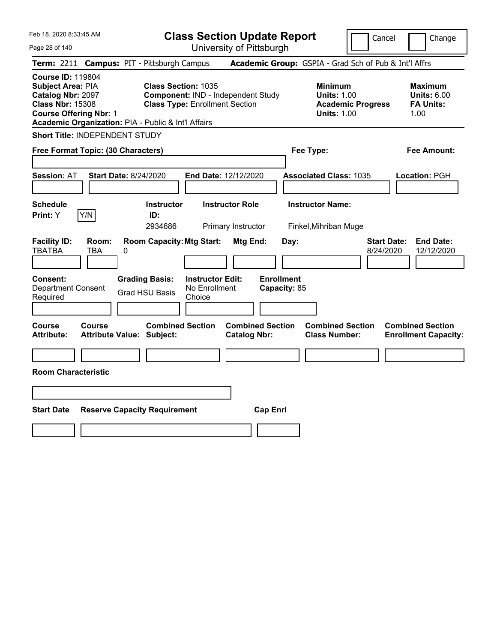| Feb 18, 2020 8:33:45 AM<br>Page 28 of 140                                                                                                                                                    | <b>Class Section Update Report</b><br>University of Pittsburgh                                            |                                                       | Cancel                                                                                 | Change                                                           |
|----------------------------------------------------------------------------------------------------------------------------------------------------------------------------------------------|-----------------------------------------------------------------------------------------------------------|-------------------------------------------------------|----------------------------------------------------------------------------------------|------------------------------------------------------------------|
| Term: 2211 Campus: PIT - Pittsburgh Campus                                                                                                                                                   |                                                                                                           | Academic Group: GSPIA - Grad Sch of Pub & Int'l Affrs |                                                                                        |                                                                  |
| <b>Course ID: 119804</b><br><b>Subject Area: PIA</b><br>Catalog Nbr: 2097<br><b>Class Nbr: 15308</b><br><b>Course Offering Nbr: 1</b><br>Academic Organization: PIA - Public & Int'l Affairs | <b>Class Section: 1035</b><br>Component: IND - Independent Study<br><b>Class Type: Enrollment Section</b> |                                                       | <b>Minimum</b><br><b>Units: 1.00</b><br><b>Academic Progress</b><br><b>Units: 1.00</b> | <b>Maximum</b><br><b>Units: 6.00</b><br><b>FA Units:</b><br>1.00 |
| Short Title: INDEPENDENT STUDY                                                                                                                                                               |                                                                                                           |                                                       |                                                                                        |                                                                  |
| Free Format Topic: (30 Characters)                                                                                                                                                           |                                                                                                           | Fee Type:                                             |                                                                                        | Fee Amount:                                                      |
| <b>Session: AT</b><br><b>Start Date: 8/24/2020</b>                                                                                                                                           | End Date: 12/12/2020                                                                                      |                                                       | <b>Associated Class: 1035</b>                                                          | Location: PGH                                                    |
| <b>Schedule</b><br>Y/N<br>Print: Y                                                                                                                                                           | <b>Instructor</b><br><b>Instructor Role</b><br>ID:<br>2934686<br>Primary Instructor                       | <b>Instructor Name:</b>                               | Finkel, Mihriban Muge                                                                  |                                                                  |
| <b>Facility ID:</b><br>Room:<br><b>TBATBA</b><br>TBA<br>0                                                                                                                                    | <b>Room Capacity: Mtg Start:</b>                                                                          | Mtg End:<br>Day:                                      | <b>Start Date:</b><br>8/24/2020                                                        | <b>End Date:</b><br>12/12/2020                                   |
| <b>Consent:</b><br><b>Department Consent</b><br>Required                                                                                                                                     | <b>Grading Basis:</b><br><b>Instructor Edit:</b><br>No Enrollment<br><b>Grad HSU Basis</b><br>Choice      | <b>Enrollment</b><br>Capacity: 85                     |                                                                                        |                                                                  |
| Course<br>Course<br><b>Attribute:</b><br><b>Attribute Value: Subject:</b>                                                                                                                    | <b>Combined Section</b>                                                                                   | <b>Combined Section</b><br><b>Catalog Nbr:</b>        | <b>Combined Section</b><br><b>Class Number:</b>                                        | <b>Combined Section</b><br><b>Enrollment Capacity:</b>           |
| <b>Room Characteristic</b>                                                                                                                                                                   |                                                                                                           |                                                       |                                                                                        |                                                                  |
|                                                                                                                                                                                              |                                                                                                           |                                                       |                                                                                        |                                                                  |
| <b>Start Date</b>                                                                                                                                                                            | <b>Reserve Capacity Requirement</b>                                                                       | <b>Cap Enrl</b>                                       |                                                                                        |                                                                  |
|                                                                                                                                                                                              |                                                                                                           |                                                       |                                                                                        |                                                                  |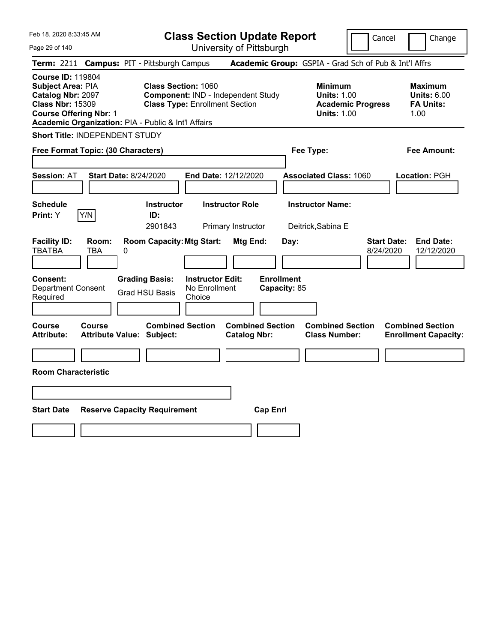| Page 29 of 140                                                                                                                                                                               | Feb 18, 2020 8:33:45 AM<br><b>Class Section Update Report</b><br>University of Pittsburgh |   |                                                |                                                                             |                                                |                                   |      |                                                            |                          | Cancel                          | Change                                                           |
|----------------------------------------------------------------------------------------------------------------------------------------------------------------------------------------------|-------------------------------------------------------------------------------------------|---|------------------------------------------------|-----------------------------------------------------------------------------|------------------------------------------------|-----------------------------------|------|------------------------------------------------------------|--------------------------|---------------------------------|------------------------------------------------------------------|
| Term: 2211 Campus: PIT - Pittsburgh Campus                                                                                                                                                   |                                                                                           |   |                                                |                                                                             |                                                |                                   |      | Academic Group: GSPIA - Grad Sch of Pub & Int'l Affrs      |                          |                                 |                                                                  |
| <b>Course ID: 119804</b><br><b>Subject Area: PIA</b><br>Catalog Nbr: 2097<br><b>Class Nbr: 15309</b><br><b>Course Offering Nbr: 1</b><br>Academic Organization: PIA - Public & Int'l Affairs |                                                                                           |   | <b>Class Section: 1060</b>                     | Component: IND - Independent Study<br><b>Class Type: Enrollment Section</b> |                                                |                                   |      | <b>Minimum</b><br><b>Units: 1.00</b><br><b>Units: 1.00</b> | <b>Academic Progress</b> |                                 | <b>Maximum</b><br><b>Units: 6.00</b><br><b>FA Units:</b><br>1.00 |
| Short Title: INDEPENDENT STUDY                                                                                                                                                               |                                                                                           |   |                                                |                                                                             |                                                |                                   |      |                                                            |                          |                                 |                                                                  |
| Free Format Topic: (30 Characters)                                                                                                                                                           |                                                                                           |   |                                                |                                                                             |                                                |                                   |      | Fee Type:                                                  |                          |                                 | Fee Amount:                                                      |
| <b>Session: AT</b>                                                                                                                                                                           | <b>Start Date: 8/24/2020</b>                                                              |   |                                                | End Date: 12/12/2020                                                        |                                                |                                   |      | <b>Associated Class: 1060</b>                              |                          |                                 | <b>Location: PGH</b>                                             |
| Schedule<br><b>Print:</b> Y                                                                                                                                                                  | Y/N                                                                                       |   | <b>Instructor</b><br>ID:<br>2901843            |                                                                             | <b>Instructor Role</b><br>Primary Instructor   |                                   |      | <b>Instructor Name:</b><br>Deitrick, Sabina E              |                          |                                 |                                                                  |
| <b>Facility ID:</b><br><b>TBATBA</b>                                                                                                                                                         | Room:<br>TBA                                                                              | 0 |                                                | <b>Room Capacity: Mtg Start:</b>                                            | Mtg End:                                       |                                   | Day: |                                                            |                          | <b>Start Date:</b><br>8/24/2020 | <b>End Date:</b><br>12/12/2020                                   |
| <b>Consent:</b><br><b>Department Consent</b><br>Required                                                                                                                                     |                                                                                           |   | <b>Grading Basis:</b><br><b>Grad HSU Basis</b> | <b>Instructor Edit:</b><br>No Enrollment<br>Choice                          |                                                | <b>Enrollment</b><br>Capacity: 85 |      |                                                            |                          |                                 |                                                                  |
| Course<br><b>Attribute:</b>                                                                                                                                                                  | Course<br><b>Attribute Value: Subject:</b>                                                |   | <b>Combined Section</b>                        |                                                                             | <b>Combined Section</b><br><b>Catalog Nbr:</b> |                                   |      | <b>Combined Section</b><br><b>Class Number:</b>            |                          |                                 | <b>Combined Section</b><br><b>Enrollment Capacity:</b>           |
| <b>Room Characteristic</b>                                                                                                                                                                   |                                                                                           |   |                                                |                                                                             |                                                |                                   |      |                                                            |                          |                                 |                                                                  |
|                                                                                                                                                                                              |                                                                                           |   |                                                |                                                                             |                                                |                                   |      |                                                            |                          |                                 |                                                                  |
| <b>Start Date</b>                                                                                                                                                                            |                                                                                           |   | <b>Reserve Capacity Requirement</b>            |                                                                             |                                                | <b>Cap Enrl</b>                   |      |                                                            |                          |                                 |                                                                  |
|                                                                                                                                                                                              |                                                                                           |   |                                                |                                                                             |                                                |                                   |      |                                                            |                          |                                 |                                                                  |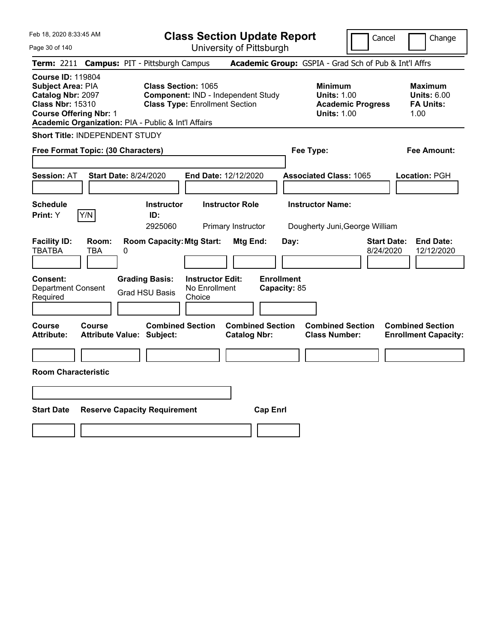|  |  | Feb 18, 2020 8:33:45 AM |  |
|--|--|-------------------------|--|
|--|--|-------------------------|--|

**Class Section Update Report** University of Pittsburgh

Cancel Change

Page 30 of 140

|                                                                                               |                               | Term: 2211 Campus: PIT - Pittsburgh Campus                                 |                                       |                                                |                           | Academic Group: GSPIA - Grad Sch of Pub & Int'l Affrs                                  |                                 |                                                                  |
|-----------------------------------------------------------------------------------------------|-------------------------------|----------------------------------------------------------------------------|---------------------------------------|------------------------------------------------|---------------------------|----------------------------------------------------------------------------------------|---------------------------------|------------------------------------------------------------------|
| <b>Course ID: 119804</b><br>Subject Area: PIA<br>Catalog Nbr: 2097<br><b>Class Nbr: 15310</b> | <b>Course Offering Nbr: 1</b> | Class Section: 1065<br>Academic Organization: PIA - Public & Int'l Affairs | <b>Class Type: Enrollment Section</b> | Component: IND - Independent Study             |                           | <b>Minimum</b><br><b>Units: 1.00</b><br><b>Academic Progress</b><br><b>Units: 1.00</b> |                                 | <b>Maximum</b><br><b>Units: 6.00</b><br><b>FA Units:</b><br>1.00 |
|                                                                                               |                               | <b>Short Title: INDEPENDENT STUDY</b>                                      |                                       |                                                |                           |                                                                                        |                                 |                                                                  |
|                                                                                               |                               | Free Format Topic: (30 Characters)                                         |                                       |                                                |                           | Fee Type:                                                                              |                                 | <b>Fee Amount:</b>                                               |
| <b>Session: AT</b>                                                                            |                               | <b>Start Date: 8/24/2020</b>                                               |                                       | End Date: 12/12/2020                           |                           | <b>Associated Class: 1065</b>                                                          |                                 | <b>Location: PGH</b>                                             |
| <b>Schedule</b><br>Print: Y                                                                   | Y/N                           | <b>Instructor</b><br>ID:<br>2925060                                        |                                       | <b>Instructor Role</b><br>Primary Instructor   |                           | <b>Instructor Name:</b><br>Dougherty Juni, George William                              |                                 |                                                                  |
| <b>Facility ID:</b><br><b>TBATBA</b><br><b>Consent:</b>                                       | Room:<br>TBA                  | <b>Room Capacity: Mtg Start:</b><br>0                                      | <b>Instructor Edit:</b>               | Mtg End:                                       | Day:<br><b>Enrollment</b> |                                                                                        | <b>Start Date:</b><br>8/24/2020 | <b>End Date:</b><br>12/12/2020                                   |
| <b>Department Consent</b><br>Required                                                         |                               | <b>Grading Basis:</b><br><b>Grad HSU Basis</b>                             | No Enrollment<br>Choice               |                                                | Capacity: 85              |                                                                                        |                                 |                                                                  |
| Course<br><b>Attribute:</b>                                                                   | Course                        | <b>Combined Section</b><br><b>Attribute Value: Subject:</b>                |                                       | <b>Combined Section</b><br><b>Catalog Nbr:</b> |                           | <b>Combined Section</b><br><b>Class Number:</b>                                        |                                 | <b>Combined Section</b><br><b>Enrollment Capacity:</b>           |
| <b>Room Characteristic</b>                                                                    |                               |                                                                            |                                       |                                                |                           |                                                                                        |                                 |                                                                  |
| <b>Start Date</b>                                                                             |                               | <b>Reserve Capacity Requirement</b>                                        |                                       | <b>Cap Enrl</b>                                |                           |                                                                                        |                                 |                                                                  |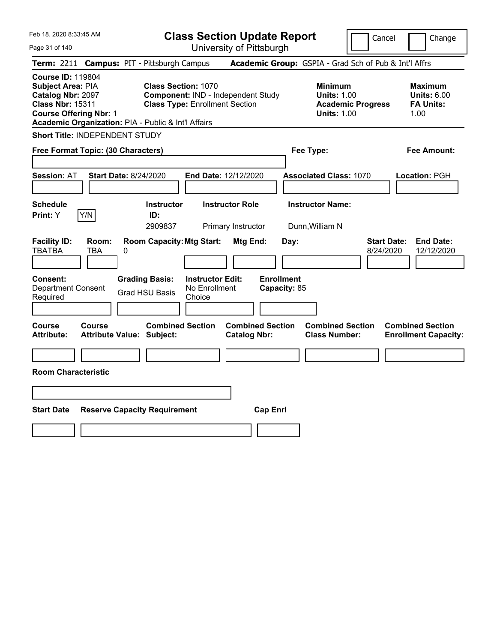| Feb 18, 2020 8:33:45 AM                                                                                                                                                                      |                                        |                                                                     |                                                    | <b>Class Section Update Report</b>             |                                   |                                                            | Cancel                          | Change                                                           |
|----------------------------------------------------------------------------------------------------------------------------------------------------------------------------------------------|----------------------------------------|---------------------------------------------------------------------|----------------------------------------------------|------------------------------------------------|-----------------------------------|------------------------------------------------------------|---------------------------------|------------------------------------------------------------------|
| Page 31 of 140                                                                                                                                                                               |                                        |                                                                     |                                                    | University of Pittsburgh                       |                                   |                                                            |                                 |                                                                  |
| <b>Term: 2211</b>                                                                                                                                                                            | <b>Campus: PIT - Pittsburgh Campus</b> |                                                                     |                                                    |                                                |                                   | Academic Group: GSPIA - Grad Sch of Pub & Int'l Affrs      |                                 |                                                                  |
| <b>Course ID: 119804</b><br>Subject Area: PIA<br><b>Catalog Nbr: 2097</b><br><b>Class Nbr: 15311</b><br><b>Course Offering Nbr: 1</b><br>Academic Organization: PIA - Public & Int'l Affairs |                                        | <b>Class Section: 1070</b><br><b>Class Type: Enrollment Section</b> |                                                    | Component: IND - Independent Study             |                                   | <b>Minimum</b><br><b>Units: 1.00</b><br><b>Units: 1.00</b> | <b>Academic Progress</b>        | <b>Maximum</b><br><b>Units: 6.00</b><br><b>FA Units:</b><br>1.00 |
| Short Title: INDEPENDENT STUDY                                                                                                                                                               |                                        |                                                                     |                                                    |                                                |                                   |                                                            |                                 |                                                                  |
| Free Format Topic: (30 Characters)                                                                                                                                                           |                                        |                                                                     |                                                    |                                                |                                   | Fee Type:                                                  |                                 | Fee Amount:                                                      |
| <b>Session: AT</b>                                                                                                                                                                           | <b>Start Date: 8/24/2020</b>           |                                                                     |                                                    | End Date: 12/12/2020                           |                                   | <b>Associated Class: 1070</b>                              |                                 | Location: PGH                                                    |
| <b>Schedule</b><br>Y/N<br>Print: Y                                                                                                                                                           |                                        | <b>Instructor</b><br>ID:<br>2909837                                 |                                                    | <b>Instructor Role</b><br>Primary Instructor   |                                   | <b>Instructor Name:</b><br>Dunn, William N                 |                                 |                                                                  |
| <b>Facility ID:</b><br><b>TBATBA</b><br>TBA                                                                                                                                                  | Room:<br>0                             | <b>Room Capacity: Mtg Start:</b>                                    |                                                    | <b>Mtg End:</b>                                | Day:                              |                                                            | <b>Start Date:</b><br>8/24/2020 | <b>End Date:</b><br>12/12/2020                                   |
| <b>Consent:</b><br><b>Department Consent</b><br>Required                                                                                                                                     |                                        | <b>Grading Basis:</b><br><b>Grad HSU Basis</b>                      | <b>Instructor Edit:</b><br>No Enrollment<br>Choice |                                                | <b>Enrollment</b><br>Capacity: 85 |                                                            |                                 |                                                                  |
| <b>Course</b><br>Course<br><b>Attribute:</b>                                                                                                                                                 | <b>Attribute Value: Subject:</b>       | <b>Combined Section</b>                                             |                                                    | <b>Combined Section</b><br><b>Catalog Nbr:</b> |                                   | <b>Combined Section</b><br><b>Class Number:</b>            |                                 | <b>Combined Section</b><br><b>Enrollment Capacity:</b>           |
| <b>Room Characteristic</b>                                                                                                                                                                   |                                        |                                                                     |                                                    |                                                |                                   |                                                            |                                 |                                                                  |
|                                                                                                                                                                                              |                                        |                                                                     |                                                    |                                                |                                   |                                                            |                                 |                                                                  |
| <b>Start Date</b>                                                                                                                                                                            | <b>Reserve Capacity Requirement</b>    |                                                                     |                                                    |                                                | <b>Cap Enrl</b>                   |                                                            |                                 |                                                                  |
|                                                                                                                                                                                              |                                        |                                                                     |                                                    |                                                |                                   |                                                            |                                 |                                                                  |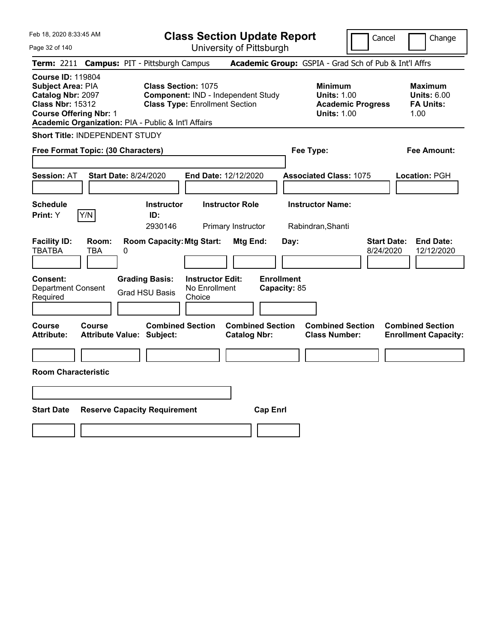| Feb 18, 2020 8:33:45 AM                                                                                                                                                               |                                     |   |                                                                                                           | <b>Class Section Update Report</b>                 |                                              |                         |                                   |                                                                                        | Cancel                          | Change                                                           |
|---------------------------------------------------------------------------------------------------------------------------------------------------------------------------------------|-------------------------------------|---|-----------------------------------------------------------------------------------------------------------|----------------------------------------------------|----------------------------------------------|-------------------------|-----------------------------------|----------------------------------------------------------------------------------------|---------------------------------|------------------------------------------------------------------|
| Page 32 of 140                                                                                                                                                                        |                                     |   |                                                                                                           | University of Pittsburgh                           |                                              |                         |                                   |                                                                                        |                                 |                                                                  |
| <b>Term: 2211</b>                                                                                                                                                                     |                                     |   | <b>Campus: PIT - Pittsburgh Campus</b>                                                                    |                                                    |                                              |                         |                                   | Academic Group: GSPIA - Grad Sch of Pub & Int'l Affrs                                  |                                 |                                                                  |
| <b>Course ID: 119804</b><br>Subject Area: PIA<br>Catalog Nbr: 2097<br><b>Class Nbr: 15312</b><br><b>Course Offering Nbr: 1</b><br>Academic Organization: PIA - Public & Int'l Affairs |                                     |   | <b>Class Section: 1075</b><br>Component: IND - Independent Study<br><b>Class Type: Enrollment Section</b> |                                                    |                                              |                         |                                   | <b>Minimum</b><br><b>Units: 1.00</b><br><b>Academic Progress</b><br><b>Units: 1.00</b> |                                 | <b>Maximum</b><br><b>Units: 6.00</b><br><b>FA Units:</b><br>1.00 |
| Short Title: INDEPENDENT STUDY                                                                                                                                                        |                                     |   |                                                                                                           |                                                    |                                              |                         |                                   |                                                                                        |                                 |                                                                  |
| Free Format Topic: (30 Characters)                                                                                                                                                    |                                     |   |                                                                                                           |                                                    |                                              |                         |                                   | Fee Type:                                                                              |                                 | Fee Amount:                                                      |
| Session: AT                                                                                                                                                                           | <b>Start Date: 8/24/2020</b>        |   |                                                                                                           | End Date: 12/12/2020                               |                                              |                         |                                   | <b>Associated Class: 1075</b>                                                          |                                 | Location: PGH                                                    |
| <b>Schedule</b><br>Print: Y                                                                                                                                                           | Y/N                                 |   | <b>Instructor</b><br>ID:<br>2930146                                                                       |                                                    | <b>Instructor Role</b><br>Primary Instructor |                         |                                   | <b>Instructor Name:</b><br>Rabindran, Shanti                                           |                                 |                                                                  |
| <b>Facility ID:</b><br><b>TBATBA</b>                                                                                                                                                  | Room:<br>TBA                        | 0 | <b>Room Capacity: Mtg Start:</b>                                                                          |                                                    | <b>Mtg End:</b>                              |                         | Day:                              |                                                                                        | <b>Start Date:</b><br>8/24/2020 | <b>End Date:</b><br>12/12/2020                                   |
| Consent:<br><b>Department Consent</b><br>Required                                                                                                                                     |                                     |   | <b>Grading Basis:</b><br><b>Grad HSU Basis</b>                                                            | <b>Instructor Edit:</b><br>No Enrollment<br>Choice |                                              |                         | <b>Enrollment</b><br>Capacity: 85 |                                                                                        |                                 |                                                                  |
| Course<br><b>Attribute:</b>                                                                                                                                                           | Course<br>Attribute Value: Subject: |   | <b>Combined Section</b>                                                                                   |                                                    | <b>Catalog Nbr:</b>                          | <b>Combined Section</b> |                                   | <b>Combined Section</b><br><b>Class Number:</b>                                        |                                 | <b>Combined Section</b><br><b>Enrollment Capacity:</b>           |
|                                                                                                                                                                                       |                                     |   |                                                                                                           |                                                    |                                              |                         |                                   |                                                                                        |                                 |                                                                  |
| <b>Room Characteristic</b>                                                                                                                                                            |                                     |   |                                                                                                           |                                                    |                                              |                         |                                   |                                                                                        |                                 |                                                                  |
|                                                                                                                                                                                       |                                     |   |                                                                                                           |                                                    |                                              |                         |                                   |                                                                                        |                                 |                                                                  |
| <b>Start Date</b>                                                                                                                                                                     |                                     |   | <b>Reserve Capacity Requirement</b>                                                                       |                                                    |                                              | <b>Cap Enrl</b>         |                                   |                                                                                        |                                 |                                                                  |
|                                                                                                                                                                                       |                                     |   |                                                                                                           |                                                    |                                              |                         |                                   |                                                                                        |                                 |                                                                  |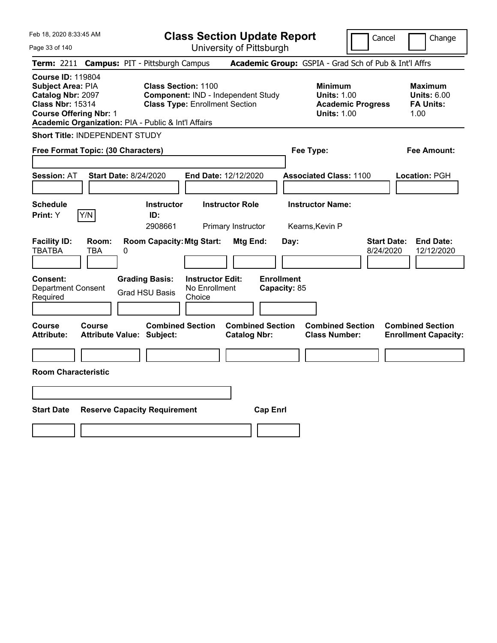| Feb 18, 2020 8:33:45 AM<br>Page 33 of 140                                                                                                                                                    |                                                             | <b>Class Section Update Report</b>                                          | University of Pittsburgh                       |                                   |                                                                                        | Cancel                          | Change                                                           |
|----------------------------------------------------------------------------------------------------------------------------------------------------------------------------------------------|-------------------------------------------------------------|-----------------------------------------------------------------------------|------------------------------------------------|-----------------------------------|----------------------------------------------------------------------------------------|---------------------------------|------------------------------------------------------------------|
| Term: 2211 Campus: PIT - Pittsburgh Campus                                                                                                                                                   |                                                             |                                                                             |                                                |                                   | Academic Group: GSPIA - Grad Sch of Pub & Int'l Affrs                                  |                                 |                                                                  |
| <b>Course ID: 119804</b><br><b>Subject Area: PIA</b><br>Catalog Nbr: 2097<br><b>Class Nbr: 15314</b><br><b>Course Offering Nbr: 1</b><br>Academic Organization: PIA - Public & Int'l Affairs | <b>Class Section: 1100</b>                                  | Component: IND - Independent Study<br><b>Class Type: Enrollment Section</b> |                                                |                                   | <b>Minimum</b><br><b>Units: 1.00</b><br><b>Academic Progress</b><br><b>Units: 1.00</b> |                                 | <b>Maximum</b><br><b>Units: 6.00</b><br><b>FA Units:</b><br>1.00 |
| <b>Short Title: INDEPENDENT STUDY</b>                                                                                                                                                        |                                                             |                                                                             |                                                |                                   |                                                                                        |                                 |                                                                  |
| Free Format Topic: (30 Characters)                                                                                                                                                           |                                                             |                                                                             |                                                | Fee Type:                         |                                                                                        |                                 | <b>Fee Amount:</b>                                               |
| <b>Session: AT</b><br><b>Start Date: 8/24/2020</b>                                                                                                                                           |                                                             | End Date: 12/12/2020                                                        |                                                |                                   | <b>Associated Class: 1100</b>                                                          |                                 | Location: PGH                                                    |
| <b>Schedule</b><br>Y/N<br><b>Print:</b> Y                                                                                                                                                    | <b>Instructor</b><br>ID:<br>2908661                         | <b>Instructor Role</b>                                                      | Primary Instructor                             |                                   | <b>Instructor Name:</b><br>Kearns, Kevin P                                             |                                 |                                                                  |
| <b>Facility ID:</b><br>Room:<br><b>TBATBA</b><br><b>TBA</b><br>0                                                                                                                             | <b>Room Capacity: Mtg Start:</b>                            |                                                                             | Mtg End:                                       | Day:                              |                                                                                        | <b>Start Date:</b><br>8/24/2020 | <b>End Date:</b><br>12/12/2020                                   |
| <b>Consent:</b><br><b>Department Consent</b><br>Required                                                                                                                                     | <b>Grading Basis:</b><br><b>Grad HSU Basis</b>              | <b>Instructor Edit:</b><br>No Enrollment<br>Choice                          |                                                | <b>Enrollment</b><br>Capacity: 85 |                                                                                        |                                 |                                                                  |
| Course<br>Course<br><b>Attribute:</b>                                                                                                                                                        | <b>Combined Section</b><br><b>Attribute Value: Subject:</b> |                                                                             | <b>Combined Section</b><br><b>Catalog Nbr:</b> |                                   | <b>Combined Section</b><br><b>Class Number:</b>                                        |                                 | <b>Combined Section</b><br><b>Enrollment Capacity:</b>           |
| <b>Room Characteristic</b>                                                                                                                                                                   |                                                             |                                                                             |                                                |                                   |                                                                                        |                                 |                                                                  |
|                                                                                                                                                                                              |                                                             |                                                                             |                                                |                                   |                                                                                        |                                 |                                                                  |
| <b>Start Date</b>                                                                                                                                                                            | <b>Reserve Capacity Requirement</b>                         |                                                                             | <b>Cap Enrl</b>                                |                                   |                                                                                        |                                 |                                                                  |
|                                                                                                                                                                                              |                                                             |                                                                             |                                                |                                   |                                                                                        |                                 |                                                                  |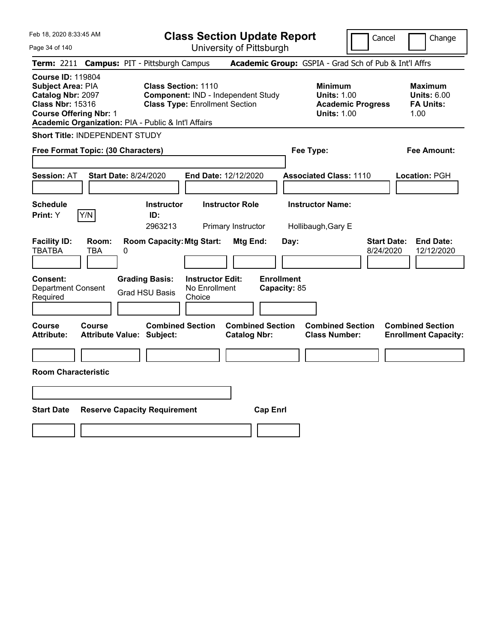| Feb 18, 2020 8:33:45 AM                                                                                                                                                               |                                            |                                                                                                           |                                                    |                                              | <b>Class Section Update Report</b> |                                                            | Cancel                   | Change                                                           |
|---------------------------------------------------------------------------------------------------------------------------------------------------------------------------------------|--------------------------------------------|-----------------------------------------------------------------------------------------------------------|----------------------------------------------------|----------------------------------------------|------------------------------------|------------------------------------------------------------|--------------------------|------------------------------------------------------------------|
| Page 34 of 140                                                                                                                                                                        |                                            |                                                                                                           |                                                    | University of Pittsburgh                     |                                    |                                                            |                          |                                                                  |
| Term: 2211                                                                                                                                                                            | <b>Campus: PIT - Pittsburgh Campus</b>     |                                                                                                           |                                                    |                                              |                                    | Academic Group: GSPIA - Grad Sch of Pub & Int'l Affrs      |                          |                                                                  |
| <b>Course ID: 119804</b><br>Subject Area: PIA<br>Catalog Nbr: 2097<br><b>Class Nbr: 15316</b><br><b>Course Offering Nbr: 1</b><br>Academic Organization: PIA - Public & Int'l Affairs |                                            | <b>Class Section: 1110</b><br>Component: IND - Independent Study<br><b>Class Type: Enrollment Section</b> |                                                    |                                              |                                    | <b>Minimum</b><br><b>Units: 1.00</b><br><b>Units: 1.00</b> | <b>Academic Progress</b> | <b>Maximum</b><br><b>Units: 6.00</b><br><b>FA Units:</b><br>1.00 |
| <b>Short Title: INDEPENDENT STUDY</b>                                                                                                                                                 |                                            |                                                                                                           |                                                    |                                              |                                    |                                                            |                          |                                                                  |
| Free Format Topic: (30 Characters)                                                                                                                                                    |                                            |                                                                                                           |                                                    |                                              |                                    | Fee Type:                                                  |                          | Fee Amount:                                                      |
| <b>Session: AT</b>                                                                                                                                                                    | <b>Start Date: 8/24/2020</b>               |                                                                                                           | <b>End Date: 12/12/2020</b>                        |                                              |                                    | <b>Associated Class: 1110</b>                              |                          | Location: PGH                                                    |
| <b>Schedule</b><br>Y/N<br>Print: Y                                                                                                                                                    |                                            | <b>Instructor</b><br>ID:<br>2963213                                                                       |                                                    | <b>Instructor Role</b><br>Primary Instructor |                                    | <b>Instructor Name:</b><br>Hollibaugh, Gary E              |                          |                                                                  |
| <b>Facility ID:</b><br><b>TBATBA</b>                                                                                                                                                  | Room:<br>TBA<br>0                          | <b>Room Capacity: Mtg Start:</b>                                                                          |                                                    | Mtg End:                                     | Day:                               |                                                            | 8/24/2020                | <b>Start Date:</b><br><b>End Date:</b><br>12/12/2020             |
| <b>Consent:</b><br><b>Department Consent</b><br>Required                                                                                                                              |                                            | <b>Grading Basis:</b><br><b>Grad HSU Basis</b>                                                            | <b>Instructor Edit:</b><br>No Enrollment<br>Choice |                                              | <b>Enrollment</b><br>Capacity: 85  |                                                            |                          |                                                                  |
| Course<br><b>Attribute:</b>                                                                                                                                                           | Course<br><b>Attribute Value: Subject:</b> | <b>Combined Section</b>                                                                                   |                                                    | <b>Catalog Nbr:</b>                          | <b>Combined Section</b>            | <b>Combined Section</b><br><b>Class Number:</b>            |                          | <b>Combined Section</b><br><b>Enrollment Capacity:</b>           |
|                                                                                                                                                                                       |                                            |                                                                                                           |                                                    |                                              |                                    |                                                            |                          |                                                                  |
| <b>Room Characteristic</b>                                                                                                                                                            |                                            |                                                                                                           |                                                    |                                              |                                    |                                                            |                          |                                                                  |
|                                                                                                                                                                                       |                                            |                                                                                                           |                                                    |                                              |                                    |                                                            |                          |                                                                  |
| <b>Start Date</b>                                                                                                                                                                     | <b>Reserve Capacity Requirement</b>        |                                                                                                           |                                                    |                                              | <b>Cap Enrl</b>                    |                                                            |                          |                                                                  |
|                                                                                                                                                                                       |                                            |                                                                                                           |                                                    |                                              |                                    |                                                            |                          |                                                                  |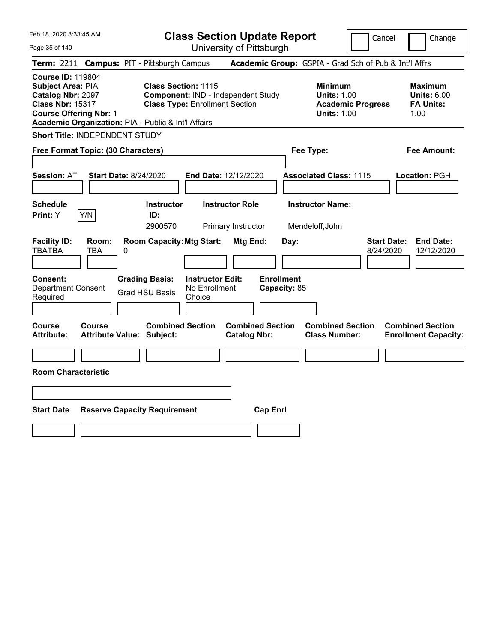| Feb 18, 2020 8:33:45 AM                                                                                                                                                                      |                                                |                                                                                                           | <b>Class Section Update Report</b>                    |                                                                                        | Cancel                          | Change                                                           |
|----------------------------------------------------------------------------------------------------------------------------------------------------------------------------------------------|------------------------------------------------|-----------------------------------------------------------------------------------------------------------|-------------------------------------------------------|----------------------------------------------------------------------------------------|---------------------------------|------------------------------------------------------------------|
| Page 35 of 140                                                                                                                                                                               |                                                |                                                                                                           | University of Pittsburgh                              |                                                                                        |                                 |                                                                  |
| <b>Term: 2211</b>                                                                                                                                                                            | <b>Campus: PIT - Pittsburgh Campus</b>         |                                                                                                           | Academic Group: GSPIA - Grad Sch of Pub & Int'l Affrs |                                                                                        |                                 |                                                                  |
| <b>Course ID: 119804</b><br>Subject Area: PIA<br><b>Catalog Nbr: 2097</b><br><b>Class Nbr: 15317</b><br><b>Course Offering Nbr: 1</b><br>Academic Organization: PIA - Public & Int'l Affairs |                                                | <b>Class Section: 1115</b><br>Component: IND - Independent Study<br><b>Class Type: Enrollment Section</b> |                                                       | <b>Minimum</b><br><b>Units: 1.00</b><br><b>Academic Progress</b><br><b>Units: 1.00</b> |                                 | <b>Maximum</b><br><b>Units: 6.00</b><br><b>FA Units:</b><br>1.00 |
| Short Title: INDEPENDENT STUDY                                                                                                                                                               |                                                |                                                                                                           |                                                       |                                                                                        |                                 |                                                                  |
| Free Format Topic: (30 Characters)                                                                                                                                                           |                                                |                                                                                                           |                                                       | Fee Type:                                                                              |                                 | Fee Amount:                                                      |
| <b>Session: AT</b>                                                                                                                                                                           | <b>Start Date: 8/24/2020</b>                   | End Date: 12/12/2020                                                                                      |                                                       | <b>Associated Class: 1115</b>                                                          |                                 | Location: PGH                                                    |
| <b>Schedule</b><br>Y/N<br>Print: Y                                                                                                                                                           | <b>Instructor</b><br>ID:<br>2900570            | <b>Instructor Role</b><br>Primary Instructor                                                              |                                                       | <b>Instructor Name:</b><br>Mendeloff, John                                             |                                 |                                                                  |
| <b>Facility ID:</b><br>Room:<br><b>TBATBA</b><br>TBA                                                                                                                                         | <b>Room Capacity: Mtg Start:</b><br>0          |                                                                                                           | <b>Mtg End:</b><br>Day:                               |                                                                                        | <b>Start Date:</b><br>8/24/2020 | <b>End Date:</b><br>12/12/2020                                   |
| <b>Consent:</b><br><b>Department Consent</b><br>Required                                                                                                                                     | <b>Grading Basis:</b><br><b>Grad HSU Basis</b> | <b>Instructor Edit:</b><br>No Enrollment<br>Choice                                                        | <b>Enrollment</b><br>Capacity: 85                     |                                                                                        |                                 |                                                                  |
| <b>Course</b><br>Course<br><b>Attribute:</b>                                                                                                                                                 | <b>Attribute Value: Subject:</b>               | <b>Combined Section</b>                                                                                   | <b>Combined Section</b><br><b>Catalog Nbr:</b>        | <b>Combined Section</b><br><b>Class Number:</b>                                        |                                 | <b>Combined Section</b><br><b>Enrollment Capacity:</b>           |
| <b>Room Characteristic</b>                                                                                                                                                                   |                                                |                                                                                                           |                                                       |                                                                                        |                                 |                                                                  |
|                                                                                                                                                                                              |                                                |                                                                                                           |                                                       |                                                                                        |                                 |                                                                  |
| <b>Start Date</b>                                                                                                                                                                            | <b>Reserve Capacity Requirement</b>            |                                                                                                           | <b>Cap Enrl</b>                                       |                                                                                        |                                 |                                                                  |
|                                                                                                                                                                                              |                                                |                                                                                                           |                                                       |                                                                                        |                                 |                                                                  |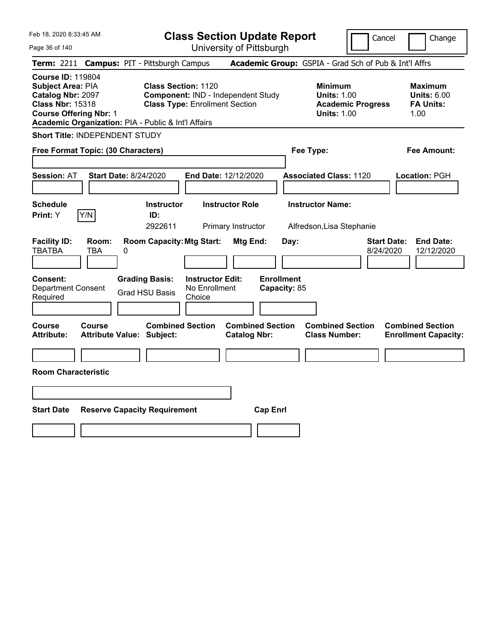| Feb 18, 2020 8:33:45 AM<br>Page 36 of 140                                                                                                                                                    |                                                   |   |                                                                                                           | <b>Class Section Update Report</b>                 | University of Pittsburgh                       |                   |              |                                                            |                          | Cancel                          | Change                                                           |
|----------------------------------------------------------------------------------------------------------------------------------------------------------------------------------------------|---------------------------------------------------|---|-----------------------------------------------------------------------------------------------------------|----------------------------------------------------|------------------------------------------------|-------------------|--------------|------------------------------------------------------------|--------------------------|---------------------------------|------------------------------------------------------------------|
| Term: 2211 Campus: PIT - Pittsburgh Campus                                                                                                                                                   |                                                   |   |                                                                                                           |                                                    |                                                |                   |              | Academic Group: GSPIA - Grad Sch of Pub & Int'l Affrs      |                          |                                 |                                                                  |
| <b>Course ID: 119804</b><br><b>Subject Area: PIA</b><br>Catalog Nbr: 2097<br><b>Class Nbr: 15318</b><br><b>Course Offering Nbr: 1</b><br>Academic Organization: PIA - Public & Int'l Affairs |                                                   |   | <b>Class Section: 1120</b><br>Component: IND - Independent Study<br><b>Class Type: Enrollment Section</b> |                                                    |                                                |                   |              | <b>Minimum</b><br><b>Units: 1.00</b><br><b>Units: 1.00</b> | <b>Academic Progress</b> |                                 | <b>Maximum</b><br><b>Units: 6.00</b><br><b>FA Units:</b><br>1.00 |
| <b>Short Title: INDEPENDENT STUDY</b>                                                                                                                                                        |                                                   |   |                                                                                                           |                                                    |                                                |                   |              |                                                            |                          |                                 |                                                                  |
| Free Format Topic: (30 Characters)                                                                                                                                                           |                                                   |   |                                                                                                           |                                                    |                                                |                   |              | Fee Type:                                                  |                          |                                 | Fee Amount:                                                      |
| <b>Session: AT</b>                                                                                                                                                                           | <b>Start Date: 8/24/2020</b>                      |   |                                                                                                           | End Date: 12/12/2020                               |                                                |                   |              | <b>Associated Class: 1120</b>                              |                          |                                 | Location: PGH                                                    |
| Schedule                                                                                                                                                                                     |                                                   |   | <b>Instructor</b>                                                                                         |                                                    | <b>Instructor Role</b>                         |                   |              | <b>Instructor Name:</b>                                    |                          |                                 |                                                                  |
| Print: Y                                                                                                                                                                                     | Y/N                                               |   | ID:<br>2922611                                                                                            |                                                    | Primary Instructor                             |                   |              | Alfredson, Lisa Stephanie                                  |                          |                                 |                                                                  |
| <b>Facility ID:</b><br>TBATBA                                                                                                                                                                | Room:<br>TBA                                      | 0 | <b>Room Capacity: Mtg Start:</b>                                                                          |                                                    | Mtg End:                                       |                   | Day:         |                                                            |                          | <b>Start Date:</b><br>8/24/2020 | <b>End Date:</b><br>12/12/2020                                   |
| Consent:<br><b>Department Consent</b><br>Required                                                                                                                                            |                                                   |   | <b>Grading Basis:</b><br><b>Grad HSU Basis</b>                                                            | <b>Instructor Edit:</b><br>No Enrollment<br>Choice |                                                | <b>Enrollment</b> | Capacity: 85 |                                                            |                          |                                 |                                                                  |
| <b>Course</b><br><b>Attribute:</b>                                                                                                                                                           | <b>Course</b><br><b>Attribute Value: Subject:</b> |   | <b>Combined Section</b>                                                                                   |                                                    | <b>Combined Section</b><br><b>Catalog Nbr:</b> |                   |              | <b>Combined Section</b><br><b>Class Number:</b>            |                          |                                 | <b>Combined Section</b><br><b>Enrollment Capacity:</b>           |
|                                                                                                                                                                                              |                                                   |   |                                                                                                           |                                                    |                                                |                   |              |                                                            |                          |                                 |                                                                  |
| <b>Room Characteristic</b>                                                                                                                                                                   |                                                   |   |                                                                                                           |                                                    |                                                |                   |              |                                                            |                          |                                 |                                                                  |
|                                                                                                                                                                                              |                                                   |   |                                                                                                           |                                                    |                                                |                   |              |                                                            |                          |                                 |                                                                  |
| <b>Start Date</b>                                                                                                                                                                            |                                                   |   | <b>Reserve Capacity Requirement</b>                                                                       |                                                    |                                                | <b>Cap Enrl</b>   |              |                                                            |                          |                                 |                                                                  |
|                                                                                                                                                                                              |                                                   |   |                                                                                                           |                                                    |                                                |                   |              |                                                            |                          |                                 |                                                                  |
|                                                                                                                                                                                              |                                                   |   |                                                                                                           |                                                    |                                                |                   |              |                                                            |                          |                                 |                                                                  |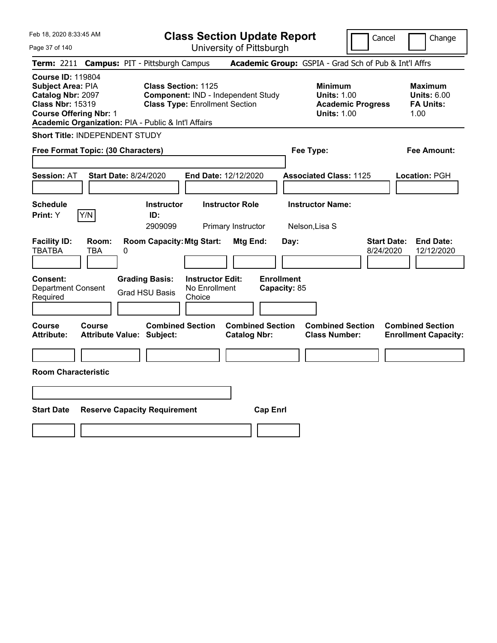| Feb 18, 2020 8:33:45 AM                                                                                                                                                                      |                                                   |   |                                                                                                           | <b>Class Section Update Report</b>                 |                                              |                         |                                   |                                                            |                          | Cancel                          | Change                                                           |
|----------------------------------------------------------------------------------------------------------------------------------------------------------------------------------------------|---------------------------------------------------|---|-----------------------------------------------------------------------------------------------------------|----------------------------------------------------|----------------------------------------------|-------------------------|-----------------------------------|------------------------------------------------------------|--------------------------|---------------------------------|------------------------------------------------------------------|
| Page 37 of 140                                                                                                                                                                               |                                                   |   |                                                                                                           | University of Pittsburgh                           |                                              |                         |                                   |                                                            |                          |                                 |                                                                  |
| <b>Term: 2211</b>                                                                                                                                                                            |                                                   |   | <b>Campus: PIT - Pittsburgh Campus</b>                                                                    |                                                    |                                              |                         |                                   | Academic Group: GSPIA - Grad Sch of Pub & Int'l Affrs      |                          |                                 |                                                                  |
| <b>Course ID: 119804</b><br>Subject Area: PIA<br><b>Catalog Nbr: 2097</b><br><b>Class Nbr: 15319</b><br><b>Course Offering Nbr: 1</b><br>Academic Organization: PIA - Public & Int'l Affairs |                                                   |   | <b>Class Section: 1125</b><br>Component: IND - Independent Study<br><b>Class Type: Enrollment Section</b> |                                                    |                                              |                         |                                   | <b>Minimum</b><br><b>Units: 1.00</b><br><b>Units: 1.00</b> | <b>Academic Progress</b> |                                 | <b>Maximum</b><br><b>Units: 6.00</b><br><b>FA Units:</b><br>1.00 |
| Short Title: INDEPENDENT STUDY                                                                                                                                                               |                                                   |   |                                                                                                           |                                                    |                                              |                         |                                   |                                                            |                          |                                 |                                                                  |
| Free Format Topic: (30 Characters)                                                                                                                                                           |                                                   |   |                                                                                                           |                                                    |                                              |                         |                                   | Fee Type:                                                  |                          |                                 | Fee Amount:                                                      |
| <b>Session: AT</b>                                                                                                                                                                           | <b>Start Date: 8/24/2020</b>                      |   |                                                                                                           | End Date: 12/12/2020                               |                                              |                         |                                   | <b>Associated Class: 1125</b>                              |                          |                                 | Location: PGH                                                    |
| <b>Schedule</b><br>Print: Y                                                                                                                                                                  | Y/N                                               |   | <b>Instructor</b><br>ID:<br>2909099                                                                       |                                                    | <b>Instructor Role</b><br>Primary Instructor |                         |                                   | <b>Instructor Name:</b><br>Nelson, Lisa S                  |                          |                                 |                                                                  |
| <b>Facility ID:</b><br><b>TBATBA</b>                                                                                                                                                         | Room:<br>TBA                                      | 0 | <b>Room Capacity: Mtg Start:</b>                                                                          |                                                    | <b>Mtg End:</b>                              |                         | Day:                              |                                                            |                          | <b>Start Date:</b><br>8/24/2020 | <b>End Date:</b><br>12/12/2020                                   |
| <b>Consent:</b><br><b>Department Consent</b><br>Required                                                                                                                                     |                                                   |   | <b>Grading Basis:</b><br><b>Grad HSU Basis</b>                                                            | <b>Instructor Edit:</b><br>No Enrollment<br>Choice |                                              |                         | <b>Enrollment</b><br>Capacity: 85 |                                                            |                          |                                 |                                                                  |
| <b>Course</b><br><b>Attribute:</b>                                                                                                                                                           | <b>Course</b><br><b>Attribute Value: Subject:</b> |   | <b>Combined Section</b>                                                                                   |                                                    | <b>Catalog Nbr:</b>                          | <b>Combined Section</b> |                                   | <b>Combined Section</b><br><b>Class Number:</b>            |                          |                                 | <b>Combined Section</b><br><b>Enrollment Capacity:</b>           |
| <b>Room Characteristic</b>                                                                                                                                                                   |                                                   |   |                                                                                                           |                                                    |                                              |                         |                                   |                                                            |                          |                                 |                                                                  |
|                                                                                                                                                                                              |                                                   |   |                                                                                                           |                                                    |                                              |                         |                                   |                                                            |                          |                                 |                                                                  |
| <b>Start Date</b>                                                                                                                                                                            |                                                   |   | <b>Reserve Capacity Requirement</b>                                                                       |                                                    |                                              | <b>Cap Enrl</b>         |                                   |                                                            |                          |                                 |                                                                  |
|                                                                                                                                                                                              |                                                   |   |                                                                                                           |                                                    |                                              |                         |                                   |                                                            |                          |                                 |                                                                  |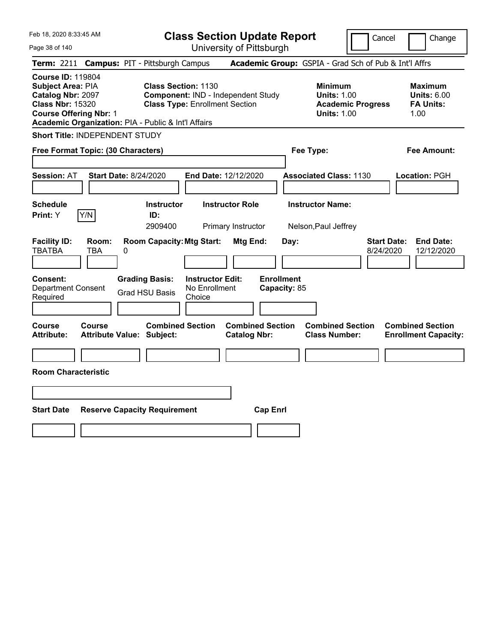| Feb 18, 2020 8:33:45 AM                                                                                                                                                               | <b>Class Section Update Report</b>                                                                        |                                                |                                                                                        | Cancel<br>Change                                                  |
|---------------------------------------------------------------------------------------------------------------------------------------------------------------------------------------|-----------------------------------------------------------------------------------------------------------|------------------------------------------------|----------------------------------------------------------------------------------------|-------------------------------------------------------------------|
| Page 38 of 140                                                                                                                                                                        |                                                                                                           | University of Pittsburgh                       |                                                                                        |                                                                   |
| <b>Term: 2211</b>                                                                                                                                                                     | <b>Campus: PIT - Pittsburgh Campus</b>                                                                    |                                                | Academic Group: GSPIA - Grad Sch of Pub & Int'l Affrs                                  |                                                                   |
| <b>Course ID: 119804</b><br>Subject Area: PIA<br>Catalog Nbr: 2097<br><b>Class Nbr: 15320</b><br><b>Course Offering Nbr: 1</b><br>Academic Organization: PIA - Public & Int'l Affairs | <b>Class Section: 1130</b><br>Component: IND - Independent Study<br><b>Class Type: Enrollment Section</b> |                                                | <b>Minimum</b><br><b>Units: 1.00</b><br><b>Academic Progress</b><br><b>Units: 1.00</b> | <b>Maximum</b><br><b>Units: 6.00</b><br><b>FA Units:</b><br>1.00  |
| <b>Short Title: INDEPENDENT STUDY</b>                                                                                                                                                 |                                                                                                           |                                                |                                                                                        |                                                                   |
| Free Format Topic: (30 Characters)                                                                                                                                                    |                                                                                                           |                                                | Fee Type:                                                                              | Fee Amount:                                                       |
| <b>Start Date: 8/24/2020</b><br><b>Session: AT</b>                                                                                                                                    | End Date: 12/12/2020                                                                                      |                                                | <b>Associated Class: 1130</b>                                                          | Location: PGH                                                     |
| <b>Schedule</b><br>Y/N<br><b>Print: Y</b>                                                                                                                                             | <b>Instructor Role</b><br><b>Instructor</b><br>ID:<br>2909400                                             | Primary Instructor                             | <b>Instructor Name:</b><br>Nelson, Paul Jeffrey                                        |                                                                   |
| <b>Facility ID:</b><br>Room:<br><b>TBATBA</b><br>TBA<br>0                                                                                                                             | <b>Room Capacity: Mtg Start:</b>                                                                          | Mtg End:<br>Day:                               |                                                                                        | <b>Start Date:</b><br><b>End Date:</b><br>8/24/2020<br>12/12/2020 |
| <b>Consent:</b><br><b>Department Consent</b><br>Required                                                                                                                              | <b>Grading Basis:</b><br><b>Instructor Edit:</b><br>No Enrollment<br><b>Grad HSU Basis</b><br>Choice      | <b>Enrollment</b><br>Capacity: 85              |                                                                                        |                                                                   |
| Course<br><b>Course</b><br><b>Attribute:</b><br><b>Attribute Value: Subject:</b>                                                                                                      | <b>Combined Section</b>                                                                                   | <b>Combined Section</b><br><b>Catalog Nbr:</b> | <b>Combined Section</b><br><b>Class Number:</b>                                        | <b>Combined Section</b><br><b>Enrollment Capacity:</b>            |
|                                                                                                                                                                                       |                                                                                                           |                                                |                                                                                        |                                                                   |
| <b>Room Characteristic</b>                                                                                                                                                            |                                                                                                           |                                                |                                                                                        |                                                                   |
|                                                                                                                                                                                       |                                                                                                           |                                                |                                                                                        |                                                                   |
| <b>Start Date</b>                                                                                                                                                                     | <b>Reserve Capacity Requirement</b>                                                                       | <b>Cap Enrl</b>                                |                                                                                        |                                                                   |
|                                                                                                                                                                                       |                                                                                                           |                                                |                                                                                        |                                                                   |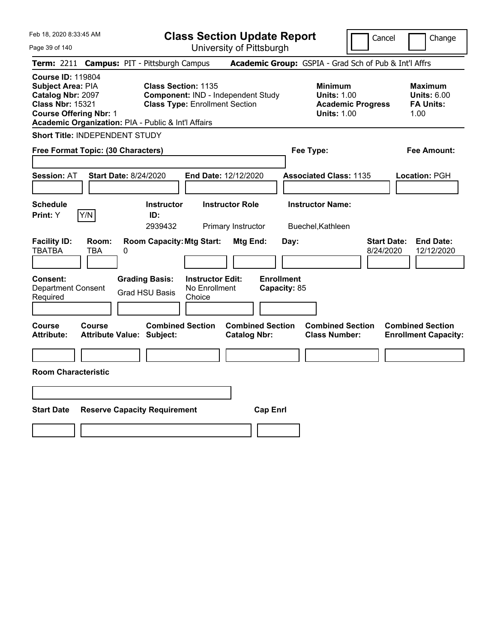| Feb 18, 2020 8:33:45 AM                                                                                                                                                               | <b>Class Section Update Report</b>                                                                                                           | Cancel                                                                                 | Change                                                           |
|---------------------------------------------------------------------------------------------------------------------------------------------------------------------------------------|----------------------------------------------------------------------------------------------------------------------------------------------|----------------------------------------------------------------------------------------|------------------------------------------------------------------|
| Page 39 of 140                                                                                                                                                                        | University of Pittsburgh                                                                                                                     |                                                                                        |                                                                  |
| <b>Campus: PIT - Pittsburgh Campus</b><br><b>Term: 2211</b>                                                                                                                           |                                                                                                                                              | Academic Group: GSPIA - Grad Sch of Pub & Int'l Affrs                                  |                                                                  |
| <b>Course ID: 119804</b><br>Subject Area: PIA<br>Catalog Nbr: 2097<br><b>Class Nbr: 15321</b><br><b>Course Offering Nbr: 1</b><br>Academic Organization: PIA - Public & Int'l Affairs | <b>Class Section: 1135</b><br>Component: IND - Independent Study<br><b>Class Type: Enrollment Section</b>                                    | <b>Minimum</b><br><b>Units: 1.00</b><br><b>Academic Progress</b><br><b>Units: 1.00</b> | <b>Maximum</b><br><b>Units: 6.00</b><br><b>FA Units:</b><br>1.00 |
| Short Title: INDEPENDENT STUDY                                                                                                                                                        |                                                                                                                                              |                                                                                        |                                                                  |
| Free Format Topic: (30 Characters)                                                                                                                                                    |                                                                                                                                              | Fee Type:                                                                              | Fee Amount:                                                      |
| <b>Start Date: 8/24/2020</b><br><b>Session: AT</b>                                                                                                                                    | End Date: 12/12/2020                                                                                                                         | <b>Associated Class: 1135</b>                                                          | Location: PGH                                                    |
| <b>Schedule</b><br>Y/N<br>Print: Y                                                                                                                                                    | <b>Instructor Role</b><br><b>Instructor</b><br>ID:                                                                                           | <b>Instructor Name:</b>                                                                |                                                                  |
| <b>Facility ID:</b><br>Room:<br><b>TBATBA</b><br>TBA<br>0<br>Consent:<br><b>Grading Basis:</b>                                                                                        | 2939432<br>Primary Instructor<br><b>Room Capacity: Mtg Start:</b><br><b>Mtg End:</b><br>Day:<br><b>Enrollment</b><br><b>Instructor Edit:</b> | Buechel, Kathleen<br><b>Start Date:</b><br>8/24/2020                                   | <b>End Date:</b><br>12/12/2020                                   |
| <b>Department Consent</b><br><b>Grad HSU Basis</b><br>Required                                                                                                                        | No Enrollment<br>Capacity: 85<br>Choice                                                                                                      |                                                                                        |                                                                  |
| <b>Course</b><br>Course<br>Attribute Value: Subject:<br><b>Attribute:</b>                                                                                                             | <b>Combined Section</b><br><b>Combined Section</b><br><b>Catalog Nbr:</b>                                                                    | <b>Combined Section</b><br><b>Class Number:</b>                                        | <b>Combined Section</b><br><b>Enrollment Capacity:</b>           |
|                                                                                                                                                                                       |                                                                                                                                              |                                                                                        |                                                                  |
| <b>Room Characteristic</b>                                                                                                                                                            |                                                                                                                                              |                                                                                        |                                                                  |
|                                                                                                                                                                                       |                                                                                                                                              |                                                                                        |                                                                  |
| <b>Start Date</b><br><b>Reserve Capacity Requirement</b>                                                                                                                              | <b>Cap Enrl</b>                                                                                                                              |                                                                                        |                                                                  |
|                                                                                                                                                                                       |                                                                                                                                              |                                                                                        |                                                                  |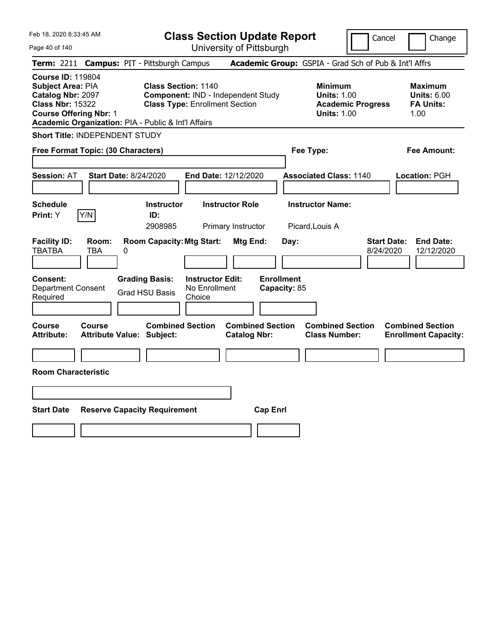| Feb 18, 2020 8:33:45 AM                                                                                                                                                               |                                                   |   |                                                                                                                  | <b>Class Section Update Report</b>                 |                                                |                 |                                   |                                                            |                          | Cancel                          | Change                                                           |
|---------------------------------------------------------------------------------------------------------------------------------------------------------------------------------------|---------------------------------------------------|---|------------------------------------------------------------------------------------------------------------------|----------------------------------------------------|------------------------------------------------|-----------------|-----------------------------------|------------------------------------------------------------|--------------------------|---------------------------------|------------------------------------------------------------------|
| Page 40 of 140                                                                                                                                                                        |                                                   |   |                                                                                                                  | University of Pittsburgh                           |                                                |                 |                                   |                                                            |                          |                                 |                                                                  |
| <b>Term: 2211</b>                                                                                                                                                                     |                                                   |   | <b>Campus: PIT - Pittsburgh Campus</b>                                                                           |                                                    |                                                |                 |                                   | Academic Group: GSPIA - Grad Sch of Pub & Int'l Affrs      |                          |                                 |                                                                  |
| <b>Course ID: 119804</b><br>Subject Area: PIA<br>Catalog Nbr: 2097<br><b>Class Nbr: 15322</b><br><b>Course Offering Nbr: 1</b><br>Academic Organization: PIA - Public & Int'l Affairs |                                                   |   | <b>Class Section: 1140</b><br><b>Component: IND - Independent Study</b><br><b>Class Type: Enrollment Section</b> |                                                    |                                                |                 |                                   | <b>Minimum</b><br><b>Units: 1.00</b><br><b>Units: 1.00</b> | <b>Academic Progress</b> |                                 | <b>Maximum</b><br><b>Units: 6.00</b><br><b>FA Units:</b><br>1.00 |
| Short Title: INDEPENDENT STUDY                                                                                                                                                        |                                                   |   |                                                                                                                  |                                                    |                                                |                 |                                   |                                                            |                          |                                 |                                                                  |
| Free Format Topic: (30 Characters)                                                                                                                                                    |                                                   |   |                                                                                                                  |                                                    |                                                |                 |                                   | Fee Type:                                                  |                          |                                 | Fee Amount:                                                      |
| <b>Session: AT</b>                                                                                                                                                                    | <b>Start Date: 8/24/2020</b>                      |   |                                                                                                                  | End Date: 12/12/2020                               |                                                |                 |                                   | <b>Associated Class: 1140</b>                              |                          |                                 | Location: PGH                                                    |
| <b>Schedule</b><br>Print: Y                                                                                                                                                           | Y/N                                               |   | <b>Instructor</b><br>ID:<br>2908985                                                                              |                                                    | <b>Instructor Role</b><br>Primary Instructor   |                 |                                   | <b>Instructor Name:</b><br>Picard, Louis A                 |                          |                                 |                                                                  |
| <b>Facility ID:</b><br><b>TBATBA</b>                                                                                                                                                  | Room:<br><b>TBA</b>                               | 0 | <b>Room Capacity: Mtg Start:</b>                                                                                 |                                                    | Mtg End:                                       |                 | Day:                              |                                                            |                          | <b>Start Date:</b><br>8/24/2020 | <b>End Date:</b><br>12/12/2020                                   |
| Consent:<br><b>Department Consent</b><br>Required                                                                                                                                     |                                                   |   | <b>Grading Basis:</b><br><b>Grad HSU Basis</b>                                                                   | <b>Instructor Edit:</b><br>No Enrollment<br>Choice |                                                |                 | <b>Enrollment</b><br>Capacity: 85 |                                                            |                          |                                 |                                                                  |
| Course<br><b>Attribute:</b>                                                                                                                                                           | <b>Course</b><br><b>Attribute Value: Subject:</b> |   | <b>Combined Section</b>                                                                                          |                                                    | <b>Combined Section</b><br><b>Catalog Nbr:</b> |                 |                                   | <b>Combined Section</b><br><b>Class Number:</b>            |                          |                                 | <b>Combined Section</b><br><b>Enrollment Capacity:</b>           |
|                                                                                                                                                                                       |                                                   |   |                                                                                                                  |                                                    |                                                |                 |                                   |                                                            |                          |                                 |                                                                  |
| <b>Room Characteristic</b>                                                                                                                                                            |                                                   |   |                                                                                                                  |                                                    |                                                |                 |                                   |                                                            |                          |                                 |                                                                  |
|                                                                                                                                                                                       |                                                   |   |                                                                                                                  |                                                    |                                                |                 |                                   |                                                            |                          |                                 |                                                                  |
| <b>Start Date</b>                                                                                                                                                                     |                                                   |   | <b>Reserve Capacity Requirement</b>                                                                              |                                                    |                                                | <b>Cap Enrl</b> |                                   |                                                            |                          |                                 |                                                                  |
|                                                                                                                                                                                       |                                                   |   |                                                                                                                  |                                                    |                                                |                 |                                   |                                                            |                          |                                 |                                                                  |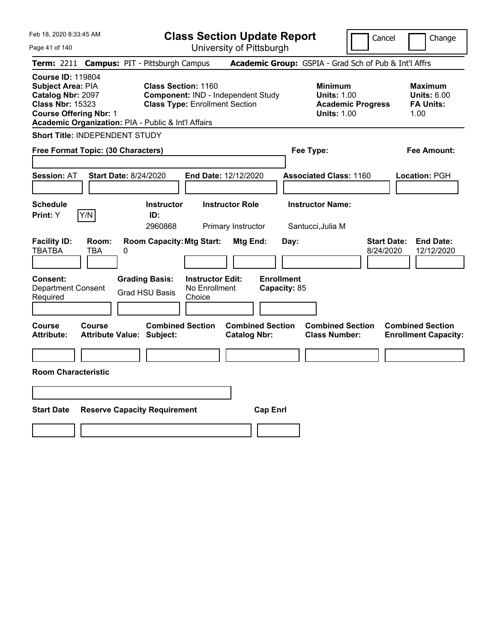| Feb 18, 2020 8:33:45 AM<br>Page 41 of 140                                                                                                                                                    |                                                |                                                    | <b>Class Section Update Report</b><br>University of Pittsburgh |                                   |                                                                                        | Cancel                          | Change                                                           |
|----------------------------------------------------------------------------------------------------------------------------------------------------------------------------------------------|------------------------------------------------|----------------------------------------------------|----------------------------------------------------------------|-----------------------------------|----------------------------------------------------------------------------------------|---------------------------------|------------------------------------------------------------------|
| Term: 2211 Campus: PIT - Pittsburgh Campus                                                                                                                                                   |                                                |                                                    |                                                                |                                   | Academic Group: GSPIA - Grad Sch of Pub & Int'l Affrs                                  |                                 |                                                                  |
| <b>Course ID: 119804</b><br><b>Subject Area: PIA</b><br>Catalog Nbr: 2097<br><b>Class Nbr: 15323</b><br><b>Course Offering Nbr: 1</b><br>Academic Organization: PIA - Public & Int'l Affairs | <b>Class Section: 1160</b>                     | <b>Class Type: Enrollment Section</b>              | Component: IND - Independent Study                             |                                   | <b>Minimum</b><br><b>Units: 1.00</b><br><b>Academic Progress</b><br><b>Units: 1.00</b> |                                 | <b>Maximum</b><br><b>Units: 6.00</b><br><b>FA Units:</b><br>1.00 |
| <b>Short Title: INDEPENDENT STUDY</b>                                                                                                                                                        |                                                |                                                    |                                                                |                                   |                                                                                        |                                 |                                                                  |
| Free Format Topic: (30 Characters)                                                                                                                                                           |                                                |                                                    |                                                                |                                   | Fee Type:                                                                              |                                 | Fee Amount:                                                      |
| <b>Session: AT</b><br><b>Start Date: 8/24/2020</b>                                                                                                                                           |                                                | End Date: 12/12/2020                               |                                                                |                                   | <b>Associated Class: 1160</b>                                                          |                                 | Location: PGH                                                    |
| <b>Schedule</b><br>Y/N<br><b>Print: Y</b>                                                                                                                                                    | <b>Instructor</b><br>ID:<br>2960868            |                                                    | <b>Instructor Role</b><br>Primary Instructor                   |                                   | <b>Instructor Name:</b><br>Santucci, Julia M                                           |                                 |                                                                  |
| <b>Facility ID:</b><br>Room:<br><b>TBATBA</b><br><b>TBA</b><br>0                                                                                                                             | <b>Room Capacity: Mtg Start:</b>               |                                                    | Mtg End:                                                       | Day:                              |                                                                                        | <b>Start Date:</b><br>8/24/2020 | <b>End Date:</b><br>12/12/2020                                   |
| <b>Consent:</b><br><b>Department Consent</b><br>Required                                                                                                                                     | <b>Grading Basis:</b><br><b>Grad HSU Basis</b> | <b>Instructor Edit:</b><br>No Enrollment<br>Choice |                                                                | <b>Enrollment</b><br>Capacity: 85 |                                                                                        |                                 |                                                                  |
| Course<br>Course<br><b>Attribute:</b><br><b>Attribute Value: Subject:</b>                                                                                                                    | <b>Combined Section</b>                        |                                                    | <b>Combined Section</b><br><b>Catalog Nbr:</b>                 |                                   | <b>Combined Section</b><br><b>Class Number:</b>                                        |                                 | <b>Combined Section</b><br><b>Enrollment Capacity:</b>           |
| <b>Room Characteristic</b>                                                                                                                                                                   |                                                |                                                    |                                                                |                                   |                                                                                        |                                 |                                                                  |
|                                                                                                                                                                                              |                                                |                                                    |                                                                |                                   |                                                                                        |                                 |                                                                  |
|                                                                                                                                                                                              |                                                |                                                    |                                                                |                                   |                                                                                        |                                 |                                                                  |
| <b>Start Date</b><br><b>Reserve Capacity Requirement</b>                                                                                                                                     |                                                |                                                    | <b>Cap Enrl</b>                                                |                                   |                                                                                        |                                 |                                                                  |
|                                                                                                                                                                                              |                                                |                                                    |                                                                |                                   |                                                                                        |                                 |                                                                  |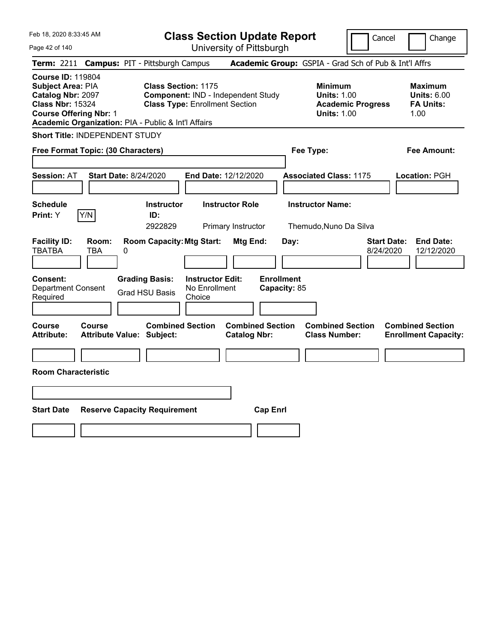| Feb 18, 2020 8:33:45 AM                                                                                                        |                          |                                                                                                                            |                                                    | <b>Class Section Update Report</b>                    |                                   |                                                            | Cancel                   | Change                                                           |
|--------------------------------------------------------------------------------------------------------------------------------|--------------------------|----------------------------------------------------------------------------------------------------------------------------|----------------------------------------------------|-------------------------------------------------------|-----------------------------------|------------------------------------------------------------|--------------------------|------------------------------------------------------------------|
| Page 42 of 140                                                                                                                 |                          |                                                                                                                            |                                                    | University of Pittsburgh                              |                                   |                                                            |                          |                                                                  |
| <b>Term:</b> 2211                                                                                                              |                          | <b>Campus: PIT - Pittsburgh Campus</b>                                                                                     |                                                    | Academic Group: GSPIA - Grad Sch of Pub & Int'l Affrs |                                   |                                                            |                          |                                                                  |
| <b>Course ID: 119804</b><br>Subject Area: PIA<br>Catalog Nbr: 2097<br><b>Class Nbr: 15324</b><br><b>Course Offering Nbr: 1</b> |                          | <b>Class Section: 1175</b><br><b>Class Type: Enrollment Section</b><br>Academic Organization: PIA - Public & Int'l Affairs |                                                    | Component: IND - Independent Study                    |                                   | <b>Minimum</b><br><b>Units: 1.00</b><br><b>Units: 1.00</b> | <b>Academic Progress</b> | <b>Maximum</b><br><b>Units: 6.00</b><br><b>FA Units:</b><br>1.00 |
| <b>Short Title: INDEPENDENT STUDY</b>                                                                                          |                          |                                                                                                                            |                                                    |                                                       |                                   |                                                            |                          |                                                                  |
| Free Format Topic: (30 Characters)                                                                                             |                          |                                                                                                                            |                                                    |                                                       |                                   | Fee Type:                                                  |                          | Fee Amount:                                                      |
| <b>Session: AT</b>                                                                                                             |                          | <b>Start Date: 8/24/2020</b>                                                                                               |                                                    | End Date: 12/12/2020                                  |                                   | <b>Associated Class: 1175</b>                              |                          | Location: PGH                                                    |
| <b>Schedule</b><br>Print: Y                                                                                                    | Y/N                      | <b>Instructor</b><br>ID:<br>2922829                                                                                        |                                                    | <b>Instructor Role</b><br>Primary Instructor          |                                   | <b>Instructor Name:</b><br>Themudo, Nuno Da Silva          |                          |                                                                  |
| <b>Facility ID:</b><br><b>TBATBA</b>                                                                                           | Room:<br><b>TBA</b><br>0 | <b>Room Capacity: Mtg Start:</b>                                                                                           |                                                    | Mtg End:                                              | Day:                              |                                                            | 8/24/2020                | <b>Start Date:</b><br><b>End Date:</b><br>12/12/2020             |
| <b>Consent:</b><br><b>Department Consent</b><br>Required                                                                       |                          | <b>Grading Basis:</b><br><b>Grad HSU Basis</b>                                                                             | <b>Instructor Edit:</b><br>No Enrollment<br>Choice |                                                       | <b>Enrollment</b><br>Capacity: 85 |                                                            |                          |                                                                  |
| <b>Course</b><br><b>Attribute:</b>                                                                                             | <b>Course</b>            | <b>Combined Section</b><br>Attribute Value: Subject:                                                                       |                                                    | <b>Combined Section</b><br><b>Catalog Nbr:</b>        |                                   | <b>Combined Section</b><br><b>Class Number:</b>            |                          | <b>Combined Section</b><br><b>Enrollment Capacity:</b>           |
| <b>Room Characteristic</b>                                                                                                     |                          |                                                                                                                            |                                                    |                                                       |                                   |                                                            |                          |                                                                  |
|                                                                                                                                |                          |                                                                                                                            |                                                    |                                                       |                                   |                                                            |                          |                                                                  |
| <b>Start Date</b>                                                                                                              |                          | <b>Reserve Capacity Requirement</b>                                                                                        |                                                    | <b>Cap Enrl</b>                                       |                                   |                                                            |                          |                                                                  |
|                                                                                                                                |                          |                                                                                                                            |                                                    |                                                       |                                   |                                                            |                          |                                                                  |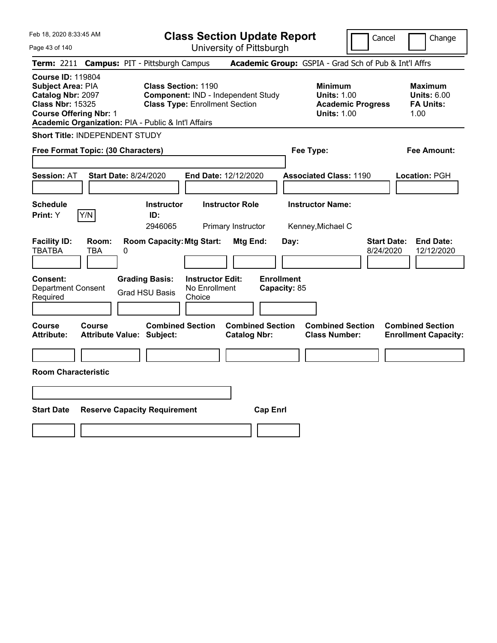| Feb 18, 2020 8:33:45 AM<br>Page 43 of 140                                                                                                                                                    |                                                             | <b>Class Section Update Report</b><br>University of Pittsburgh              |                                                |                                                                                        | Cancel                          | Change                                                           |
|----------------------------------------------------------------------------------------------------------------------------------------------------------------------------------------------|-------------------------------------------------------------|-----------------------------------------------------------------------------|------------------------------------------------|----------------------------------------------------------------------------------------|---------------------------------|------------------------------------------------------------------|
| Term: 2211 Campus: PIT - Pittsburgh Campus                                                                                                                                                   |                                                             |                                                                             |                                                | Academic Group: GSPIA - Grad Sch of Pub & Int'l Affrs                                  |                                 |                                                                  |
| <b>Course ID: 119804</b><br><b>Subject Area: PIA</b><br>Catalog Nbr: 2097<br><b>Class Nbr: 15325</b><br><b>Course Offering Nbr: 1</b><br>Academic Organization: PIA - Public & Int'l Affairs | <b>Class Section: 1190</b>                                  | Component: IND - Independent Study<br><b>Class Type: Enrollment Section</b> |                                                | <b>Minimum</b><br><b>Units: 1.00</b><br><b>Academic Progress</b><br><b>Units: 1.00</b> |                                 | <b>Maximum</b><br><b>Units: 6.00</b><br><b>FA Units:</b><br>1.00 |
| <b>Short Title: INDEPENDENT STUDY</b>                                                                                                                                                        |                                                             |                                                                             |                                                |                                                                                        |                                 |                                                                  |
| Free Format Topic: (30 Characters)                                                                                                                                                           |                                                             |                                                                             |                                                | Fee Type:                                                                              |                                 | Fee Amount:                                                      |
| <b>Session: AT</b>                                                                                                                                                                           | <b>Start Date: 8/24/2020</b>                                | End Date: 12/12/2020                                                        |                                                | <b>Associated Class: 1190</b>                                                          |                                 | Location: PGH                                                    |
| <b>Schedule</b><br>Y/N<br>Print: Y                                                                                                                                                           | <b>Instructor</b><br>ID:<br>2946065                         | <b>Instructor Role</b><br>Primary Instructor                                |                                                | <b>Instructor Name:</b><br>Kenney, Michael C                                           |                                 |                                                                  |
| <b>Facility ID:</b><br>Room:<br><b>TBATBA</b><br>TBA                                                                                                                                         | <b>Room Capacity: Mtg Start:</b><br>0                       |                                                                             | Mtg End:<br>Day:                               |                                                                                        | <b>Start Date:</b><br>8/24/2020 | <b>End Date:</b><br>12/12/2020                                   |
| <b>Consent:</b><br><b>Department Consent</b><br>Required                                                                                                                                     | <b>Grading Basis:</b><br><b>Grad HSU Basis</b>              | <b>Instructor Edit:</b><br>No Enrollment<br>Choice                          | <b>Enrollment</b><br>Capacity: 85              |                                                                                        |                                 |                                                                  |
| Course<br><b>Course</b><br><b>Attribute:</b>                                                                                                                                                 | <b>Combined Section</b><br><b>Attribute Value: Subject:</b> |                                                                             | <b>Combined Section</b><br><b>Catalog Nbr:</b> | <b>Combined Section</b><br><b>Class Number:</b>                                        |                                 | <b>Combined Section</b><br><b>Enrollment Capacity:</b>           |
| <b>Room Characteristic</b>                                                                                                                                                                   |                                                             |                                                                             |                                                |                                                                                        |                                 |                                                                  |
|                                                                                                                                                                                              |                                                             |                                                                             |                                                |                                                                                        |                                 |                                                                  |
| <b>Start Date</b>                                                                                                                                                                            | <b>Reserve Capacity Requirement</b>                         |                                                                             | <b>Cap Enrl</b>                                |                                                                                        |                                 |                                                                  |
|                                                                                                                                                                                              |                                                             |                                                                             |                                                |                                                                                        |                                 |                                                                  |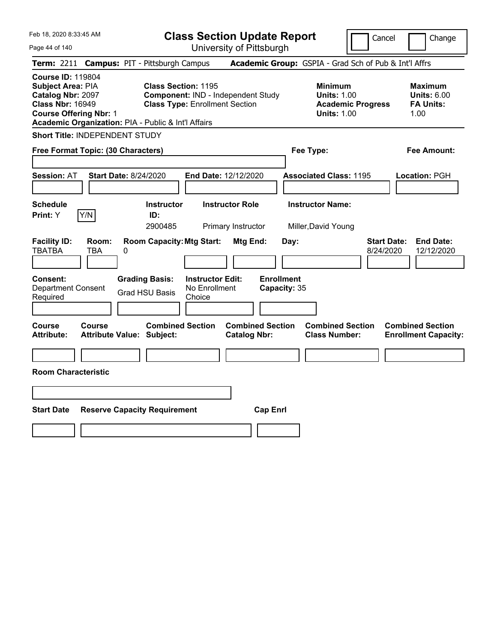| Feb 18, 2020 8:33:45 AM<br>Page 44 of 140                                                                                                                                                    |                                                             | <b>Class Section Update Report</b>                                          | University of Pittsburgh                       |                                   |                                                                                        | Cancel                          | Change                                                           |
|----------------------------------------------------------------------------------------------------------------------------------------------------------------------------------------------|-------------------------------------------------------------|-----------------------------------------------------------------------------|------------------------------------------------|-----------------------------------|----------------------------------------------------------------------------------------|---------------------------------|------------------------------------------------------------------|
| Term: 2211 Campus: PIT - Pittsburgh Campus                                                                                                                                                   |                                                             |                                                                             |                                                |                                   | Academic Group: GSPIA - Grad Sch of Pub & Int'l Affrs                                  |                                 |                                                                  |
| <b>Course ID: 119804</b><br><b>Subject Area: PIA</b><br>Catalog Nbr: 2097<br><b>Class Nbr: 16949</b><br><b>Course Offering Nbr: 1</b><br>Academic Organization: PIA - Public & Int'l Affairs | <b>Class Section: 1195</b>                                  | Component: IND - Independent Study<br><b>Class Type: Enrollment Section</b> |                                                |                                   | <b>Minimum</b><br><b>Units: 1.00</b><br><b>Academic Progress</b><br><b>Units: 1.00</b> |                                 | <b>Maximum</b><br><b>Units: 6.00</b><br><b>FA Units:</b><br>1.00 |
| <b>Short Title: INDEPENDENT STUDY</b>                                                                                                                                                        |                                                             |                                                                             |                                                |                                   |                                                                                        |                                 |                                                                  |
| Free Format Topic: (30 Characters)                                                                                                                                                           |                                                             |                                                                             |                                                | Fee Type:                         |                                                                                        |                                 | <b>Fee Amount:</b>                                               |
| <b>Session: AT</b><br><b>Start Date: 8/24/2020</b>                                                                                                                                           |                                                             | End Date: 12/12/2020                                                        |                                                |                                   | <b>Associated Class: 1195</b>                                                          |                                 | Location: PGH                                                    |
| <b>Schedule</b><br>Y/N<br><b>Print: Y</b>                                                                                                                                                    | <b>Instructor</b><br>ID:<br>2900485                         | <b>Instructor Role</b>                                                      | Primary Instructor                             |                                   | <b>Instructor Name:</b><br>Miller, David Young                                         |                                 |                                                                  |
| <b>Facility ID:</b><br>Room:<br><b>TBATBA</b><br><b>TBA</b><br>0                                                                                                                             | <b>Room Capacity: Mtg Start:</b>                            |                                                                             | Mtg End:                                       | Day:                              |                                                                                        | <b>Start Date:</b><br>8/24/2020 | <b>End Date:</b><br>12/12/2020                                   |
| <b>Consent:</b><br><b>Department Consent</b><br>Required                                                                                                                                     | <b>Grading Basis:</b><br><b>Grad HSU Basis</b>              | <b>Instructor Edit:</b><br>No Enrollment<br>Choice                          |                                                | <b>Enrollment</b><br>Capacity: 35 |                                                                                        |                                 |                                                                  |
| Course<br>Course<br><b>Attribute:</b>                                                                                                                                                        | <b>Combined Section</b><br><b>Attribute Value: Subject:</b> |                                                                             | <b>Combined Section</b><br><b>Catalog Nbr:</b> |                                   | <b>Combined Section</b><br><b>Class Number:</b>                                        |                                 | <b>Combined Section</b><br><b>Enrollment Capacity:</b>           |
| <b>Room Characteristic</b>                                                                                                                                                                   |                                                             |                                                                             |                                                |                                   |                                                                                        |                                 |                                                                  |
|                                                                                                                                                                                              |                                                             |                                                                             |                                                |                                   |                                                                                        |                                 |                                                                  |
| <b>Start Date</b>                                                                                                                                                                            | <b>Reserve Capacity Requirement</b>                         |                                                                             | <b>Cap Enrl</b>                                |                                   |                                                                                        |                                 |                                                                  |
|                                                                                                                                                                                              |                                                             |                                                                             |                                                |                                   |                                                                                        |                                 |                                                                  |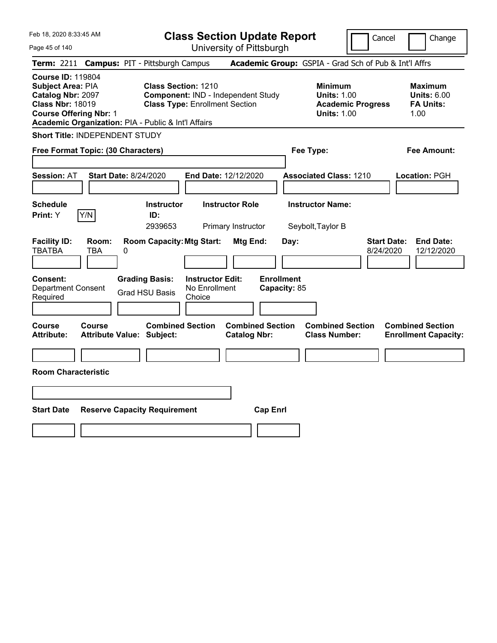| Feb 18, 2020 8:33:45 AM                                                                                                                                                               |                                                   |   |                                                                                                                  | <b>Class Section Update Report</b>                 |                                                |                 |                                   |                                                            |                          | Cancel                          | Change                                                           |
|---------------------------------------------------------------------------------------------------------------------------------------------------------------------------------------|---------------------------------------------------|---|------------------------------------------------------------------------------------------------------------------|----------------------------------------------------|------------------------------------------------|-----------------|-----------------------------------|------------------------------------------------------------|--------------------------|---------------------------------|------------------------------------------------------------------|
| Page 45 of 140                                                                                                                                                                        |                                                   |   |                                                                                                                  | University of Pittsburgh                           |                                                |                 |                                   |                                                            |                          |                                 |                                                                  |
| <b>Term: 2211</b>                                                                                                                                                                     |                                                   |   | <b>Campus: PIT - Pittsburgh Campus</b>                                                                           |                                                    |                                                |                 |                                   | Academic Group: GSPIA - Grad Sch of Pub & Int'l Affrs      |                          |                                 |                                                                  |
| <b>Course ID: 119804</b><br>Subject Area: PIA<br>Catalog Nbr: 2097<br><b>Class Nbr: 18019</b><br><b>Course Offering Nbr: 1</b><br>Academic Organization: PIA - Public & Int'l Affairs |                                                   |   | <b>Class Section: 1210</b><br><b>Component: IND - Independent Study</b><br><b>Class Type: Enrollment Section</b> |                                                    |                                                |                 |                                   | <b>Minimum</b><br><b>Units: 1.00</b><br><b>Units: 1.00</b> | <b>Academic Progress</b> |                                 | <b>Maximum</b><br><b>Units: 6.00</b><br><b>FA Units:</b><br>1.00 |
| Short Title: INDEPENDENT STUDY                                                                                                                                                        |                                                   |   |                                                                                                                  |                                                    |                                                |                 |                                   |                                                            |                          |                                 |                                                                  |
| Free Format Topic: (30 Characters)                                                                                                                                                    |                                                   |   |                                                                                                                  |                                                    |                                                |                 |                                   | Fee Type:                                                  |                          |                                 | Fee Amount:                                                      |
| <b>Session: AT</b>                                                                                                                                                                    | <b>Start Date: 8/24/2020</b>                      |   |                                                                                                                  | End Date: 12/12/2020                               |                                                |                 |                                   | <b>Associated Class: 1210</b>                              |                          |                                 | Location: PGH                                                    |
| <b>Schedule</b><br>Print: Y                                                                                                                                                           | Y/N                                               |   | <b>Instructor</b><br>ID:<br>2939653                                                                              |                                                    | <b>Instructor Role</b><br>Primary Instructor   |                 |                                   | <b>Instructor Name:</b><br>Seybolt, Taylor B               |                          |                                 |                                                                  |
| <b>Facility ID:</b><br><b>TBATBA</b>                                                                                                                                                  | Room:<br><b>TBA</b>                               | 0 | <b>Room Capacity: Mtg Start:</b>                                                                                 |                                                    | Mtg End:                                       |                 | Day:                              |                                                            |                          | <b>Start Date:</b><br>8/24/2020 | <b>End Date:</b><br>12/12/2020                                   |
| Consent:<br><b>Department Consent</b><br>Required                                                                                                                                     |                                                   |   | <b>Grading Basis:</b><br><b>Grad HSU Basis</b>                                                                   | <b>Instructor Edit:</b><br>No Enrollment<br>Choice |                                                |                 | <b>Enrollment</b><br>Capacity: 85 |                                                            |                          |                                 |                                                                  |
| <b>Course</b><br><b>Attribute:</b>                                                                                                                                                    | <b>Course</b><br><b>Attribute Value: Subject:</b> |   | <b>Combined Section</b>                                                                                          |                                                    | <b>Combined Section</b><br><b>Catalog Nbr:</b> |                 |                                   | <b>Combined Section</b><br><b>Class Number:</b>            |                          |                                 | <b>Combined Section</b><br><b>Enrollment Capacity:</b>           |
| <b>Room Characteristic</b>                                                                                                                                                            |                                                   |   |                                                                                                                  |                                                    |                                                |                 |                                   |                                                            |                          |                                 |                                                                  |
|                                                                                                                                                                                       |                                                   |   |                                                                                                                  |                                                    |                                                |                 |                                   |                                                            |                          |                                 |                                                                  |
| <b>Start Date</b>                                                                                                                                                                     |                                                   |   | <b>Reserve Capacity Requirement</b>                                                                              |                                                    |                                                | <b>Cap Enrl</b> |                                   |                                                            |                          |                                 |                                                                  |
|                                                                                                                                                                                       |                                                   |   |                                                                                                                  |                                                    |                                                |                 |                                   |                                                            |                          |                                 |                                                                  |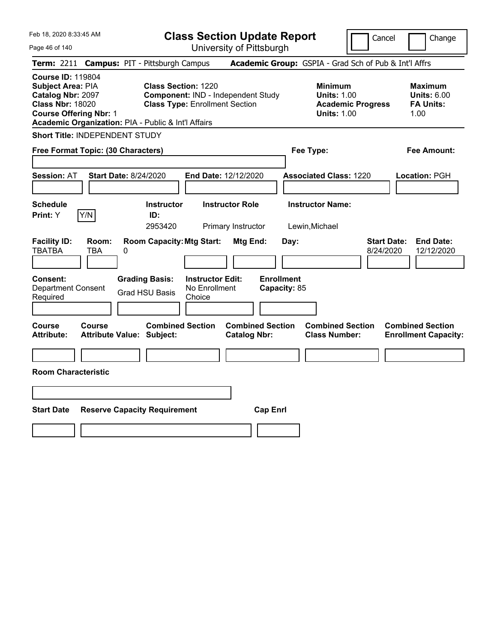| Feb 18, 2020 8:33:45 AM                                                                                                                                                                      |                                                   |   |                                                                                                           | <b>Class Section Update Report</b>                 |                                              |                         |                                   |                                                            |                          | Cancel                          | Change                                                           |
|----------------------------------------------------------------------------------------------------------------------------------------------------------------------------------------------|---------------------------------------------------|---|-----------------------------------------------------------------------------------------------------------|----------------------------------------------------|----------------------------------------------|-------------------------|-----------------------------------|------------------------------------------------------------|--------------------------|---------------------------------|------------------------------------------------------------------|
| Page 46 of 140                                                                                                                                                                               |                                                   |   |                                                                                                           | University of Pittsburgh                           |                                              |                         |                                   |                                                            |                          |                                 |                                                                  |
| <b>Term: 2211</b>                                                                                                                                                                            |                                                   |   | <b>Campus: PIT - Pittsburgh Campus</b>                                                                    |                                                    |                                              |                         |                                   | Academic Group: GSPIA - Grad Sch of Pub & Int'l Affrs      |                          |                                 |                                                                  |
| <b>Course ID: 119804</b><br>Subject Area: PIA<br><b>Catalog Nbr: 2097</b><br><b>Class Nbr: 18020</b><br><b>Course Offering Nbr: 1</b><br>Academic Organization: PIA - Public & Int'l Affairs |                                                   |   | <b>Class Section: 1220</b><br>Component: IND - Independent Study<br><b>Class Type: Enrollment Section</b> |                                                    |                                              |                         |                                   | <b>Minimum</b><br><b>Units: 1.00</b><br><b>Units: 1.00</b> | <b>Academic Progress</b> |                                 | <b>Maximum</b><br><b>Units: 6.00</b><br><b>FA Units:</b><br>1.00 |
| Short Title: INDEPENDENT STUDY                                                                                                                                                               |                                                   |   |                                                                                                           |                                                    |                                              |                         |                                   |                                                            |                          |                                 |                                                                  |
| Free Format Topic: (30 Characters)                                                                                                                                                           |                                                   |   |                                                                                                           |                                                    |                                              |                         |                                   | Fee Type:                                                  |                          |                                 | Fee Amount:                                                      |
| <b>Session: AT</b>                                                                                                                                                                           | <b>Start Date: 8/24/2020</b>                      |   |                                                                                                           | End Date: 12/12/2020                               |                                              |                         |                                   | <b>Associated Class: 1220</b>                              |                          |                                 | Location: PGH                                                    |
| <b>Schedule</b><br>Print: Y                                                                                                                                                                  | Y/N                                               |   | <b>Instructor</b><br>ID:<br>2953420                                                                       |                                                    | <b>Instructor Role</b><br>Primary Instructor |                         |                                   | <b>Instructor Name:</b><br>Lewin, Michael                  |                          |                                 |                                                                  |
| <b>Facility ID:</b><br><b>TBATBA</b>                                                                                                                                                         | Room:<br>TBA                                      | 0 | <b>Room Capacity: Mtg Start:</b>                                                                          |                                                    | Mtg End:                                     |                         | Day:                              |                                                            |                          | <b>Start Date:</b><br>8/24/2020 | <b>End Date:</b><br>12/12/2020                                   |
| <b>Consent:</b><br><b>Department Consent</b><br>Required                                                                                                                                     |                                                   |   | <b>Grading Basis:</b><br><b>Grad HSU Basis</b>                                                            | <b>Instructor Edit:</b><br>No Enrollment<br>Choice |                                              |                         | <b>Enrollment</b><br>Capacity: 85 |                                                            |                          |                                 |                                                                  |
| <b>Course</b><br><b>Attribute:</b>                                                                                                                                                           | <b>Course</b><br><b>Attribute Value: Subject:</b> |   | <b>Combined Section</b>                                                                                   |                                                    | <b>Catalog Nbr:</b>                          | <b>Combined Section</b> |                                   | <b>Combined Section</b><br><b>Class Number:</b>            |                          |                                 | <b>Combined Section</b><br><b>Enrollment Capacity:</b>           |
| <b>Room Characteristic</b>                                                                                                                                                                   |                                                   |   |                                                                                                           |                                                    |                                              |                         |                                   |                                                            |                          |                                 |                                                                  |
|                                                                                                                                                                                              |                                                   |   |                                                                                                           |                                                    |                                              |                         |                                   |                                                            |                          |                                 |                                                                  |
| <b>Start Date</b>                                                                                                                                                                            |                                                   |   | <b>Reserve Capacity Requirement</b>                                                                       |                                                    |                                              | <b>Cap Enrl</b>         |                                   |                                                            |                          |                                 |                                                                  |
|                                                                                                                                                                                              |                                                   |   |                                                                                                           |                                                    |                                              |                         |                                   |                                                            |                          |                                 |                                                                  |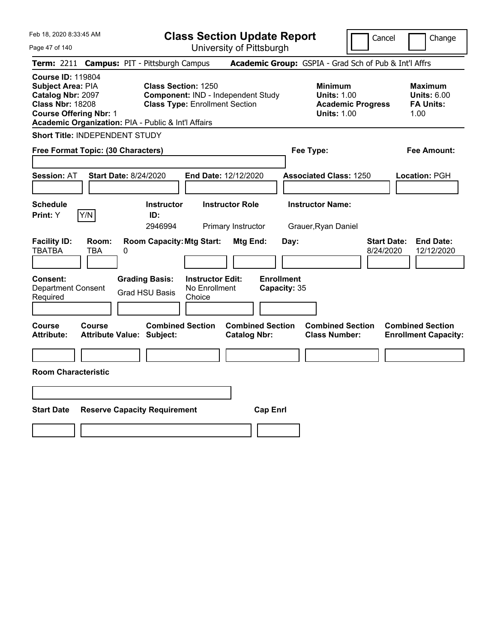| Feb 18, 2020 8:33:45 AM<br>Page 47 of 140                                                                                                                                                    |                                                |                                                    | <b>Class Section Update Report</b><br>University of Pittsburgh |                                   |                                                                                        | Cancel                          | Change                                                           |
|----------------------------------------------------------------------------------------------------------------------------------------------------------------------------------------------|------------------------------------------------|----------------------------------------------------|----------------------------------------------------------------|-----------------------------------|----------------------------------------------------------------------------------------|---------------------------------|------------------------------------------------------------------|
| Term: 2211 Campus: PIT - Pittsburgh Campus                                                                                                                                                   |                                                |                                                    |                                                                |                                   | Academic Group: GSPIA - Grad Sch of Pub & Int'l Affrs                                  |                                 |                                                                  |
| <b>Course ID: 119804</b><br><b>Subject Area: PIA</b><br>Catalog Nbr: 2097<br><b>Class Nbr: 18208</b><br><b>Course Offering Nbr: 1</b><br>Academic Organization: PIA - Public & Int'l Affairs | <b>Class Section: 1250</b>                     | <b>Class Type: Enrollment Section</b>              | Component: IND - Independent Study                             |                                   | <b>Minimum</b><br><b>Units: 1.00</b><br><b>Academic Progress</b><br><b>Units: 1.00</b> |                                 | <b>Maximum</b><br><b>Units: 6.00</b><br><b>FA Units:</b><br>1.00 |
| <b>Short Title: INDEPENDENT STUDY</b>                                                                                                                                                        |                                                |                                                    |                                                                |                                   |                                                                                        |                                 |                                                                  |
| Free Format Topic: (30 Characters)                                                                                                                                                           |                                                |                                                    |                                                                |                                   | Fee Type:                                                                              |                                 | Fee Amount:                                                      |
| <b>Session: AT</b><br><b>Start Date: 8/24/2020</b>                                                                                                                                           |                                                | End Date: 12/12/2020                               |                                                                |                                   | <b>Associated Class: 1250</b>                                                          |                                 | Location: PGH                                                    |
| Schedule<br>Y/N<br>Print: Y                                                                                                                                                                  | <b>Instructor</b><br>ID:<br>2946994            |                                                    | <b>Instructor Role</b><br>Primary Instructor                   |                                   | <b>Instructor Name:</b><br>Grauer, Ryan Daniel                                         |                                 |                                                                  |
| <b>Facility ID:</b><br>Room:<br>TBATBA<br>TBA<br>0                                                                                                                                           | <b>Room Capacity: Mtg Start:</b>               |                                                    | Mtg End:                                                       | Day:                              |                                                                                        | <b>Start Date:</b><br>8/24/2020 | <b>End Date:</b><br>12/12/2020                                   |
| Consent:<br><b>Department Consent</b><br>Required                                                                                                                                            | <b>Grading Basis:</b><br><b>Grad HSU Basis</b> | <b>Instructor Edit:</b><br>No Enrollment<br>Choice |                                                                | <b>Enrollment</b><br>Capacity: 35 |                                                                                        |                                 |                                                                  |
| <b>Course</b><br><b>Course</b><br><b>Attribute:</b><br><b>Attribute Value: Subject:</b>                                                                                                      | <b>Combined Section</b>                        |                                                    | <b>Combined Section</b><br><b>Catalog Nbr:</b>                 |                                   | <b>Combined Section</b><br><b>Class Number:</b>                                        |                                 | <b>Combined Section</b><br><b>Enrollment Capacity:</b>           |
| <b>Room Characteristic</b>                                                                                                                                                                   |                                                |                                                    |                                                                |                                   |                                                                                        |                                 |                                                                  |
|                                                                                                                                                                                              |                                                |                                                    |                                                                |                                   |                                                                                        |                                 |                                                                  |
| <b>Start Date</b>                                                                                                                                                                            | <b>Reserve Capacity Requirement</b>            |                                                    | <b>Cap Enrl</b>                                                |                                   |                                                                                        |                                 |                                                                  |
|                                                                                                                                                                                              |                                                |                                                    |                                                                |                                   |                                                                                        |                                 |                                                                  |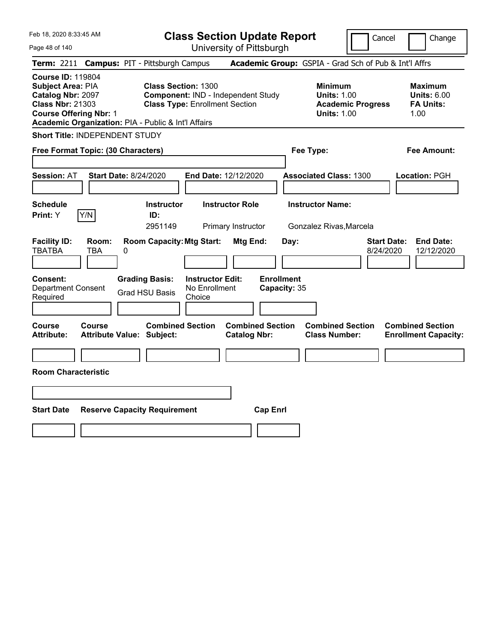Feb 18, 2020 8:33:45 AM Page 48 of 140 **Class Section Update Report** University of Pittsburgh Cancel | Change **Term:** 2211 **Campus:** PIT - Pittsburgh Campus **Academic Group:** GSPIA - Grad Sch of Pub & Int'l Affrs **Course ID:** 119804 **Subject Area: PIA 
<b>Class Section:** 1300 **Catalog Nbr: 2097 Component:** IND - Independent Study **Catalog Nbr: 2097 Component:** IND - Independent Study **Catalog Nbr: 2097 Component:** IND - Independent Study **C Catalog Nbr:** 2097 **Component:** IND - Independent Study **Units:** 1.00 **Units:** 6.00 **Class Type: Enrollment Section <b>Academic Progress FA Units: Course Offering Nbr:** 1 **Units:** 1.00 1.00 **Academic Organization:** PIA - Public & Int'l Affairs **Short Title:** INDEPENDENT STUDY **Free Format Topic: (30 Characters) Fee Type: Fee Amount: Session:** AT **Start Date:** 8/24/2020 **End Date:** 12/12/2020 **Associated Class:** 1300 **Location:** PGH **Schedule Instructor Instructor Role Instructor Name: Print:**  $Y$   $|Y/N|$  **ID:** 2951149 Primary Instructor Gonzalez Rivas,Marcela **Facility ID: Room: Room Capacity:Mtg Start: Mtg End: Day: Start Date: End Date:** TBATBA TBA 0 8/24/2020 12/12/2020 **Consent: Grading Basis: Instructor Edit: Enrollment** Department Consent Required Grad HSU Basis No Enrollment Choice **Capacity:** 35 **Course Course Combined Section Combined Section Combined Section Combined Section Attribute: Attribute Value: Subject: Catalog Nbr: Class Number: Enrollment Capacity: Room Characteristic Start Date Reserve Capacity Requirement Cap Enrl**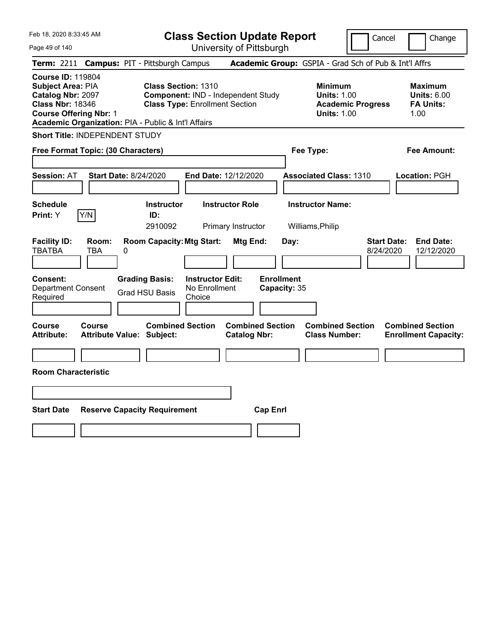| Feb 18, 2020 8:33:45 AM                                                                                                                                                               |                                            |   |                                                                                                           | <b>Class Section Update Report</b>                 |                                              |                         |                                   |                                                                                        | Cancel                          | Change                                                           |
|---------------------------------------------------------------------------------------------------------------------------------------------------------------------------------------|--------------------------------------------|---|-----------------------------------------------------------------------------------------------------------|----------------------------------------------------|----------------------------------------------|-------------------------|-----------------------------------|----------------------------------------------------------------------------------------|---------------------------------|------------------------------------------------------------------|
| Page 49 of 140                                                                                                                                                                        |                                            |   |                                                                                                           | University of Pittsburgh                           |                                              |                         |                                   |                                                                                        |                                 |                                                                  |
| <b>Term: 2211</b>                                                                                                                                                                     |                                            |   | <b>Campus: PIT - Pittsburgh Campus</b>                                                                    |                                                    |                                              |                         |                                   | Academic Group: GSPIA - Grad Sch of Pub & Int'l Affrs                                  |                                 |                                                                  |
| <b>Course ID: 119804</b><br>Subject Area: PIA<br>Catalog Nbr: 2097<br><b>Class Nbr: 18346</b><br><b>Course Offering Nbr: 1</b><br>Academic Organization: PIA - Public & Int'l Affairs |                                            |   | <b>Class Section: 1310</b><br>Component: IND - Independent Study<br><b>Class Type: Enrollment Section</b> |                                                    |                                              |                         |                                   | <b>Minimum</b><br><b>Units: 1.00</b><br><b>Academic Progress</b><br><b>Units: 1.00</b> |                                 | <b>Maximum</b><br><b>Units: 6.00</b><br><b>FA Units:</b><br>1.00 |
| Short Title: INDEPENDENT STUDY                                                                                                                                                        |                                            |   |                                                                                                           |                                                    |                                              |                         |                                   |                                                                                        |                                 |                                                                  |
| Free Format Topic: (30 Characters)                                                                                                                                                    |                                            |   |                                                                                                           |                                                    |                                              |                         |                                   | Fee Type:                                                                              |                                 | Fee Amount:                                                      |
| <b>Session: AT</b>                                                                                                                                                                    | <b>Start Date: 8/24/2020</b>               |   |                                                                                                           | End Date: 12/12/2020                               |                                              |                         |                                   | <b>Associated Class: 1310</b>                                                          |                                 | Location: PGH                                                    |
| <b>Schedule</b><br>Print: Y                                                                                                                                                           | Y/N                                        |   | <b>Instructor</b><br>ID:<br>2910092                                                                       |                                                    | <b>Instructor Role</b><br>Primary Instructor |                         |                                   | <b>Instructor Name:</b><br>Williams, Philip                                            |                                 |                                                                  |
| <b>Facility ID:</b><br><b>TBATBA</b>                                                                                                                                                  | Room:<br>TBA                               | 0 | <b>Room Capacity: Mtg Start:</b>                                                                          |                                                    | Mtg End:                                     |                         | Day:                              |                                                                                        | <b>Start Date:</b><br>8/24/2020 | <b>End Date:</b><br>12/12/2020                                   |
| Consent:<br><b>Department Consent</b><br>Required                                                                                                                                     |                                            |   | <b>Grading Basis:</b><br><b>Grad HSU Basis</b>                                                            | <b>Instructor Edit:</b><br>No Enrollment<br>Choice |                                              |                         | <b>Enrollment</b><br>Capacity: 35 |                                                                                        |                                 |                                                                  |
| Course<br><b>Attribute:</b>                                                                                                                                                           | <b>Course</b><br>Attribute Value: Subject: |   | <b>Combined Section</b>                                                                                   |                                                    | <b>Catalog Nbr:</b>                          | <b>Combined Section</b> |                                   | <b>Combined Section</b><br><b>Class Number:</b>                                        |                                 | <b>Combined Section</b><br><b>Enrollment Capacity:</b>           |
|                                                                                                                                                                                       |                                            |   |                                                                                                           |                                                    |                                              |                         |                                   |                                                                                        |                                 |                                                                  |
| <b>Room Characteristic</b>                                                                                                                                                            |                                            |   |                                                                                                           |                                                    |                                              |                         |                                   |                                                                                        |                                 |                                                                  |
|                                                                                                                                                                                       |                                            |   |                                                                                                           |                                                    |                                              |                         |                                   |                                                                                        |                                 |                                                                  |
| <b>Start Date</b>                                                                                                                                                                     |                                            |   | <b>Reserve Capacity Requirement</b>                                                                       |                                                    |                                              | <b>Cap Enrl</b>         |                                   |                                                                                        |                                 |                                                                  |
|                                                                                                                                                                                       |                                            |   |                                                                                                           |                                                    |                                              |                         |                                   |                                                                                        |                                 |                                                                  |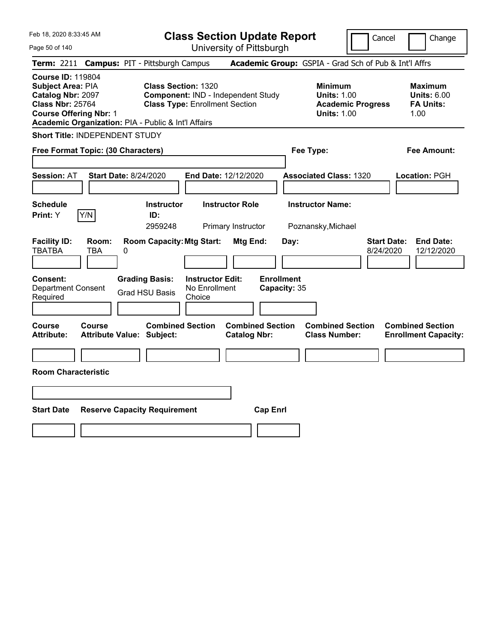| Feb 18, 2020 8:33:45 AM<br>Page 50 of 140                                                                                      |                     |                                                     |                                                                     | <b>Class Section Update Report</b><br>University of Pittsburgh |                                   |                                                                                        | Cancel                          | Change                                                           |
|--------------------------------------------------------------------------------------------------------------------------------|---------------------|-----------------------------------------------------|---------------------------------------------------------------------|----------------------------------------------------------------|-----------------------------------|----------------------------------------------------------------------------------------|---------------------------------|------------------------------------------------------------------|
|                                                                                                                                |                     | Term: 2211 Campus: PIT - Pittsburgh Campus          |                                                                     |                                                                |                                   | Academic Group: GSPIA - Grad Sch of Pub & Int'l Affrs                                  |                                 |                                                                  |
| <b>Course ID: 119804</b><br>Subject Area: PIA<br>Catalog Nbr: 2097<br><b>Class Nbr: 25764</b><br><b>Course Offering Nbr: 1</b> |                     | Academic Organization: PIA - Public & Int'l Affairs | <b>Class Section: 1320</b><br><b>Class Type: Enrollment Section</b> | Component: IND - Independent Study                             |                                   | <b>Minimum</b><br><b>Units: 1.00</b><br><b>Academic Progress</b><br><b>Units: 1.00</b> |                                 | <b>Maximum</b><br><b>Units: 6.00</b><br><b>FA Units:</b><br>1.00 |
| Short Title: INDEPENDENT STUDY                                                                                                 |                     |                                                     |                                                                     |                                                                |                                   |                                                                                        |                                 |                                                                  |
| Free Format Topic: (30 Characters)                                                                                             |                     |                                                     |                                                                     |                                                                |                                   | Fee Type:                                                                              |                                 | Fee Amount:                                                      |
| <b>Session: AT</b>                                                                                                             |                     | <b>Start Date: 8/24/2020</b>                        |                                                                     | End Date: 12/12/2020                                           |                                   | <b>Associated Class: 1320</b>                                                          |                                 | <b>Location: PGH</b>                                             |
| <b>Schedule</b>                                                                                                                |                     | <b>Instructor</b>                                   |                                                                     | <b>Instructor Role</b>                                         |                                   | <b>Instructor Name:</b>                                                                |                                 |                                                                  |
| Print: Y                                                                                                                       | Y/N                 | ID:<br>2959248                                      |                                                                     | Primary Instructor                                             |                                   | Poznansky, Michael                                                                     |                                 |                                                                  |
| <b>Facility ID:</b><br><b>TBATBA</b>                                                                                           | Room:<br><b>TBA</b> | <b>Room Capacity: Mtg Start:</b><br>0               |                                                                     | Mtg End:                                                       | Day:                              |                                                                                        | <b>Start Date:</b><br>8/24/2020 | <b>End Date:</b><br>12/12/2020                                   |
| Consent:<br>Department Consent<br>Required                                                                                     |                     | <b>Grading Basis:</b><br><b>Grad HSU Basis</b>      | <b>Instructor Edit:</b><br>No Enrollment<br>Choice                  |                                                                | <b>Enrollment</b><br>Capacity: 35 |                                                                                        |                                 |                                                                  |
| <b>Course</b><br><b>Attribute:</b>                                                                                             | Course              | <b>Attribute Value: Subject:</b>                    | <b>Combined Section</b>                                             | <b>Combined Section</b><br><b>Catalog Nbr:</b>                 |                                   | <b>Combined Section</b><br><b>Class Number:</b>                                        |                                 | <b>Combined Section</b><br><b>Enrollment Capacity:</b>           |
|                                                                                                                                |                     |                                                     |                                                                     |                                                                |                                   |                                                                                        |                                 |                                                                  |
| <b>Room Characteristic</b>                                                                                                     |                     |                                                     |                                                                     |                                                                |                                   |                                                                                        |                                 |                                                                  |
|                                                                                                                                |                     |                                                     |                                                                     |                                                                |                                   |                                                                                        |                                 |                                                                  |
| <b>Start Date</b>                                                                                                              |                     | <b>Reserve Capacity Requirement</b>                 |                                                                     |                                                                | <b>Cap Enrl</b>                   |                                                                                        |                                 |                                                                  |
|                                                                                                                                |                     |                                                     |                                                                     |                                                                |                                   |                                                                                        |                                 |                                                                  |
|                                                                                                                                |                     |                                                     |                                                                     |                                                                |                                   |                                                                                        |                                 |                                                                  |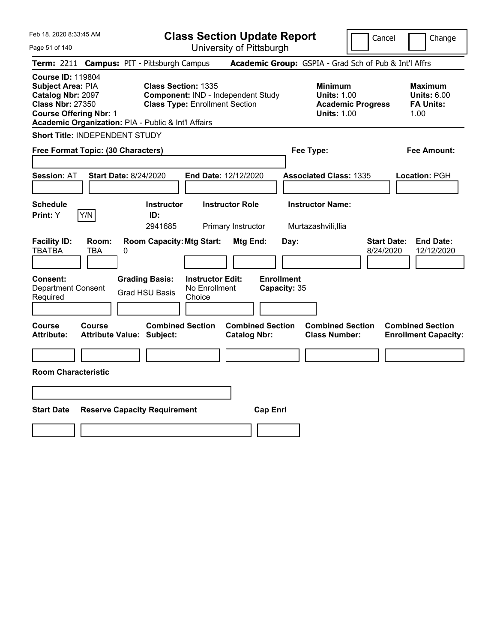| Feb 18, 2020 8:33:45 AM                                                                                                                                                                      | <b>Class Section Update Report</b>                                                                        | Cancel<br>Change                                                                                                                                           |  |
|----------------------------------------------------------------------------------------------------------------------------------------------------------------------------------------------|-----------------------------------------------------------------------------------------------------------|------------------------------------------------------------------------------------------------------------------------------------------------------------|--|
| Page 51 of 140                                                                                                                                                                               | University of Pittsburgh                                                                                  |                                                                                                                                                            |  |
| Term: 2211 Campus: PIT - Pittsburgh Campus                                                                                                                                                   |                                                                                                           | Academic Group: GSPIA - Grad Sch of Pub & Int'l Affrs                                                                                                      |  |
| <b>Course ID: 119804</b><br><b>Subject Area: PIA</b><br>Catalog Nbr: 2097<br><b>Class Nbr: 27350</b><br><b>Course Offering Nbr: 1</b><br>Academic Organization: PIA - Public & Int'l Affairs | <b>Class Section: 1335</b><br>Component: IND - Independent Study<br><b>Class Type: Enrollment Section</b> | <b>Minimum</b><br><b>Maximum</b><br><b>Units: 1.00</b><br><b>Units: 6.00</b><br><b>FA Units:</b><br><b>Academic Progress</b><br><b>Units: 1.00</b><br>1.00 |  |
| <b>Short Title: INDEPENDENT STUDY</b>                                                                                                                                                        |                                                                                                           |                                                                                                                                                            |  |
| Free Format Topic: (30 Characters)                                                                                                                                                           |                                                                                                           | Fee Type:<br>Fee Amount:                                                                                                                                   |  |
| <b>Start Date: 8/24/2020</b><br><b>Session: AT</b>                                                                                                                                           | End Date: 12/12/2020                                                                                      | <b>Associated Class: 1335</b><br>Location: PGH                                                                                                             |  |
| <b>Schedule</b><br>Y/N<br>Print: Y                                                                                                                                                           | <b>Instructor</b><br><b>Instructor Role</b><br>ID:<br>2941685<br>Primary Instructor                       | <b>Instructor Name:</b><br>Murtazashvili,Ilia                                                                                                              |  |
| <b>Facility ID:</b><br>Room:<br><b>TBATBA</b><br>TBA<br>0                                                                                                                                    | <b>Room Capacity: Mtg Start:</b><br>Mtg End:<br>Day:                                                      | <b>Start Date:</b><br><b>End Date:</b><br>8/24/2020<br>12/12/2020                                                                                          |  |
| <b>Consent:</b><br><b>Grading Basis:</b><br><b>Department Consent</b><br><b>Grad HSU Basis</b><br>Required                                                                                   | <b>Enrollment</b><br><b>Instructor Edit:</b><br>No Enrollment<br>Capacity: 35<br>Choice                   |                                                                                                                                                            |  |
| Course<br><b>Course</b><br><b>Attribute:</b><br><b>Attribute Value: Subject:</b>                                                                                                             | <b>Combined Section</b><br><b>Combined Section</b><br><b>Catalog Nbr:</b>                                 | <b>Combined Section</b><br><b>Combined Section</b><br><b>Class Number:</b><br><b>Enrollment Capacity:</b>                                                  |  |
| <b>Room Characteristic</b>                                                                                                                                                                   |                                                                                                           |                                                                                                                                                            |  |
|                                                                                                                                                                                              |                                                                                                           |                                                                                                                                                            |  |
| <b>Start Date</b><br><b>Reserve Capacity Requirement</b>                                                                                                                                     | <b>Cap Enrl</b>                                                                                           |                                                                                                                                                            |  |
|                                                                                                                                                                                              |                                                                                                           |                                                                                                                                                            |  |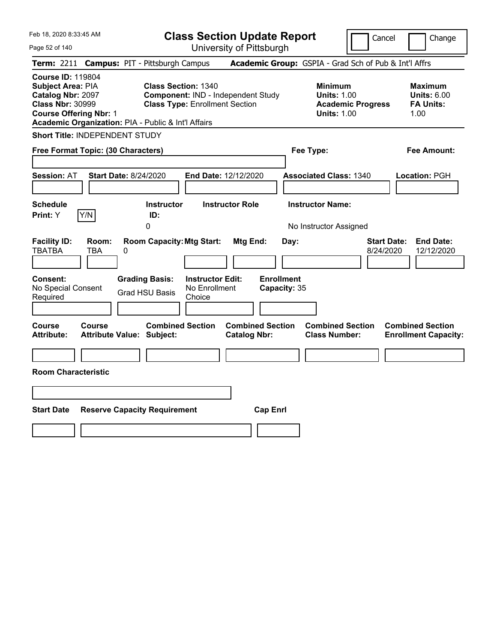| Feb 18, 2020 8:33:45 AM<br>Page 52 of 140                                                                                                                                                    | <b>Class Section Update Report</b><br>University of Pittsburgh                                            |                                                       | Cancel                                                                                 | Change                                                           |
|----------------------------------------------------------------------------------------------------------------------------------------------------------------------------------------------|-----------------------------------------------------------------------------------------------------------|-------------------------------------------------------|----------------------------------------------------------------------------------------|------------------------------------------------------------------|
| Term: 2211 Campus: PIT - Pittsburgh Campus                                                                                                                                                   |                                                                                                           | Academic Group: GSPIA - Grad Sch of Pub & Int'l Affrs |                                                                                        |                                                                  |
| <b>Course ID: 119804</b><br><b>Subject Area: PIA</b><br>Catalog Nbr: 2097<br><b>Class Nbr: 30999</b><br><b>Course Offering Nbr: 1</b><br>Academic Organization: PIA - Public & Int'l Affairs | <b>Class Section: 1340</b><br>Component: IND - Independent Study<br><b>Class Type: Enrollment Section</b> |                                                       | <b>Minimum</b><br><b>Units: 1.00</b><br><b>Academic Progress</b><br><b>Units: 1.00</b> | <b>Maximum</b><br><b>Units: 6.00</b><br><b>FA Units:</b><br>1.00 |
| <b>Short Title: INDEPENDENT STUDY</b>                                                                                                                                                        |                                                                                                           |                                                       |                                                                                        |                                                                  |
| Free Format Topic: (30 Characters)                                                                                                                                                           |                                                                                                           | Fee Type:                                             |                                                                                        | Fee Amount:                                                      |
| <b>Session: AT</b><br><b>Start Date: 8/24/2020</b>                                                                                                                                           | End Date: 12/12/2020                                                                                      |                                                       | <b>Associated Class: 1340</b>                                                          | Location: PGH                                                    |
| Schedule                                                                                                                                                                                     | <b>Instructor Role</b><br><b>Instructor</b>                                                               | <b>Instructor Name:</b>                               |                                                                                        |                                                                  |
| Y/N<br>Print: Y                                                                                                                                                                              | ID:<br>0                                                                                                  |                                                       | No Instructor Assigned                                                                 |                                                                  |
| <b>Facility ID:</b><br>Room:<br>TBATBA<br>TBA<br>0                                                                                                                                           | <b>Room Capacity: Mtg Start:</b>                                                                          | Mtg End:<br>Day:                                      | <b>Start Date:</b><br>8/24/2020                                                        | <b>End Date:</b><br>12/12/2020                                   |
| Consent:<br>No Special Consent<br>Required                                                                                                                                                   | <b>Grading Basis:</b><br><b>Instructor Edit:</b><br>No Enrollment<br><b>Grad HSU Basis</b><br>Choice      | <b>Enrollment</b><br>Capacity: 35                     |                                                                                        |                                                                  |
| <b>Course</b><br><b>Course</b><br><b>Attribute:</b><br><b>Attribute Value: Subject:</b>                                                                                                      | <b>Combined Section</b>                                                                                   | <b>Combined Section</b><br><b>Catalog Nbr:</b>        | <b>Combined Section</b><br><b>Class Number:</b>                                        | <b>Combined Section</b><br><b>Enrollment Capacity:</b>           |
|                                                                                                                                                                                              |                                                                                                           |                                                       |                                                                                        |                                                                  |
| <b>Room Characteristic</b>                                                                                                                                                                   |                                                                                                           |                                                       |                                                                                        |                                                                  |
|                                                                                                                                                                                              |                                                                                                           |                                                       |                                                                                        |                                                                  |
| <b>Start Date</b><br><b>Reserve Capacity Requirement</b>                                                                                                                                     |                                                                                                           | <b>Cap Enrl</b>                                       |                                                                                        |                                                                  |
|                                                                                                                                                                                              |                                                                                                           |                                                       |                                                                                        |                                                                  |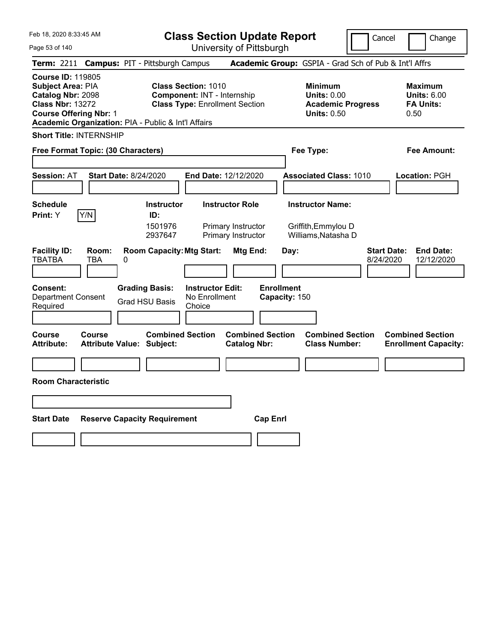**Class Section Update Report**

University of Pittsburgh

Cancel Change

| Page 53 of 140 |  |  |
|----------------|--|--|
|----------------|--|--|

|                                                                                                                                       |              | Term: 2211 Campus: PIT - Pittsburgh Campus                  |                                                                                                           | Academic Group: GSPIA - Grad Sch of Pub & Int'l Affrs              |                                    |                                                                                        |                                 |                                                                  |
|---------------------------------------------------------------------------------------------------------------------------------------|--------------|-------------------------------------------------------------|-----------------------------------------------------------------------------------------------------------|--------------------------------------------------------------------|------------------------------------|----------------------------------------------------------------------------------------|---------------------------------|------------------------------------------------------------------|
| <b>Course ID: 119805</b><br><b>Subject Area: PIA</b><br>Catalog Nbr: 2098<br><b>Class Nbr: 13272</b><br><b>Course Offering Nbr: 1</b> |              | Academic Organization: PIA - Public & Int'l Affairs         | <b>Class Section: 1010</b><br><b>Component: INT - Internship</b><br><b>Class Type: Enrollment Section</b> |                                                                    |                                    | <b>Minimum</b><br><b>Units: 0.00</b><br><b>Academic Progress</b><br><b>Units: 0.50</b> |                                 | <b>Maximum</b><br><b>Units: 6.00</b><br><b>FA Units:</b><br>0.50 |
| <b>Short Title: INTERNSHIP</b>                                                                                                        |              |                                                             |                                                                                                           |                                                                    |                                    |                                                                                        |                                 |                                                                  |
| Free Format Topic: (30 Characters)                                                                                                    |              |                                                             |                                                                                                           |                                                                    | Fee Type:                          |                                                                                        |                                 | <b>Fee Amount:</b>                                               |
| <b>Session: AT</b>                                                                                                                    |              | <b>Start Date: 8/24/2020</b>                                | <b>End Date: 12/12/2020</b>                                                                               |                                                                    |                                    | <b>Associated Class: 1010</b>                                                          |                                 | Location: PGH                                                    |
| <b>Schedule</b><br>Print: Y                                                                                                           | Y/N          | <b>Instructor</b><br>ID:<br>1501976<br>2937647              |                                                                                                           | <b>Instructor Role</b><br>Primary Instructor<br>Primary Instructor |                                    | <b>Instructor Name:</b><br>Griffith, Emmylou D<br>Williams, Natasha D                  |                                 |                                                                  |
| <b>Facility ID:</b><br><b>TBATBA</b>                                                                                                  | Room:<br>TBA | <b>Room Capacity: Mtg Start:</b><br>0                       |                                                                                                           | Mtg End:                                                           | Day:                               |                                                                                        | <b>Start Date:</b><br>8/24/2020 | <b>End Date:</b><br>12/12/2020                                   |
| <b>Consent:</b><br><b>Department Consent</b><br>Required                                                                              |              | <b>Grading Basis:</b><br><b>Grad HSU Basis</b>              | <b>Instructor Edit:</b><br>No Enrollment<br>Choice                                                        |                                                                    | <b>Enrollment</b><br>Capacity: 150 |                                                                                        |                                 |                                                                  |
| Course<br><b>Attribute:</b>                                                                                                           | Course       | <b>Combined Section</b><br><b>Attribute Value: Subject:</b> |                                                                                                           | <b>Combined Section</b><br><b>Catalog Nbr:</b>                     |                                    | <b>Combined Section</b><br><b>Class Number:</b>                                        |                                 | <b>Combined Section</b><br><b>Enrollment Capacity:</b>           |
| <b>Room Characteristic</b>                                                                                                            |              |                                                             |                                                                                                           |                                                                    |                                    |                                                                                        |                                 |                                                                  |
|                                                                                                                                       |              |                                                             |                                                                                                           |                                                                    |                                    |                                                                                        |                                 |                                                                  |
| <b>Start Date</b>                                                                                                                     |              | <b>Reserve Capacity Requirement</b>                         |                                                                                                           | <b>Cap Enrl</b>                                                    |                                    |                                                                                        |                                 |                                                                  |
|                                                                                                                                       |              |                                                             |                                                                                                           |                                                                    |                                    |                                                                                        |                                 |                                                                  |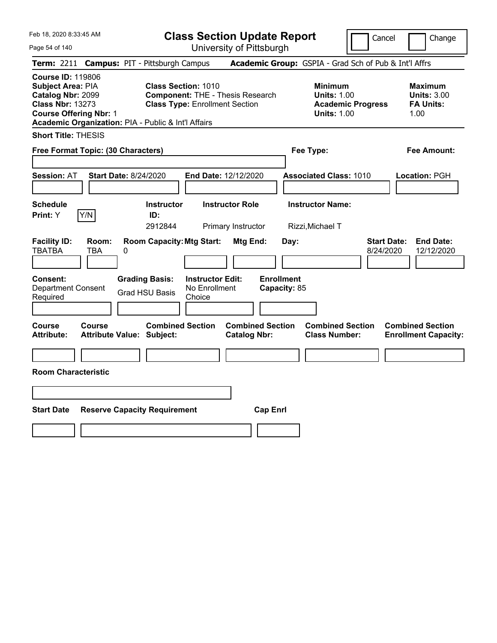**Class Section Update Report**

Cancel Change

| Page 54 of 140                                                                                                                                                                        |                                         | University of Pittsburgh                                                         |                                                            |                                 |                                                                  |
|---------------------------------------------------------------------------------------------------------------------------------------------------------------------------------------|-----------------------------------------|----------------------------------------------------------------------------------|------------------------------------------------------------|---------------------------------|------------------------------------------------------------------|
| <b>Term: 2211</b>                                                                                                                                                                     | <b>Campus: PIT - Pittsburgh Campus</b>  |                                                                                  | Academic Group: GSPIA - Grad Sch of Pub & Int'l Affrs      |                                 |                                                                  |
| <b>Course ID: 119806</b><br>Subject Area: PIA<br>Catalog Nbr: 2099<br><b>Class Nbr: 13273</b><br><b>Course Offering Nbr: 1</b><br>Academic Organization: PIA - Public & Int'l Affairs | <b>Class Section: 1010</b>              | <b>Component: THE - Thesis Research</b><br><b>Class Type: Enrollment Section</b> | <b>Minimum</b><br><b>Units: 1.00</b><br><b>Units: 1.00</b> | <b>Academic Progress</b>        | <b>Maximum</b><br><b>Units: 3.00</b><br><b>FA Units:</b><br>1.00 |
| <b>Short Title: THESIS</b>                                                                                                                                                            |                                         |                                                                                  |                                                            |                                 |                                                                  |
| Free Format Topic: (30 Characters)                                                                                                                                                    |                                         |                                                                                  | Fee Type:                                                  |                                 | Fee Amount:                                                      |
|                                                                                                                                                                                       |                                         |                                                                                  |                                                            |                                 |                                                                  |
| <b>Session: AT</b>                                                                                                                                                                    | <b>Start Date: 8/24/2020</b>            | End Date: 12/12/2020                                                             | <b>Associated Class: 1010</b>                              |                                 | Location: PGH                                                    |
|                                                                                                                                                                                       |                                         |                                                                                  |                                                            |                                 |                                                                  |
| <b>Schedule</b>                                                                                                                                                                       | <b>Instructor</b>                       | <b>Instructor Role</b>                                                           | <b>Instructor Name:</b>                                    |                                 |                                                                  |
| Print: Y<br>Y/N                                                                                                                                                                       | ID:                                     |                                                                                  |                                                            |                                 |                                                                  |
|                                                                                                                                                                                       | 2912844                                 | Primary Instructor                                                               | Rizzi, Michael T                                           |                                 |                                                                  |
| <b>Facility ID:</b><br>Room:<br><b>TBATBA</b><br><b>TBA</b>                                                                                                                           | <b>Room Capacity: Mtg Start:</b><br>0   | Mtg End:                                                                         | Day:                                                       | <b>Start Date:</b><br>8/24/2020 | <b>End Date:</b><br>12/12/2020                                   |
| Consent:<br><b>Department Consent</b><br>Required                                                                                                                                     | <b>Grading Basis:</b><br>Grad HSU Basis | <b>Instructor Edit:</b><br>No Enrollment<br>Choice                               | <b>Enrollment</b><br>Capacity: 85                          |                                 |                                                                  |
| Course<br>Course                                                                                                                                                                      | <b>Combined Section</b>                 | <b>Combined Section</b>                                                          |                                                            | <b>Combined Section</b>         | <b>Combined Section</b>                                          |
| <b>Attribute:</b>                                                                                                                                                                     | <b>Attribute Value: Subject:</b>        | <b>Catalog Nbr:</b>                                                              | <b>Class Number:</b>                                       |                                 | <b>Enrollment Capacity:</b>                                      |
|                                                                                                                                                                                       |                                         |                                                                                  |                                                            |                                 |                                                                  |
|                                                                                                                                                                                       |                                         |                                                                                  |                                                            |                                 |                                                                  |
| <b>Room Characteristic</b>                                                                                                                                                            |                                         |                                                                                  |                                                            |                                 |                                                                  |
|                                                                                                                                                                                       |                                         |                                                                                  |                                                            |                                 |                                                                  |
|                                                                                                                                                                                       |                                         |                                                                                  |                                                            |                                 |                                                                  |
| <b>Start Date</b>                                                                                                                                                                     | <b>Reserve Capacity Requirement</b>     |                                                                                  | <b>Cap Enrl</b>                                            |                                 |                                                                  |
|                                                                                                                                                                                       |                                         |                                                                                  |                                                            |                                 |                                                                  |
|                                                                                                                                                                                       |                                         |                                                                                  |                                                            |                                 |                                                                  |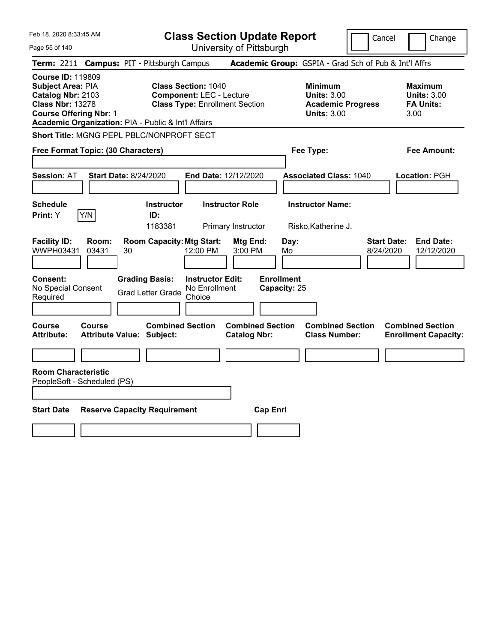Page 55 of 140

**Class Section Update Report**

Cancel **Change** 

| Term: 2211 Campus: PIT - Pittsburgh Campus                                                                                                                                            |                                                                                                                         | Academic Group: GSPIA - Grad Sch of Pub & Int'l Affrs                                  |                                                                  |
|---------------------------------------------------------------------------------------------------------------------------------------------------------------------------------------|-------------------------------------------------------------------------------------------------------------------------|----------------------------------------------------------------------------------------|------------------------------------------------------------------|
| <b>Course ID: 119809</b><br>Subject Area: PIA<br>Catalog Nbr: 2103<br><b>Class Nbr: 13278</b><br><b>Course Offering Nbr: 1</b><br>Academic Organization: PIA - Public & Int'l Affairs | <b>Class Section: 1040</b><br><b>Component: LEC - Lecture</b><br><b>Class Type: Enrollment Section</b>                  | <b>Minimum</b><br><b>Units: 3.00</b><br><b>Academic Progress</b><br><b>Units: 3.00</b> | <b>Maximum</b><br><b>Units: 3.00</b><br><b>FA Units:</b><br>3.00 |
| Short Title: MGNG PEPL PBLC/NONPROFT SECT                                                                                                                                             |                                                                                                                         |                                                                                        |                                                                  |
| Free Format Topic: (30 Characters)                                                                                                                                                    |                                                                                                                         | Fee Type:                                                                              | <b>Fee Amount:</b>                                               |
| <b>Start Date: 8/24/2020</b><br><b>Session: AT</b>                                                                                                                                    | End Date: 12/12/2020                                                                                                    | <b>Associated Class: 1040</b>                                                          | Location: PGH                                                    |
| <b>Schedule</b><br>Y/N<br>Print: Y                                                                                                                                                    | <b>Instructor Role</b><br><b>Instructor</b><br>ID:<br>1183381<br>Primary Instructor                                     | <b>Instructor Name:</b><br>Risko, Katherine J.                                         |                                                                  |
| <b>Facility ID:</b><br>Room:<br>WWPH03431<br>03431<br>30<br>Consent:                                                                                                                  | <b>Room Capacity: Mtg Start:</b><br>Mtg End:<br>12:00 PM<br>3:00 PM<br><b>Grading Basis:</b><br><b>Instructor Edit:</b> | Day:<br>8/24/2020<br>Mo<br><b>Enrollment</b>                                           | <b>Start Date:</b><br><b>End Date:</b><br>12/12/2020             |
| No Special Consent<br>Required                                                                                                                                                        | No Enrollment<br><b>Grad Letter Grade</b><br>Choice                                                                     | Capacity: 25                                                                           |                                                                  |
| <b>Course</b><br><b>Course</b><br><b>Attribute:</b><br><b>Attribute Value: Subject:</b>                                                                                               | <b>Combined Section</b><br><b>Catalog Nbr:</b>                                                                          | <b>Combined Section</b><br><b>Combined Section</b><br><b>Class Number:</b>             | <b>Combined Section</b><br><b>Enrollment Capacity:</b>           |
|                                                                                                                                                                                       |                                                                                                                         |                                                                                        |                                                                  |
| <b>Room Characteristic</b><br>PeopleSoft - Scheduled (PS)<br><b>Start Date</b><br><b>Reserve Capacity Requirement</b>                                                                 |                                                                                                                         | <b>Cap Enrl</b>                                                                        |                                                                  |
|                                                                                                                                                                                       |                                                                                                                         |                                                                                        |                                                                  |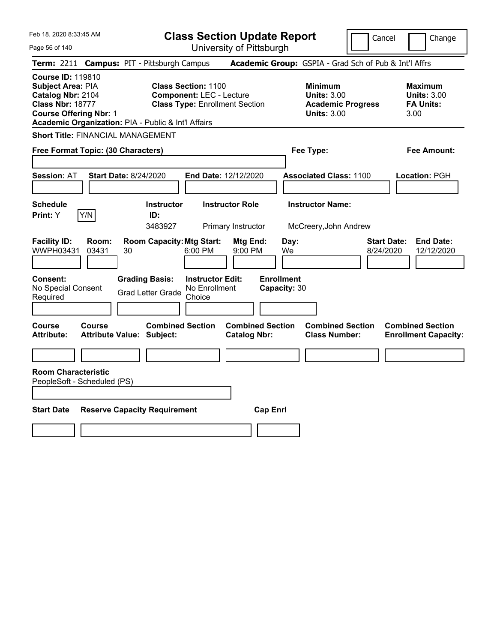**Class Section Update Report** University of Pittsburgh

Cancel Change

Page 56 of 140

**Term:** 2211 **Campus:** PIT - Pittsburgh Campus **Academic Group:** GSPIA - Grad Sch of Pub & Int'l Affrs **Course ID:** 119810 **Subject Area:** PIA **Class Section:** 1100 **Minimum Maximum Catalog Nbr:** 2104 **Component:** LEC - Lecture **Units:** 3.00 **Units:** 3.00 **Class Nbr:** 18777 **Class Type:** Enrollment Section **Academic Progress FA Units: Course Offering Nbr:** 1 **Units:** 3.00 3.00 **Academic Organization:** PIA - Public & Int'l Affairs **Short Title:** FINANCIAL MANAGEMENT **Free Format Topic: (30 Characters) Fee Type: Fee Amount: Session:** AT **Start Date:** 8/24/2020 **End Date:** 12/12/2020 **Associated Class:** 1100 **Location:** PGH **Schedule Instructor Instructor Role Instructor Name: Print:**  $Y$   $|Y/N|$  **ID:** 3483927 Primary Instructor McCreery,John Andrew **Facility ID: Room: Room Capacity:Mtg Start: Mtg End: Day: Start Date: End Date:** WWPH03431 03431 30 6:00 PM 9:00 PM We 8/24/2020 12/12/2020 **Consent: Grading Basis: Instructor Edit: Enrollment** No Special Consent No Special Consent Grad Letter Grade No Enrollment<br>Required Choice Choice **Capacity:** 30 **Course Course Combined Section Combined Section Combined Section Combined Section Attribute: Attribute Value: Subject: Catalog Nbr: Class Number: Enrollment Capacity: Room Characteristic** PeopleSoft - Scheduled (PS) **Start Date Reserve Capacity Requirement Cap Enrl**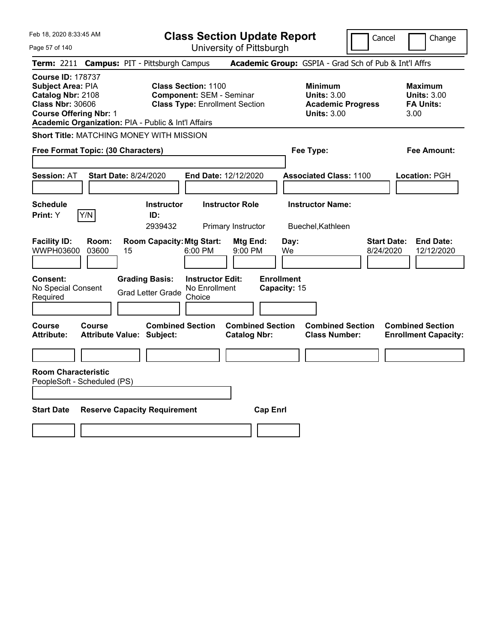Page 57 of 140

**Class Section Update Report**

Cancel Change

|                                                                                                                                |                | Term: 2211 Campus: PIT - Pittsburgh Campus                  |                                                                                                 |                                                |                                   | Academic Group: GSPIA - Grad Sch of Pub & Int'l Affrs                                  |                                 |                                                                  |
|--------------------------------------------------------------------------------------------------------------------------------|----------------|-------------------------------------------------------------|-------------------------------------------------------------------------------------------------|------------------------------------------------|-----------------------------------|----------------------------------------------------------------------------------------|---------------------------------|------------------------------------------------------------------|
| <b>Course ID: 178737</b><br>Subject Area: PIA<br>Catalog Nbr: 2108<br><b>Class Nbr: 30606</b><br><b>Course Offering Nbr: 1</b> |                | Academic Organization: PIA - Public & Int'l Affairs         | Class Section: 1100<br><b>Component: SEM - Seminar</b><br><b>Class Type: Enrollment Section</b> |                                                |                                   | <b>Minimum</b><br><b>Units: 3.00</b><br><b>Academic Progress</b><br><b>Units: 3.00</b> |                                 | <b>Maximum</b><br><b>Units: 3.00</b><br><b>FA Units:</b><br>3.00 |
|                                                                                                                                |                | Short Title: MATCHING MONEY WITH MISSION                    |                                                                                                 |                                                |                                   |                                                                                        |                                 |                                                                  |
| Free Format Topic: (30 Characters)                                                                                             |                |                                                             |                                                                                                 |                                                |                                   | Fee Type:                                                                              |                                 | <b>Fee Amount:</b>                                               |
| <b>Session: AT</b>                                                                                                             |                | <b>Start Date: 8/24/2020</b>                                | End Date: 12/12/2020                                                                            |                                                |                                   | <b>Associated Class: 1100</b>                                                          |                                 | Location: PGH                                                    |
| <b>Schedule</b><br>Print: Y                                                                                                    | Y/N            | <b>Instructor</b><br>ID:<br>2939432                         | <b>Instructor Role</b>                                                                          | Primary Instructor                             |                                   | <b>Instructor Name:</b><br>Buechel, Kathleen                                           |                                 |                                                                  |
| <b>Facility ID:</b><br>WWPH03600                                                                                               | Room:<br>03600 | <b>Room Capacity: Mtg Start:</b><br>15                      | 6:00 PM                                                                                         | Mtg End:<br>9:00 PM                            | Day:<br>We                        |                                                                                        | <b>Start Date:</b><br>8/24/2020 | <b>End Date:</b><br>12/12/2020                                   |
| <b>Consent:</b><br>No Special Consent<br>Required                                                                              |                | <b>Grading Basis:</b><br><b>Grad Letter Grade</b>           | <b>Instructor Edit:</b><br>No Enrollment<br>Choice                                              |                                                | <b>Enrollment</b><br>Capacity: 15 |                                                                                        |                                 |                                                                  |
| Course<br><b>Attribute:</b>                                                                                                    | Course         | <b>Combined Section</b><br><b>Attribute Value: Subject:</b> |                                                                                                 | <b>Combined Section</b><br><b>Catalog Nbr:</b> |                                   | <b>Combined Section</b><br><b>Class Number:</b>                                        |                                 | <b>Combined Section</b><br><b>Enrollment Capacity:</b>           |
|                                                                                                                                |                |                                                             |                                                                                                 |                                                |                                   |                                                                                        |                                 |                                                                  |
| <b>Room Characteristic</b><br>PeopleSoft - Scheduled (PS)<br><b>Start Date</b>                                                 |                | <b>Reserve Capacity Requirement</b>                         |                                                                                                 | <b>Cap Enrl</b>                                |                                   |                                                                                        |                                 |                                                                  |
|                                                                                                                                |                |                                                             |                                                                                                 |                                                |                                   |                                                                                        |                                 |                                                                  |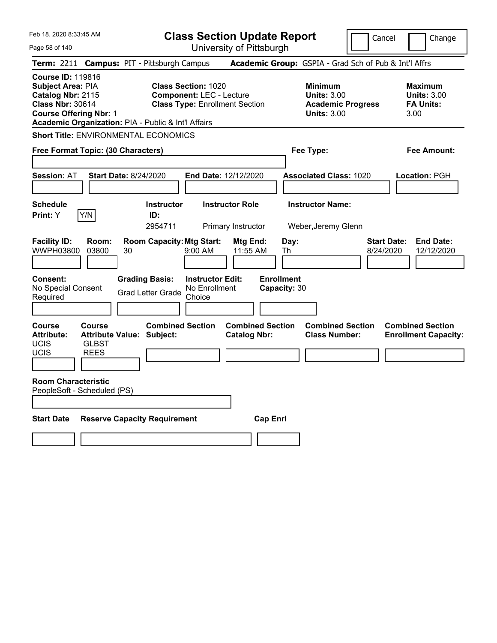**Class Section Update Report**

Cancel **Change** 

| Page 58 of 140                                                                                                                                                                        |                                                             | University of Pittsburgh                                                                               |                                                            |                                 |                                                                  |
|---------------------------------------------------------------------------------------------------------------------------------------------------------------------------------------|-------------------------------------------------------------|--------------------------------------------------------------------------------------------------------|------------------------------------------------------------|---------------------------------|------------------------------------------------------------------|
| <b>Term: 2211</b>                                                                                                                                                                     | <b>Campus: PIT - Pittsburgh Campus</b>                      |                                                                                                        | Academic Group: GSPIA - Grad Sch of Pub & Int'l Affrs      |                                 |                                                                  |
| <b>Course ID: 119816</b><br>Subject Area: PIA<br>Catalog Nbr: 2115<br><b>Class Nbr: 30614</b><br><b>Course Offering Nbr: 1</b><br>Academic Organization: PIA - Public & Int'l Affairs |                                                             | <b>Class Section: 1020</b><br><b>Component: LEC - Lecture</b><br><b>Class Type: Enrollment Section</b> | <b>Minimum</b><br><b>Units: 3.00</b><br><b>Units: 3.00</b> | <b>Academic Progress</b>        | <b>Maximum</b><br><b>Units: 3.00</b><br><b>FA Units:</b><br>3.00 |
| <b>Short Title: ENVIRONMENTAL ECONOMICS</b>                                                                                                                                           |                                                             |                                                                                                        |                                                            |                                 |                                                                  |
| Free Format Topic: (30 Characters)                                                                                                                                                    |                                                             |                                                                                                        | Fee Type:                                                  |                                 | Fee Amount:                                                      |
| <b>Session: AT</b>                                                                                                                                                                    | <b>Start Date: 8/24/2020</b>                                | End Date: 12/12/2020                                                                                   | <b>Associated Class: 1020</b>                              |                                 | Location: PGH                                                    |
| <b>Schedule</b><br>Y/N<br>Print: Y                                                                                                                                                    | <b>Instructor</b><br>ID:<br>2954711                         | <b>Instructor Role</b><br>Primary Instructor                                                           | <b>Instructor Name:</b><br>Weber, Jeremy Glenn             |                                 |                                                                  |
| <b>Facility ID:</b><br>Room:<br>WWPH03800<br>03800                                                                                                                                    | <b>Room Capacity: Mtg Start:</b><br>30                      | Mtg End:<br>11:55 AM<br>$9:00 \, \text{AM}$                                                            | Day:<br>Th                                                 | <b>Start Date:</b><br>8/24/2020 | <b>End Date:</b><br>12/12/2020                                   |
| <b>Consent:</b><br>No Special Consent<br>Required                                                                                                                                     | <b>Grading Basis:</b><br><b>Grad Letter Grade</b>           | <b>Instructor Edit:</b><br>No Enrollment<br>Choice                                                     | <b>Enrollment</b><br>Capacity: 30                          |                                 |                                                                  |
| <b>Course</b><br><b>Course</b><br><b>Attribute:</b><br><b>UCIS</b><br><b>GLBST</b><br><b>UCIS</b><br><b>REES</b>                                                                      | <b>Combined Section</b><br><b>Attribute Value: Subject:</b> | <b>Combined Section</b><br><b>Catalog Nbr:</b>                                                         | <b>Class Number:</b>                                       | <b>Combined Section</b>         | <b>Combined Section</b><br><b>Enrollment Capacity:</b>           |
| <b>Room Characteristic</b><br>PeopleSoft - Scheduled (PS)                                                                                                                             |                                                             |                                                                                                        |                                                            |                                 |                                                                  |
| <b>Start Date</b>                                                                                                                                                                     | <b>Reserve Capacity Requirement</b>                         |                                                                                                        | <b>Cap Enrl</b>                                            |                                 |                                                                  |
|                                                                                                                                                                                       |                                                             |                                                                                                        |                                                            |                                 |                                                                  |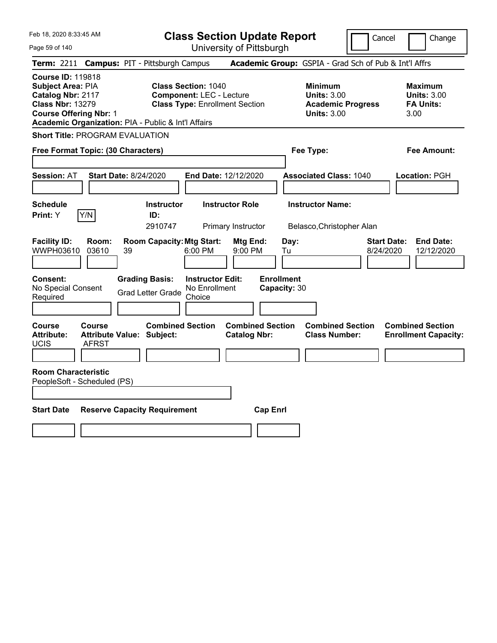**Class Section Update Report**

Cancel **Change** 

| Page 59 of 140                                                                                                                                                                        |                                                             | University of Pittsburgh                                                 |                                                                                        |                                                                   |
|---------------------------------------------------------------------------------------------------------------------------------------------------------------------------------------|-------------------------------------------------------------|--------------------------------------------------------------------------|----------------------------------------------------------------------------------------|-------------------------------------------------------------------|
| <b>Term: 2211</b>                                                                                                                                                                     | <b>Campus: PIT - Pittsburgh Campus</b>                      |                                                                          | Academic Group: GSPIA - Grad Sch of Pub & Int'l Affrs                                  |                                                                   |
| <b>Course ID: 119818</b><br>Subject Area: PIA<br>Catalog Nbr: 2117<br><b>Class Nbr: 13279</b><br><b>Course Offering Nbr: 1</b><br>Academic Organization: PIA - Public & Int'l Affairs | <b>Class Section: 1040</b>                                  | <b>Component: LEC - Lecture</b><br><b>Class Type: Enrollment Section</b> | <b>Minimum</b><br><b>Units: 3.00</b><br><b>Academic Progress</b><br><b>Units: 3.00</b> | <b>Maximum</b><br><b>Units: 3.00</b><br><b>FA Units:</b><br>3.00  |
| <b>Short Title: PROGRAM EVALUATION</b>                                                                                                                                                |                                                             |                                                                          |                                                                                        |                                                                   |
| Free Format Topic: (30 Characters)                                                                                                                                                    |                                                             |                                                                          | Fee Type:                                                                              | Fee Amount:                                                       |
| <b>Session: AT</b>                                                                                                                                                                    | <b>Start Date: 8/24/2020</b>                                | End Date: 12/12/2020                                                     | <b>Associated Class: 1040</b>                                                          | Location: PGH                                                     |
| <b>Schedule</b>                                                                                                                                                                       | <b>Instructor</b>                                           | <b>Instructor Role</b>                                                   | <b>Instructor Name:</b>                                                                |                                                                   |
| Print: Y<br>Y/N                                                                                                                                                                       | ID:                                                         |                                                                          |                                                                                        |                                                                   |
|                                                                                                                                                                                       | 2910747                                                     | Primary Instructor                                                       | Belasco, Christopher Alan                                                              |                                                                   |
| <b>Facility ID:</b><br>Room:<br>WWPH03610<br>03610                                                                                                                                    | <b>Room Capacity: Mtg Start:</b><br>39                      | Mtg End:<br>6:00 PM<br>9:00 PM                                           | Day:<br>Tu                                                                             | <b>Start Date:</b><br><b>End Date:</b><br>8/24/2020<br>12/12/2020 |
| Consent:<br>No Special Consent<br>Required                                                                                                                                            | <b>Grading Basis:</b><br><b>Grad Letter Grade</b><br>Choice | <b>Instructor Edit:</b><br>No Enrollment                                 | <b>Enrollment</b><br>Capacity: 30                                                      |                                                                   |
| <b>Course</b><br>Course<br><b>Attribute:</b><br>UCIS<br>AFRST                                                                                                                         | <b>Combined Section</b><br><b>Attribute Value: Subject:</b> | <b>Combined Section</b><br><b>Catalog Nbr:</b>                           | <b>Combined Section</b><br><b>Class Number:</b>                                        | <b>Combined Section</b><br><b>Enrollment Capacity:</b>            |
|                                                                                                                                                                                       |                                                             |                                                                          |                                                                                        |                                                                   |
| <b>Room Characteristic</b><br>PeopleSoft - Scheduled (PS)                                                                                                                             |                                                             |                                                                          |                                                                                        |                                                                   |
| <b>Start Date</b>                                                                                                                                                                     | <b>Reserve Capacity Requirement</b>                         | <b>Cap Enrl</b>                                                          |                                                                                        |                                                                   |
|                                                                                                                                                                                       |                                                             |                                                                          |                                                                                        |                                                                   |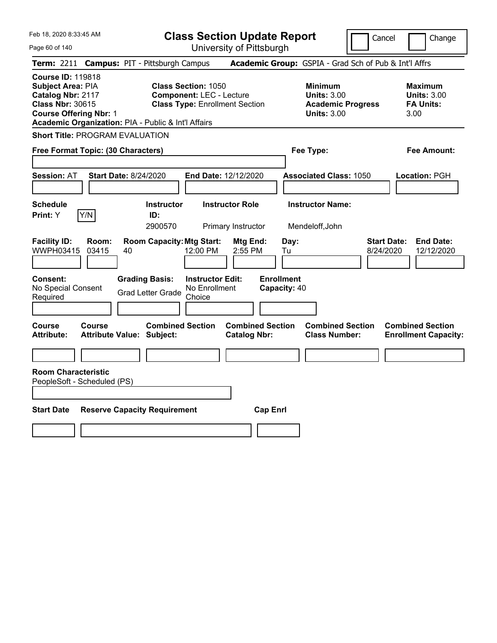Page 60 of 140

**Class Section Update Report**

Cancel **Change** 

| Term: 2211 Campus: PIT - Pittsburgh Campus                                                                                                                                            |                                                                                                        | Academic Group: GSPIA - Grad Sch of Pub & Int'l Affrs                                  |                                                                  |
|---------------------------------------------------------------------------------------------------------------------------------------------------------------------------------------|--------------------------------------------------------------------------------------------------------|----------------------------------------------------------------------------------------|------------------------------------------------------------------|
| <b>Course ID: 119818</b><br>Subject Area: PIA<br>Catalog Nbr: 2117<br><b>Class Nbr: 30615</b><br><b>Course Offering Nbr: 1</b><br>Academic Organization: PIA - Public & Int'l Affairs | <b>Class Section: 1050</b><br><b>Component: LEC - Lecture</b><br><b>Class Type: Enrollment Section</b> | <b>Minimum</b><br><b>Units: 3.00</b><br><b>Academic Progress</b><br><b>Units: 3.00</b> | <b>Maximum</b><br><b>Units: 3.00</b><br><b>FA Units:</b><br>3.00 |
| <b>Short Title: PROGRAM EVALUATION</b>                                                                                                                                                |                                                                                                        |                                                                                        |                                                                  |
| Free Format Topic: (30 Characters)                                                                                                                                                    |                                                                                                        | Fee Type:                                                                              | Fee Amount:                                                      |
| <b>Start Date: 8/24/2020</b><br><b>Session: AT</b>                                                                                                                                    | End Date: 12/12/2020                                                                                   | <b>Associated Class: 1050</b>                                                          | Location: PGH                                                    |
| <b>Schedule</b><br><b>Instructor</b><br>Y/N<br>Print: Y<br>ID:<br>2900570                                                                                                             | <b>Instructor Role</b><br>Primary Instructor                                                           | <b>Instructor Name:</b><br>Mendeloff, John                                             |                                                                  |
| <b>Facility ID:</b><br>Room:<br><b>Room Capacity: Mtg Start:</b><br><b>WWPH03415</b><br>03415<br>40                                                                                   | Mtg End:<br>12:00 PM<br>2:55 PM                                                                        | Day:<br>8/24/2020<br>Tu                                                                | <b>Start Date:</b><br><b>End Date:</b><br>12/12/2020             |
| Consent:<br><b>Grading Basis:</b><br>No Special Consent<br><b>Grad Letter Grade</b><br>Required                                                                                       | <b>Instructor Edit:</b><br>No Enrollment<br>Choice                                                     | <b>Enrollment</b><br>Capacity: 40                                                      |                                                                  |
| Course<br><b>Course</b><br><b>Attribute:</b><br><b>Attribute Value: Subject:</b>                                                                                                      | <b>Combined Section</b><br><b>Combined Section</b><br><b>Catalog Nbr:</b>                              | <b>Combined Section</b><br><b>Class Number:</b>                                        | <b>Combined Section</b><br><b>Enrollment Capacity:</b>           |
|                                                                                                                                                                                       |                                                                                                        |                                                                                        |                                                                  |
| <b>Room Characteristic</b><br>PeopleSoft - Scheduled (PS)<br><b>Start Date</b><br><b>Reserve Capacity Requirement</b>                                                                 | <b>Cap Enrl</b>                                                                                        |                                                                                        |                                                                  |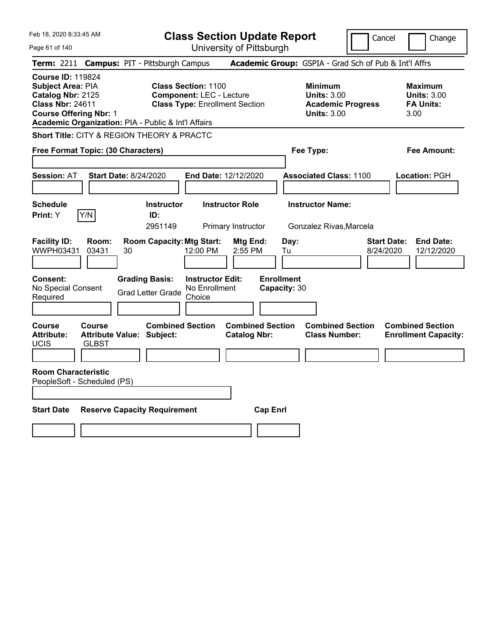Page 61 of 140

**Class Section Update Report**

Cancel **Change** 

| Term: 2211 Campus: PIT - Pittsburgh Campus                                                                                                                                                   |                               |    |                                                                                                        |                                                    |                                                |                                                                                        |                                   |                               | Academic Group: GSPIA - Grad Sch of Pub & Int'l Affrs |                                 |                                                          |                                                        |
|----------------------------------------------------------------------------------------------------------------------------------------------------------------------------------------------|-------------------------------|----|--------------------------------------------------------------------------------------------------------|----------------------------------------------------|------------------------------------------------|----------------------------------------------------------------------------------------|-----------------------------------|-------------------------------|-------------------------------------------------------|---------------------------------|----------------------------------------------------------|--------------------------------------------------------|
| <b>Course ID: 119824</b><br><b>Subject Area: PIA</b><br>Catalog Nbr: 2125<br><b>Class Nbr: 24611</b><br><b>Course Offering Nbr: 1</b><br>Academic Organization: PIA - Public & Int'l Affairs |                               |    | <b>Class Section: 1100</b><br><b>Component: LEC - Lecture</b><br><b>Class Type: Enrollment Section</b> |                                                    |                                                | <b>Minimum</b><br><b>Units: 3.00</b><br><b>Academic Progress</b><br><b>Units: 3.00</b> |                                   |                               |                                                       | 3.00                            | <b>Maximum</b><br><b>Units: 3.00</b><br><b>FA Units:</b> |                                                        |
| <b>Short Title: CITY &amp; REGION THEORY &amp; PRACTC</b>                                                                                                                                    |                               |    |                                                                                                        |                                                    |                                                |                                                                                        |                                   |                               |                                                       |                                 |                                                          |                                                        |
| Free Format Topic: (30 Characters)                                                                                                                                                           |                               |    |                                                                                                        |                                                    |                                                |                                                                                        |                                   | Fee Type:                     |                                                       |                                 |                                                          | <b>Fee Amount:</b>                                     |
| <b>Session: AT</b>                                                                                                                                                                           | <b>Start Date: 8/24/2020</b>  |    |                                                                                                        | End Date: 12/12/2020                               |                                                |                                                                                        |                                   | <b>Associated Class: 1100</b> |                                                       |                                 |                                                          | Location: PGH                                          |
| <b>Schedule</b><br>Print: Y                                                                                                                                                                  | Y/N                           |    | <b>Instructor</b><br>ID:<br>2951149                                                                    |                                                    | <b>Instructor Role</b><br>Primary Instructor   |                                                                                        |                                   | <b>Instructor Name:</b>       | Gonzalez Rivas, Marcela                               |                                 |                                                          |                                                        |
| <b>Facility ID:</b><br>WWPH03431                                                                                                                                                             | Room:<br>03431                | 30 | <b>Room Capacity: Mtg Start:</b>                                                                       | 12:00 PM                                           | Mtg End:<br>2:55 PM                            |                                                                                        | Day:<br>Tu                        |                               |                                                       | <b>Start Date:</b><br>8/24/2020 |                                                          | <b>End Date:</b><br>12/12/2020                         |
| <b>Consent:</b><br>No Special Consent<br>Required                                                                                                                                            |                               |    | <b>Grading Basis:</b><br><b>Grad Letter Grade</b>                                                      | <b>Instructor Edit:</b><br>No Enrollment<br>Choice |                                                |                                                                                        | <b>Enrollment</b><br>Capacity: 30 |                               |                                                       |                                 |                                                          |                                                        |
| <b>Course</b><br><b>Attribute:</b><br><b>UCIS</b>                                                                                                                                            | <b>Course</b><br><b>GLBST</b> |    | <b>Combined Section</b><br><b>Attribute Value: Subject:</b>                                            |                                                    | <b>Combined Section</b><br><b>Catalog Nbr:</b> |                                                                                        |                                   | <b>Class Number:</b>          | <b>Combined Section</b>                               |                                 |                                                          | <b>Combined Section</b><br><b>Enrollment Capacity:</b> |
| <b>Room Characteristic</b><br>PeopleSoft - Scheduled (PS)                                                                                                                                    |                               |    |                                                                                                        |                                                    |                                                |                                                                                        |                                   |                               |                                                       |                                 |                                                          |                                                        |
| <b>Start Date</b>                                                                                                                                                                            |                               |    | <b>Reserve Capacity Requirement</b>                                                                    |                                                    |                                                | <b>Cap Enrl</b>                                                                        |                                   |                               |                                                       |                                 |                                                          |                                                        |
|                                                                                                                                                                                              |                               |    |                                                                                                        |                                                    |                                                |                                                                                        |                                   |                               |                                                       |                                 |                                                          |                                                        |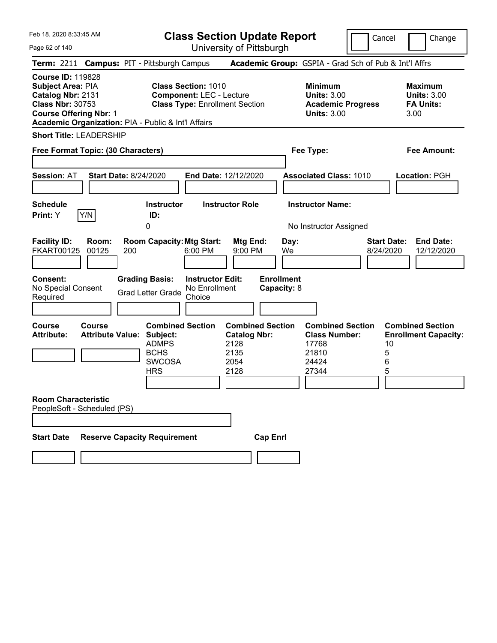Page 62 of 140

**Class Section Update Report**

Cancel Change

|                                                                                                                                |                | Term: 2211 Campus: PIT - Pittsburgh Campus                                                                                |                                                                                                        |                                                                                |                                  | Academic Group: GSPIA - Grad Sch of Pub & Int'l Affrs                                  |                                 |                                                                  |
|--------------------------------------------------------------------------------------------------------------------------------|----------------|---------------------------------------------------------------------------------------------------------------------------|--------------------------------------------------------------------------------------------------------|--------------------------------------------------------------------------------|----------------------------------|----------------------------------------------------------------------------------------|---------------------------------|------------------------------------------------------------------|
| <b>Course ID: 119828</b><br>Subject Area: PIA<br>Catalog Nbr: 2131<br><b>Class Nbr: 30753</b><br><b>Course Offering Nbr: 1</b> |                | Academic Organization: PIA - Public & Int'l Affairs                                                                       | <b>Class Section: 1010</b><br><b>Component: LEC - Lecture</b><br><b>Class Type: Enrollment Section</b> |                                                                                |                                  | <b>Minimum</b><br><b>Units: 3.00</b><br><b>Academic Progress</b><br><b>Units: 3.00</b> |                                 | <b>Maximum</b><br><b>Units: 3.00</b><br><b>FA Units:</b><br>3.00 |
| <b>Short Title: LEADERSHIP</b>                                                                                                 |                |                                                                                                                           |                                                                                                        |                                                                                |                                  |                                                                                        |                                 |                                                                  |
| Free Format Topic: (30 Characters)                                                                                             |                |                                                                                                                           |                                                                                                        |                                                                                |                                  | Fee Type:                                                                              |                                 | Fee Amount:                                                      |
| <b>Session: AT</b>                                                                                                             |                | <b>Start Date: 8/24/2020</b>                                                                                              | End Date: 12/12/2020                                                                                   |                                                                                |                                  | <b>Associated Class: 1010</b>                                                          |                                 | Location: PGH                                                    |
| <b>Schedule</b><br>Print: Y                                                                                                    | Y/N            | <b>Instructor</b><br>ID:                                                                                                  |                                                                                                        | <b>Instructor Role</b>                                                         |                                  | <b>Instructor Name:</b>                                                                |                                 |                                                                  |
|                                                                                                                                |                | 0                                                                                                                         |                                                                                                        |                                                                                |                                  | No Instructor Assigned                                                                 |                                 |                                                                  |
| <b>Facility ID:</b><br><b>FKART00125</b>                                                                                       | Room:<br>00125 | <b>Room Capacity: Mtg Start:</b><br>200                                                                                   | $6:00$ PM                                                                                              | Mtg End:<br>9:00 PM                                                            | Day:<br>We                       |                                                                                        | <b>Start Date:</b><br>8/24/2020 | <b>End Date:</b><br>12/12/2020                                   |
| Consent:<br>No Special Consent<br>Required                                                                                     |                | <b>Grading Basis:</b><br><b>Grad Letter Grade</b>                                                                         | <b>Instructor Edit:</b><br>No Enrollment<br>Choice                                                     |                                                                                | <b>Enrollment</b><br>Capacity: 8 |                                                                                        |                                 |                                                                  |
| Course<br><b>Attribute:</b>                                                                                                    | <b>Course</b>  | <b>Combined Section</b><br><b>Attribute Value: Subject:</b><br><b>ADMPS</b><br><b>BCHS</b><br><b>SWCOSA</b><br><b>HRS</b> |                                                                                                        | <b>Combined Section</b><br><b>Catalog Nbr:</b><br>2128<br>2135<br>2054<br>2128 |                                  | <b>Combined Section</b><br><b>Class Number:</b><br>17768<br>21810<br>24424<br>27344    | 10<br>5<br>6<br>5               | <b>Combined Section</b><br><b>Enrollment Capacity:</b>           |
| <b>Room Characteristic</b><br>PeopleSoft - Scheduled (PS)                                                                      |                |                                                                                                                           |                                                                                                        |                                                                                |                                  |                                                                                        |                                 |                                                                  |
| <b>Start Date</b>                                                                                                              |                | <b>Reserve Capacity Requirement</b>                                                                                       |                                                                                                        | <b>Cap Enrl</b>                                                                |                                  |                                                                                        |                                 |                                                                  |
|                                                                                                                                |                |                                                                                                                           |                                                                                                        |                                                                                |                                  |                                                                                        |                                 |                                                                  |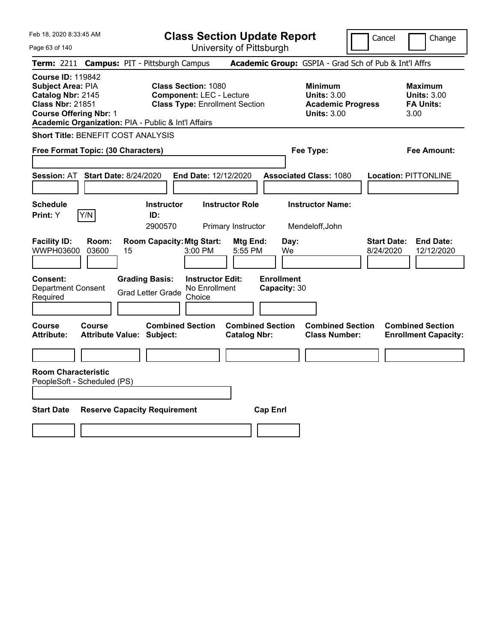Page 63 of 140

**Class Section Update Report**

Cancel **Change** 

| Term: 2211 Campus: PIT - Pittsburgh Campus                                                                                                                                            |                                                                                                                                         | Academic Group: GSPIA - Grad Sch of Pub & Int'l Affrs                                  |                                                                  |
|---------------------------------------------------------------------------------------------------------------------------------------------------------------------------------------|-----------------------------------------------------------------------------------------------------------------------------------------|----------------------------------------------------------------------------------------|------------------------------------------------------------------|
| <b>Course ID: 119842</b><br>Subject Area: PIA<br>Catalog Nbr: 2145<br><b>Class Nbr: 21851</b><br><b>Course Offering Nbr: 1</b><br>Academic Organization: PIA - Public & Int'l Affairs | <b>Class Section: 1080</b><br><b>Component: LEC - Lecture</b><br><b>Class Type: Enrollment Section</b>                                  | <b>Minimum</b><br><b>Units: 3.00</b><br><b>Academic Progress</b><br><b>Units: 3.00</b> | <b>Maximum</b><br><b>Units: 3.00</b><br><b>FA Units:</b><br>3.00 |
| <b>Short Title: BENEFIT COST ANALYSIS</b>                                                                                                                                             |                                                                                                                                         |                                                                                        |                                                                  |
| Free Format Topic: (30 Characters)                                                                                                                                                    |                                                                                                                                         | Fee Type:                                                                              | <b>Fee Amount:</b>                                               |
| <b>Session: AT</b><br><b>Start Date: 8/24/2020</b>                                                                                                                                    | End Date: 12/12/2020                                                                                                                    | <b>Associated Class: 1080</b>                                                          | <b>Location: PITTONLINE</b>                                      |
| <b>Schedule</b>                                                                                                                                                                       | <b>Instructor</b><br><b>Instructor Role</b>                                                                                             | <b>Instructor Name:</b>                                                                |                                                                  |
| Y/N<br>Print: Y                                                                                                                                                                       | ID:<br>2900570<br>Primary Instructor                                                                                                    | Mendeloff, John                                                                        |                                                                  |
| <b>Facility ID:</b><br>Room:<br><b>WWPH03600</b><br>03600<br>15<br>Consent:<br><b>Department Consent</b>                                                                              | <b>Room Capacity: Mtg Start:</b><br>Mtg End:<br>3:00 PM<br>5:55 PM<br><b>Grading Basis:</b><br><b>Instructor Edit:</b><br>No Enrollment | <b>Start Date:</b><br>Day:<br>8/24/2020<br>We<br><b>Enrollment</b><br>Capacity: 30     | <b>End Date:</b><br>12/12/2020                                   |
| Required                                                                                                                                                                              | <b>Grad Letter Grade</b><br>Choice                                                                                                      |                                                                                        |                                                                  |
| <b>Course</b><br><b>Course</b><br><b>Attribute:</b><br><b>Attribute Value: Subject:</b>                                                                                               | <b>Combined Section</b><br><b>Catalog Nbr:</b>                                                                                          | <b>Combined Section</b><br><b>Combined Section</b><br><b>Class Number:</b>             | <b>Combined Section</b><br><b>Enrollment Capacity:</b>           |
|                                                                                                                                                                                       |                                                                                                                                         |                                                                                        |                                                                  |
| <b>Room Characteristic</b><br>PeopleSoft - Scheduled (PS)<br><b>Start Date</b>                                                                                                        | <b>Reserve Capacity Requirement</b>                                                                                                     | <b>Cap Enrl</b>                                                                        |                                                                  |
|                                                                                                                                                                                       |                                                                                                                                         |                                                                                        |                                                                  |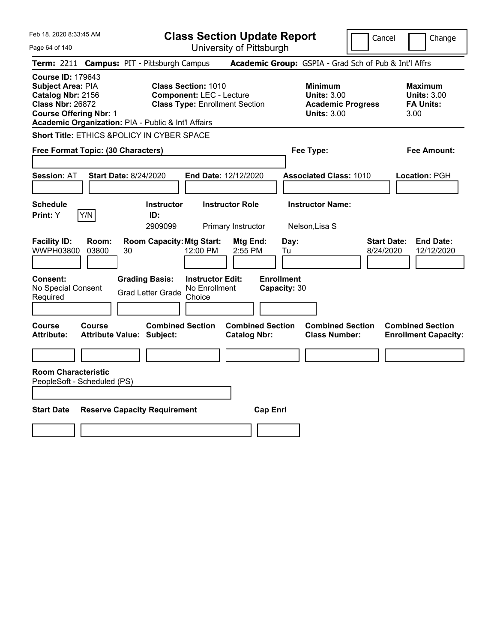Page 64 of 140

**Class Section Update Report**

Cancel **Change** 

| Term: 2211 Campus: PIT - Pittsburgh Campus                                                                                                                                                                                                                                                             |                                            |    |                                                   |                                                    |                                                |                 |                                   | Academic Group: GSPIA - Grad Sch of Pub & Int'l Affrs                                  |  |                                 |                                                                  |
|--------------------------------------------------------------------------------------------------------------------------------------------------------------------------------------------------------------------------------------------------------------------------------------------------------|--------------------------------------------|----|---------------------------------------------------|----------------------------------------------------|------------------------------------------------|-----------------|-----------------------------------|----------------------------------------------------------------------------------------|--|---------------------------------|------------------------------------------------------------------|
| <b>Course ID: 179643</b><br><b>Class Section: 1010</b><br><b>Subject Area: PIA</b><br>Catalog Nbr: 2156<br><b>Component: LEC - Lecture</b><br><b>Class Nbr: 26872</b><br><b>Class Type: Enrollment Section</b><br><b>Course Offering Nbr: 1</b><br>Academic Organization: PIA - Public & Int'l Affairs |                                            |    |                                                   |                                                    |                                                |                 |                                   | <b>Minimum</b><br><b>Units: 3.00</b><br><b>Academic Progress</b><br><b>Units: 3.00</b> |  |                                 | <b>Maximum</b><br><b>Units: 3.00</b><br><b>FA Units:</b><br>3.00 |
| Short Title: ETHICS &POLICY IN CYBER SPACE                                                                                                                                                                                                                                                             |                                            |    |                                                   |                                                    |                                                |                 |                                   |                                                                                        |  |                                 |                                                                  |
| Free Format Topic: (30 Characters)                                                                                                                                                                                                                                                                     |                                            |    |                                                   |                                                    |                                                |                 | Fee Type:                         |                                                                                        |  |                                 | <b>Fee Amount:</b>                                               |
| <b>Session: AT</b>                                                                                                                                                                                                                                                                                     | <b>Start Date: 8/24/2020</b>               |    |                                                   | End Date: 12/12/2020                               |                                                |                 |                                   | <b>Associated Class: 1010</b>                                                          |  |                                 | Location: PGH                                                    |
| <b>Schedule</b><br>Print: Y                                                                                                                                                                                                                                                                            | Y/N                                        |    | Instructor<br>ID:<br>2909099                      |                                                    | <b>Instructor Role</b><br>Primary Instructor   |                 |                                   | <b>Instructor Name:</b><br>Nelson, Lisa S                                              |  |                                 |                                                                  |
| <b>Facility ID:</b><br><b>WWPH03800</b>                                                                                                                                                                                                                                                                | Room:<br>03800                             | 30 | <b>Room Capacity: Mtg Start:</b>                  | 12:00 PM                                           | Mtg End:<br>2:55 PM                            |                 | Day:<br>Tu                        |                                                                                        |  | <b>Start Date:</b><br>8/24/2020 | <b>End Date:</b><br>12/12/2020                                   |
| Consent:<br>No Special Consent<br>Required                                                                                                                                                                                                                                                             |                                            |    | <b>Grading Basis:</b><br><b>Grad Letter Grade</b> | <b>Instructor Edit:</b><br>No Enrollment<br>Choice |                                                |                 | <b>Enrollment</b><br>Capacity: 30 |                                                                                        |  |                                 |                                                                  |
| Course<br><b>Attribute:</b>                                                                                                                                                                                                                                                                            | Course<br><b>Attribute Value: Subject:</b> |    | <b>Combined Section</b>                           |                                                    | <b>Combined Section</b><br><b>Catalog Nbr:</b> |                 |                                   | <b>Combined Section</b><br><b>Class Number:</b>                                        |  |                                 | <b>Combined Section</b><br><b>Enrollment Capacity:</b>           |
|                                                                                                                                                                                                                                                                                                        |                                            |    |                                                   |                                                    |                                                |                 |                                   |                                                                                        |  |                                 |                                                                  |
| <b>Room Characteristic</b><br>PeopleSoft - Scheduled (PS)                                                                                                                                                                                                                                              |                                            |    |                                                   |                                                    |                                                |                 |                                   |                                                                                        |  |                                 |                                                                  |
| <b>Start Date</b>                                                                                                                                                                                                                                                                                      |                                            |    | <b>Reserve Capacity Requirement</b>               |                                                    |                                                | <b>Cap Enrl</b> |                                   |                                                                                        |  |                                 |                                                                  |
|                                                                                                                                                                                                                                                                                                        |                                            |    |                                                   |                                                    |                                                |                 |                                   |                                                                                        |  |                                 |                                                                  |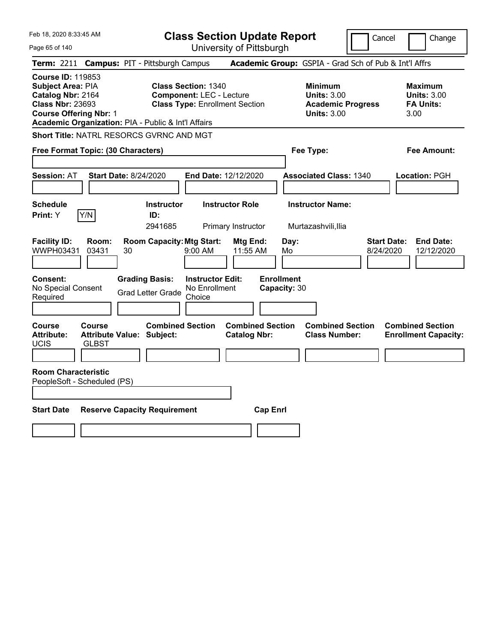**Class Section Update Report**

University of Pittsburgh

Cancel Change

Page 65 of 140

|                                                                                                                                |                        | Term: 2211 Campus: PIT - Pittsburgh Campus                  |                                                                                                        |                                                |                                   | Academic Group: GSPIA - Grad Sch of Pub & Int'l Affrs                                  |                                 |                                                                  |
|--------------------------------------------------------------------------------------------------------------------------------|------------------------|-------------------------------------------------------------|--------------------------------------------------------------------------------------------------------|------------------------------------------------|-----------------------------------|----------------------------------------------------------------------------------------|---------------------------------|------------------------------------------------------------------|
| <b>Course ID: 119853</b><br>Subject Area: PIA<br>Catalog Nbr: 2164<br><b>Class Nbr: 23693</b><br><b>Course Offering Nbr: 1</b> |                        | Academic Organization: PIA - Public & Int'l Affairs         | <b>Class Section: 1340</b><br><b>Component: LEC - Lecture</b><br><b>Class Type: Enrollment Section</b> |                                                |                                   | <b>Minimum</b><br><b>Units: 3.00</b><br><b>Academic Progress</b><br><b>Units: 3.00</b> |                                 | <b>Maximum</b><br><b>Units: 3.00</b><br><b>FA Units:</b><br>3.00 |
|                                                                                                                                |                        | Short Title: NATRL RESORCS GVRNC AND MGT                    |                                                                                                        |                                                |                                   |                                                                                        |                                 |                                                                  |
| Free Format Topic: (30 Characters)                                                                                             |                        |                                                             |                                                                                                        |                                                |                                   | Fee Type:                                                                              |                                 | Fee Amount:                                                      |
| Session: AT                                                                                                                    |                        | <b>Start Date: 8/24/2020</b>                                | End Date: 12/12/2020                                                                                   |                                                |                                   | <b>Associated Class: 1340</b>                                                          |                                 | Location: PGH                                                    |
| <b>Schedule</b><br><b>Print:</b> Y                                                                                             | Y/N                    | <b>Instructor</b><br>ID:<br>2941685                         | <b>Instructor Role</b>                                                                                 | Primary Instructor                             |                                   | <b>Instructor Name:</b><br>Murtazashvili, Ilia                                         |                                 |                                                                  |
| <b>Facility ID:</b><br>WWPH03431                                                                                               | Room:<br>03431         | <b>Room Capacity: Mtg Start:</b><br>30                      | 9:00 AM                                                                                                | Mtg End:<br>11:55 AM                           | Day:<br>Mo                        |                                                                                        | <b>Start Date:</b><br>8/24/2020 | <b>End Date:</b><br>12/12/2020                                   |
| Consent:<br>No Special Consent<br>Required                                                                                     |                        | <b>Grading Basis:</b><br><b>Grad Letter Grade</b>           | <b>Instructor Edit:</b><br>No Enrollment<br>Choice                                                     |                                                | <b>Enrollment</b><br>Capacity: 30 |                                                                                        |                                 |                                                                  |
| <b>Course</b><br><b>Attribute:</b><br>UCIS<br><b>Room Characteristic</b>                                                       | Course<br><b>GLBST</b> | <b>Combined Section</b><br><b>Attribute Value: Subject:</b> |                                                                                                        | <b>Combined Section</b><br><b>Catalog Nbr:</b> |                                   | <b>Combined Section</b><br><b>Class Number:</b>                                        |                                 | <b>Combined Section</b><br><b>Enrollment Capacity:</b>           |
| PeopleSoft - Scheduled (PS)                                                                                                    |                        |                                                             |                                                                                                        |                                                |                                   |                                                                                        |                                 |                                                                  |
| <b>Start Date</b>                                                                                                              |                        | <b>Reserve Capacity Requirement</b>                         |                                                                                                        | <b>Cap Enrl</b>                                |                                   |                                                                                        |                                 |                                                                  |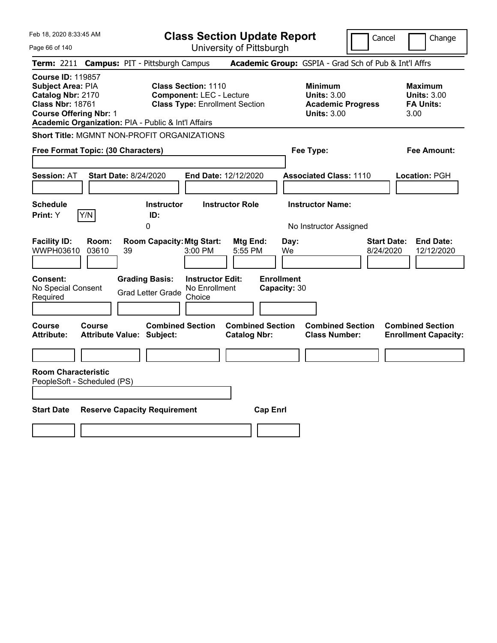Feb 18, 2020 8:33:45 AM Page 66 of 140 **Class Section Update Report** University of Pittsburgh Cancel Change **Term:** 2211 **Campus:** PIT - Pittsburgh Campus **Academic Group:** GSPIA - Grad Sch of Pub & Int'l Affrs **Course ID:** 119857 **Subject Area:** PIA **Class Section:** 1110 **Minimum Maximum Catalog Nbr:** 2170 **Component:** LEC - Lecture **Units:** 3.00 **Units:** 3.00 **Class Type: Enrollment Section <b>Academic Progress FA Units: Course Offering Nbr:** 1 **Units:** 3.00 3.00 **Academic Organization:** PIA - Public & Int'l Affairs **Short Title:** MGMNT NON-PROFIT ORGANIZATIONS **Free Format Topic: (30 Characters) Fee Type: Fee Amount: Session:** AT **Start Date:** 8/24/2020 **End Date:** 12/12/2020 **Associated Class:** 1110 **Location:** PGH **Schedule Instructor Instructor Role Instructor Name: Print:**  $Y$   $|Y/N|$  **ID:** 0 **No Instructor Assigned Facility ID: Room: Room Capacity:Mtg Start: Mtg End: Day: Start Date: End Date:** WWPH03610 03610 39 3:00 PM 5:55 PM We 8/24/2020 12/12/2020 **Consent: Grading Basis: Instructor Edit: Enrollment** No Special Consent No Special Consent Grad Letter Grade No Enrollment<br>Required Choice Choice **Capacity:** 30 **Course Course Combined Section Combined Section Combined Section Combined Section Attribute: Attribute Value: Subject: Catalog Nbr: Class Number: Enrollment Capacity: Room Characteristic** PeopleSoft - Scheduled (PS) **Start Date Reserve Capacity Requirement Cap Enrl**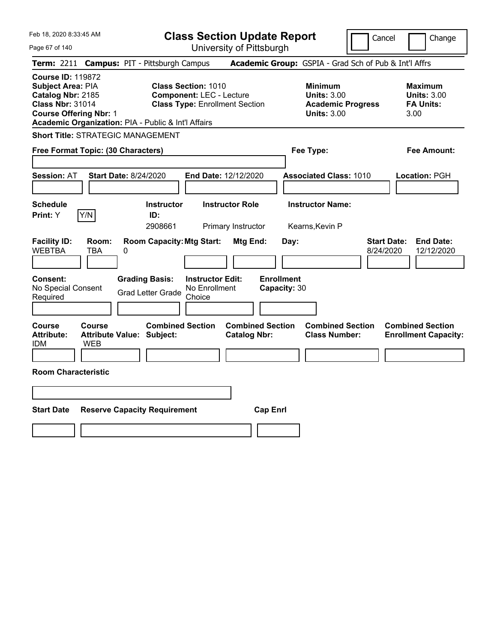Page 67 of 140

**Class Section Update Report**

Cancel **Change** 

| Term: 2211 Campus: PIT - Pittsburgh Campus                                                                                                                                            |                      |                                                   |                              |                                                                                                        |                                                |                   |                                                                                        |                                                 |           | Academic Group: GSPIA - Grad Sch of Pub & Int'l Affrs            |
|---------------------------------------------------------------------------------------------------------------------------------------------------------------------------------------|----------------------|---------------------------------------------------|------------------------------|--------------------------------------------------------------------------------------------------------|------------------------------------------------|-------------------|----------------------------------------------------------------------------------------|-------------------------------------------------|-----------|------------------------------------------------------------------|
| <b>Course ID: 119872</b><br>Subject Area: PIA<br>Catalog Nbr: 2185<br><b>Class Nbr: 31014</b><br><b>Course Offering Nbr: 1</b><br>Academic Organization: PIA - Public & Int'l Affairs |                      |                                                   |                              | <b>Class Section: 1010</b><br><b>Component: LEC - Lecture</b><br><b>Class Type: Enrollment Section</b> |                                                |                   | <b>Minimum</b><br><b>Units: 3.00</b><br><b>Academic Progress</b><br><b>Units: 3.00</b> |                                                 |           | <b>Maximum</b><br><b>Units: 3.00</b><br><b>FA Units:</b><br>3.00 |
| <b>Short Title: STRATEGIC MANAGEMENT</b>                                                                                                                                              |                      |                                                   |                              |                                                                                                        |                                                |                   |                                                                                        |                                                 |           |                                                                  |
| Free Format Topic: (30 Characters)                                                                                                                                                    |                      |                                                   |                              |                                                                                                        |                                                |                   |                                                                                        | Fee Type:                                       |           | Fee Amount:                                                      |
| Session: AT                                                                                                                                                                           |                      | <b>Start Date: 8/24/2020</b>                      |                              | <b>End Date: 12/12/2020</b>                                                                            |                                                |                   |                                                                                        | <b>Associated Class: 1010</b>                   |           | <b>Location: PGH</b>                                             |
| <b>Schedule</b><br>Print: Y                                                                                                                                                           | Y/N                  | ID:                                               | <b>Instructor</b><br>2908661 |                                                                                                        | <b>Instructor Role</b><br>Primary Instructor   |                   |                                                                                        | <b>Instructor Name:</b><br>Kearns, Kevin P      |           |                                                                  |
| <b>Facility ID:</b><br><b>WEBTBA</b>                                                                                                                                                  | Room:<br><b>TBA</b>  | <b>Room Capacity: Mtg Start:</b><br>0             |                              |                                                                                                        | Mtg End:                                       |                   | Day:                                                                                   |                                                 | 8/24/2020 | <b>End Date:</b><br><b>Start Date:</b><br>12/12/2020             |
| <b>Consent:</b><br>No Special Consent<br>Required                                                                                                                                     |                      | <b>Grading Basis:</b><br><b>Grad Letter Grade</b> |                              | <b>Instructor Edit:</b><br>No Enrollment<br>Choice                                                     |                                                | <b>Enrollment</b> | Capacity: 30                                                                           |                                                 |           |                                                                  |
| Course<br><b>Attribute:</b><br>idm                                                                                                                                                    | Course<br><b>WEB</b> | <b>Attribute Value: Subject:</b>                  |                              | <b>Combined Section</b>                                                                                | <b>Combined Section</b><br><b>Catalog Nbr:</b> |                   |                                                                                        | <b>Combined Section</b><br><b>Class Number:</b> |           | <b>Combined Section</b><br><b>Enrollment Capacity:</b>           |
| <b>Room Characteristic</b>                                                                                                                                                            |                      |                                                   |                              |                                                                                                        |                                                |                   |                                                                                        |                                                 |           |                                                                  |
|                                                                                                                                                                                       |                      |                                                   |                              |                                                                                                        |                                                |                   |                                                                                        |                                                 |           |                                                                  |
| <b>Start Date</b>                                                                                                                                                                     |                      | <b>Reserve Capacity Requirement</b>               |                              |                                                                                                        |                                                | <b>Cap Enrl</b>   |                                                                                        |                                                 |           |                                                                  |
|                                                                                                                                                                                       |                      |                                                   |                              |                                                                                                        |                                                |                   |                                                                                        |                                                 |           |                                                                  |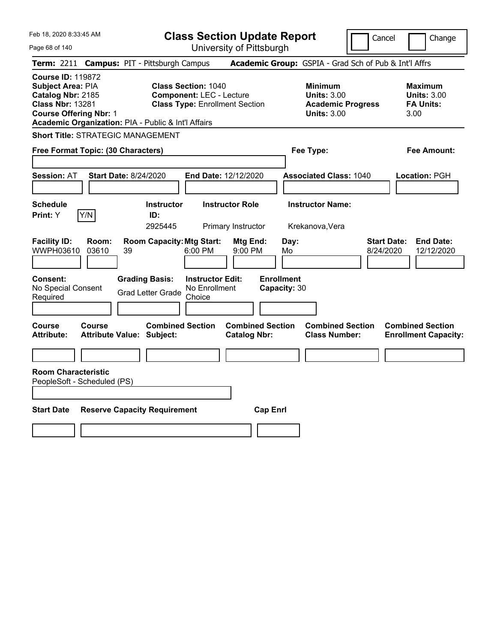**Class Section Update Report**

Cancel **Change** 

| Page 68 of 140                                                                                                                 |                                                                                                                                                               | University of Pittsburgh                                                               |                                                                  |                                                                   |
|--------------------------------------------------------------------------------------------------------------------------------|---------------------------------------------------------------------------------------------------------------------------------------------------------------|----------------------------------------------------------------------------------------|------------------------------------------------------------------|-------------------------------------------------------------------|
| <b>Term: 2211</b>                                                                                                              | <b>Campus: PIT - Pittsburgh Campus</b>                                                                                                                        |                                                                                        | Academic Group: GSPIA - Grad Sch of Pub & Int'l Affrs            |                                                                   |
| <b>Course ID: 119872</b><br>Subject Area: PIA<br>Catalog Nbr: 2185<br><b>Class Nbr: 13281</b><br><b>Course Offering Nbr: 1</b> | <b>Class Section: 1040</b><br><b>Component: LEC - Lecture</b><br><b>Class Type: Enrollment Section</b><br>Academic Organization: PIA - Public & Int'l Affairs | <b>Minimum</b><br><b>Units: 3.00</b><br><b>Academic Progress</b><br><b>Units: 3.00</b> | <b>Maximum</b><br><b>Units: 3.00</b><br><b>FA Units:</b><br>3.00 |                                                                   |
| <b>Short Title: STRATEGIC MANAGEMENT</b>                                                                                       |                                                                                                                                                               |                                                                                        |                                                                  |                                                                   |
| Free Format Topic: (30 Characters)                                                                                             |                                                                                                                                                               |                                                                                        | Fee Type:                                                        | Fee Amount:                                                       |
| <b>Session: AT</b>                                                                                                             | <b>Start Date: 8/24/2020</b>                                                                                                                                  | End Date: 12/12/2020                                                                   | <b>Associated Class: 1040</b>                                    | Location: PGH                                                     |
| <b>Schedule</b>                                                                                                                | <b>Instructor</b>                                                                                                                                             | <b>Instructor Role</b>                                                                 | <b>Instructor Name:</b>                                          |                                                                   |
| Print: Y<br>Y/N                                                                                                                | ID:<br>2925445                                                                                                                                                | Primary Instructor                                                                     | Krekanova, Vera                                                  |                                                                   |
| <b>Facility ID:</b><br>Room:<br>WWPH03610<br>03610<br>Consent:<br>No Special Consent<br>Required                               | <b>Room Capacity: Mtg Start:</b><br>6:00 PM<br>39<br><b>Grading Basis:</b><br><b>Grad Letter Grade</b><br>Choice                                              | Mtg End:<br>9:00 PM<br><b>Instructor Edit:</b><br>No Enrollment                        | Day:<br>Mo<br><b>Enrollment</b><br>Capacity: 30                  | <b>Start Date:</b><br><b>End Date:</b><br>8/24/2020<br>12/12/2020 |
|                                                                                                                                |                                                                                                                                                               |                                                                                        |                                                                  |                                                                   |
| Course<br>Course<br><b>Attribute:</b>                                                                                          | <b>Combined Section</b><br><b>Attribute Value: Subject:</b>                                                                                                   | <b>Combined Section</b><br><b>Catalog Nbr:</b>                                         | <b>Combined Section</b><br><b>Class Number:</b>                  | <b>Combined Section</b><br><b>Enrollment Capacity:</b>            |
|                                                                                                                                |                                                                                                                                                               |                                                                                        |                                                                  |                                                                   |
| <b>Room Characteristic</b><br>PeopleSoft - Scheduled (PS)                                                                      |                                                                                                                                                               |                                                                                        |                                                                  |                                                                   |
| <b>Start Date</b>                                                                                                              | <b>Reserve Capacity Requirement</b>                                                                                                                           | <b>Cap Enrl</b>                                                                        |                                                                  |                                                                   |
|                                                                                                                                |                                                                                                                                                               |                                                                                        |                                                                  |                                                                   |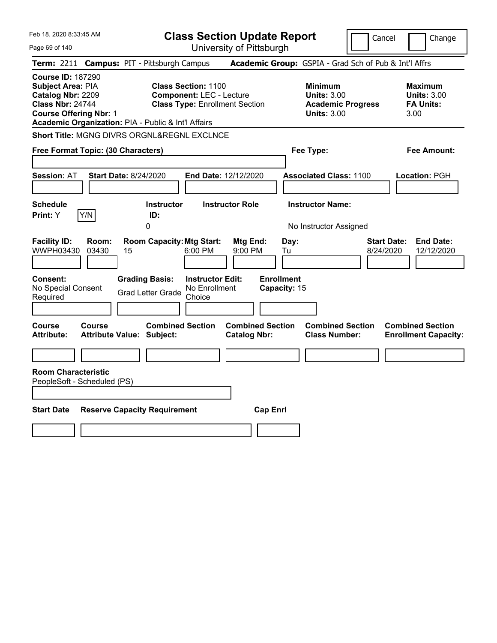Feb 18, 2020 8:33:45 AM Page 69 of 140 **Class Section Update Report** University of Pittsburgh Cancel Change **Term:** 2211 **Campus:** PIT - Pittsburgh Campus **Academic Group:** GSPIA - Grad Sch of Pub & Int'l Affrs **Course ID:** 187290 **Subject Area: PIA Class Section: 1100 Minimum Maximum <br>
<b>Catalog Nbr:** 2209 **Component:** LEC - Lecture **Units: 3.00** Units: 3.00 **Catalog Nbr:** 2209 **Component:** LEC - Lecture **Units:** 3.00 **Units:** 3.00 **Class Type: Enrollment Section <b>Academic Progress FA Units: Course Offering Nbr:** 1 **Units:** 3.00 3.00 **Academic Organization:** PIA - Public & Int'l Affairs **Short Title: MGNG DIVRS ORGNL&REGNL EXCLNCE Free Format Topic: (30 Characters) Fee Type: Fee Amount: Session:** AT **Start Date:** 8/24/2020 **End Date:** 12/12/2020 **Associated Class:** 1100 **Location:** PGH **Schedule Instructor Instructor Role Instructor Name: Print:**  $Y$   $|Y/N|$  **ID:** 0 **No Instructor Assigned Facility ID: Room: Room Capacity:Mtg Start: Mtg End: Day: Start Date: End Date:** WWPH03430 03430 15 6:00 PM 9:00 PM Tu 8/24/2020 12/12/2020 **Consent: Grading Basis: Instructor Edit: Enrollment** No Special Consent No Special Consent Grad Letter Grade No Enrollment<br>Required Choice Choice **Capacity:** 15 **Course Course Combined Section Combined Section Combined Section Combined Section Attribute: Attribute Value: Subject: Catalog Nbr: Class Number: Enrollment Capacity: Room Characteristic** PeopleSoft - Scheduled (PS) **Start Date Reserve Capacity Requirement Cap Enrl**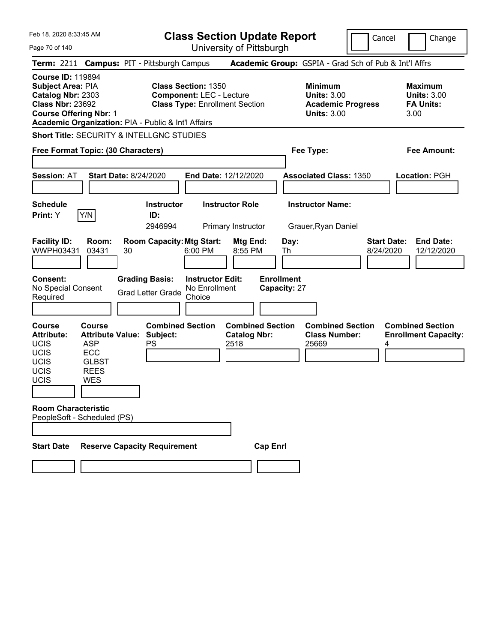Cancel Change

Page 70 of 140 **Class Section Update Report** University of Pittsburgh **Term:** 2211 **Campus:** PIT - Pittsburgh Campus **Academic Group:** GSPIA - Grad Sch of Pub & Int'l Affrs **Course ID:** 119894 **Subject Area:** PIA **Class Section:** 1350 **Minimum Maximum Catalog Nbr:** 2303 **Component:** LEC - Lecture **Units:** 3.00 **Units:** 3.00 **Class Nbr:** 23692 **Class Type:** Enrollment Section **Academic Progress FA Units: Course Offering Nbr:** 1 **Units:** 3.00 3.00 **Academic Organization:** PIA - Public & Int'l Affairs **Short Title:** SECURITY & INTELLGNC STUDIES **Free Format Topic: (30 Characters) Fee Type: Fee Amount: Session:** AT **Start Date:** 8/24/2020 **End Date:** 12/12/2020 **Associated Class:** 1350 **Location:** PGH **Schedule Instructor Instructor Role Instructor Name: Print:**  $Y$   $|Y/N|$  **ID:** 2946994 Primary Instructor Grauer,Ryan Daniel **Facility ID: Room: Room Capacity:Mtg Start: Mtg End: Day: Start Date: End Date:** WWPH03431 03431 30 6:00 PM 8:55 PM Th 8/24/2020 12/12/2020 **Consent: Grading Basis: Instructor Edit: Enrollment** No Special Consent No Special Consent Grad Letter Grade No Enrollment<br>Required Choice Choice **Capacity:** 27 **Course Course Combined Section Combined Section Combined Section Combined Section Attribute: Attribute Value: Subject: Catalog Nbr: Class Number: Enrollment Capacity:**  UCIS ASP UCIS ECC UCIS GLBST UCIS REES UCIS WES PS 2518 25669 4 **Room Characteristic** PeopleSoft - Scheduled (PS) **Start Date Reserve Capacity Requirement Cap Enrl**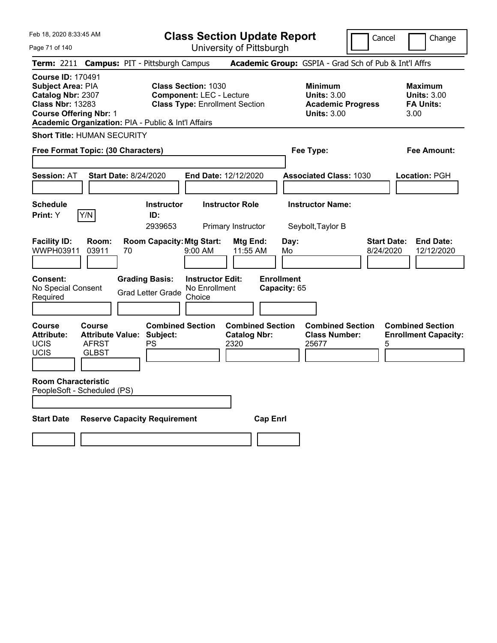**Class Section Update Report**

Cancel **Change** 

| Page 71 of 140                                                                                                                                                                        |                                                   | University of Pittsburgh                                                 |                                                                                        |                                                                   |
|---------------------------------------------------------------------------------------------------------------------------------------------------------------------------------------|---------------------------------------------------|--------------------------------------------------------------------------|----------------------------------------------------------------------------------------|-------------------------------------------------------------------|
| <b>Term: 2211</b>                                                                                                                                                                     | <b>Campus: PIT - Pittsburgh Campus</b>            |                                                                          | Academic Group: GSPIA - Grad Sch of Pub & Int'l Affrs                                  |                                                                   |
| <b>Course ID: 170491</b><br>Subject Area: PIA<br>Catalog Nbr: 2307<br><b>Class Nbr: 13283</b><br><b>Course Offering Nbr: 1</b><br>Academic Organization: PIA - Public & Int'l Affairs | <b>Class Section: 1030</b>                        | <b>Component: LEC - Lecture</b><br><b>Class Type: Enrollment Section</b> | <b>Minimum</b><br><b>Units: 3.00</b><br><b>Academic Progress</b><br><b>Units: 3.00</b> | <b>Maximum</b><br><b>Units: 3.00</b><br><b>FA Units:</b><br>3.00  |
| <b>Short Title: HUMAN SECURITY</b>                                                                                                                                                    |                                                   |                                                                          |                                                                                        |                                                                   |
| Free Format Topic: (30 Characters)                                                                                                                                                    |                                                   |                                                                          | Fee Type:                                                                              | Fee Amount:                                                       |
| <b>Session: AT</b>                                                                                                                                                                    | <b>Start Date: 8/24/2020</b>                      | End Date: 12/12/2020                                                     | <b>Associated Class: 1030</b>                                                          | Location: PGH                                                     |
| <b>Schedule</b><br>Print: Y<br>Y/N                                                                                                                                                    | <b>Instructor</b><br>ID:<br>2939653               | <b>Instructor Role</b><br>Primary Instructor                             | <b>Instructor Name:</b><br>Seybolt, Taylor B                                           |                                                                   |
| <b>Facility ID:</b><br>Room:<br>WWPH03911<br>03911                                                                                                                                    | <b>Room Capacity: Mtg Start:</b><br>70            | Mtg End:<br>9:00 AM<br>11:55 AM                                          | Day:<br>Mo                                                                             | <b>Start Date:</b><br><b>End Date:</b><br>8/24/2020<br>12/12/2020 |
| <b>Consent:</b><br>No Special Consent<br>Required                                                                                                                                     | <b>Grading Basis:</b><br><b>Grad Letter Grade</b> | <b>Instructor Edit:</b><br>No Enrollment<br>Choice                       | <b>Enrollment</b><br>Capacity: 65                                                      |                                                                   |
| Course<br>Course<br><b>Attribute Value:</b><br><b>Attribute:</b><br><b>UCIS</b><br><b>AFRST</b><br>UCIS<br><b>GLBST</b>                                                               | <b>Combined Section</b><br>Subject:<br><b>PS</b>  | <b>Combined Section</b><br><b>Catalog Nbr:</b><br>2320                   | <b>Combined Section</b><br><b>Class Number:</b><br>25677                               | <b>Combined Section</b><br><b>Enrollment Capacity:</b><br>5       |
| <b>Room Characteristic</b><br>PeopleSoft - Scheduled (PS)                                                                                                                             |                                                   |                                                                          |                                                                                        |                                                                   |
| <b>Start Date</b>                                                                                                                                                                     | <b>Reserve Capacity Requirement</b>               | <b>Cap Enrl</b>                                                          |                                                                                        |                                                                   |
|                                                                                                                                                                                       |                                                   |                                                                          |                                                                                        |                                                                   |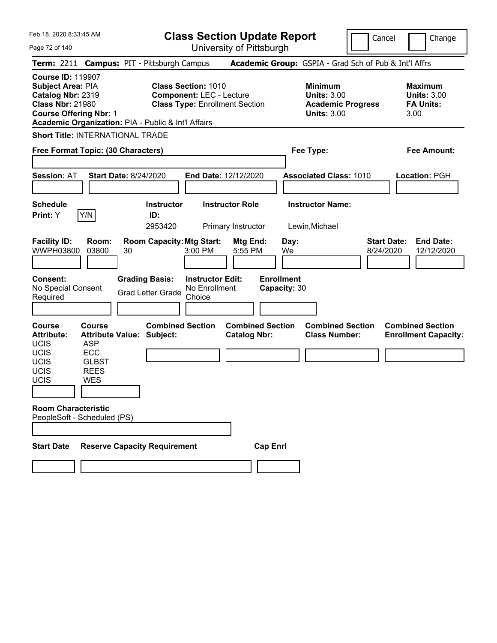**Class Section Update Report** University of Pittsburgh

Cancel Change

Page 72 of 140

**Term:** 2211 **Campus:** PIT - Pittsburgh Campus **Academic Group:** GSPIA - Grad Sch of Pub & Int'l Affrs **Course ID:** 119907 **Subject Area:** PIA **Class Section:** 1010 **Minimum Maximum Catalog Nbr:** 2319 **Component:** LEC - Lecture **Units:** 3.00 **Units:** 3.00 **Class Nbr:** 21980 **Class Type:** Enrollment Section **Academic Progress FA Units: Course Offering Nbr:** 1 **Units:** 3.00 3.00 **Academic Organization:** PIA - Public & Int'l Affairs **Short Title:** INTERNATIONAL TRADE **Free Format Topic: (30 Characters) Fee Type: Fee Amount: Session:** AT **Start Date:** 8/24/2020 **End Date:** 12/12/2020 **Associated Class:** 1010 **Location:** PGH **Schedule Instructor Instructor Role Instructor Name: Print:**  $Y$   $|Y/N|$  **ID:** 2953420 Primary Instructor Lewin,Michael **Facility ID: Room: Room Capacity:Mtg Start: Mtg End: Day: Start Date: End Date:** WWPH03800 03800 30 3:00 PM 5:55 PM We 8/24/2020 12/12/2020 **Consent: Grading Basis: Instructor Edit: Enrollment** No Special Consent Grad Letter Grade No Enrollment Choice **Capacity:** 30 **Course Course Combined Section Combined Section Combined Section Combined Section Attribute: Attribute Value: Subject: Catalog Nbr: Class Number: Enrollment Capacity:**  UCIS ASP UCIS ECC UCIS GLBST UCIS REES UCIS WES **Room Characteristic** PeopleSoft - Scheduled (PS) **Start Date Reserve Capacity Requirement Cap Enrl**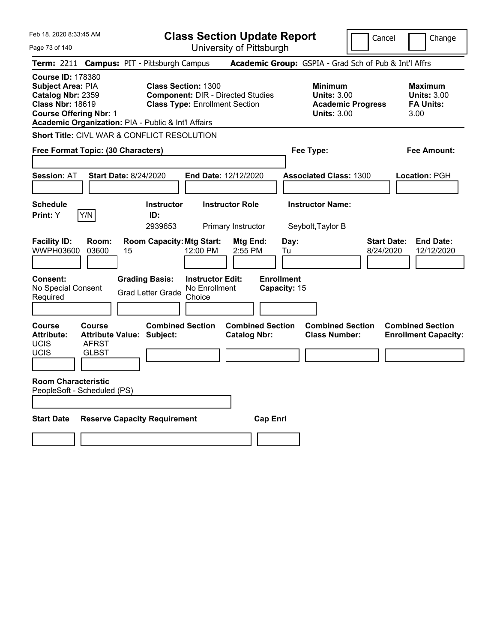Feb 18, 2020 8:33:45 AM Page 73 of 140 **Class Section Update Report** University of Pittsburgh Cancel | Change **Term:** 2211 **Campus:** PIT - Pittsburgh Campus **Academic Group:** GSPIA - Grad Sch of Pub & Int'l Affrs **Course ID:** 178380 **Subject Area:** PIA **Class Section:** 1300 **Minimum Maximum Catalog Nbr:** 2359 **Component:** DIR - Directed Studies **Units:** 3.00 **Units:** 3.00 **Class Type: Enrollment Section <b>Academic Progress FA Units: Course Offering Nbr:** 1 **Units:** 3.00 3.00 **Academic Organization:** PIA - Public & Int'l Affairs **Short Title:** CIVL WAR & CONFLICT RESOLUTION **Free Format Topic: (30 Characters) Fee Type: Fee Amount: Session:** AT **Start Date:** 8/24/2020 **End Date:** 12/12/2020 **Associated Class:** 1300 **Location:** PGH **Schedule Instructor Instructor Role Instructor Name: Print:**  $Y$   $|Y/N|$  **ID:** 2939653 Primary Instructor Seybolt,Taylor B **Facility ID: Room: Room Capacity:Mtg Start: Mtg End: Day: Start Date: End Date:** WWPH03600 03600 15 12:00 PM 2:55 PM Tu 8/24/2020 12/12/2020 **Consent: Grading Basis: Instructor Edit: Enrollment** No Special Consent No Special Consent Grad Letter Grade No Enrollment<br>Required Choice Choice **Capacity:** 15 **Course Course Combined Section Combined Section Combined Section Combined Section**  Attribute: Attribute Value: Subject: Catalog Nbr: Class Number: Enrollment Capacity: UCIS AFRST UCIS GLBST **Room Characteristic** PeopleSoft - Scheduled (PS) **Start Date Reserve Capacity Requirement Cap Enrl**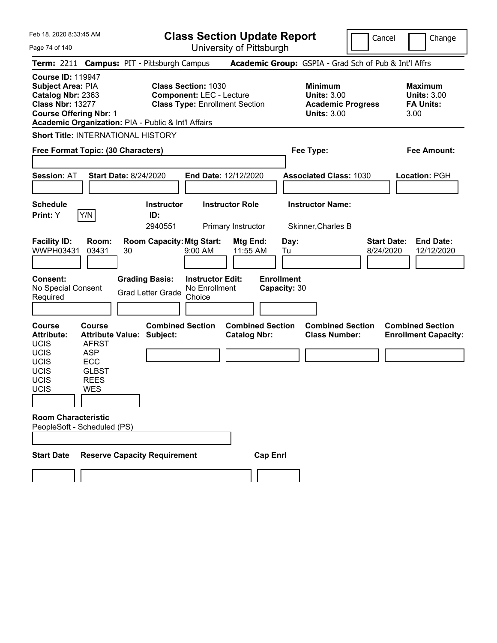Page 74 of 140

**Class Section Update Report**

Cancel **Change** 

| Term: 2211 Campus: PIT - Pittsburgh Campus                                                                                                                                                   |                                             |    |                                                             |                                                                                                        |                                                |                                   |            | <b>Academic Group:</b> GSPIA - Grad Sch of Pub & Int'l Affrs                           |                                 |                                                                  |
|----------------------------------------------------------------------------------------------------------------------------------------------------------------------------------------------|---------------------------------------------|----|-------------------------------------------------------------|--------------------------------------------------------------------------------------------------------|------------------------------------------------|-----------------------------------|------------|----------------------------------------------------------------------------------------|---------------------------------|------------------------------------------------------------------|
| <b>Course ID: 119947</b><br><b>Subject Area: PIA</b><br>Catalog Nbr: 2363<br><b>Class Nbr: 13277</b><br><b>Course Offering Nbr: 1</b><br>Academic Organization: PIA - Public & Int'l Affairs |                                             |    |                                                             | <b>Class Section: 1030</b><br><b>Component: LEC - Lecture</b><br><b>Class Type: Enrollment Section</b> |                                                |                                   |            | <b>Minimum</b><br><b>Units: 3.00</b><br><b>Academic Progress</b><br><b>Units: 3.00</b> |                                 | <b>Maximum</b><br><b>Units: 3.00</b><br><b>FA Units:</b><br>3.00 |
| <b>Short Title: INTERNATIONAL HISTORY</b>                                                                                                                                                    |                                             |    |                                                             |                                                                                                        |                                                |                                   |            |                                                                                        |                                 |                                                                  |
| Free Format Topic: (30 Characters)                                                                                                                                                           |                                             |    |                                                             |                                                                                                        |                                                |                                   |            | Fee Type:                                                                              |                                 | <b>Fee Amount:</b>                                               |
|                                                                                                                                                                                              |                                             |    |                                                             |                                                                                                        |                                                |                                   |            |                                                                                        |                                 |                                                                  |
| <b>Session: AT</b>                                                                                                                                                                           | <b>Start Date: 8/24/2020</b>                |    |                                                             | <b>End Date: 12/12/2020</b>                                                                            |                                                |                                   |            | <b>Associated Class: 1030</b>                                                          |                                 | Location: PGH                                                    |
| <b>Schedule</b><br>Print: Y                                                                                                                                                                  | Y/N                                         |    | <b>Instructor</b><br>ID:<br>2940551                         |                                                                                                        | <b>Instructor Role</b><br>Primary Instructor   |                                   |            | <b>Instructor Name:</b><br>Skinner, Charles B                                          |                                 |                                                                  |
|                                                                                                                                                                                              |                                             |    |                                                             |                                                                                                        |                                                |                                   |            |                                                                                        |                                 |                                                                  |
| <b>Facility ID:</b><br>WWPH03431                                                                                                                                                             | Room:<br>03431                              | 30 | <b>Room Capacity: Mtg Start:</b>                            | 9:00 AM                                                                                                | Mtg End:<br>11:55 AM                           |                                   | Day:<br>Tu |                                                                                        | <b>Start Date:</b><br>8/24/2020 | <b>End Date:</b><br>12/12/2020                                   |
| <b>Consent:</b><br>No Special Consent<br>Required                                                                                                                                            |                                             |    | <b>Grading Basis:</b><br><b>Grad Letter Grade</b>           | <b>Instructor Edit:</b><br>No Enrollment<br>Choice                                                     |                                                | <b>Enrollment</b><br>Capacity: 30 |            |                                                                                        |                                 |                                                                  |
|                                                                                                                                                                                              |                                             |    |                                                             |                                                                                                        |                                                |                                   |            |                                                                                        |                                 |                                                                  |
| <b>Course</b><br><b>Attribute:</b><br><b>UCIS</b><br>UCIS                                                                                                                                    | <b>Course</b><br><b>AFRST</b><br><b>ASP</b> |    | <b>Combined Section</b><br><b>Attribute Value: Subject:</b> |                                                                                                        | <b>Combined Section</b><br><b>Catalog Nbr:</b> |                                   |            | <b>Combined Section</b><br><b>Class Number:</b>                                        |                                 | <b>Combined Section</b><br><b>Enrollment Capacity:</b>           |
| UCIS                                                                                                                                                                                         | ECC                                         |    |                                                             |                                                                                                        |                                                |                                   |            |                                                                                        |                                 |                                                                  |
| UCIS                                                                                                                                                                                         | <b>GLBST</b>                                |    |                                                             |                                                                                                        |                                                |                                   |            |                                                                                        |                                 |                                                                  |
| <b>UCIS</b><br>UCIS                                                                                                                                                                          | <b>REES</b><br><b>WES</b>                   |    |                                                             |                                                                                                        |                                                |                                   |            |                                                                                        |                                 |                                                                  |
|                                                                                                                                                                                              |                                             |    |                                                             |                                                                                                        |                                                |                                   |            |                                                                                        |                                 |                                                                  |
|                                                                                                                                                                                              |                                             |    |                                                             |                                                                                                        |                                                |                                   |            |                                                                                        |                                 |                                                                  |
| <b>Room Characteristic</b><br>PeopleSoft - Scheduled (PS)                                                                                                                                    |                                             |    |                                                             |                                                                                                        |                                                |                                   |            |                                                                                        |                                 |                                                                  |
|                                                                                                                                                                                              |                                             |    |                                                             |                                                                                                        |                                                |                                   |            |                                                                                        |                                 |                                                                  |
| <b>Start Date</b>                                                                                                                                                                            |                                             |    | <b>Reserve Capacity Requirement</b>                         |                                                                                                        |                                                | <b>Cap Enrl</b>                   |            |                                                                                        |                                 |                                                                  |
|                                                                                                                                                                                              |                                             |    |                                                             |                                                                                                        |                                                |                                   |            |                                                                                        |                                 |                                                                  |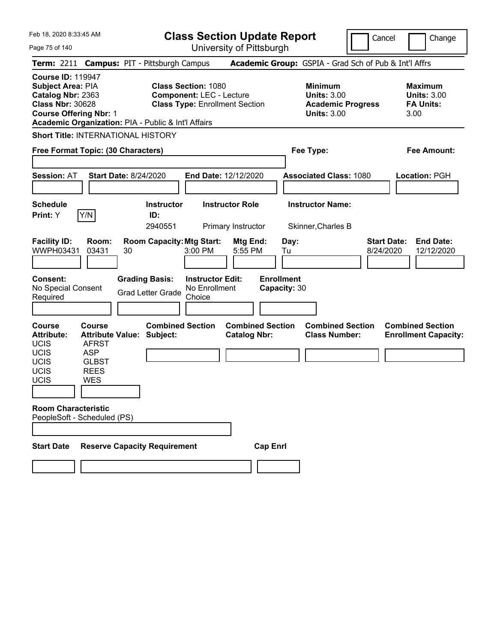Page 75 of 140

**Class Section Update Report**

Cancel **Change** 

|                                                                                                                                       | Term: 2211 Campus: PIT - Pittsburgh Campus                                                                                   |                                                   |                                                               |                                                |                                   | Academic Group: GSPIA - Grad Sch of Pub & Int'l Affrs                             |                                                                   |
|---------------------------------------------------------------------------------------------------------------------------------------|------------------------------------------------------------------------------------------------------------------------------|---------------------------------------------------|---------------------------------------------------------------|------------------------------------------------|-----------------------------------|-----------------------------------------------------------------------------------|-------------------------------------------------------------------|
| <b>Course ID: 119947</b><br><b>Subject Area: PIA</b><br>Catalog Nbr: 2363<br><b>Class Nbr: 30628</b><br><b>Course Offering Nbr: 1</b> | Academic Organization: PIA - Public & Int'l Affairs                                                                          |                                                   | <b>Class Section: 1080</b><br><b>Component: LEC - Lecture</b> | <b>Class Type: Enrollment Section</b>          |                                   | <b>Minimum</b><br>Units: $3.00$<br><b>Academic Progress</b><br><b>Units: 3.00</b> | <b>Maximum</b><br><b>Units: 3.00</b><br><b>FA Units:</b><br>3.00  |
|                                                                                                                                       | <b>Short Title: INTERNATIONAL HISTORY</b>                                                                                    |                                                   |                                                               |                                                |                                   |                                                                                   |                                                                   |
|                                                                                                                                       | Free Format Topic: (30 Characters)                                                                                           |                                                   |                                                               |                                                |                                   | Fee Type:                                                                         | Fee Amount:                                                       |
| <b>Session: AT</b>                                                                                                                    | <b>Start Date: 8/24/2020</b>                                                                                                 |                                                   |                                                               | End Date: 12/12/2020                           |                                   | <b>Associated Class: 1080</b>                                                     | Location: PGH                                                     |
|                                                                                                                                       |                                                                                                                              |                                                   |                                                               |                                                |                                   |                                                                                   |                                                                   |
| <b>Schedule</b><br><b>Print:</b> Y                                                                                                    | Y/N                                                                                                                          | <b>Instructor</b><br>ID:<br>2940551               |                                                               | <b>Instructor Role</b><br>Primary Instructor   |                                   | <b>Instructor Name:</b><br>Skinner, Charles B                                     |                                                                   |
| <b>Facility ID:</b><br>WWPH03431                                                                                                      | Room:<br>03431<br>30                                                                                                         | <b>Room Capacity: Mtg Start:</b>                  | 3:00 PM                                                       | Mtg End:<br>5:55 PM                            | Day:<br>Tu                        |                                                                                   | <b>Start Date:</b><br><b>End Date:</b><br>8/24/2020<br>12/12/2020 |
| <b>Consent:</b><br>No Special Consent<br>Required                                                                                     |                                                                                                                              | <b>Grading Basis:</b><br><b>Grad Letter Grade</b> | <b>Instructor Edit:</b><br>No Enrollment<br>Choice            |                                                | <b>Enrollment</b><br>Capacity: 30 |                                                                                   |                                                                   |
| <b>Course</b><br><b>Attribute:</b><br>UCIS<br>UCIS<br>UCIS<br><b>UCIS</b><br>UCIS                                                     | <b>Course</b><br><b>Attribute Value: Subject:</b><br><b>AFRST</b><br><b>ASP</b><br><b>GLBST</b><br><b>REES</b><br><b>WES</b> | <b>Combined Section</b>                           |                                                               | <b>Combined Section</b><br><b>Catalog Nbr:</b> |                                   | <b>Combined Section</b><br><b>Class Number:</b>                                   | <b>Combined Section</b><br><b>Enrollment Capacity:</b>            |
|                                                                                                                                       |                                                                                                                              |                                                   |                                                               |                                                |                                   |                                                                                   |                                                                   |
| <b>Room Characteristic</b>                                                                                                            | PeopleSoft - Scheduled (PS)                                                                                                  |                                                   |                                                               |                                                |                                   |                                                                                   |                                                                   |
| <b>Start Date</b>                                                                                                                     | <b>Reserve Capacity Requirement</b>                                                                                          |                                                   |                                                               | <b>Cap Enri</b>                                |                                   |                                                                                   |                                                                   |
|                                                                                                                                       |                                                                                                                              |                                                   |                                                               |                                                |                                   |                                                                                   |                                                                   |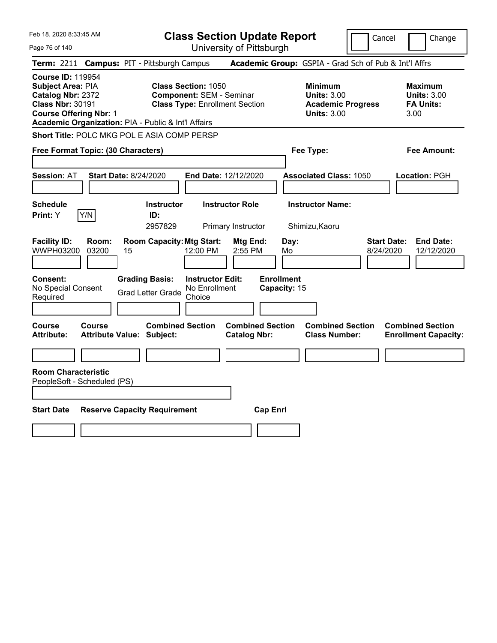Feb 18, 2020 8:33:45 AM Page 76 of 140 **Class Section Update Report** University of Pittsburgh Cancel Change **Term:** 2211 **Campus:** PIT - Pittsburgh Campus **Academic Group:** GSPIA - Grad Sch of Pub & Int'l Affrs **Course ID:** 119954 **Subject Area:** PIA **Class Section:** 1050 **Minimum Maximum Catalog Nbr:** 2372 **Component:** SEM - Seminar **Units:** 3.00 **Units:** 3.00 **Class Nbr:** 30191 **Class Type:** Enrollment Section **Academic Progress FA Units: Course Offering Nbr:** 1 **Units:** 3.00 3.00 **Academic Organization:** PIA - Public & Int'l Affairs **Short Title:** POLC MKG POL E ASIA COMP PERSP **Free Format Topic: (30 Characters) Fee Type: Fee Amount: Session:** AT **Start Date:** 8/24/2020 **End Date:** 12/12/2020 **Associated Class:** 1050 **Location:** PGH **Schedule Instructor Instructor Role Instructor Name: Print:**  $Y$   $|Y/N|$  **ID:** 2957829 Primary Instructor Shimizu,Kaoru **Facility ID: Room: Room Capacity:Mtg Start: Mtg End: Day: Start Date: End Date:** WWPH03200 03200 15 12:00 PM 2:55 PM Mo 8/24/2020 12/12/2020 **Consent: Grading Basis: Instructor Edit: Enrollment** No Special Consent No Special Consent Grad Letter Grade No Enrollment<br>Required Choice Choice **Capacity:** 15 **Course Course Combined Section Combined Section Combined Section Combined Section Attribute: Attribute Value: Subject: Catalog Nbr: Class Number: Enrollment Capacity: Room Characteristic** PeopleSoft - Scheduled (PS) **Start Date Reserve Capacity Requirement Cap Enrl**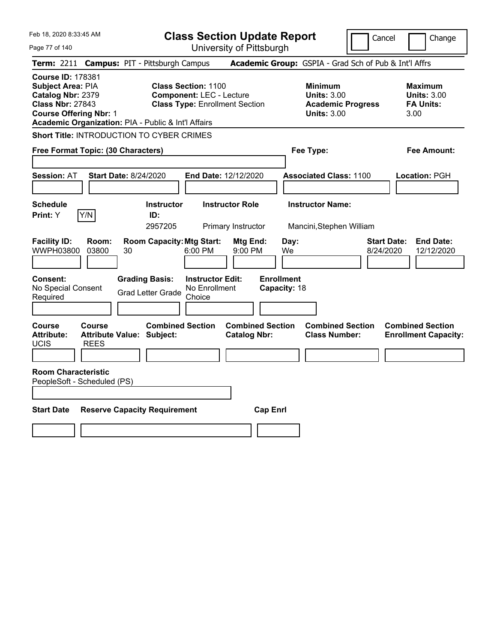Page 77 of 140

**Class Section Update Report**

Cancel Change

| Term: 2211 Campus: PIT - Pittsburgh Campus                                                                                                                                                   |                                                                                                                                                                               |                                                                                        | Academic Group: GSPIA - Grad Sch of Pub & Int'l Affrs            |                                                        |  |  |  |  |
|----------------------------------------------------------------------------------------------------------------------------------------------------------------------------------------------|-------------------------------------------------------------------------------------------------------------------------------------------------------------------------------|----------------------------------------------------------------------------------------|------------------------------------------------------------------|--------------------------------------------------------|--|--|--|--|
| <b>Course ID: 178381</b><br><b>Subject Area: PIA</b><br>Catalog Nbr: 2379<br><b>Class Nbr: 27843</b><br><b>Course Offering Nbr: 1</b><br>Academic Organization: PIA - Public & Int'l Affairs | <b>Class Section: 1100</b><br><b>Component: LEC - Lecture</b><br><b>Class Type: Enrollment Section</b>                                                                        | <b>Minimum</b><br><b>Units: 3.00</b><br><b>Academic Progress</b><br><b>Units: 3.00</b> | <b>Maximum</b><br><b>Units: 3.00</b><br><b>FA Units:</b><br>3.00 |                                                        |  |  |  |  |
| Short Title: INTRODUCTION TO CYBER CRIMES                                                                                                                                                    |                                                                                                                                                                               |                                                                                        |                                                                  |                                                        |  |  |  |  |
| Free Format Topic: (30 Characters)                                                                                                                                                           |                                                                                                                                                                               | Fee Type:                                                                              | <b>Fee Amount:</b>                                               |                                                        |  |  |  |  |
| <b>Session: AT</b>                                                                                                                                                                           | <b>Start Date: 8/24/2020</b>                                                                                                                                                  | End Date: 12/12/2020                                                                   | <b>Associated Class: 1100</b>                                    | Location: PGH                                          |  |  |  |  |
| <b>Schedule</b><br>Y/N<br>Print: Y                                                                                                                                                           | <b>Instructor</b><br>ID:<br>2957205                                                                                                                                           | <b>Instructor Role</b><br><b>Primary Instructor</b>                                    | <b>Instructor Name:</b><br>Mancini, Stephen William              |                                                        |  |  |  |  |
| <b>Facility ID:</b><br>WWPH03800<br>Consent:                                                                                                                                                 | <b>Room Capacity: Mtg Start:</b><br><b>Start Date:</b><br><b>End Date:</b><br>Room:<br>Mtg End:<br>Day:<br>03800<br>30<br>6:00 PM<br>9:00 PM<br>8/24/2020<br>12/12/2020<br>We |                                                                                        |                                                                  |                                                        |  |  |  |  |
| No Special Consent<br>Required                                                                                                                                                               | <b>Grading Basis:</b><br><b>Grad Letter Grade</b>                                                                                                                             | <b>Instructor Edit:</b><br>No Enrollment<br>Choice                                     | <b>Enrollment</b><br>Capacity: 18                                |                                                        |  |  |  |  |
| Course<br>Course<br><b>Attribute:</b><br><b>UCIS</b><br><b>REES</b>                                                                                                                          | <b>Combined Section</b><br><b>Attribute Value: Subject:</b>                                                                                                                   | <b>Combined Section</b><br><b>Catalog Nbr:</b>                                         | <b>Combined Section</b><br><b>Class Number:</b>                  | <b>Combined Section</b><br><b>Enrollment Capacity:</b> |  |  |  |  |
| <b>Room Characteristic</b><br>PeopleSoft - Scheduled (PS)                                                                                                                                    |                                                                                                                                                                               |                                                                                        |                                                                  |                                                        |  |  |  |  |
| <b>Start Date</b>                                                                                                                                                                            | <b>Reserve Capacity Requirement</b>                                                                                                                                           |                                                                                        | <b>Cap Enrl</b>                                                  |                                                        |  |  |  |  |
|                                                                                                                                                                                              |                                                                                                                                                                               |                                                                                        |                                                                  |                                                        |  |  |  |  |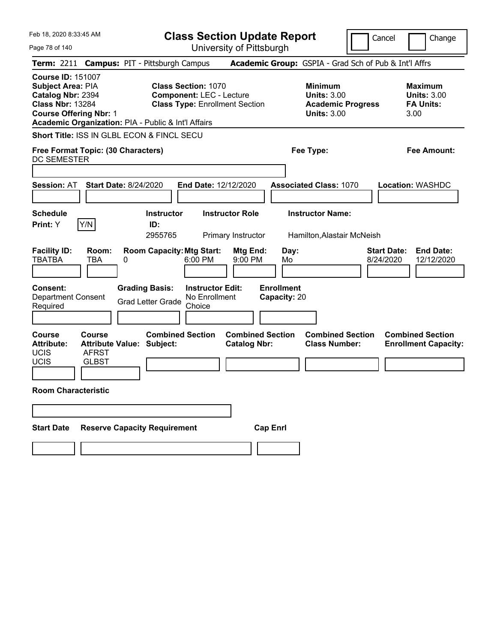| Feb 18, 2020 8:33:45 AM<br>Page 78 of 140                                                                                                                                                    | <b>Class Section Update Report</b><br>University of Pittsburgh                                          | Cancel                                                                                 | Change                                                           |
|----------------------------------------------------------------------------------------------------------------------------------------------------------------------------------------------|---------------------------------------------------------------------------------------------------------|----------------------------------------------------------------------------------------|------------------------------------------------------------------|
| Term: 2211 Campus: PIT - Pittsburgh Campus                                                                                                                                                   |                                                                                                         | Academic Group: GSPIA - Grad Sch of Pub & Int'l Affrs                                  |                                                                  |
| <b>Course ID: 151007</b><br><b>Subject Area: PIA</b><br>Catalog Nbr: 2394<br><b>Class Nbr: 13284</b><br><b>Course Offering Nbr: 1</b><br>Academic Organization: PIA - Public & Int'l Affairs | <b>Class Section: 1070</b><br><b>Component: LEC - Lecture</b><br><b>Class Type: Enrollment Section</b>  | <b>Minimum</b><br><b>Units: 3.00</b><br><b>Academic Progress</b><br><b>Units: 3.00</b> | <b>Maximum</b><br><b>Units: 3.00</b><br><b>FA Units:</b><br>3.00 |
| Short Title: ISS IN GLBL ECON & FINCL SECU                                                                                                                                                   |                                                                                                         |                                                                                        |                                                                  |
| Free Format Topic: (30 Characters)<br>DC SEMESTER                                                                                                                                            |                                                                                                         | Fee Type:                                                                              | <b>Fee Amount:</b>                                               |
|                                                                                                                                                                                              |                                                                                                         |                                                                                        |                                                                  |
| <b>Start Date: 8/24/2020</b><br><b>Session: AT</b>                                                                                                                                           | End Date: 12/12/2020                                                                                    | <b>Associated Class: 1070</b>                                                          | <b>Location: WASHDC</b>                                          |
| <b>Schedule</b><br>Y/N<br><b>Print:</b> Y                                                                                                                                                    | <b>Instructor Role</b><br><b>Instructor</b><br>ID:<br>2955765<br>Primary Instructor                     | <b>Instructor Name:</b><br>Hamilton, Alastair McNeish                                  |                                                                  |
| <b>Facility ID:</b><br>Room:<br><b>TBATBA</b><br>TBA<br>0                                                                                                                                    | <b>Room Capacity: Mtg Start:</b><br>Mtg End:<br>6:00 PM<br>9:00 PM                                      | <b>Start Date:</b><br>Day:<br>8/24/2020<br>Mo                                          | <b>End Date:</b><br>12/12/2020                                   |
| <b>Consent:</b><br><b>Department Consent</b><br>Required                                                                                                                                     | <b>Grading Basis:</b><br><b>Instructor Edit:</b><br>No Enrollment<br><b>Grad Letter Grade</b><br>Choice | <b>Enrollment</b><br>Capacity: 20                                                      |                                                                  |
| <b>Course</b><br><b>Course</b><br><b>Attribute:</b><br><b>Attribute Value: Subject:</b><br>UCIS<br><b>AFRST</b><br>UCIS<br><b>GLBST</b>                                                      | <b>Combined Section</b><br><b>Combined Section</b><br><b>Catalog Nbr:</b>                               | <b>Combined Section</b><br><b>Class Number:</b>                                        | <b>Combined Section</b><br><b>Enrollment Capacity:</b>           |
| <b>Room Characteristic</b>                                                                                                                                                                   |                                                                                                         |                                                                                        |                                                                  |
|                                                                                                                                                                                              |                                                                                                         |                                                                                        |                                                                  |
| <b>Start Date</b>                                                                                                                                                                            | <b>Reserve Capacity Requirement</b>                                                                     | <b>Cap Enrl</b>                                                                        |                                                                  |
|                                                                                                                                                                                              |                                                                                                         |                                                                                        |                                                                  |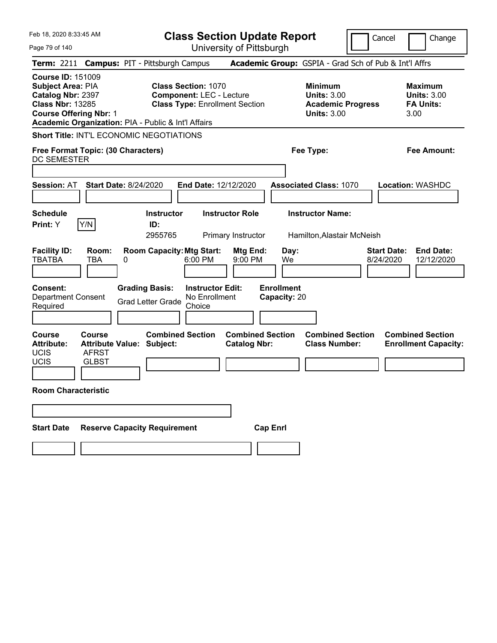| Feb 18, 2020 8:33:45 AM                                                                                                        |                                                                                   |                                                     |                                                                                                        |                                              | <b>Class Section Update Report</b> |                                                                                        | Cancel                          | Change                                                           |
|--------------------------------------------------------------------------------------------------------------------------------|-----------------------------------------------------------------------------------|-----------------------------------------------------|--------------------------------------------------------------------------------------------------------|----------------------------------------------|------------------------------------|----------------------------------------------------------------------------------------|---------------------------------|------------------------------------------------------------------|
| Page 79 of 140                                                                                                                 |                                                                                   |                                                     | University of Pittsburgh                                                                               |                                              |                                    |                                                                                        |                                 |                                                                  |
|                                                                                                                                |                                                                                   | Term: 2211 Campus: PIT - Pittsburgh Campus          |                                                                                                        |                                              |                                    | <b>Academic Group:</b> GSPIA - Grad Sch of Pub & Int'l Affrs                           |                                 |                                                                  |
| <b>Course ID: 151009</b><br>Subject Area: PIA<br>Catalog Nbr: 2397<br><b>Class Nbr: 13285</b><br><b>Course Offering Nbr: 1</b> |                                                                                   | Academic Organization: PIA - Public & Int'l Affairs | <b>Class Section: 1070</b><br><b>Component: LEC - Lecture</b><br><b>Class Type: Enrollment Section</b> |                                              |                                    | <b>Minimum</b><br><b>Units: 3.00</b><br><b>Academic Progress</b><br><b>Units: 3.00</b> |                                 | <b>Maximum</b><br><b>Units: 3.00</b><br><b>FA Units:</b><br>3.00 |
|                                                                                                                                |                                                                                   | <b>Short Title: INT'L ECONOMIC NEGOTIATIONS</b>     |                                                                                                        |                                              |                                    |                                                                                        |                                 |                                                                  |
| Free Format Topic: (30 Characters)<br><b>DC SEMESTER</b>                                                                       |                                                                                   |                                                     |                                                                                                        |                                              |                                    | Fee Type:                                                                              |                                 | Fee Amount:                                                      |
| <b>Session: AT</b>                                                                                                             | <b>Start Date: 8/24/2020</b>                                                      |                                                     | End Date: 12/12/2020                                                                                   |                                              |                                    | <b>Associated Class: 1070</b>                                                          |                                 | <b>Location: WASHDC</b>                                          |
| <b>Schedule</b><br>Print: Y                                                                                                    | Y/N                                                                               | <b>Instructor</b><br>ID:<br>2955765                 |                                                                                                        | <b>Instructor Role</b><br>Primary Instructor |                                    | <b>Instructor Name:</b><br>Hamilton, Alastair McNeish                                  |                                 |                                                                  |
| <b>Facility ID:</b><br><b>TBATBA</b>                                                                                           | Room:<br><b>TBA</b><br>0                                                          | <b>Room Capacity: Mtg Start:</b>                    | 6:00 PM                                                                                                | Mtg End:<br>9:00 PM                          | Day:<br>We                         |                                                                                        | <b>Start Date:</b><br>8/24/2020 | <b>End Date:</b><br>12/12/2020                                   |
| Consent:<br>Department Consent<br>Required                                                                                     |                                                                                   | <b>Grading Basis:</b><br><b>Grad Letter Grade</b>   | <b>Instructor Edit:</b><br>No Enrollment<br>Choice                                                     |                                              | <b>Enrollment</b><br>Capacity: 20  |                                                                                        |                                 |                                                                  |
| <b>Course</b><br><b>Attribute:</b><br><b>UCIS</b><br><b>UCIS</b>                                                               | <b>Course</b><br><b>Attribute Value: Subject:</b><br><b>AFRST</b><br><b>GLBST</b> | <b>Combined Section</b>                             |                                                                                                        | <b>Catalog Nbr:</b>                          | <b>Combined Section</b>            | <b>Combined Section</b><br><b>Class Number:</b>                                        |                                 | <b>Combined Section</b><br><b>Enrollment Capacity:</b>           |
| <b>Room Characteristic</b>                                                                                                     |                                                                                   |                                                     |                                                                                                        |                                              |                                    |                                                                                        |                                 |                                                                  |
|                                                                                                                                |                                                                                   |                                                     |                                                                                                        |                                              |                                    |                                                                                        |                                 |                                                                  |
| <b>Start Date</b>                                                                                                              |                                                                                   | <b>Reserve Capacity Requirement</b>                 |                                                                                                        |                                              | <b>Cap Enrl</b>                    |                                                                                        |                                 |                                                                  |
|                                                                                                                                |                                                                                   |                                                     |                                                                                                        |                                              |                                    |                                                                                        |                                 |                                                                  |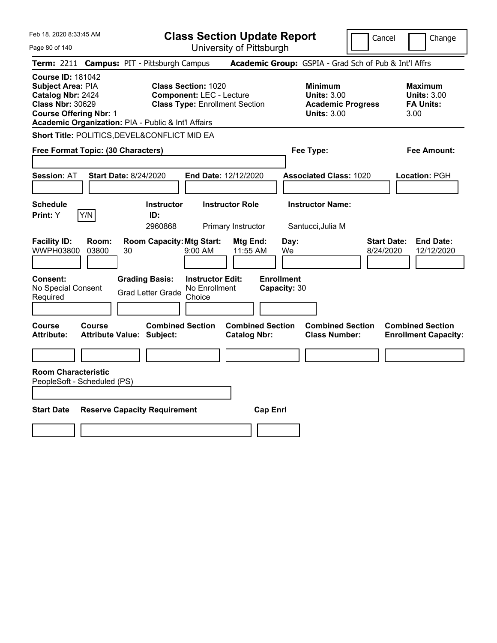Page 80 of 140

**Class Section Update Report**

Cancel **Change** 

|                                                                                                                                                                                              |                                                             | UNIVUOILY ULI RODULYN                                                                                  |                                                |                                                                                        |                                 |                                                                  |  |
|----------------------------------------------------------------------------------------------------------------------------------------------------------------------------------------------|-------------------------------------------------------------|--------------------------------------------------------------------------------------------------------|------------------------------------------------|----------------------------------------------------------------------------------------|---------------------------------|------------------------------------------------------------------|--|
| Term: 2211 Campus: PIT - Pittsburgh Campus                                                                                                                                                   |                                                             |                                                                                                        |                                                | Academic Group: GSPIA - Grad Sch of Pub & Int'l Affrs                                  |                                 |                                                                  |  |
| <b>Course ID: 181042</b><br><b>Subject Area: PIA</b><br>Catalog Nbr: 2424<br><b>Class Nbr: 30629</b><br><b>Course Offering Nbr: 1</b><br>Academic Organization: PIA - Public & Int'l Affairs |                                                             | <b>Class Section: 1020</b><br><b>Component: LEC - Lecture</b><br><b>Class Type: Enrollment Section</b> |                                                | <b>Minimum</b><br><b>Units: 3.00</b><br><b>Academic Progress</b><br><b>Units: 3.00</b> |                                 | <b>Maximum</b><br><b>Units: 3.00</b><br><b>FA Units:</b><br>3.00 |  |
| Short Title: POLITICS, DEVEL&CONFLICT MID EA                                                                                                                                                 |                                                             |                                                                                                        |                                                |                                                                                        |                                 |                                                                  |  |
| Free Format Topic: (30 Characters)                                                                                                                                                           |                                                             |                                                                                                        |                                                | Fee Type:                                                                              |                                 | <b>Fee Amount:</b>                                               |  |
| <b>Session: AT</b>                                                                                                                                                                           | <b>Start Date: 8/24/2020</b>                                | End Date: 12/12/2020                                                                                   |                                                | <b>Associated Class: 1020</b>                                                          |                                 | Location: PGH                                                    |  |
|                                                                                                                                                                                              |                                                             |                                                                                                        |                                                |                                                                                        |                                 |                                                                  |  |
| <b>Schedule</b><br>Y/N<br>Print: Y                                                                                                                                                           | <b>Instructor</b><br>ID:<br>2960868                         | <b>Instructor Role</b><br>Primary Instructor                                                           |                                                | <b>Instructor Name:</b><br>Santucci, Julia M                                           |                                 |                                                                  |  |
| <b>Facility ID:</b><br>Room:<br>WWPH03800<br>03800                                                                                                                                           | <b>Room Capacity: Mtg Start:</b><br>30                      | $9:00$ AM                                                                                              | Mtg End:<br>11:55 AM                           | Day:<br>We                                                                             | <b>Start Date:</b><br>8/24/2020 | <b>End Date:</b><br>12/12/2020                                   |  |
| <b>Consent:</b><br>No Special Consent<br>Required                                                                                                                                            | <b>Grading Basis:</b><br><b>Grad Letter Grade</b>           | <b>Instructor Edit:</b><br>No Enrollment<br>Choice                                                     | <b>Enrollment</b><br>Capacity: 30              |                                                                                        |                                 |                                                                  |  |
| Course<br>Course<br><b>Attribute:</b>                                                                                                                                                        | <b>Combined Section</b><br><b>Attribute Value: Subject:</b> |                                                                                                        | <b>Combined Section</b><br><b>Catalog Nbr:</b> | <b>Combined Section</b><br><b>Class Number:</b>                                        |                                 | <b>Combined Section</b><br><b>Enrollment Capacity:</b>           |  |
|                                                                                                                                                                                              |                                                             |                                                                                                        |                                                |                                                                                        |                                 |                                                                  |  |
| <b>Room Characteristic</b><br>PeopleSoft - Scheduled (PS)                                                                                                                                    |                                                             |                                                                                                        |                                                |                                                                                        |                                 |                                                                  |  |
| <b>Start Date</b>                                                                                                                                                                            | <b>Reserve Capacity Requirement</b><br><b>Cap Enrl</b>      |                                                                                                        |                                                |                                                                                        |                                 |                                                                  |  |
|                                                                                                                                                                                              |                                                             |                                                                                                        |                                                |                                                                                        |                                 |                                                                  |  |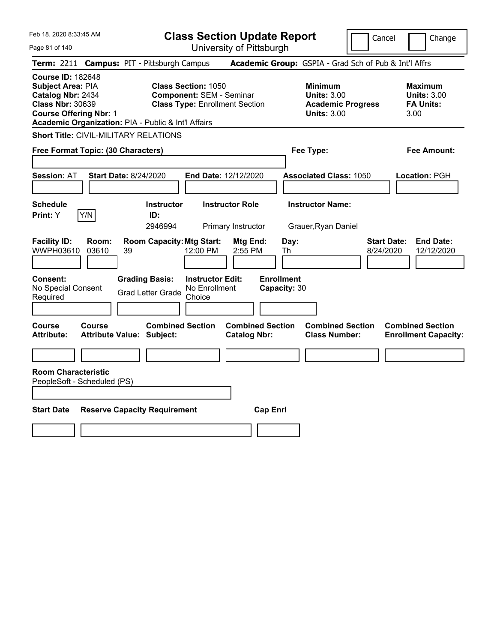Page 81 of 140

**Class Section Update Report**

Cancel **Change** 

| Term: 2211 Campus: PIT - Pittsburgh Campus                                                                                                                                                   |                                                   |    |                                                   |                                                                                                        |                                                |                                                                                   |                                   | Academic Group: GSPIA - Grad Sch of Pub & Int'l Affrs |  |                                 |                                                          |                                                        |
|----------------------------------------------------------------------------------------------------------------------------------------------------------------------------------------------|---------------------------------------------------|----|---------------------------------------------------|--------------------------------------------------------------------------------------------------------|------------------------------------------------|-----------------------------------------------------------------------------------|-----------------------------------|-------------------------------------------------------|--|---------------------------------|----------------------------------------------------------|--------------------------------------------------------|
| <b>Course ID: 182648</b><br><b>Subject Area: PIA</b><br>Catalog Nbr: 2434<br><b>Class Nbr: 30639</b><br><b>Course Offering Nbr: 1</b><br>Academic Organization: PIA - Public & Int'l Affairs |                                                   |    |                                                   | <b>Class Section: 1050</b><br><b>Component: SEM - Seminar</b><br><b>Class Type: Enrollment Section</b> |                                                | <b>Minimum</b><br>Units: $3.00$<br><b>Academic Progress</b><br><b>Units: 3.00</b> |                                   |                                                       |  | 3.00                            | <b>Maximum</b><br><b>Units: 3.00</b><br><b>FA Units:</b> |                                                        |
| <b>Short Title: CIVIL-MILITARY RELATIONS</b>                                                                                                                                                 |                                                   |    |                                                   |                                                                                                        |                                                |                                                                                   |                                   |                                                       |  |                                 |                                                          |                                                        |
| Free Format Topic: (30 Characters)                                                                                                                                                           |                                                   |    |                                                   |                                                                                                        |                                                |                                                                                   |                                   | Fee Type:                                             |  |                                 |                                                          | Fee Amount:                                            |
| <b>Session: AT</b>                                                                                                                                                                           | <b>Start Date: 8/24/2020</b>                      |    |                                                   | End Date: 12/12/2020                                                                                   |                                                |                                                                                   |                                   | <b>Associated Class: 1050</b>                         |  |                                 |                                                          | Location: PGH                                          |
|                                                                                                                                                                                              |                                                   |    |                                                   |                                                                                                        |                                                |                                                                                   |                                   |                                                       |  |                                 |                                                          |                                                        |
| <b>Schedule</b><br>Print: Y                                                                                                                                                                  | Y/N                                               |    | <b>Instructor</b><br>ID:                          |                                                                                                        | <b>Instructor Role</b>                         |                                                                                   |                                   | <b>Instructor Name:</b>                               |  |                                 |                                                          |                                                        |
|                                                                                                                                                                                              |                                                   |    | 2946994                                           |                                                                                                        | Primary Instructor                             |                                                                                   |                                   | Grauer, Ryan Daniel                                   |  |                                 |                                                          |                                                        |
| <b>Facility ID:</b><br>WWPH03610                                                                                                                                                             | Room:<br>03610                                    | 39 | <b>Room Capacity: Mtg Start:</b>                  | 12:00 PM                                                                                               | Mtg End:<br>2:55 PM                            |                                                                                   | Day:<br>Th                        |                                                       |  | <b>Start Date:</b><br>8/24/2020 |                                                          | <b>End Date:</b><br>12/12/2020                         |
| <b>Consent:</b><br>No Special Consent<br>Required                                                                                                                                            |                                                   |    | <b>Grading Basis:</b><br><b>Grad Letter Grade</b> | <b>Instructor Edit:</b><br>No Enrollment<br>Choice                                                     |                                                |                                                                                   | <b>Enrollment</b><br>Capacity: 30 |                                                       |  |                                 |                                                          |                                                        |
| Course<br><b>Attribute:</b>                                                                                                                                                                  | <b>Course</b><br><b>Attribute Value: Subject:</b> |    | <b>Combined Section</b>                           |                                                                                                        | <b>Combined Section</b><br><b>Catalog Nbr:</b> |                                                                                   |                                   | <b>Combined Section</b><br><b>Class Number:</b>       |  |                                 |                                                          | <b>Combined Section</b><br><b>Enrollment Capacity:</b> |
|                                                                                                                                                                                              |                                                   |    |                                                   |                                                                                                        |                                                |                                                                                   |                                   |                                                       |  |                                 |                                                          |                                                        |
| <b>Room Characteristic</b><br>PeopleSoft - Scheduled (PS)                                                                                                                                    |                                                   |    |                                                   |                                                                                                        |                                                |                                                                                   |                                   |                                                       |  |                                 |                                                          |                                                        |
|                                                                                                                                                                                              |                                                   |    |                                                   |                                                                                                        |                                                |                                                                                   |                                   |                                                       |  |                                 |                                                          |                                                        |
| <b>Start Date</b>                                                                                                                                                                            |                                                   |    | <b>Reserve Capacity Requirement</b>               |                                                                                                        |                                                | <b>Cap Enrl</b>                                                                   |                                   |                                                       |  |                                 |                                                          |                                                        |
|                                                                                                                                                                                              |                                                   |    |                                                   |                                                                                                        |                                                |                                                                                   |                                   |                                                       |  |                                 |                                                          |                                                        |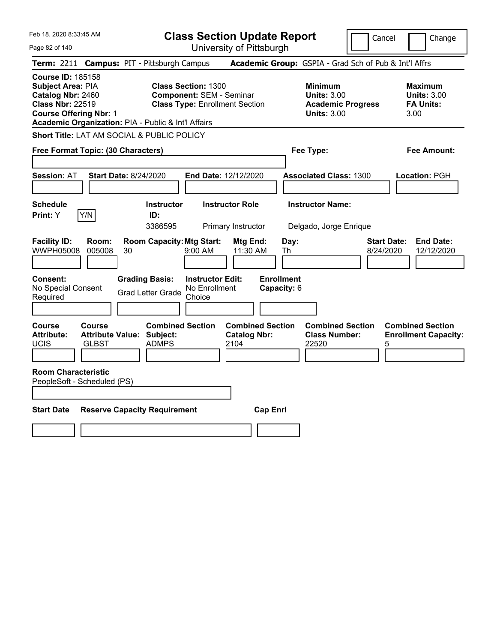**Class Section Update Report**

University of Pittsburgh

Cancel Change

Page 82 of 140 **Term:** 2211 **Campus:** PIT - Pittsburgh Campus **Academic Group:** GSPIA - Grad Sch of Pub & Int'l Affrs **Course ID:** 185158 **Subject Area:** PIA **Class Section:** 1300 **Minimum Maximum Catalog Nbr:** 2460 **Component:** SEM - Seminar **Units:** 3.00 **Units:** 3.00 **Class Nbr:** 22519 **Class Type:** Enrollment Section **Academic Progress FA Units: Course Offering Nbr:** 1 **Units:** 3.00 3.00 **Academic Organization:** PIA - Public & Int'l Affairs **Short Title:** LAT AM SOCIAL & PUBLIC POLICY **Free Format Topic: (30 Characters) Fee Type: Fee Amount: Session:** AT **Start Date:** 8/24/2020 **End Date:** 12/12/2020 **Associated Class:** 1300 **Location:** PGH **Schedule Instructor Instructor Role Instructor Name: Print:**  $Y$   $|Y/N|$  **ID:** 3386595 Primary Instructor Delgado, Jorge Enrique **Facility ID: Room: Room Capacity:Mtg Start: Mtg End: Day: Start Date: End Date:** WWPH05008 005008 30 9:00 AM 11:30 AM Th 8/24/2020 12/12/2020 **Consent: Grading Basis: Instructor Edit: Enrollment** No Special Consent No Special Consent Grad Letter Grade No Enrollment<br>Required Choice Choice **Capacity:** 6 **Course Course Combined Section Combined Section Combined Section Combined Section**  Attribute: Attribute Value: Subject: Catalog Nbr: Class Number: Enrollment Capacity:<br>UCIS GLBST ADMPS 2104 22520 5 UCIS GLBST ADMPS 2104 22520 5 **Room Characteristic** PeopleSoft - Scheduled (PS) **Start Date Reserve Capacity Requirement Cap Enrl**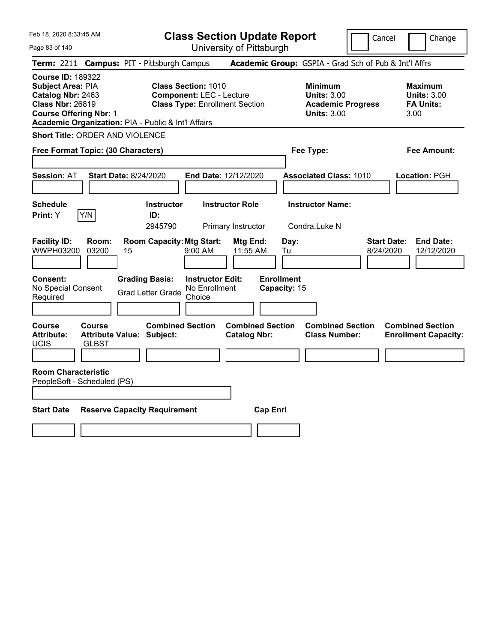**Class Section Update Report**

Cancel **Change** 

| Page 83 of 140                                                                                                                                                                               |                                                      | University of Pittsburgh                                                                               |                                                |                                                            |                                                       |                                                                   |
|----------------------------------------------------------------------------------------------------------------------------------------------------------------------------------------------|------------------------------------------------------|--------------------------------------------------------------------------------------------------------|------------------------------------------------|------------------------------------------------------------|-------------------------------------------------------|-------------------------------------------------------------------|
| <b>Term: 2211</b>                                                                                                                                                                            | <b>Campus: PIT - Pittsburgh Campus</b>               |                                                                                                        |                                                |                                                            | Academic Group: GSPIA - Grad Sch of Pub & Int'l Affrs |                                                                   |
| <b>Course ID: 189322</b><br><b>Subject Area: PIA</b><br>Catalog Nbr: 2463<br><b>Class Nbr: 26819</b><br><b>Course Offering Nbr: 1</b><br>Academic Organization: PIA - Public & Int'l Affairs |                                                      | <b>Class Section: 1010</b><br><b>Component: LEC - Lecture</b><br><b>Class Type: Enrollment Section</b> |                                                | <b>Minimum</b><br><b>Units: 3.00</b><br><b>Units: 3.00</b> | <b>Academic Progress</b>                              | <b>Maximum</b><br><b>Units: 3.00</b><br><b>FA Units:</b><br>3.00  |
| <b>Short Title: ORDER AND VIOLENCE</b>                                                                                                                                                       |                                                      |                                                                                                        |                                                |                                                            |                                                       |                                                                   |
| Free Format Topic: (30 Characters)                                                                                                                                                           |                                                      |                                                                                                        |                                                | Fee Type:                                                  |                                                       | <b>Fee Amount:</b>                                                |
|                                                                                                                                                                                              |                                                      |                                                                                                        |                                                |                                                            |                                                       |                                                                   |
| <b>Session: AT</b>                                                                                                                                                                           | <b>Start Date: 8/24/2020</b>                         | End Date: 12/12/2020                                                                                   |                                                | <b>Associated Class: 1010</b>                              |                                                       | Location: PGH                                                     |
|                                                                                                                                                                                              |                                                      |                                                                                                        |                                                |                                                            |                                                       |                                                                   |
| <b>Schedule</b>                                                                                                                                                                              | <b>Instructor</b>                                    | <b>Instructor Role</b>                                                                                 |                                                | <b>Instructor Name:</b>                                    |                                                       |                                                                   |
| Y/N<br>Print: Y                                                                                                                                                                              | ID:                                                  |                                                                                                        |                                                |                                                            |                                                       |                                                                   |
|                                                                                                                                                                                              | 2945790                                              | Primary Instructor                                                                                     |                                                | Condra, Luke N                                             |                                                       |                                                                   |
| <b>Facility ID:</b><br>Room:<br>WWPH03200<br>03200                                                                                                                                           | <b>Room Capacity: Mtg Start:</b><br>15               | $9:00$ AM                                                                                              | Mtg End:<br>11:55 AM                           | Day:<br>Tu                                                 |                                                       | <b>Start Date:</b><br><b>End Date:</b><br>8/24/2020<br>12/12/2020 |
| <b>Consent:</b><br>No Special Consent<br>Required                                                                                                                                            | <b>Grading Basis:</b><br><b>Grad Letter Grade</b>    | <b>Instructor Edit:</b><br>No Enrollment<br>Choice                                                     | <b>Enrollment</b><br>Capacity: 15              |                                                            |                                                       |                                                                   |
|                                                                                                                                                                                              |                                                      |                                                                                                        |                                                |                                                            |                                                       |                                                                   |
| Course<br>Course<br><b>Attribute:</b><br><b>UCIS</b><br><b>GLBST</b>                                                                                                                         | <b>Combined Section</b><br>Attribute Value: Subject: |                                                                                                        | <b>Combined Section</b><br><b>Catalog Nbr:</b> |                                                            | <b>Combined Section</b><br><b>Class Number:</b>       | <b>Combined Section</b><br><b>Enrollment Capacity:</b>            |
| <b>Room Characteristic</b><br>PeopleSoft - Scheduled (PS)                                                                                                                                    |                                                      |                                                                                                        |                                                |                                                            |                                                       |                                                                   |
|                                                                                                                                                                                              |                                                      |                                                                                                        |                                                |                                                            |                                                       |                                                                   |
| <b>Start Date</b>                                                                                                                                                                            | <b>Reserve Capacity Requirement</b>                  |                                                                                                        | <b>Cap Enrl</b>                                |                                                            |                                                       |                                                                   |
|                                                                                                                                                                                              |                                                      |                                                                                                        |                                                |                                                            |                                                       |                                                                   |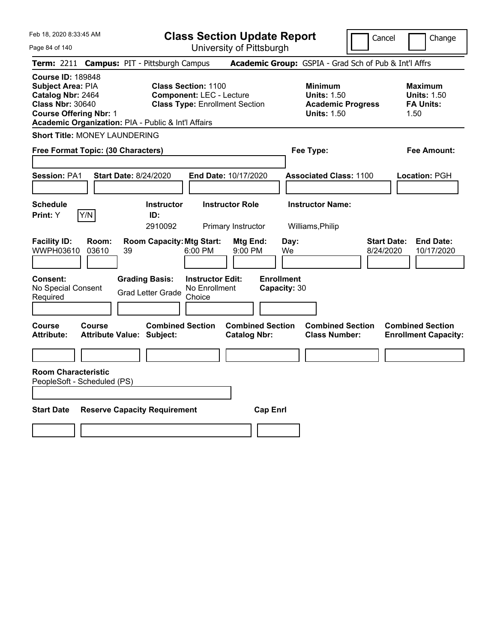Page 84 of 140

**Class Section Update Report**

Cancel **Change** 

| Term: 2211 Campus: PIT - Pittsburgh Campus                                                                                                                                                   |                                                                                                         |                                                | Academic Group: GSPIA - Grad Sch of Pub & Int'l Affrs                                  |                                                                   |
|----------------------------------------------------------------------------------------------------------------------------------------------------------------------------------------------|---------------------------------------------------------------------------------------------------------|------------------------------------------------|----------------------------------------------------------------------------------------|-------------------------------------------------------------------|
| <b>Course ID: 189848</b><br><b>Subject Area: PIA</b><br>Catalog Nbr: 2464<br><b>Class Nbr: 30640</b><br><b>Course Offering Nbr: 1</b><br>Academic Organization: PIA - Public & Int'l Affairs | <b>Class Section: 1100</b><br><b>Component: LEC - Lecture</b><br><b>Class Type: Enrollment Section</b>  |                                                | <b>Minimum</b><br><b>Units: 1.50</b><br><b>Academic Progress</b><br><b>Units: 1.50</b> | <b>Maximum</b><br><b>Units: 1.50</b><br><b>FA Units:</b><br>1.50  |
| <b>Short Title: MONEY LAUNDERING</b>                                                                                                                                                         |                                                                                                         |                                                |                                                                                        |                                                                   |
| Free Format Topic: (30 Characters)                                                                                                                                                           |                                                                                                         |                                                | Fee Type:                                                                              | Fee Amount:                                                       |
|                                                                                                                                                                                              |                                                                                                         |                                                |                                                                                        |                                                                   |
| <b>Session: PA1</b>                                                                                                                                                                          | <b>Start Date: 8/24/2020</b>                                                                            | End Date: 10/17/2020                           | <b>Associated Class: 1100</b>                                                          | Location: PGH                                                     |
| <b>Schedule</b>                                                                                                                                                                              | <b>Instructor</b>                                                                                       | <b>Instructor Role</b>                         | <b>Instructor Name:</b>                                                                |                                                                   |
| Y/N<br>Print: Y                                                                                                                                                                              | ID:                                                                                                     |                                                |                                                                                        |                                                                   |
|                                                                                                                                                                                              | 2910092                                                                                                 | Primary Instructor                             | Williams, Philip                                                                       |                                                                   |
| <b>Facility ID:</b><br>Room:<br>WWPH03610<br>03610<br>39                                                                                                                                     | <b>Room Capacity: Mtg Start:</b><br>6:00 PM                                                             | Mtg End:<br>Day:<br>9:00 PM<br>We              |                                                                                        | <b>Start Date:</b><br><b>End Date:</b><br>8/24/2020<br>10/17/2020 |
| Consent:<br>No Special Consent<br>Required                                                                                                                                                   | <b>Grading Basis:</b><br><b>Instructor Edit:</b><br>No Enrollment<br><b>Grad Letter Grade</b><br>Choice | <b>Enrollment</b><br>Capacity: 30              |                                                                                        |                                                                   |
| Course<br><b>Course</b><br><b>Attribute:</b>                                                                                                                                                 | <b>Combined Section</b><br><b>Attribute Value: Subject:</b>                                             | <b>Combined Section</b><br><b>Catalog Nbr:</b> | <b>Combined Section</b><br><b>Class Number:</b>                                        | <b>Combined Section</b><br><b>Enrollment Capacity:</b>            |
|                                                                                                                                                                                              |                                                                                                         |                                                |                                                                                        |                                                                   |
| <b>Room Characteristic</b><br>PeopleSoft - Scheduled (PS)                                                                                                                                    |                                                                                                         |                                                |                                                                                        |                                                                   |
| <b>Start Date</b>                                                                                                                                                                            | <b>Reserve Capacity Requirement</b>                                                                     | <b>Cap Enrl</b>                                |                                                                                        |                                                                   |
|                                                                                                                                                                                              |                                                                                                         |                                                |                                                                                        |                                                                   |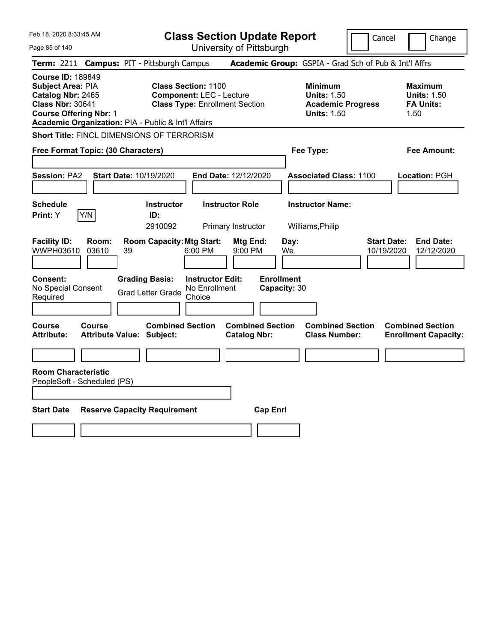Page 85 of 140

**Class Section Update Report**

Cancel Change

|                                                                                                                                                                                                                                                                                                        |                                                                                                                                                                                  | Term: 2211 Campus: PIT - Pittsburgh Campus        |                                                    |                                                |                                   |  | Academic Group: GSPIA - Grad Sch of Pub & Int'l Affrs                                  |  |                                                                  |
|--------------------------------------------------------------------------------------------------------------------------------------------------------------------------------------------------------------------------------------------------------------------------------------------------------|----------------------------------------------------------------------------------------------------------------------------------------------------------------------------------|---------------------------------------------------|----------------------------------------------------|------------------------------------------------|-----------------------------------|--|----------------------------------------------------------------------------------------|--|------------------------------------------------------------------|
| <b>Course ID: 189849</b><br><b>Subject Area: PIA</b><br><b>Class Section: 1100</b><br>Catalog Nbr: 2465<br><b>Component: LEC - Lecture</b><br><b>Class Nbr: 30641</b><br><b>Class Type: Enrollment Section</b><br><b>Course Offering Nbr: 1</b><br>Academic Organization: PIA - Public & Int'l Affairs |                                                                                                                                                                                  |                                                   |                                                    |                                                |                                   |  | <b>Minimum</b><br><b>Units: 1.50</b><br><b>Academic Progress</b><br><b>Units: 1.50</b> |  | <b>Maximum</b><br><b>Units: 1.50</b><br><b>FA Units:</b><br>1.50 |
|                                                                                                                                                                                                                                                                                                        |                                                                                                                                                                                  | <b>Short Title: FINCL DIMENSIONS OF TERRORISM</b> |                                                    |                                                |                                   |  |                                                                                        |  |                                                                  |
|                                                                                                                                                                                                                                                                                                        | Free Format Topic: (30 Characters)                                                                                                                                               |                                                   |                                                    |                                                |                                   |  | Fee Type:                                                                              |  | <b>Fee Amount:</b>                                               |
| <b>Session: PA2</b>                                                                                                                                                                                                                                                                                    |                                                                                                                                                                                  | Start Date: 10/19/2020                            |                                                    | End Date: 12/12/2020                           |                                   |  | <b>Associated Class: 1100</b>                                                          |  | Location: PGH                                                    |
| <b>Schedule</b><br>Print: Y                                                                                                                                                                                                                                                                            | Y/N                                                                                                                                                                              | <b>Instructor</b><br>ID:<br>2910092               |                                                    | <b>Instructor Role</b><br>Primary Instructor   |                                   |  | <b>Instructor Name:</b><br>Williams, Philip                                            |  |                                                                  |
| <b>Facility ID:</b><br>WWPH03610                                                                                                                                                                                                                                                                       | <b>Room Capacity: Mtg Start:</b><br><b>Start Date:</b><br><b>End Date:</b><br>Room:<br>Mtg End:<br>Day:<br>03610<br>9:00 PM<br>10/19/2020<br>12/12/2020<br>39<br>$6:00$ PM<br>We |                                                   |                                                    |                                                |                                   |  |                                                                                        |  |                                                                  |
| Consent:<br>No Special Consent<br>Required                                                                                                                                                                                                                                                             |                                                                                                                                                                                  | <b>Grading Basis:</b><br><b>Grad Letter Grade</b> | <b>Instructor Edit:</b><br>No Enrollment<br>Choice |                                                | <b>Enrollment</b><br>Capacity: 30 |  |                                                                                        |  |                                                                  |
| Course<br><b>Attribute:</b>                                                                                                                                                                                                                                                                            | Course                                                                                                                                                                           | Attribute Value: Subject:                         | <b>Combined Section</b>                            | <b>Combined Section</b><br><b>Catalog Nbr:</b> |                                   |  | <b>Combined Section</b><br><b>Class Number:</b>                                        |  | <b>Combined Section</b><br><b>Enrollment Capacity:</b>           |
|                                                                                                                                                                                                                                                                                                        |                                                                                                                                                                                  |                                                   |                                                    |                                                |                                   |  |                                                                                        |  |                                                                  |
| <b>Room Characteristic</b><br>PeopleSoft - Scheduled (PS)                                                                                                                                                                                                                                              |                                                                                                                                                                                  |                                                   |                                                    |                                                |                                   |  |                                                                                        |  |                                                                  |
| <b>Start Date</b>                                                                                                                                                                                                                                                                                      | <b>Reserve Capacity Requirement</b><br><b>Cap Enrl</b>                                                                                                                           |                                                   |                                                    |                                                |                                   |  |                                                                                        |  |                                                                  |
|                                                                                                                                                                                                                                                                                                        |                                                                                                                                                                                  |                                                   |                                                    |                                                |                                   |  |                                                                                        |  |                                                                  |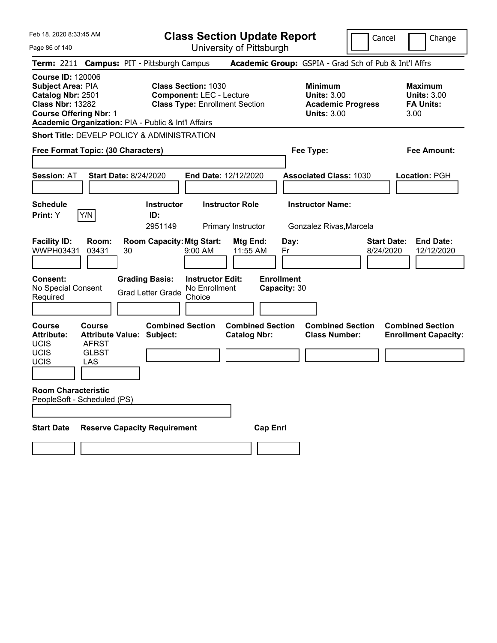Page 86 of 140

**Class Section Update Report**

Cancel Change

|                                                                                                                                |                                               | Term: 2211 Campus: PIT - Pittsburgh Campus                                 |                                                                                                        |                                                                | Academic Group: GSPIA - Grad Sch of Pub & Int'l Affrs                                  |                                                                   |
|--------------------------------------------------------------------------------------------------------------------------------|-----------------------------------------------|----------------------------------------------------------------------------|--------------------------------------------------------------------------------------------------------|----------------------------------------------------------------|----------------------------------------------------------------------------------------|-------------------------------------------------------------------|
| <b>Course ID: 120006</b><br>Subject Area: PIA<br>Catalog Nbr: 2501<br><b>Class Nbr: 13282</b><br><b>Course Offering Nbr: 1</b> |                                               | Academic Organization: PIA - Public & Int'l Affairs                        | <b>Class Section: 1030</b><br><b>Component: LEC - Lecture</b><br><b>Class Type: Enrollment Section</b> |                                                                | <b>Minimum</b><br><b>Units: 3.00</b><br><b>Academic Progress</b><br><b>Units: 3.00</b> | <b>Maximum</b><br><b>Units: 3.00</b><br><b>FA Units:</b><br>3.00  |
|                                                                                                                                |                                               | <b>Short Title: DEVELP POLICY &amp; ADMINISTRATION</b>                     |                                                                                                        |                                                                |                                                                                        |                                                                   |
| Free Format Topic: (30 Characters)                                                                                             |                                               |                                                                            |                                                                                                        |                                                                | Fee Type:                                                                              | Fee Amount:                                                       |
| <b>Session: AT</b>                                                                                                             |                                               | <b>Start Date: 8/24/2020</b>                                               | End Date: 12/12/2020                                                                                   |                                                                | <b>Associated Class: 1030</b>                                                          | Location: PGH                                                     |
| <b>Schedule</b><br><b>Print:</b> Y                                                                                             | Y/N                                           | <b>Instructor</b><br>ID:                                                   | <b>Instructor Role</b>                                                                                 |                                                                | <b>Instructor Name:</b>                                                                |                                                                   |
| <b>Facility ID:</b><br>WWPH03431<br><b>Consent:</b>                                                                            | Room:<br>03431                                | 2951149<br><b>Room Capacity: Mtg Start:</b><br>30<br><b>Grading Basis:</b> | Primary Instructor<br>9:00 AM<br><b>Instructor Edit:</b>                                               | <b>Mtg End:</b><br>Day:<br>11:55 AM<br>Fr<br><b>Enrollment</b> | Gonzalez Rivas, Marcela                                                                | <b>Start Date:</b><br><b>End Date:</b><br>8/24/2020<br>12/12/2020 |
| No Special Consent<br>Required                                                                                                 |                                               | <b>Grad Letter Grade</b>                                                   | No Enrollment<br>Choice                                                                                | Capacity: 30                                                   |                                                                                        |                                                                   |
| <b>Course</b><br><b>Attribute:</b><br><b>UCIS</b><br>UCIS<br>UCIS                                                              | Course<br><b>AFRST</b><br><b>GLBST</b><br>LAS | <b>Combined Section</b><br><b>Attribute Value: Subject:</b>                |                                                                                                        | <b>Combined Section</b><br><b>Catalog Nbr:</b>                 | <b>Combined Section</b><br><b>Class Number:</b>                                        | <b>Combined Section</b><br><b>Enrollment Capacity:</b>            |
| <b>Room Characteristic</b><br>PeopleSoft - Scheduled (PS)                                                                      |                                               |                                                                            |                                                                                                        |                                                                |                                                                                        |                                                                   |
| <b>Start Date</b>                                                                                                              |                                               | <b>Reserve Capacity Requirement</b>                                        |                                                                                                        | <b>Cap Enrl</b>                                                |                                                                                        |                                                                   |
|                                                                                                                                |                                               |                                                                            |                                                                                                        |                                                                |                                                                                        |                                                                   |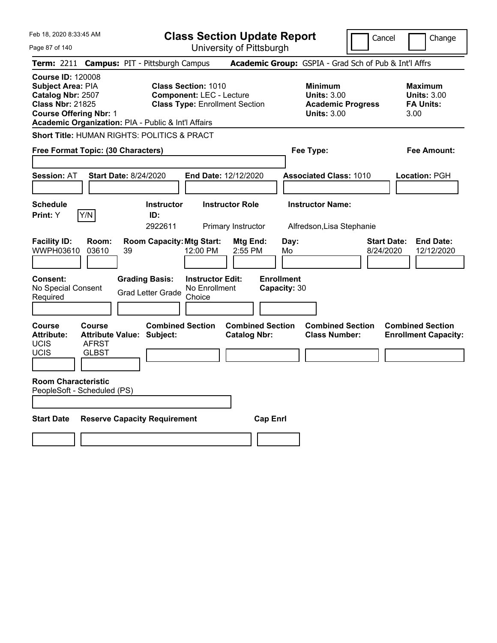Page 87 of 140

**Class Section Update Report**

Cancel Change

| Term: 2211 Campus: PIT - Pittsburgh Campus                                                                                                                                                   |                                                                                                        | Academic Group: GSPIA - Grad Sch of Pub & Int'l Affrs                           |                                                                  |
|----------------------------------------------------------------------------------------------------------------------------------------------------------------------------------------------|--------------------------------------------------------------------------------------------------------|---------------------------------------------------------------------------------|------------------------------------------------------------------|
| <b>Course ID: 120008</b><br><b>Subject Area: PIA</b><br>Catalog Nbr: 2507<br><b>Class Nbr: 21825</b><br><b>Course Offering Nbr: 1</b><br>Academic Organization: PIA - Public & Int'l Affairs | <b>Class Section: 1010</b><br><b>Component: LEC - Lecture</b><br><b>Class Type: Enrollment Section</b> | Minimum<br><b>Units: 3.00</b><br><b>Academic Progress</b><br><b>Units: 3.00</b> | <b>Maximum</b><br><b>Units: 3.00</b><br><b>FA Units:</b><br>3.00 |
| <b>Short Title: HUMAN RIGHTS: POLITICS &amp; PRACT</b>                                                                                                                                       |                                                                                                        |                                                                                 |                                                                  |
| Free Format Topic: (30 Characters)                                                                                                                                                           |                                                                                                        | Fee Type:                                                                       | Fee Amount:                                                      |
| <b>Session: AT</b><br><b>Start Date: 8/24/2020</b>                                                                                                                                           | End Date: 12/12/2020                                                                                   | <b>Associated Class: 1010</b>                                                   | Location: PGH                                                    |
| <b>Schedule</b><br>Y/N<br>Print: Y<br>ID:                                                                                                                                                    | <b>Instructor</b><br><b>Instructor Role</b><br>2922611<br>Primary Instructor                           | <b>Instructor Name:</b><br>Alfredson, Lisa Stephanie                            |                                                                  |
| <b>Facility ID:</b><br>Room:<br>WWPH03610<br>03610<br>39                                                                                                                                     | <b>Room Capacity: Mtg Start:</b><br>Mtg End:<br>12:00 PM<br>2:55 PM                                    | Day:<br><b>Start Date:</b><br>8/24/2020<br>Mo                                   | <b>End Date:</b><br>12/12/2020                                   |
| <b>Grading Basis:</b><br>Consent:<br>No Special Consent<br><b>Grad Letter Grade</b><br>Required                                                                                              | <b>Instructor Edit:</b><br>No Enrollment<br>Choice                                                     | <b>Enrollment</b><br>Capacity: 30                                               |                                                                  |
| <b>Course</b><br>Course<br><b>Attribute:</b><br><b>Attribute Value: Subject:</b><br><b>UCIS</b><br><b>AFRST</b><br><b>UCIS</b><br><b>GLBST</b>                                               | <b>Combined Section</b><br><b>Combined Section</b><br><b>Catalog Nbr:</b>                              | <b>Combined Section</b><br><b>Class Number:</b>                                 | <b>Combined Section</b><br><b>Enrollment Capacity:</b>           |
| <b>Room Characteristic</b><br>PeopleSoft - Scheduled (PS)                                                                                                                                    |                                                                                                        |                                                                                 |                                                                  |
| <b>Start Date</b><br><b>Reserve Capacity Requirement</b>                                                                                                                                     | <b>Cap Enrl</b>                                                                                        |                                                                                 |                                                                  |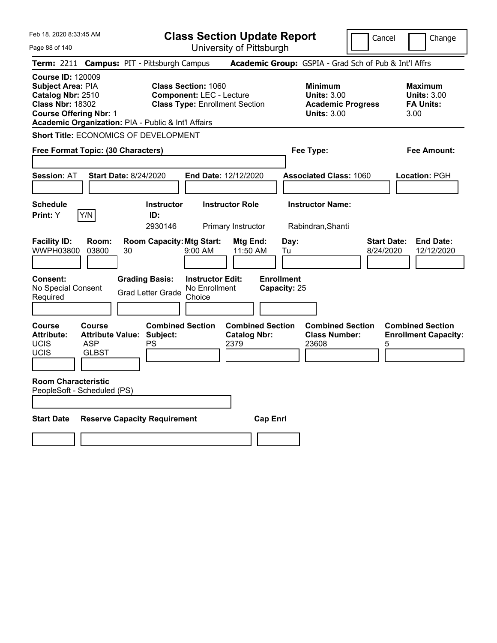Page 88 of 140

**Class Section Update Report**

Cancel Change

| Term: 2211 Campus: PIT - Pittsburgh Campus                                                                                                                                            |                                      |    |                                                                   |                                                                                                        |                                                        |                                   |            | Academic Group: GSPIA - Grad Sch of Pub & Int'l Affrs                             |                                 |                                                                  |
|---------------------------------------------------------------------------------------------------------------------------------------------------------------------------------------|--------------------------------------|----|-------------------------------------------------------------------|--------------------------------------------------------------------------------------------------------|--------------------------------------------------------|-----------------------------------|------------|-----------------------------------------------------------------------------------|---------------------------------|------------------------------------------------------------------|
| <b>Course ID: 120009</b><br>Subject Area: PIA<br>Catalog Nbr: 2510<br><b>Class Nbr: 18302</b><br><b>Course Offering Nbr: 1</b><br>Academic Organization: PIA - Public & Int'l Affairs |                                      |    |                                                                   | <b>Class Section: 1060</b><br><b>Component: LEC - Lecture</b><br><b>Class Type: Enrollment Section</b> |                                                        |                                   |            | <b>Minimum</b><br>Units: $3.00$<br><b>Academic Progress</b><br><b>Units: 3.00</b> |                                 | <b>Maximum</b><br><b>Units: 3.00</b><br><b>FA Units:</b><br>3.00 |
| <b>Short Title: ECONOMICS OF DEVELOPMENT</b>                                                                                                                                          |                                      |    |                                                                   |                                                                                                        |                                                        |                                   |            |                                                                                   |                                 |                                                                  |
| Free Format Topic: (30 Characters)                                                                                                                                                    |                                      |    |                                                                   |                                                                                                        |                                                        |                                   |            | Fee Type:                                                                         |                                 | Fee Amount:                                                      |
| <b>Session: AT</b>                                                                                                                                                                    | <b>Start Date: 8/24/2020</b>         |    |                                                                   | End Date: 12/12/2020                                                                                   |                                                        |                                   |            | <b>Associated Class: 1060</b>                                                     |                                 | Location: PGH                                                    |
| <b>Schedule</b><br>Print: Y                                                                                                                                                           | Y/N                                  |    | <b>Instructor</b><br>ID:<br>2930146                               |                                                                                                        | <b>Instructor Role</b><br>Primary Instructor           |                                   |            | <b>Instructor Name:</b><br>Rabindran, Shanti                                      |                                 |                                                                  |
| <b>Facility ID:</b><br><b>WWPH03800</b>                                                                                                                                               | Room:<br>03800                       | 30 | <b>Room Capacity: Mtg Start:</b>                                  | 9:00 AM                                                                                                | Mtg End:<br>11:50 AM                                   |                                   | Day:<br>Tu |                                                                                   | <b>Start Date:</b><br>8/24/2020 | <b>End Date:</b><br>12/12/2020                                   |
| Consent:<br>No Special Consent<br>Required                                                                                                                                            |                                      |    | <b>Grading Basis:</b><br><b>Grad Letter Grade</b>                 | <b>Instructor Edit:</b><br>No Enrollment<br>Choice                                                     |                                                        | <b>Enrollment</b><br>Capacity: 25 |            |                                                                                   |                                 |                                                                  |
| Course<br><b>Attribute:</b><br><b>UCIS</b><br><b>UCIS</b><br><b>Room Characteristic</b>                                                                                               | Course<br><b>ASP</b><br><b>GLBST</b> |    | <b>Combined Section</b><br><b>Attribute Value: Subject:</b><br>PS |                                                                                                        | <b>Combined Section</b><br><b>Catalog Nbr:</b><br>2379 |                                   |            | <b>Combined Section</b><br><b>Class Number:</b><br>23608                          | 5                               | <b>Combined Section</b><br><b>Enrollment Capacity:</b>           |
| PeopleSoft - Scheduled (PS)                                                                                                                                                           |                                      |    |                                                                   |                                                                                                        |                                                        |                                   |            |                                                                                   |                                 |                                                                  |
| <b>Start Date</b>                                                                                                                                                                     |                                      |    | <b>Reserve Capacity Requirement</b>                               |                                                                                                        |                                                        | <b>Cap Enrl</b>                   |            |                                                                                   |                                 |                                                                  |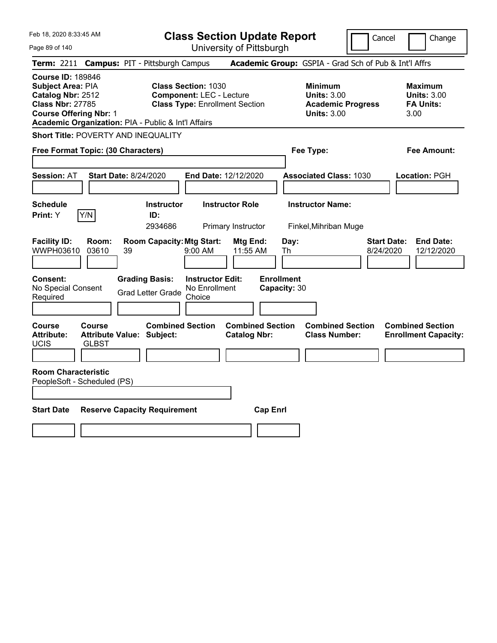**Class Section Update Report** University of Pittsburgh

Cancel Change

Page 89 of 140

**Term:** 2211 **Campus:** PIT - Pittsburgh Campus **Academic Group:** GSPIA - Grad Sch of Pub & Int'l Affrs **Course ID:** 189846 **Subject Area: PIA Class Section: 1030 Minimum Maximum Maximum Catalog Nbr:** 2512 **Component:** LEC - Lecture **Units:** 3.00 **Units:** 3.00 **Class Nbr:** 27785 **Class Type:** Enrollment Section **Academic Progress FA Units: Course Offering Nbr:** 1 **Units:** 3.00 3.00 **Academic Organization:** PIA - Public & Int'l Affairs **Short Title:** POVERTY AND INEQUALITY **Free Format Topic: (30 Characters) Fee Type: Fee Amount: Session:** AT **Start Date:** 8/24/2020 **End Date:** 12/12/2020 **Associated Class:** 1030 **Location:** PGH **Schedule Instructor Instructor Role Instructor Name: Print:**  $Y$   $|Y/N|$  **ID:** 2934686 Primary Instructor Finkel,Mihriban Muge **Facility ID: Room: Room Capacity:Mtg Start: Mtg End: Day: Start Date: End Date:** WWPH03610 03610 39 9:00 AM 11:55 AM Th 8/24/2020 12/12/2020 **Consent: Grading Basis: Instructor Edit: Enrollment** No Special Consent No Special Consent Grad Letter Grade No Enrollment<br>Required Choice Choice **Capacity:** 30 **Course Course Combined Section Combined Section Combined Section Combined Section**  Attribute: Attribute Value: Subject: Catalog Nbr: Class Number: Enrollment Capacity: UCIS GLBST **Room Characteristic** PeopleSoft - Scheduled (PS) **Start Date Reserve Capacity Requirement Cap Enrl**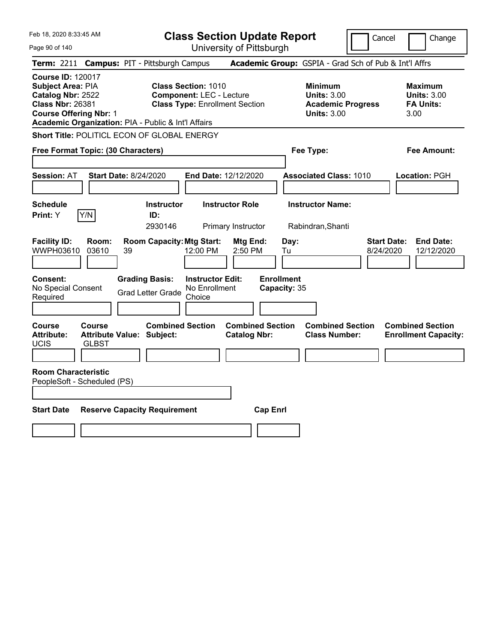Page 90 of 140

**Class Section Update Report**

Cancel **Change** 

| Term: 2211 Campus: PIT - Pittsburgh Campus                                                                                                                                                   |                                                                                                        | Academic Group: GSPIA - Grad Sch of Pub & Int'l Affrs                                  |                                                                  |
|----------------------------------------------------------------------------------------------------------------------------------------------------------------------------------------------|--------------------------------------------------------------------------------------------------------|----------------------------------------------------------------------------------------|------------------------------------------------------------------|
| <b>Course ID: 120017</b><br><b>Subject Area: PIA</b><br>Catalog Nbr: 2522<br><b>Class Nbr: 26381</b><br><b>Course Offering Nbr: 1</b><br>Academic Organization: PIA - Public & Int'l Affairs | <b>Class Section: 1010</b><br><b>Component: LEC - Lecture</b><br><b>Class Type: Enrollment Section</b> | <b>Minimum</b><br><b>Units: 3.00</b><br><b>Academic Progress</b><br><b>Units: 3.00</b> | <b>Maximum</b><br><b>Units: 3.00</b><br><b>FA Units:</b><br>3.00 |
| Short Title: POLITICL ECON OF GLOBAL ENERGY                                                                                                                                                  |                                                                                                        |                                                                                        |                                                                  |
| Free Format Topic: (30 Characters)                                                                                                                                                           |                                                                                                        | Fee Type:                                                                              | Fee Amount:                                                      |
| <b>Start Date: 8/24/2020</b><br><b>Session: AT</b>                                                                                                                                           | End Date: 12/12/2020                                                                                   | <b>Associated Class: 1010</b>                                                          | Location: PGH                                                    |
| <b>Schedule</b><br>Y/N<br>Print: Y                                                                                                                                                           | <b>Instructor Role</b><br><b>Instructor</b><br>ID:<br>2930146<br>Primary Instructor                    | <b>Instructor Name:</b><br>Rabindran, Shanti                                           |                                                                  |
| <b>Facility ID:</b><br>Room:<br>WWPH03610<br>03610<br>39                                                                                                                                     | <b>Room Capacity: Mtg Start:</b><br><b>Mtg End:</b><br>12:00 PM<br>2:50 PM                             | Day:<br><b>Start Date:</b><br>8/24/2020<br>Tu                                          | <b>End Date:</b><br>12/12/2020                                   |
| <b>Grading Basis:</b><br>Consent:<br>No Special Consent<br><b>Grad Letter Grade</b><br>Required                                                                                              | <b>Instructor Edit:</b><br>No Enrollment<br>Choice                                                     | <b>Enrollment</b><br>Capacity: 35                                                      |                                                                  |
| Course<br>Course<br><b>Attribute:</b><br><b>Attribute Value: Subject:</b><br><b>UCIS</b><br><b>GLBST</b>                                                                                     | <b>Combined Section</b><br><b>Combined Section</b><br><b>Catalog Nbr:</b>                              | <b>Combined Section</b><br><b>Class Number:</b>                                        | <b>Combined Section</b><br><b>Enrollment Capacity:</b>           |
| <b>Room Characteristic</b><br>PeopleSoft - Scheduled (PS)                                                                                                                                    |                                                                                                        |                                                                                        |                                                                  |
| <b>Start Date</b><br><b>Reserve Capacity Requirement</b>                                                                                                                                     |                                                                                                        | <b>Cap Enrl</b>                                                                        |                                                                  |
|                                                                                                                                                                                              |                                                                                                        |                                                                                        |                                                                  |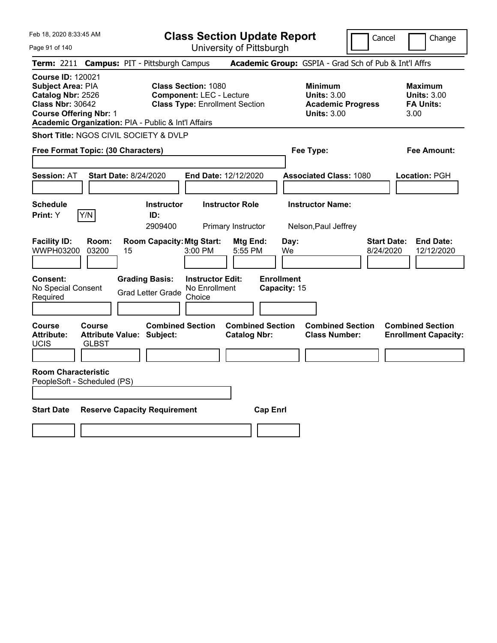**Class Section Update Report**

Cancel **Change** 

| Page 91 of 140                                                                                                                 |                                                                                                                                                               | University of Pittsburgh                           |                                                       |                                 |                                                                  |  |  |  |
|--------------------------------------------------------------------------------------------------------------------------------|---------------------------------------------------------------------------------------------------------------------------------------------------------------|----------------------------------------------------|-------------------------------------------------------|---------------------------------|------------------------------------------------------------------|--|--|--|
| <b>Term: 2211</b>                                                                                                              | <b>Campus: PIT - Pittsburgh Campus</b>                                                                                                                        |                                                    | Academic Group: GSPIA - Grad Sch of Pub & Int'l Affrs |                                 |                                                                  |  |  |  |
| <b>Course ID: 120021</b><br>Subject Area: PIA<br>Catalog Nbr: 2526<br><b>Class Nbr: 30642</b><br><b>Course Offering Nbr: 1</b> | <b>Class Section: 1080</b><br><b>Component: LEC - Lecture</b><br><b>Class Type: Enrollment Section</b><br>Academic Organization: PIA - Public & Int'l Affairs |                                                    |                                                       |                                 | <b>Maximum</b><br><b>Units: 3.00</b><br><b>FA Units:</b><br>3.00 |  |  |  |
| <b>Short Title: NGOS CIVIL SOCIETY &amp; DVLP</b>                                                                              |                                                                                                                                                               |                                                    |                                                       |                                 |                                                                  |  |  |  |
| Free Format Topic: (30 Characters)                                                                                             |                                                                                                                                                               |                                                    | Fee Type:                                             |                                 | Fee Amount:                                                      |  |  |  |
| <b>Session: AT</b>                                                                                                             | <b>Start Date: 8/24/2020</b>                                                                                                                                  | End Date: 12/12/2020                               | <b>Associated Class: 1080</b>                         |                                 | Location: PGH                                                    |  |  |  |
| <b>Schedule</b>                                                                                                                | <b>Instructor</b>                                                                                                                                             | <b>Instructor Role</b>                             | <b>Instructor Name:</b>                               |                                 |                                                                  |  |  |  |
| Print: Y<br>Y/N                                                                                                                | ID:                                                                                                                                                           |                                                    |                                                       |                                 |                                                                  |  |  |  |
|                                                                                                                                | 2909400                                                                                                                                                       | Primary Instructor                                 | Nelson, Paul Jeffrey                                  |                                 |                                                                  |  |  |  |
| <b>Facility ID:</b><br>Room:<br><b>WWPH03200</b><br>03200                                                                      | <b>Room Capacity: Mtg Start:</b><br>15                                                                                                                        | Mtg End:<br>3:00 PM<br>5:55 PM                     | Day:<br>We                                            | <b>Start Date:</b><br>8/24/2020 | <b>End Date:</b><br>12/12/2020                                   |  |  |  |
| Consent:<br>No Special Consent<br>Required                                                                                     | <b>Grading Basis:</b><br><b>Grad Letter Grade</b>                                                                                                             | <b>Instructor Edit:</b><br>No Enrollment<br>Choice | <b>Enrollment</b><br>Capacity: 15                     |                                 |                                                                  |  |  |  |
| Course<br>Course<br><b>Attribute:</b><br><b>UCIS</b><br><b>GLBST</b>                                                           | <b>Combined Section</b><br><b>Attribute Value: Subject:</b>                                                                                                   | <b>Combined Section</b><br><b>Catalog Nbr:</b>     | <b>Class Number:</b>                                  | <b>Combined Section</b>         | <b>Combined Section</b><br><b>Enrollment Capacity:</b>           |  |  |  |
| <b>Room Characteristic</b>                                                                                                     |                                                                                                                                                               |                                                    |                                                       |                                 |                                                                  |  |  |  |
| PeopleSoft - Scheduled (PS)                                                                                                    |                                                                                                                                                               |                                                    |                                                       |                                 |                                                                  |  |  |  |
| <b>Start Date</b>                                                                                                              | <b>Reserve Capacity Requirement</b>                                                                                                                           |                                                    | <b>Cap Enrl</b>                                       |                                 |                                                                  |  |  |  |
|                                                                                                                                |                                                                                                                                                               |                                                    |                                                       |                                 |                                                                  |  |  |  |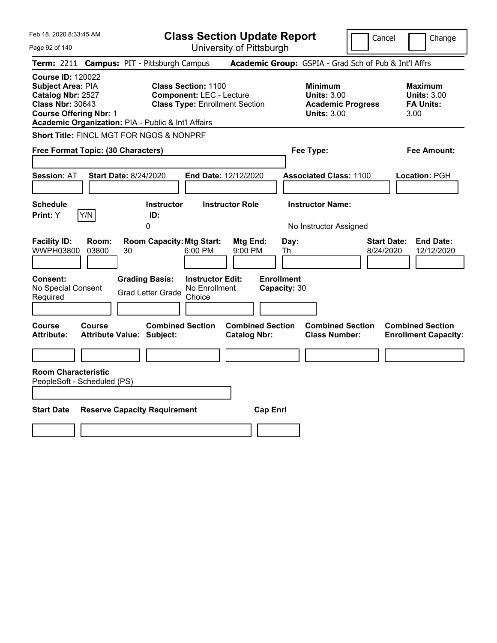**Class Section Update Report**

Cancel Change

 $\overline{\phantom{a}}$ 

| Page 92 of 140                                                                                                                 |                                                                                                                                                               | University of Pittsburgh                           |                                   |                                                       |                                 |                                                           |  |  |
|--------------------------------------------------------------------------------------------------------------------------------|---------------------------------------------------------------------------------------------------------------------------------------------------------------|----------------------------------------------------|-----------------------------------|-------------------------------------------------------|---------------------------------|-----------------------------------------------------------|--|--|
| Term: 2211 Campus: PIT - Pittsburgh Campus                                                                                     |                                                                                                                                                               |                                                    |                                   | Academic Group: GSPIA - Grad Sch of Pub & Int'l Affrs |                                 |                                                           |  |  |
| <b>Course ID: 120022</b><br>Subject Area: PIA<br>Catalog Nbr: 2527<br><b>Class Nbr: 30643</b><br><b>Course Offering Nbr: 1</b> | <b>Class Section: 1100</b><br><b>Component: LEC - Lecture</b><br><b>Class Type: Enrollment Section</b><br>Academic Organization: PIA - Public & Int'l Affairs |                                                    |                                   |                                                       |                                 | Maximum<br><b>Units: 3.00</b><br><b>FA Units:</b><br>3.00 |  |  |
| <b>Short Title: FINCL MGT FOR NGOS &amp; NONPRF</b>                                                                            |                                                                                                                                                               |                                                    |                                   |                                                       |                                 |                                                           |  |  |
| Free Format Topic: (30 Characters)                                                                                             |                                                                                                                                                               |                                                    |                                   | Fee Type:                                             |                                 | Fee Amount:                                               |  |  |
| <b>Session: AT</b>                                                                                                             | <b>Start Date: 8/24/2020</b>                                                                                                                                  | End Date: 12/12/2020                               |                                   | <b>Associated Class: 1100</b>                         |                                 | Location: PGH                                             |  |  |
| <b>Schedule</b><br>Y/N<br>Print: Y                                                                                             | <b>Instructor</b><br>ID:<br>0                                                                                                                                 | <b>Instructor Role</b>                             |                                   | <b>Instructor Name:</b><br>No Instructor Assigned     |                                 |                                                           |  |  |
| <b>Facility ID:</b><br>Room:<br><b>WWPH03800</b><br>03800                                                                      | <b>Room Capacity: Mtg Start:</b><br>30                                                                                                                        | Mtg End:<br>6:00 PM<br>9:00 PM                     | Day:<br>Th                        |                                                       | <b>Start Date:</b><br>8/24/2020 | <b>End Date:</b><br>12/12/2020                            |  |  |
| <b>Consent:</b><br>No Special Consent<br>Required                                                                              | <b>Grading Basis:</b><br><b>Grad Letter Grade</b>                                                                                                             | <b>Instructor Edit:</b><br>No Enrollment<br>Choice | <b>Enrollment</b><br>Capacity: 30 |                                                       |                                 |                                                           |  |  |
| Course<br>Course<br><b>Attribute:</b>                                                                                          | <b>Combined Section</b><br><b>Attribute Value: Subject:</b>                                                                                                   | <b>Catalog Nbr:</b>                                | <b>Combined Section</b>           | <b>Combined Section</b><br><b>Class Number:</b>       |                                 | <b>Combined Section</b><br><b>Enrollment Capacity:</b>    |  |  |
|                                                                                                                                |                                                                                                                                                               |                                                    |                                   |                                                       |                                 |                                                           |  |  |
| <b>Room Characteristic</b><br>PeopleSoft - Scheduled (PS)<br><b>Start Date</b>                                                 | <b>Reserve Capacity Requirement</b>                                                                                                                           |                                                    | <b>Cap Enrl</b>                   |                                                       |                                 |                                                           |  |  |
|                                                                                                                                |                                                                                                                                                               |                                                    |                                   |                                                       |                                 |                                                           |  |  |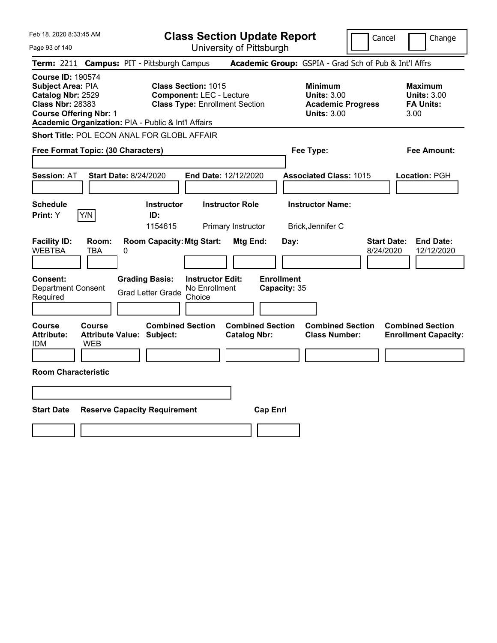Page 93 of 140

**Class Section Update Report**

Cancel **Change** 

|                                                                                                                                | Term: 2211 Campus: PIT - Pittsburgh Campus                                                                                                                    |                                                       | Academic Group: GSPIA - Grad Sch of Pub & Int'l Affrs                                  |                                                                   |
|--------------------------------------------------------------------------------------------------------------------------------|---------------------------------------------------------------------------------------------------------------------------------------------------------------|-------------------------------------------------------|----------------------------------------------------------------------------------------|-------------------------------------------------------------------|
| <b>Course ID: 190574</b><br>Subject Area: PIA<br>Catalog Nbr: 2529<br><b>Class Nbr: 28383</b><br><b>Course Offering Nbr: 1</b> | <b>Class Section: 1015</b><br><b>Component: LEC - Lecture</b><br><b>Class Type: Enrollment Section</b><br>Academic Organization: PIA - Public & Int'l Affairs |                                                       | <b>Minimum</b><br><b>Units: 3.00</b><br><b>Academic Progress</b><br><b>Units: 3.00</b> | <b>Maximum</b><br><b>Units: 3.00</b><br><b>FA Units:</b><br>3.00  |
|                                                                                                                                | Short Title: POL ECON ANAL FOR GLOBL AFFAIR                                                                                                                   |                                                       |                                                                                        |                                                                   |
| Free Format Topic: (30 Characters)                                                                                             |                                                                                                                                                               |                                                       | Fee Type:                                                                              | Fee Amount:                                                       |
| Session: AT                                                                                                                    | <b>Start Date: 8/24/2020</b>                                                                                                                                  | End Date: 12/12/2020                                  | <b>Associated Class: 1015</b>                                                          | Location: PGH                                                     |
| <b>Schedule</b><br>Y/N<br>Print: Y                                                                                             | <b>Instructor</b><br>ID:<br>1154615                                                                                                                           | <b>Instructor Role</b><br>Primary Instructor          | <b>Instructor Name:</b><br>Brick, Jennifer C                                           |                                                                   |
| <b>Facility ID:</b><br>Room:<br><b>WEBTBA</b><br>TBA<br><b>Consent:</b><br><b>Department Consent</b><br>Required               | <b>Room Capacity: Mtg Start:</b><br>0<br><b>Grading Basis:</b><br><b>Instructor Edit:</b><br>No Enrollment<br><b>Grad Letter Grade</b><br>Choice              | Mtg End:<br>Day:<br><b>Enrollment</b><br>Capacity: 35 |                                                                                        | <b>Start Date:</b><br><b>End Date:</b><br>8/24/2020<br>12/12/2020 |
| Course<br>Course<br><b>Attribute:</b><br>IDM<br><b>WEB</b>                                                                     | <b>Combined Section</b><br><b>Attribute Value: Subject:</b>                                                                                                   | <b>Combined Section</b><br><b>Catalog Nbr:</b>        | <b>Combined Section</b><br><b>Class Number:</b>                                        | <b>Combined Section</b><br><b>Enrollment Capacity:</b>            |
| <b>Room Characteristic</b>                                                                                                     |                                                                                                                                                               |                                                       |                                                                                        |                                                                   |
|                                                                                                                                |                                                                                                                                                               |                                                       |                                                                                        |                                                                   |
| <b>Start Date</b>                                                                                                              | <b>Reserve Capacity Requirement</b>                                                                                                                           | <b>Cap Enrl</b>                                       |                                                                                        |                                                                   |
|                                                                                                                                |                                                                                                                                                               |                                                       |                                                                                        |                                                                   |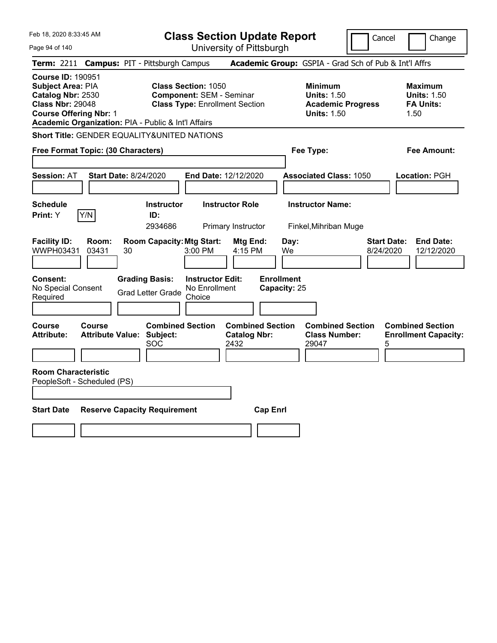|  | Feb 18, 2020 8:33:45 AM |  |
|--|-------------------------|--|
|  |                         |  |

Page 94 of 140

**Class Section Update Report**

Cancel Change

| Term: 2211 Campus: PIT - Pittsburgh Campus                                                                                                                                            |                                                   |                       |                                       |                                                                                                        |                                                        |                   |              | Academic Group: GSPIA - Grad Sch of Pub & Int'l Affrs                                  |                                 |                                                          |
|---------------------------------------------------------------------------------------------------------------------------------------------------------------------------------------|---------------------------------------------------|-----------------------|---------------------------------------|--------------------------------------------------------------------------------------------------------|--------------------------------------------------------|-------------------|--------------|----------------------------------------------------------------------------------------|---------------------------------|----------------------------------------------------------|
| <b>Course ID: 190951</b><br>Subject Area: PIA<br>Catalog Nbr: 2530<br><b>Class Nbr: 29048</b><br><b>Course Offering Nbr: 1</b><br>Academic Organization: PIA - Public & Int'l Affairs |                                                   |                       |                                       | <b>Class Section: 1050</b><br><b>Component: SEM - Seminar</b><br><b>Class Type: Enrollment Section</b> |                                                        |                   |              | <b>Minimum</b><br><b>Units: 1.50</b><br><b>Academic Progress</b><br><b>Units: 1.50</b> | 1.50                            | <b>Maximum</b><br><b>Units: 1.50</b><br><b>FA Units:</b> |
| Short Title: GENDER EQUALITY&UNITED NATIONS                                                                                                                                           |                                                   |                       |                                       |                                                                                                        |                                                        |                   |              |                                                                                        |                                 |                                                          |
|                                                                                                                                                                                       | Free Format Topic: (30 Characters)                |                       |                                       |                                                                                                        |                                                        |                   |              | Fee Type:                                                                              |                                 | Fee Amount:                                              |
| <b>Session: AT</b>                                                                                                                                                                    | <b>Start Date: 8/24/2020</b>                      |                       |                                       | <b>End Date: 12/12/2020</b>                                                                            |                                                        |                   |              | <b>Associated Class: 1050</b>                                                          |                                 | Location: PGH                                            |
|                                                                                                                                                                                       |                                                   |                       |                                       |                                                                                                        |                                                        |                   |              |                                                                                        |                                 |                                                          |
| <b>Schedule</b><br>Print: Y                                                                                                                                                           | Y/N                                               |                       | <b>Instructor</b><br>ID:<br>2934686   |                                                                                                        | <b>Instructor Role</b><br>Primary Instructor           |                   |              | <b>Instructor Name:</b><br>Finkel, Mihriban Muge                                       |                                 |                                                          |
| <b>Facility ID:</b><br>WWPH03431                                                                                                                                                      | Room:<br>03431                                    | 30                    | <b>Room Capacity: Mtg Start:</b>      | 3:00 PM                                                                                                | Mtg End:<br>4:15 PM                                    |                   | Day:<br>We   |                                                                                        | <b>Start Date:</b><br>8/24/2020 | <b>End Date:</b><br>12/12/2020                           |
| <b>Consent:</b><br>No Special Consent<br>Required                                                                                                                                     |                                                   | <b>Grading Basis:</b> | <b>Grad Letter Grade</b>              | <b>Instructor Edit:</b><br>No Enrollment<br>Choice                                                     |                                                        | <b>Enrollment</b> | Capacity: 25 |                                                                                        |                                 |                                                          |
| Course<br><b>Attribute:</b>                                                                                                                                                           | <b>Course</b><br><b>Attribute Value: Subject:</b> |                       | <b>Combined Section</b><br><b>SOC</b> |                                                                                                        | <b>Combined Section</b><br><b>Catalog Nbr:</b><br>2432 |                   |              | <b>Combined Section</b><br><b>Class Number:</b><br>29047                               | 5                               | <b>Combined Section</b><br><b>Enrollment Capacity:</b>   |
| <b>Room Characteristic</b><br>PeopleSoft - Scheduled (PS)                                                                                                                             |                                                   |                       |                                       |                                                                                                        |                                                        |                   |              |                                                                                        |                                 |                                                          |
| <b>Start Date</b>                                                                                                                                                                     |                                                   |                       | <b>Reserve Capacity Requirement</b>   |                                                                                                        |                                                        | <b>Cap Enrl</b>   |              |                                                                                        |                                 |                                                          |
|                                                                                                                                                                                       |                                                   |                       |                                       |                                                                                                        |                                                        |                   |              |                                                                                        |                                 |                                                          |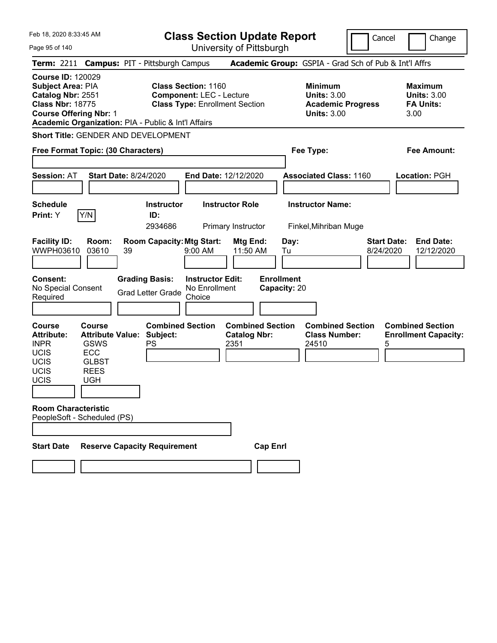Page 95 of 140

**Class Section Update Report**

University of Pittsburgh

Cancel **Change** 

|                                                                                                                                                                                    |                                                                                                             |                              |                                                   |                                                               | omvolony or moverger                                   |                                   |                                                                                        |                                                                   |
|------------------------------------------------------------------------------------------------------------------------------------------------------------------------------------|-------------------------------------------------------------------------------------------------------------|------------------------------|---------------------------------------------------|---------------------------------------------------------------|--------------------------------------------------------|-----------------------------------|----------------------------------------------------------------------------------------|-------------------------------------------------------------------|
| Term: 2211 Campus: PIT - Pittsburgh Campus                                                                                                                                         |                                                                                                             |                              |                                                   |                                                               |                                                        |                                   | <b>Academic Group:</b> GSPIA - Grad Sch of Pub & Int'l Affrs                           |                                                                   |
| Course ID: 120029<br>Subject Area: PIA<br>Catalog Nbr: 2551<br><b>Class Nbr: 18775</b><br>Course Offering Nbr: 1<br><b>Academic Organization: PIA - Public &amp; Int'l Affairs</b> |                                                                                                             |                              |                                                   | <b>Class Section: 1160</b><br><b>Component: LEC - Lecture</b> | <b>Class Type: Enrollment Section</b>                  |                                   | <b>Minimum</b><br><b>Units: 3.00</b><br><b>Academic Progress</b><br><b>Units: 3.00</b> | <b>Maximum</b><br><b>Units: 3.00</b><br><b>FA Units:</b><br>3.00  |
| Short Title: GENDER AND DEVELOPMENT                                                                                                                                                |                                                                                                             |                              |                                                   |                                                               |                                                        |                                   |                                                                                        |                                                                   |
| Free Format Topic: (30 Characters)                                                                                                                                                 |                                                                                                             |                              |                                                   |                                                               |                                                        |                                   | Fee Type:                                                                              | Fee Amount:                                                       |
| <b>Session: AT</b>                                                                                                                                                                 |                                                                                                             | <b>Start Date: 8/24/2020</b> |                                                   |                                                               | <b>End Date: 12/12/2020</b>                            |                                   | <b>Associated Class: 1160</b>                                                          | Location: PGH                                                     |
| Schedule                                                                                                                                                                           |                                                                                                             |                              | <b>Instructor</b>                                 |                                                               | <b>Instructor Role</b>                                 |                                   | <b>Instructor Name:</b>                                                                |                                                                   |
| Print: Y                                                                                                                                                                           | Y/N                                                                                                         |                              | ID:<br>2934686                                    |                                                               | Primary Instructor                                     |                                   | Finkel, Mihriban Muge                                                                  |                                                                   |
| <b>Facility ID:</b><br>WWPH03610                                                                                                                                                   | Room:<br>03610                                                                                              | 39                           | <b>Room Capacity: Mtg Start:</b>                  | 9:00 AM                                                       | Mtg End:<br>11:50 AM                                   | Day:<br>Tu                        |                                                                                        | <b>End Date:</b><br><b>Start Date:</b><br>8/24/2020<br>12/12/2020 |
| <b>Consent:</b><br>No Special Consent<br>Required                                                                                                                                  |                                                                                                             |                              | <b>Grading Basis:</b><br><b>Grad Letter Grade</b> | <b>Instructor Edit:</b><br>No Enrollment<br>Choice            |                                                        | <b>Enrollment</b><br>Capacity: 20 |                                                                                        |                                                                   |
| Course<br>Attribute:<br><b>INPR</b><br>UCIS<br>UCIS<br>UCIS<br>UCIS                                                                                                                | <b>Course</b><br><b>Attribute Value:</b><br><b>GSWS</b><br><b>ECC</b><br><b>GLBST</b><br><b>REES</b><br>UGH |                              | <b>Combined Section</b><br>Subject:<br>PS         |                                                               | <b>Combined Section</b><br><b>Catalog Nbr:</b><br>2351 |                                   | <b>Combined Section</b><br><b>Class Number:</b><br>24510                               | <b>Combined Section</b><br><b>Enrollment Capacity:</b><br>5       |
| <b>Room Characteristic</b><br>PeopleSoft - Scheduled (PS)                                                                                                                          |                                                                                                             |                              |                                                   |                                                               |                                                        |                                   |                                                                                        |                                                                   |
| Start Date                                                                                                                                                                         |                                                                                                             |                              | <b>Reserve Capacity Requirement</b>               |                                                               |                                                        | <b>Cap Enrl</b>                   |                                                                                        |                                                                   |
|                                                                                                                                                                                    |                                                                                                             |                              |                                                   |                                                               |                                                        |                                   |                                                                                        |                                                                   |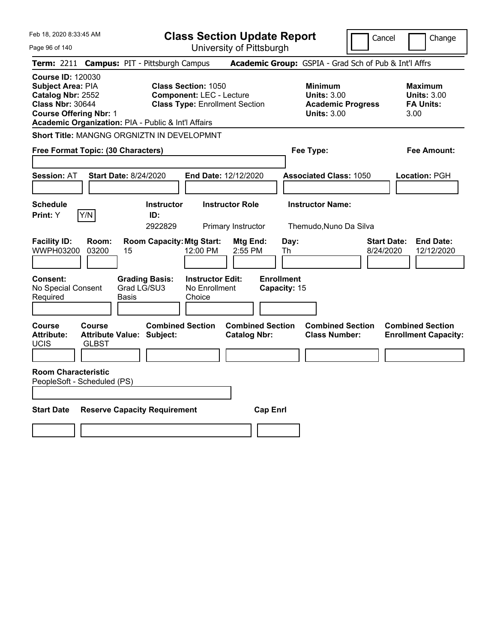Page 96 of 140

**Class Section Update Report**

Cancel **Change** 

| Term: 2211 Campus: PIT - Pittsburgh Campus                                                                                                                                            |                                                                                                        |                                                    |                                                                                        | Academic Group: GSPIA - Grad Sch of Pub & Int'l Affrs            |                                                                   |
|---------------------------------------------------------------------------------------------------------------------------------------------------------------------------------------|--------------------------------------------------------------------------------------------------------|----------------------------------------------------|----------------------------------------------------------------------------------------|------------------------------------------------------------------|-------------------------------------------------------------------|
| <b>Course ID: 120030</b><br>Subject Area: PIA<br>Catalog Nbr: 2552<br><b>Class Nbr: 30644</b><br><b>Course Offering Nbr: 1</b><br>Academic Organization: PIA - Public & Int'l Affairs | <b>Class Section: 1050</b><br><b>Component: LEC - Lecture</b><br><b>Class Type: Enrollment Section</b> |                                                    | <b>Minimum</b><br><b>Units: 3.00</b><br><b>Academic Progress</b><br><b>Units: 3.00</b> | <b>Maximum</b><br><b>Units: 3.00</b><br><b>FA Units:</b><br>3.00 |                                                                   |
| Short Title: MANGNG ORGNIZTN IN DEVELOPMNT                                                                                                                                            |                                                                                                        |                                                    |                                                                                        |                                                                  |                                                                   |
| Free Format Topic: (30 Characters)                                                                                                                                                    |                                                                                                        |                                                    | Fee Type:                                                                              | <b>Fee Amount:</b>                                               |                                                                   |
| <b>Session: AT</b>                                                                                                                                                                    | <b>Start Date: 8/24/2020</b>                                                                           | End Date: 12/12/2020                               |                                                                                        | <b>Associated Class: 1050</b>                                    | Location: PGH                                                     |
| <b>Schedule</b><br>Y/N<br>Print: Y                                                                                                                                                    | <b>Instructor</b><br>ID:<br>2922829                                                                    | <b>Instructor Role</b><br>Primary Instructor       |                                                                                        | <b>Instructor Name:</b><br>Themudo, Nuno Da Silva                |                                                                   |
| <b>Facility ID:</b><br>Room:<br>WWPH03200<br>03200                                                                                                                                    | <b>Room Capacity: Mtg Start:</b><br>15                                                                 | Mtg End:<br>12:00 PM<br>2:55 PM                    | Day:<br>Th                                                                             |                                                                  | <b>Start Date:</b><br><b>End Date:</b><br>12/12/2020<br>8/24/2020 |
| <b>Consent:</b><br>No Special Consent<br>Required                                                                                                                                     | <b>Grading Basis:</b><br>Grad LG/SU3<br>Basis                                                          | <b>Instructor Edit:</b><br>No Enrollment<br>Choice | <b>Enrollment</b><br>Capacity: 15                                                      |                                                                  |                                                                   |
| Course<br>Course<br><b>Attribute:</b><br><b>UCIS</b><br><b>GLBST</b>                                                                                                                  | <b>Attribute Value: Subject:</b>                                                                       | <b>Combined Section</b><br><b>Catalog Nbr:</b>     | <b>Combined Section</b>                                                                | <b>Combined Section</b><br><b>Class Number:</b>                  | <b>Combined Section</b><br><b>Enrollment Capacity:</b>            |
| <b>Room Characteristic</b><br>PeopleSoft - Scheduled (PS)                                                                                                                             |                                                                                                        |                                                    |                                                                                        |                                                                  |                                                                   |
| <b>Start Date</b>                                                                                                                                                                     | <b>Reserve Capacity Requirement</b>                                                                    |                                                    | <b>Cap Enrl</b>                                                                        |                                                                  |                                                                   |
|                                                                                                                                                                                       |                                                                                                        |                                                    |                                                                                        |                                                                  |                                                                   |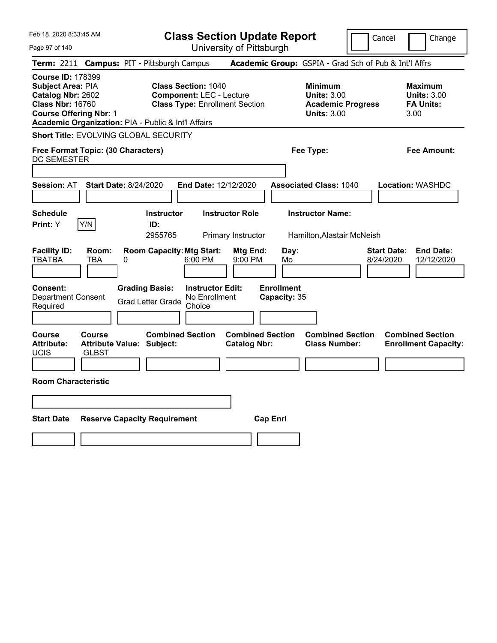| Feb 18, 2020 8:33:45 AM<br>Page 97 of 140                                                                                                                                             |                                                                   |                                                   | <b>Class Section Update Report</b>                                                                     | University of Pittsburgh                     |                                   |                                                                                        | Cancel<br>Change                                                  |
|---------------------------------------------------------------------------------------------------------------------------------------------------------------------------------------|-------------------------------------------------------------------|---------------------------------------------------|--------------------------------------------------------------------------------------------------------|----------------------------------------------|-----------------------------------|----------------------------------------------------------------------------------------|-------------------------------------------------------------------|
| Term: 2211 Campus: PIT - Pittsburgh Campus                                                                                                                                            |                                                                   |                                                   |                                                                                                        |                                              |                                   |                                                                                        | Academic Group: GSPIA - Grad Sch of Pub & Int'l Affrs             |
| <b>Course ID: 178399</b><br>Subject Area: PIA<br>Catalog Nbr: 2602<br><b>Class Nbr: 16760</b><br><b>Course Offering Nbr: 1</b><br>Academic Organization: PIA - Public & Int'l Affairs |                                                                   |                                                   | <b>Class Section: 1040</b><br><b>Component: LEC - Lecture</b><br><b>Class Type: Enrollment Section</b> |                                              |                                   | <b>Minimum</b><br><b>Units: 3.00</b><br><b>Academic Progress</b><br><b>Units: 3.00</b> | <b>Maximum</b><br><b>Units: 3.00</b><br><b>FA Units:</b><br>3.00  |
| <b>Short Title: EVOLVING GLOBAL SECURITY</b>                                                                                                                                          |                                                                   |                                                   |                                                                                                        |                                              |                                   |                                                                                        |                                                                   |
| Free Format Topic: (30 Characters)<br>DC SEMESTER                                                                                                                                     |                                                                   |                                                   |                                                                                                        |                                              |                                   | Fee Type:                                                                              | Fee Amount:                                                       |
|                                                                                                                                                                                       |                                                                   |                                                   |                                                                                                        |                                              |                                   |                                                                                        |                                                                   |
| <b>Session: AT</b>                                                                                                                                                                    | <b>Start Date: 8/24/2020</b>                                      |                                                   | End Date: 12/12/2020                                                                                   |                                              |                                   | <b>Associated Class: 1040</b>                                                          | Location: WASHDC                                                  |
| <b>Schedule</b><br>Y/N<br>Print: Y                                                                                                                                                    |                                                                   | <b>Instructor</b><br>ID:<br>2955765               |                                                                                                        | <b>Instructor Role</b><br>Primary Instructor |                                   | <b>Instructor Name:</b><br>Hamilton, Alastair McNeish                                  |                                                                   |
| <b>Facility ID:</b><br>TBATBA                                                                                                                                                         | Room:<br>TBA<br>0                                                 | <b>Room Capacity: Mtg Start:</b>                  | 6:00 PM                                                                                                | <b>Mtg End:</b><br>9:00 PM                   | Day:<br>Mo                        |                                                                                        | <b>End Date:</b><br><b>Start Date:</b><br>8/24/2020<br>12/12/2020 |
| <b>Consent:</b><br><b>Department Consent</b><br>Required                                                                                                                              |                                                                   | <b>Grading Basis:</b><br><b>Grad Letter Grade</b> | <b>Instructor Edit:</b><br>No Enrollment<br>Choice                                                     |                                              | <b>Enrollment</b><br>Capacity: 35 |                                                                                        |                                                                   |
| <b>Course</b><br><b>Attribute:</b><br><b>UCIS</b>                                                                                                                                     | <b>Course</b><br><b>Attribute Value: Subject:</b><br><b>GLBST</b> | <b>Combined Section</b>                           |                                                                                                        | <b>Catalog Nbr:</b>                          | <b>Combined Section</b>           | <b>Combined Section</b><br><b>Class Number:</b>                                        | <b>Combined Section</b><br><b>Enrollment Capacity:</b>            |
| <b>Room Characteristic</b>                                                                                                                                                            |                                                                   |                                                   |                                                                                                        |                                              |                                   |                                                                                        |                                                                   |
|                                                                                                                                                                                       |                                                                   |                                                   |                                                                                                        |                                              |                                   |                                                                                        |                                                                   |
| <b>Start Date</b>                                                                                                                                                                     | <b>Reserve Capacity Requirement</b>                               |                                                   |                                                                                                        |                                              | <b>Cap Enrl</b>                   |                                                                                        |                                                                   |
|                                                                                                                                                                                       |                                                                   |                                                   |                                                                                                        |                                              |                                   |                                                                                        |                                                                   |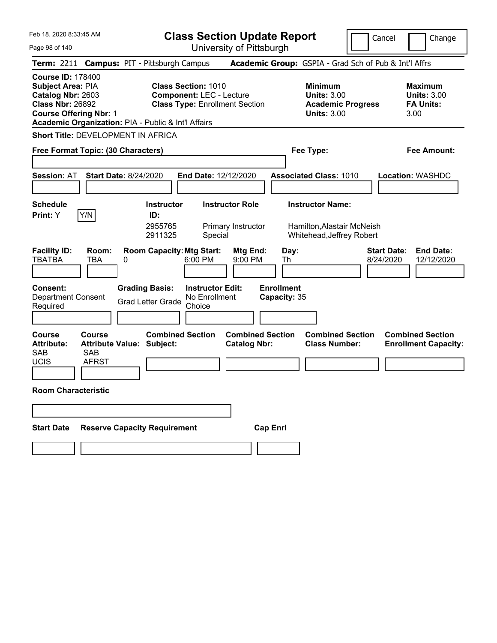**Class Section Update Report**

Cancel **Change** 

| Page 98 of 140                                                                                                                        | University of Pittsburgh                                                                                                                                      |                                                                                        |                                                                   |
|---------------------------------------------------------------------------------------------------------------------------------------|---------------------------------------------------------------------------------------------------------------------------------------------------------------|----------------------------------------------------------------------------------------|-------------------------------------------------------------------|
| <b>Term: 2211</b>                                                                                                                     | <b>Campus: PIT - Pittsburgh Campus</b>                                                                                                                        | Academic Group: GSPIA - Grad Sch of Pub & Int'l Affrs                                  |                                                                   |
| <b>Course ID: 178400</b><br><b>Subject Area: PIA</b><br>Catalog Nbr: 2603<br><b>Class Nbr: 26892</b><br><b>Course Offering Nbr: 1</b> | <b>Class Section: 1010</b><br><b>Component: LEC - Lecture</b><br><b>Class Type: Enrollment Section</b><br>Academic Organization: PIA - Public & Int'l Affairs | <b>Minimum</b><br><b>Units: 3.00</b><br><b>Academic Progress</b><br><b>Units: 3.00</b> | <b>Maximum</b><br><b>Units: 3.00</b><br><b>FA Units:</b><br>3.00  |
| Short Title: DEVELOPMENT IN AFRICA                                                                                                    |                                                                                                                                                               |                                                                                        |                                                                   |
| Free Format Topic: (30 Characters)                                                                                                    |                                                                                                                                                               | Fee Type:                                                                              | Fee Amount:                                                       |
| <b>Session: AT</b>                                                                                                                    | <b>Start Date: 8/24/2020</b><br>End Date: 12/12/2020                                                                                                          | <b>Associated Class: 1010</b>                                                          | <b>Location: WASHDC</b>                                           |
| <b>Schedule</b><br>Print: Y<br>Y/N                                                                                                    | <b>Instructor Role</b><br><b>Instructor</b><br>ID:<br>2955765<br>Primary Instructor<br>2911325<br>Special                                                     | <b>Instructor Name:</b><br>Hamilton, Alastair McNeish<br>Whitehead, Jeffrey Robert     |                                                                   |
| <b>Facility ID:</b><br>Room:<br><b>TBATBA</b><br>TBA                                                                                  | <b>Room Capacity: Mtg Start:</b><br>Mtg End:<br>6:00 PM<br>9:00 PM<br>0                                                                                       | Day:<br>Th                                                                             | <b>Start Date:</b><br><b>End Date:</b><br>8/24/2020<br>12/12/2020 |
| Consent:<br><b>Department Consent</b><br>Required                                                                                     | <b>Grading Basis:</b><br><b>Instructor Edit:</b><br>No Enrollment<br><b>Grad Letter Grade</b><br>Choice                                                       | <b>Enrollment</b><br>Capacity: 35                                                      |                                                                   |
| <b>Course</b><br><b>Course</b><br><b>Attribute:</b><br><b>SAB</b><br><b>SAB</b><br><b>UCIS</b><br><b>AFRST</b>                        | <b>Combined Section</b><br><b>Combined Section</b><br><b>Attribute Value: Subject:</b><br><b>Catalog Nbr:</b>                                                 | <b>Combined Section</b><br><b>Class Number:</b>                                        | <b>Combined Section</b><br><b>Enrollment Capacity:</b>            |
| <b>Room Characteristic</b>                                                                                                            |                                                                                                                                                               |                                                                                        |                                                                   |
|                                                                                                                                       |                                                                                                                                                               |                                                                                        |                                                                   |
| <b>Start Date</b>                                                                                                                     | <b>Reserve Capacity Requirement</b><br><b>Cap Enrl</b>                                                                                                        |                                                                                        |                                                                   |
|                                                                                                                                       |                                                                                                                                                               |                                                                                        |                                                                   |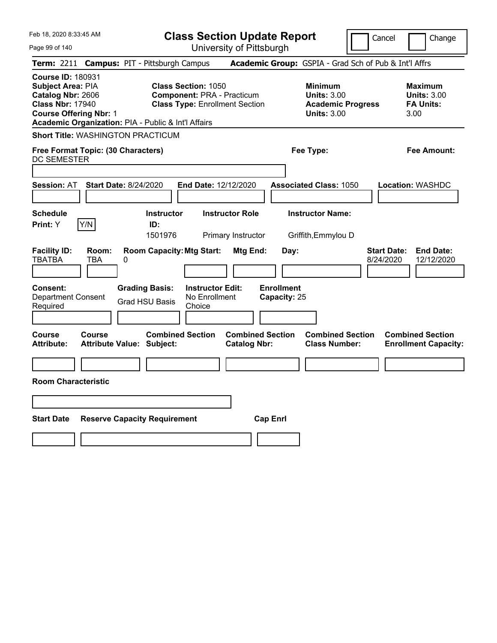| Feb 18, 2020 8:33:45 AM                                                                                                               |                                                   |                                                                                                                                                                 | <b>Class Section Update Report</b>                    |                                                                                        | Change<br>Cancel                                                  |
|---------------------------------------------------------------------------------------------------------------------------------------|---------------------------------------------------|-----------------------------------------------------------------------------------------------------------------------------------------------------------------|-------------------------------------------------------|----------------------------------------------------------------------------------------|-------------------------------------------------------------------|
| Page 99 of 140                                                                                                                        |                                                   |                                                                                                                                                                 | University of Pittsburgh                              |                                                                                        |                                                                   |
| <b>Term: 2211</b>                                                                                                                     |                                                   | <b>Campus: PIT - Pittsburgh Campus</b>                                                                                                                          |                                                       | Academic Group: GSPIA - Grad Sch of Pub & Int'l Affrs                                  |                                                                   |
| <b>Course ID: 180931</b><br><b>Subject Area: PIA</b><br>Catalog Nbr: 2606<br><b>Class Nbr: 17940</b><br><b>Course Offering Nbr: 1</b> |                                                   | <b>Class Section: 1050</b><br><b>Component: PRA - Practicum</b><br><b>Class Type: Enrollment Section</b><br>Academic Organization: PIA - Public & Int'l Affairs |                                                       | <b>Minimum</b><br><b>Units: 3.00</b><br><b>Academic Progress</b><br><b>Units: 3.00</b> | <b>Maximum</b><br><b>Units: 3.00</b><br><b>FA Units:</b><br>3.00  |
|                                                                                                                                       | <b>Short Title: WASHINGTON PRACTICUM</b>          |                                                                                                                                                                 |                                                       |                                                                                        |                                                                   |
| DC SEMESTER                                                                                                                           | Free Format Topic: (30 Characters)                |                                                                                                                                                                 |                                                       | Fee Type:                                                                              | Fee Amount:                                                       |
|                                                                                                                                       |                                                   |                                                                                                                                                                 |                                                       |                                                                                        |                                                                   |
| <b>Session: AT</b>                                                                                                                    | <b>Start Date: 8/24/2020</b>                      |                                                                                                                                                                 | <b>End Date: 12/12/2020</b>                           | <b>Associated Class: 1050</b>                                                          | <b>Location: WASHDC</b>                                           |
| <b>Schedule</b><br><b>Print:</b> Y                                                                                                    | Y/N                                               | <b>Instructor</b><br>ID:<br>1501976                                                                                                                             | <b>Instructor Role</b><br>Primary Instructor          | <b>Instructor Name:</b><br>Griffith, Emmylou D                                         |                                                                   |
| <b>Facility ID:</b><br><b>TBATBA</b><br><b>Consent:</b><br><b>Department Consent</b><br>Required                                      | Room:<br>TBA<br>0                                 | <b>Room Capacity: Mtg Start:</b><br><b>Grading Basis:</b><br><b>Instructor Edit:</b><br>No Enrollment<br>Grad HSU Basis<br>Choice                               | Mtg End:<br>Day:<br><b>Enrollment</b><br>Capacity: 25 |                                                                                        | <b>Start Date:</b><br><b>End Date:</b><br>8/24/2020<br>12/12/2020 |
| <b>Course</b><br><b>Attribute:</b>                                                                                                    | <b>Course</b><br><b>Attribute Value: Subject:</b> | <b>Combined Section</b>                                                                                                                                         | <b>Combined Section</b><br><b>Catalog Nbr:</b>        | <b>Combined Section</b><br><b>Class Number:</b>                                        | <b>Combined Section</b><br><b>Enrollment Capacity:</b>            |
|                                                                                                                                       |                                                   |                                                                                                                                                                 |                                                       |                                                                                        |                                                                   |
| <b>Room Characteristic</b>                                                                                                            |                                                   |                                                                                                                                                                 |                                                       |                                                                                        |                                                                   |
|                                                                                                                                       |                                                   |                                                                                                                                                                 |                                                       |                                                                                        |                                                                   |
| <b>Start Date</b>                                                                                                                     |                                                   | <b>Reserve Capacity Requirement</b>                                                                                                                             | <b>Cap Enri</b>                                       |                                                                                        |                                                                   |
|                                                                                                                                       |                                                   |                                                                                                                                                                 |                                                       |                                                                                        |                                                                   |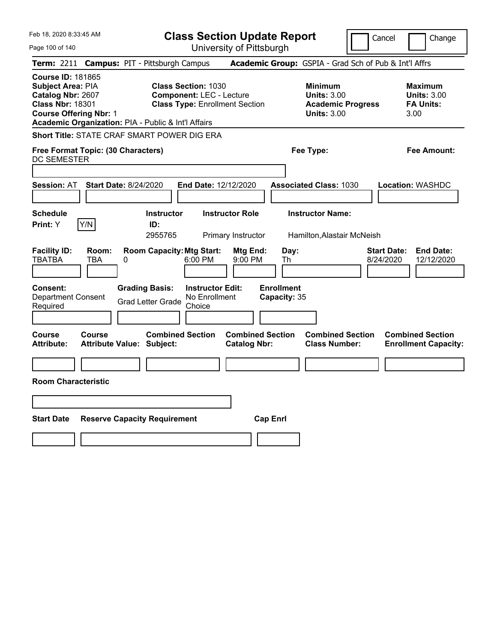| Feb 18, 2020 8:33:45 AM                                                                                                               | <b>Class Section Update Report</b>                                                                                                                            |                                                                                                   | Change<br>Cancel                                                  |
|---------------------------------------------------------------------------------------------------------------------------------------|---------------------------------------------------------------------------------------------------------------------------------------------------------------|---------------------------------------------------------------------------------------------------|-------------------------------------------------------------------|
| Page 100 of 140                                                                                                                       | University of Pittsburgh                                                                                                                                      |                                                                                                   |                                                                   |
| <b>Term: 2211</b>                                                                                                                     | <b>Campus: PIT - Pittsburgh Campus</b>                                                                                                                        | Academic Group: GSPIA - Grad Sch of Pub & Int'l Affrs                                             |                                                                   |
| <b>Course ID: 181865</b><br><b>Subject Area: PIA</b><br>Catalog Nbr: 2607<br><b>Class Nbr: 18301</b><br><b>Course Offering Nbr: 1</b> | <b>Class Section: 1030</b><br><b>Component: LEC - Lecture</b><br><b>Class Type: Enrollment Section</b><br>Academic Organization: PIA - Public & Int'l Affairs | <b>Minimum</b><br><b>Units: 3.00</b><br><b>Academic Progress</b><br><b>Units: 3.00</b>            | <b>Maximum</b><br><b>Units: 3.00</b><br><b>FA Units:</b><br>3.00  |
|                                                                                                                                       | Short Title: STATE CRAF SMART POWER DIG ERA                                                                                                                   |                                                                                                   |                                                                   |
| Free Format Topic: (30 Characters)<br><b>DC SEMESTER</b>                                                                              |                                                                                                                                                               | Fee Type:                                                                                         | <b>Fee Amount:</b>                                                |
| Session: AT                                                                                                                           | <b>Start Date: 8/24/2020</b><br><b>End Date: 12/12/2020</b>                                                                                                   | <b>Associated Class: 1030</b>                                                                     | Location: WASHDC                                                  |
| <b>Schedule</b><br>Y/N<br>Print: Y                                                                                                    | <b>Instructor Role</b><br><b>Instructor</b><br>ID:<br>2955765<br>Primary Instructor                                                                           | <b>Instructor Name:</b><br>Hamilton, Alastair McNeish                                             |                                                                   |
| <b>Facility ID:</b><br>Room:<br><b>TBATBA</b><br>TBA<br><b>Consent:</b>                                                               | <b>Room Capacity: Mtg Start:</b><br>0<br>$6:00$ PM<br><b>Grading Basis:</b><br><b>Instructor Edit:</b>                                                        | Day:<br>Mtg End:<br>9:00 PM<br>Th<br><b>Enrollment</b>                                            | <b>End Date:</b><br><b>Start Date:</b><br>8/24/2020<br>12/12/2020 |
| <b>Department Consent</b><br>Required                                                                                                 | No Enrollment<br><b>Grad Letter Grade</b><br>Choice                                                                                                           | Capacity: 35                                                                                      |                                                                   |
| <b>Course</b><br>Course<br><b>Attribute:</b>                                                                                          | <b>Combined Section</b><br>Attribute Value: Subject:                                                                                                          | <b>Combined Section</b><br><b>Combined Section</b><br><b>Catalog Nbr:</b><br><b>Class Number:</b> | <b>Combined Section</b><br><b>Enrollment Capacity:</b>            |
|                                                                                                                                       |                                                                                                                                                               |                                                                                                   |                                                                   |
| <b>Room Characteristic</b>                                                                                                            |                                                                                                                                                               |                                                                                                   |                                                                   |
|                                                                                                                                       |                                                                                                                                                               |                                                                                                   |                                                                   |
| <b>Start Date</b>                                                                                                                     | <b>Reserve Capacity Requirement</b>                                                                                                                           | <b>Cap Enri</b>                                                                                   |                                                                   |
|                                                                                                                                       |                                                                                                                                                               |                                                                                                   |                                                                   |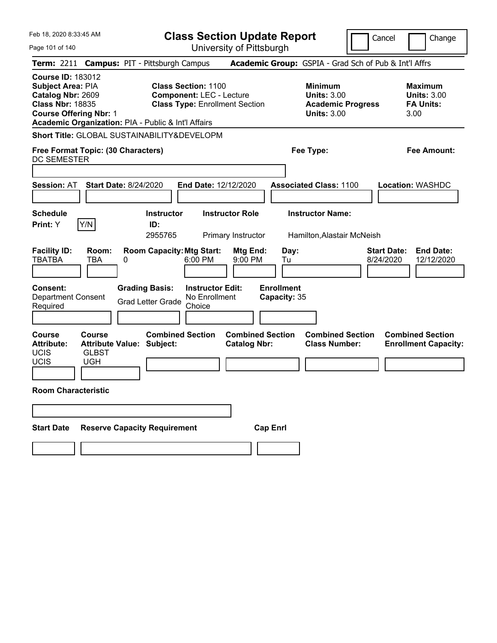| Feb 18, 2020 8:33:45 AM<br>Page 101 of 140                                                                                                                                                   |                                                                                 |   |                                                   |                                                                                                        |                                              | <b>Class Section Update Report</b><br>University of Pittsburgh |                                                                                        | Cancel                          | Change                                                           |
|----------------------------------------------------------------------------------------------------------------------------------------------------------------------------------------------|---------------------------------------------------------------------------------|---|---------------------------------------------------|--------------------------------------------------------------------------------------------------------|----------------------------------------------|----------------------------------------------------------------|----------------------------------------------------------------------------------------|---------------------------------|------------------------------------------------------------------|
| Term: 2211 Campus: PIT - Pittsburgh Campus                                                                                                                                                   |                                                                                 |   |                                                   |                                                                                                        |                                              |                                                                | Academic Group: GSPIA - Grad Sch of Pub & Int'l Affrs                                  |                                 |                                                                  |
| <b>Course ID: 183012</b><br><b>Subject Area: PIA</b><br>Catalog Nbr: 2609<br><b>Class Nbr: 18835</b><br><b>Course Offering Nbr: 1</b><br>Academic Organization: PIA - Public & Int'l Affairs |                                                                                 |   |                                                   | <b>Class Section: 1100</b><br><b>Component: LEC - Lecture</b><br><b>Class Type: Enrollment Section</b> |                                              |                                                                | <b>Minimum</b><br><b>Units: 3.00</b><br><b>Academic Progress</b><br><b>Units: 3.00</b> |                                 | <b>Maximum</b><br><b>Units: 3.00</b><br><b>FA Units:</b><br>3.00 |
| <b>Short Title: GLOBAL SUSTAINABILITY&amp;DEVELOPM</b>                                                                                                                                       |                                                                                 |   |                                                   |                                                                                                        |                                              |                                                                |                                                                                        |                                 |                                                                  |
| Free Format Topic: (30 Characters)<br>DC SEMESTER                                                                                                                                            |                                                                                 |   |                                                   |                                                                                                        |                                              |                                                                | Fee Type:                                                                              |                                 | Fee Amount:                                                      |
| <b>Session: AT</b>                                                                                                                                                                           | <b>Start Date: 8/24/2020</b>                                                    |   |                                                   | End Date: 12/12/2020                                                                                   |                                              |                                                                | <b>Associated Class: 1100</b>                                                          |                                 | <b>Location: WASHDC</b>                                          |
| <b>Schedule</b><br><b>Print:</b> Y                                                                                                                                                           | Y/N                                                                             |   | <b>Instructor</b><br>ID:<br>2955765               |                                                                                                        | <b>Instructor Role</b><br>Primary Instructor |                                                                | <b>Instructor Name:</b><br>Hamilton, Alastair McNeish                                  |                                 |                                                                  |
| <b>Facility ID:</b><br><b>TBATBA</b>                                                                                                                                                         | Room:<br>TBA                                                                    | 0 |                                                   | <b>Room Capacity: Mtg Start:</b><br>6:00 PM                                                            | Mtg End:<br>9:00 PM                          | Day:<br>Tu                                                     |                                                                                        | <b>Start Date:</b><br>8/24/2020 | <b>End Date:</b><br>12/12/2020                                   |
| <b>Consent:</b><br><b>Department Consent</b><br>Required                                                                                                                                     |                                                                                 |   | <b>Grading Basis:</b><br><b>Grad Letter Grade</b> | <b>Instructor Edit:</b><br>No Enrollment<br>Choice                                                     |                                              | <b>Enrollment</b><br>Capacity: 35                              |                                                                                        |                                 |                                                                  |
| <b>Course</b><br><b>Attribute:</b><br>UCIS<br>UCIS                                                                                                                                           | <b>Course</b><br><b>Attribute Value: Subject:</b><br><b>GLBST</b><br><b>UGH</b> |   | <b>Combined Section</b>                           |                                                                                                        | <b>Catalog Nbr:</b>                          | <b>Combined Section</b>                                        | <b>Combined Section</b><br><b>Class Number:</b>                                        |                                 | <b>Combined Section</b><br><b>Enrollment Capacity:</b>           |
| <b>Room Characteristic</b>                                                                                                                                                                   |                                                                                 |   |                                                   |                                                                                                        |                                              |                                                                |                                                                                        |                                 |                                                                  |
|                                                                                                                                                                                              |                                                                                 |   |                                                   |                                                                                                        |                                              |                                                                |                                                                                        |                                 |                                                                  |
| <b>Start Date</b>                                                                                                                                                                            |                                                                                 |   | <b>Reserve Capacity Requirement</b>               |                                                                                                        |                                              | <b>Cap Enrl</b>                                                |                                                                                        |                                 |                                                                  |
|                                                                                                                                                                                              |                                                                                 |   |                                                   |                                                                                                        |                                              |                                                                |                                                                                        |                                 |                                                                  |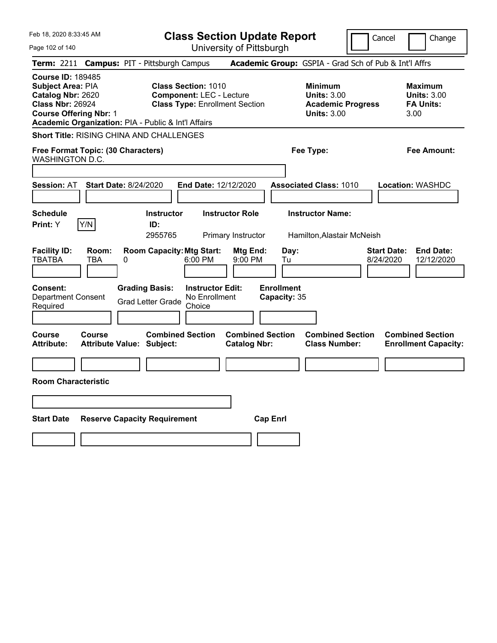| Feb 18, 2020 8:33:45 AM                                                                                                               |                                                                                                                      | <b>Class Section Update Report</b>             |                                                                                        | Change<br>Cancel                                                  |
|---------------------------------------------------------------------------------------------------------------------------------------|----------------------------------------------------------------------------------------------------------------------|------------------------------------------------|----------------------------------------------------------------------------------------|-------------------------------------------------------------------|
| Page 102 of 140                                                                                                                       |                                                                                                                      | University of Pittsburgh                       |                                                                                        |                                                                   |
| <b>Term: 2211</b>                                                                                                                     | <b>Campus: PIT - Pittsburgh Campus</b>                                                                               |                                                | Academic Group: GSPIA - Grad Sch of Pub & Int'l Affrs                                  |                                                                   |
| <b>Course ID: 189485</b><br><b>Subject Area: PIA</b><br>Catalog Nbr: 2620<br><b>Class Nbr: 26924</b><br><b>Course Offering Nbr: 1</b> | <b>Class Section: 1010</b><br><b>Component: LEC - Lecture</b><br>Academic Organization: PIA - Public & Int'l Affairs | <b>Class Type: Enrollment Section</b>          | <b>Minimum</b><br><b>Units: 3.00</b><br><b>Academic Progress</b><br><b>Units: 3.00</b> | <b>Maximum</b><br><b>Units: 3.00</b><br><b>FA Units:</b><br>3.00  |
|                                                                                                                                       | <b>Short Title: RISING CHINA AND CHALLENGES</b>                                                                      |                                                |                                                                                        |                                                                   |
| Free Format Topic: (30 Characters)<br>WASHINGTON D.C.                                                                                 |                                                                                                                      |                                                | Fee Type:                                                                              | Fee Amount:                                                       |
|                                                                                                                                       |                                                                                                                      |                                                |                                                                                        |                                                                   |
| Session: AT                                                                                                                           | <b>Start Date: 8/24/2020</b>                                                                                         | <b>End Date: 12/12/2020</b>                    | <b>Associated Class: 1010</b>                                                          | <b>Location: WASHDC</b>                                           |
| <b>Schedule</b><br>Y/N<br><b>Print:</b> Y                                                                                             | <b>Instructor</b><br>ID:<br>2955765                                                                                  | <b>Instructor Role</b><br>Primary Instructor   | <b>Instructor Name:</b><br>Hamilton, Alastair McNeish                                  |                                                                   |
| <b>Facility ID:</b><br>Room:<br><b>TBATBA</b><br>TBA                                                                                  | <b>Room Capacity: Mtg Start:</b><br>0<br>$6:00$ PM                                                                   | Mtg End:<br>9:00 PM                            | Day:<br>Tu                                                                             | <b>Start Date:</b><br><b>End Date:</b><br>8/24/2020<br>12/12/2020 |
| <b>Consent:</b><br><b>Department Consent</b><br>Required                                                                              | <b>Grading Basis:</b><br><b>Grad Letter Grade</b><br>Choice                                                          | <b>Instructor Edit:</b><br>No Enrollment       | <b>Enrollment</b><br>Capacity: 35                                                      |                                                                   |
| <b>Course</b><br><b>Course</b><br><b>Attribute:</b>                                                                                   | <b>Combined Section</b><br><b>Attribute Value: Subject:</b>                                                          | <b>Combined Section</b><br><b>Catalog Nbr:</b> | <b>Combined Section</b><br><b>Class Number:</b>                                        | <b>Combined Section</b><br><b>Enrollment Capacity:</b>            |
|                                                                                                                                       |                                                                                                                      |                                                |                                                                                        |                                                                   |
| <b>Room Characteristic</b>                                                                                                            |                                                                                                                      |                                                |                                                                                        |                                                                   |
|                                                                                                                                       |                                                                                                                      |                                                |                                                                                        |                                                                   |
| <b>Start Date</b>                                                                                                                     | <b>Reserve Capacity Requirement</b>                                                                                  | <b>Cap Enri</b>                                |                                                                                        |                                                                   |
|                                                                                                                                       |                                                                                                                      |                                                |                                                                                        |                                                                   |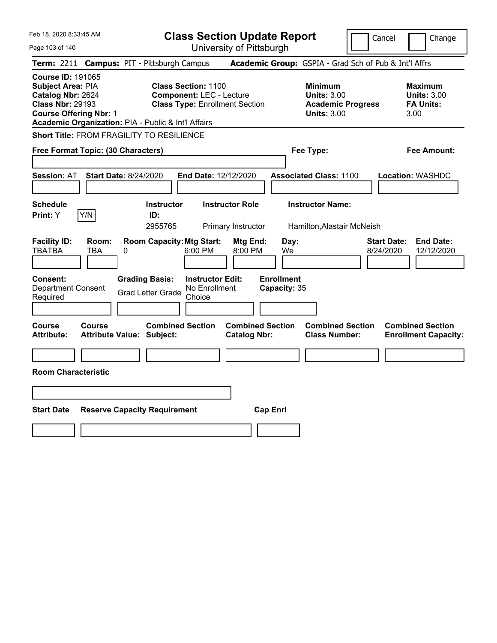Feb 18, 2020 8:33:45 AM Page 103 of 140 **Class Section Update Report** University of Pittsburgh **Term:** 2211 **Campus:** PIT - Pittsburgh Campus **Academic Group:** GSPIA - Grad Sch of Pub & Int'l Affrs **Course ID:** 191065 **Subject Area: PIA Class Section: 1100 Minimum <b>Maximum Maximum Catalog Nbr: 2624 Component:** LEC - Lecture **Component: LEC - Lecture Component: LEC - Lecture Component: LEC - Lecture Component: LEC - Lecture Catalog Nbr: 2624 Component: LEC - Lecture <b>Units: 3.00 Units: 3.00 Units: 3.00 Class Nbr: 29193 Class Type: Enrollment Section Academic Progress FA Units: Class Type: Enrollment Section Course Offering Nbr: 1 Units: 3.00** 3.00 **Academic Organization:** PIA - Public & Int'l Affairs **Short Title:** FROM FRAGILITY TO RESILIENCE

| <b>Free Format Topic: (30 Characters)</b>                                                                   |                                                                                         | Fee Type:                                             | <b>Fee Amount:</b>                                                |
|-------------------------------------------------------------------------------------------------------------|-----------------------------------------------------------------------------------------|-------------------------------------------------------|-------------------------------------------------------------------|
| <b>Session: AT</b><br><b>Start Date: 8/24/2020</b>                                                          | <b>End Date: 12/12/2020</b>                                                             | <b>Associated Class: 1100</b>                         | <b>Location: WASHDC</b>                                           |
| <b>Schedule</b><br><b>Instructor</b><br>Y/N<br>Print: Y<br>ID:<br>2955765                                   | <b>Instructor Role</b><br>Primary Instructor                                            | <b>Instructor Name:</b><br>Hamilton, Alastair McNeish |                                                                   |
| <b>Facility ID:</b><br><b>Room Capacity: Mtg Start:</b><br>Room:<br><b>TBA</b><br><b>TBATBA</b><br>0        | Mtg End:<br>Day:<br>6:00 PM<br>8:00 PM<br>We                                            |                                                       | <b>Start Date:</b><br><b>End Date:</b><br>8/24/2020<br>12/12/2020 |
| Consent:<br><b>Grading Basis:</b><br><b>Department Consent</b><br><b>Grad Letter Grade</b><br>Required      | <b>Enrollment</b><br><b>Instructor Edit:</b><br>No Enrollment<br>Capacity: 35<br>Choice |                                                       |                                                                   |
| <b>Combined Section</b><br><b>Course</b><br>Course<br><b>Attribute:</b><br><b>Attribute Value: Subject:</b> | <b>Combined Section</b><br><b>Catalog Nbr:</b>                                          | <b>Combined Section</b><br><b>Class Number:</b>       | <b>Combined Section</b><br><b>Enrollment Capacity:</b>            |
| <b>Room Characteristic</b>                                                                                  |                                                                                         |                                                       |                                                                   |
| <b>Start Date</b><br><b>Reserve Capacity Requirement</b>                                                    | <b>Cap Enrl</b>                                                                         |                                                       |                                                                   |
|                                                                                                             |                                                                                         |                                                       |                                                                   |

Cancel | Change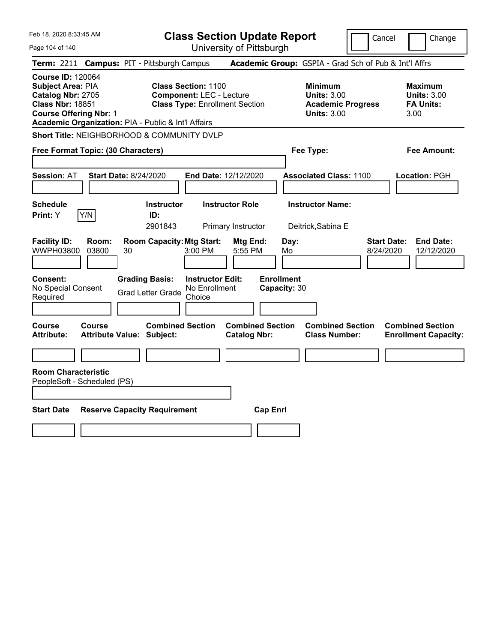Feb 18, 2020 8:33:45 AM Page 104 of 140 **Class Section Update Report** University of Pittsburgh Cancel Change **Term:** 2211 **Campus:** PIT - Pittsburgh Campus **Academic Group:** GSPIA - Grad Sch of Pub & Int'l Affrs **Course ID:** 120064 **Subject Area:** PIA **Class Section:** 1100 **Minimum Maximum Catalog Nbr:** 2705 **Component:** LEC - Lecture **Units:** 3.00 **Units:** 3.00 **Class Nbr:** 18851 **Class Type:** Enrollment Section **Academic Progress FA Units: Course Offering Nbr:** 1 **Units:** 3.00 3.00 **Academic Organization:** PIA - Public & Int'l Affairs **Short Title:** NEIGHBORHOOD & COMMUNITY DVLP **Free Format Topic: (30 Characters) Fee Type: Fee Amount: Session:** AT **Start Date:** 8/24/2020 **End Date:** 12/12/2020 **Associated Class:** 1100 **Location:** PGH **Schedule Instructor Instructor Role Instructor Name: Print:**  $Y$   $|Y/N|$  **ID:** 2901843 Primary Instructor Deitrick,Sabina E **Facility ID: Room: Room Capacity:Mtg Start: Mtg End: Day: Start Date: End Date:** WWPH03800 03800 30 3:00 PM 5:55 PM Mo 8/24/2020 12/12/2020 **Consent: Grading Basis: Instructor Edit: Enrollment** No Special Consent No Special Consent Grad Letter Grade No Enrollment<br>Required Choice Choice **Capacity:** 30 **Course Course Combined Section Combined Section Combined Section Combined Section Attribute: Attribute Value: Subject: Catalog Nbr: Class Number: Enrollment Capacity: Room Characteristic** PeopleSoft - Scheduled (PS) **Start Date Reserve Capacity Requirement Cap Enrl**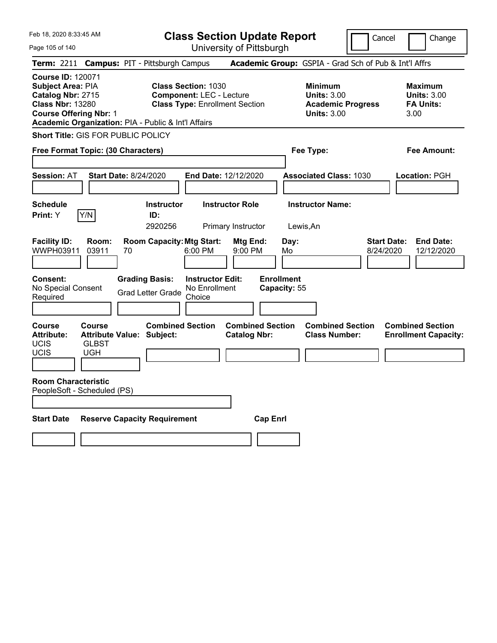| Feb 18, 2020 8:33:45 AM |  |
|-------------------------|--|
|                         |  |

**Class Section Update Report** University of Pittsburgh

Cancel Change

Page 105 of 140

|                                                                                                                                       |                                      | Term: 2211 Campus: PIT - Pittsburgh Campus                  |                                                                                                        |                                                |                                   | Academic Group: GSPIA - Grad Sch of Pub & Int'l Affrs                                  |                                 |                                                                  |
|---------------------------------------------------------------------------------------------------------------------------------------|--------------------------------------|-------------------------------------------------------------|--------------------------------------------------------------------------------------------------------|------------------------------------------------|-----------------------------------|----------------------------------------------------------------------------------------|---------------------------------|------------------------------------------------------------------|
| <b>Course ID: 120071</b><br><b>Subject Area: PIA</b><br>Catalog Nbr: 2715<br><b>Class Nbr: 13280</b><br><b>Course Offering Nbr: 1</b> |                                      | Academic Organization: PIA - Public & Int'l Affairs         | <b>Class Section: 1030</b><br><b>Component: LEC - Lecture</b><br><b>Class Type: Enrollment Section</b> |                                                |                                   | <b>Minimum</b><br><b>Units: 3.00</b><br><b>Academic Progress</b><br><b>Units: 3.00</b> |                                 | <b>Maximum</b><br><b>Units: 3.00</b><br><b>FA Units:</b><br>3.00 |
|                                                                                                                                       |                                      | <b>Short Title: GIS FOR PUBLIC POLICY</b>                   |                                                                                                        |                                                |                                   |                                                                                        |                                 |                                                                  |
| Free Format Topic: (30 Characters)                                                                                                    |                                      |                                                             |                                                                                                        |                                                | Fee Type:                         |                                                                                        |                                 | <b>Fee Amount:</b>                                               |
| <b>Session: AT</b>                                                                                                                    |                                      | <b>Start Date: 8/24/2020</b>                                | <b>End Date: 12/12/2020</b>                                                                            |                                                |                                   | <b>Associated Class: 1030</b>                                                          |                                 | Location: PGH                                                    |
| <b>Schedule</b><br>Print: Y                                                                                                           | Y/N                                  | <b>Instructor</b><br>ID:<br>2920256                         |                                                                                                        | <b>Instructor Role</b><br>Primary Instructor   | Lewis, An                         | <b>Instructor Name:</b>                                                                |                                 |                                                                  |
| <b>Facility ID:</b><br>WWPH03911                                                                                                      | Room:<br>03911                       | <b>Room Capacity: Mtg Start:</b><br>70                      | 6:00 PM                                                                                                | Mtg End:<br>9:00 PM                            | Day:<br>Mo                        |                                                                                        | <b>Start Date:</b><br>8/24/2020 | <b>End Date:</b><br>12/12/2020                                   |
| <b>Consent:</b><br>No Special Consent<br>Required                                                                                     |                                      | <b>Grading Basis:</b><br><b>Grad Letter Grade</b>           | <b>Instructor Edit:</b><br>No Enrollment<br>Choice                                                     |                                                | <b>Enrollment</b><br>Capacity: 55 |                                                                                        |                                 |                                                                  |
| <b>Course</b><br><b>Attribute:</b><br>UCIS<br>UCIS                                                                                    | Course<br><b>GLBST</b><br><b>UGH</b> | <b>Combined Section</b><br><b>Attribute Value: Subject:</b> |                                                                                                        | <b>Combined Section</b><br><b>Catalog Nbr:</b> |                                   | <b>Combined Section</b><br><b>Class Number:</b>                                        |                                 | <b>Combined Section</b><br><b>Enrollment Capacity:</b>           |
| <b>Room Characteristic</b><br>PeopleSoft - Scheduled (PS)                                                                             |                                      |                                                             |                                                                                                        |                                                |                                   |                                                                                        |                                 |                                                                  |
| <b>Start Date</b>                                                                                                                     |                                      | <b>Reserve Capacity Requirement</b>                         |                                                                                                        | <b>Cap Enrl</b>                                |                                   |                                                                                        |                                 |                                                                  |
|                                                                                                                                       |                                      |                                                             |                                                                                                        |                                                |                                   |                                                                                        |                                 |                                                                  |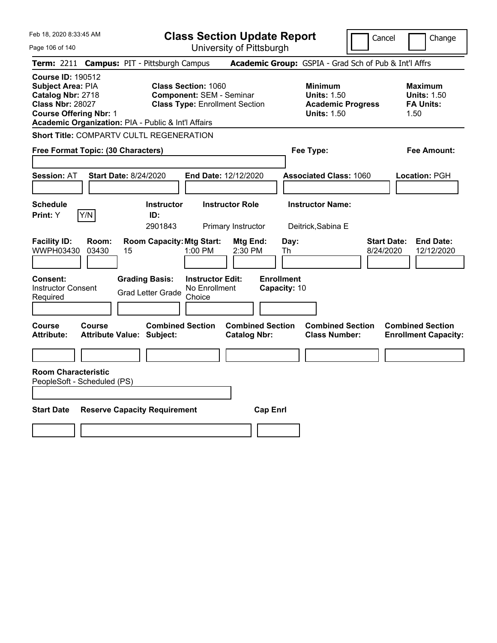|  | Feb 18, 2020 8:33:45 AM |  |
|--|-------------------------|--|
|  |                         |  |

Page 106 of 140

**Class Section Update Report**

Cancel Change

| Term: 2211 Campus: PIT - Pittsburgh Campus                                                                                                                                                   |                                                                                                        | Academic Group: GSPIA - Grad Sch of Pub & Int'l Affrs                                  |                                                                  |
|----------------------------------------------------------------------------------------------------------------------------------------------------------------------------------------------|--------------------------------------------------------------------------------------------------------|----------------------------------------------------------------------------------------|------------------------------------------------------------------|
| <b>Course ID: 190512</b><br><b>Subject Area: PIA</b><br>Catalog Nbr: 2718<br><b>Class Nbr: 28027</b><br><b>Course Offering Nbr: 1</b><br>Academic Organization: PIA - Public & Int'l Affairs | <b>Class Section: 1060</b><br><b>Component: SEM - Seminar</b><br><b>Class Type: Enrollment Section</b> | <b>Minimum</b><br><b>Units: 1.50</b><br><b>Academic Progress</b><br><b>Units: 1.50</b> | <b>Maximum</b><br><b>Units: 1.50</b><br><b>FA Units:</b><br>1.50 |
| <b>Short Title: COMPARTV CULTL REGENERATION</b>                                                                                                                                              |                                                                                                        |                                                                                        |                                                                  |
| Free Format Topic: (30 Characters)                                                                                                                                                           |                                                                                                        | Fee Type:                                                                              | <b>Fee Amount:</b>                                               |
| <b>Start Date: 8/24/2020</b><br><b>Session: AT</b>                                                                                                                                           | End Date: 12/12/2020                                                                                   | <b>Associated Class: 1060</b>                                                          | Location: PGH                                                    |
| <b>Schedule</b><br>Y/N<br>Print: Y                                                                                                                                                           | <b>Instructor Role</b><br><b>Instructor</b><br>ID:<br>2901843<br>Primary Instructor                    | <b>Instructor Name:</b><br>Deitrick, Sabina E                                          |                                                                  |
| <b>Facility ID:</b><br>Room:<br><b>WWPH03430</b><br>03430<br>15                                                                                                                              | <b>Room Capacity: Mtg Start:</b><br><b>Mtg End:</b><br>1:00 PM<br>2:30 PM                              | Day:<br><b>Start Date:</b><br>8/24/2020<br>Th                                          | <b>End Date:</b><br>12/12/2020                                   |
| Consent:<br><b>Grading Basis:</b><br><b>Instructor Consent</b><br>Required                                                                                                                   | <b>Instructor Edit:</b><br>No Enrollment<br><b>Grad Letter Grade</b><br>Choice                         | <b>Enrollment</b><br>Capacity: 10                                                      |                                                                  |
| <b>Course</b><br>Course<br><b>Attribute:</b><br><b>Attribute Value: Subject:</b>                                                                                                             | <b>Combined Section</b><br><b>Catalog Nbr:</b>                                                         | <b>Combined Section</b><br><b>Combined Section</b><br><b>Class Number:</b>             | <b>Combined Section</b><br><b>Enrollment Capacity:</b>           |
|                                                                                                                                                                                              |                                                                                                        |                                                                                        |                                                                  |
| <b>Room Characteristic</b><br>PeopleSoft - Scheduled (PS)<br><b>Start Date</b><br><b>Reserve Capacity Requirement</b>                                                                        |                                                                                                        | <b>Cap Enrl</b>                                                                        |                                                                  |
|                                                                                                                                                                                              |                                                                                                        |                                                                                        |                                                                  |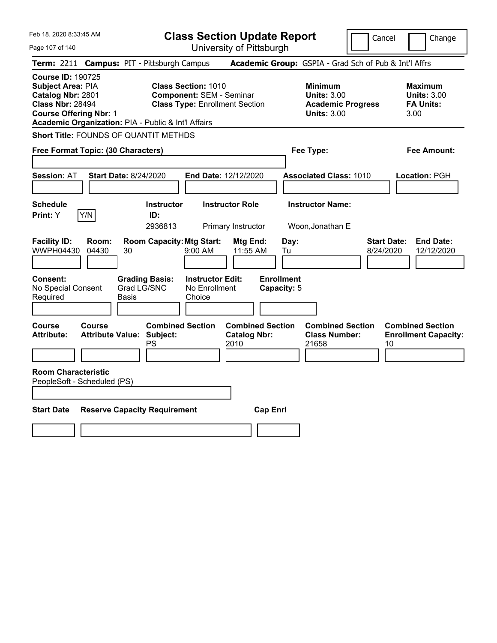**Class Section Update Report**

Cancel | Change

Page 107 of 140

University of Pittsburgh **Term:** 2211 **Campus:** PIT - Pittsburgh Campus **Academic Group:** GSPIA - Grad Sch of Pub & Int'l Affrs **Course ID:** 190725 **Subject Area: PIA Class Section: 1010 Minimum 1010 <b>Minimum Maximum 1010 Minimum Catalog Nbr: 2801 Component: SEM - Seminar Catalog Units: 3.00 Units: 3.00 Catalog Nbr:** 2801 **Component:** SEM - Seminar **Units:** 3.00 **Units:** 3.00 **Class Type: Enrollment Section <b>Academic Progress FA Units: Course Offering Nbr:** 1 **Units:** 3.00 3.00 **Academic Organization:** PIA - Public & Int'l Affairs **Short Title:** FOUNDS OF QUANTIT METHDS **Free Format Topic: (30 Characters) Fee Type: Fee Amount: Session:** AT **Start Date:** 8/24/2020 **End Date:** 12/12/2020 **Associated Class:** 1010 **Location:** PGH **Schedule Instructor Instructor Role Instructor Name: Print:**  $Y$   $|Y/N|$  **ID:** 2936813 Primary Instructor Woon,Jonathan E **Facility ID: Room: Room Capacity:Mtg Start: Mtg End: Day: Start Date: End Date:** WWPH04430 04430 30 9:00 AM 11:55 AM Tu 8/24/2020 12/12/2020 **Consent: Grading Basis: Instructor Edit: Enrollment** No Special Consent Required Grad LG/SNC Basis No Enrollment Choice **Capacity:** 5 **Course Course Combined Section Combined Section Combined Section Combined Section**  Attribute: Attribute Value: Subject: Catalog Nbr: Class Number: Enrollment Capacity:<br>PS 2010 21658 10 PS 2010 2010 21658 10 **Room Characteristic** PeopleSoft - Scheduled (PS) **Start Date Reserve Capacity Requirement Cap Enrl**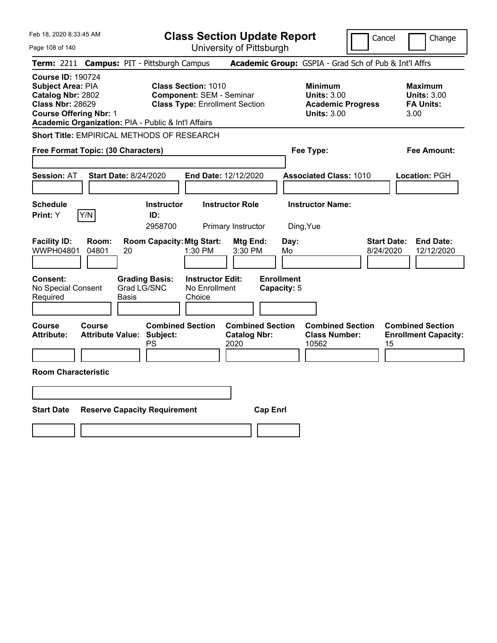Feb 18, 2020 8:33:45 AM Page 108 of 140 **Class Section Update Report** University of Pittsburgh Cancel | Change **Term:** 2211 **Campus:** PIT - Pittsburgh Campus **Academic Group:** GSPIA - Grad Sch of Pub & Int'l Affrs **Course ID:** 190724 **Subject Area: PIA Class Section: 1010 Minimum Maximum Maximum <br>
<b>Catalog Nbr:** 2802 **Component:** SEM - Seminar **Units: 3.00** Units: 3.00 **Catalog Nbr:** 2802 **Component:** SEM - Seminar **Units:** 3.00 **Units:** 3.00 **Class Type: Enrollment Section <b>Academic Progress FA Units: Course Offering Nbr:** 1 **Units:** 3.00 3.00 **Academic Organization:** PIA - Public & Int'l Affairs **Short Title:** EMPIRICAL METHODS OF RESEARCH **Free Format Topic: (30 Characters) Fee Type: Fee Amount: Session:** AT **Start Date:** 8/24/2020 **End Date:** 12/12/2020 **Associated Class:** 1010 **Location:** PGH **Schedule Instructor Instructor Role Instructor Name: Print:**  $Y$   $|Y/N|$  **ID:** 2958700 Primary Instructor Ding,Yue **Facility ID: Room: Room Capacity:Mtg Start: Mtg End: Day: Start Date: End Date:** WWPH04801 04801 20 1:30 PM 3:30 PM Mo 8/24/2020 12/12/2020 **Consent: Grading Basis: Instructor Edit: Enrollment** No Special Consent Required Grad LG/SNC Basis No Enrollment Choice **Capacity:** 5 **Course Course Combined Section Combined Section Combined Section Combined Section**  Attribute: Attribute Value: Subject: Catalog Nbr: Class Number: Enrollment Capacity:<br>PS 2020 10562 15 PS 2020 10562 15 **Room Characteristic Start Date Reserve Capacity Requirement Cap Enrl**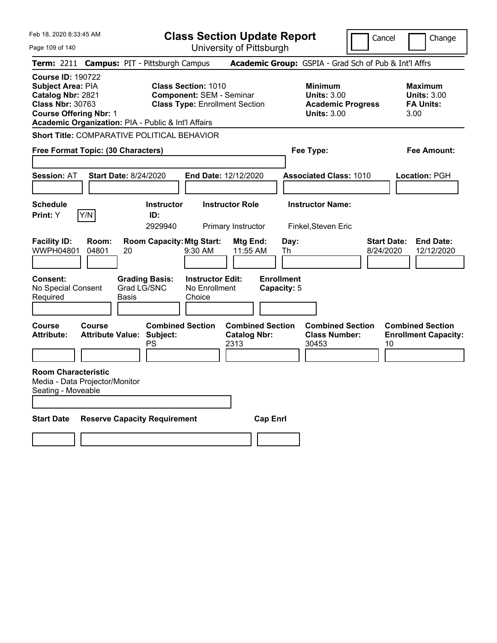Feb 18, 2020 8:33:45 AM Page 109 of 140 **Class Section Update Report** University of Pittsburgh Cancel | Change **Term:** 2211 **Campus:** PIT - Pittsburgh Campus **Academic Group:** GSPIA - Grad Sch of Pub & Int'l Affrs **Course ID:** 190722 **Subject Area:** PIA **Class Section:** 1010 **Minimum Maximum Catalog Nbr:** 2821 **Component:** SEM - Seminar **Units:** 3.00 **Units:** 3.00 **Class Type: Enrollment Section <b>Academic Progress FA Units: Course Offering Nbr:** 1 **Units:** 3.00 3.00 **Academic Organization:** PIA - Public & Int'l Affairs **Short Title:** COMPARATIVE POLITICAL BEHAVIOR **Free Format Topic: (30 Characters) Fee Type: Fee Amount: Session:** AT **Start Date:** 8/24/2020 **End Date:** 12/12/2020 **Associated Class:** 1010 **Location:** PGH **Schedule Instructor Instructor Role Instructor Name: Print:**  $Y$   $|Y/N|$  **ID:** 2929940 Primary Instructor Finkel,Steven Eric **Facility ID: Room: Room Capacity:Mtg Start: Mtg End: Day: Start Date: End Date:** WWPH04801 04801 20 9:30 AM 11:55 AM Th 8/24/2020 12/12/2020 **Consent: Grading Basis: Instructor Edit: Enrollment** No Special Consent Required Grad LG/SNC Basis No Enrollment Choice **Capacity:** 5 **Course Course Combined Section Combined Section Combined Section Combined Section**  Attribute: Attribute Value: Subject: Catalog Nbr: Class Number: Enrollment Capacity:<br>PS 2313 30453 10 PS 2313 30453 2010 **Room Characteristic** Media - Data Projector/Monitor Seating - Moveable **Start Date Reserve Capacity Requirement Cap Enrl**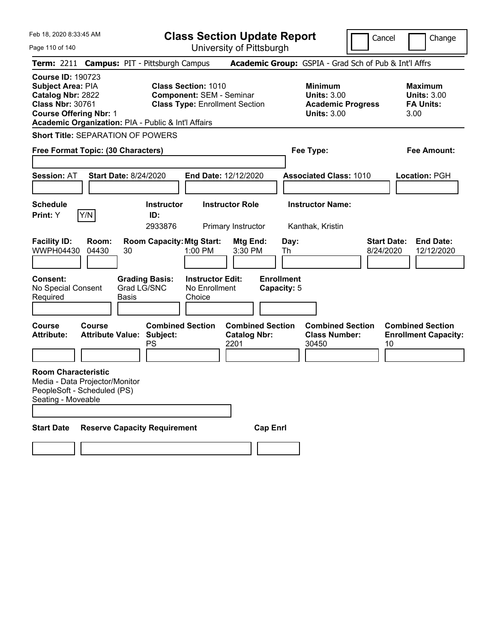|  | Feb 18, 2020 8:33:45 AM |  |
|--|-------------------------|--|
|  |                         |  |

Page 110 of 140

**Class Section Update Report**

Cancel **Change** 

University of Pittsburgh

| Term: 2211 Campus: PIT - Pittsburgh Campus                                                                                                                                            |                                                   |       |                                      |                                                                                                        |                                              |                                  |      | Academic Group: GSPIA - Grad Sch of Pub & Int'l Affrs                                  |           |                                                                  |
|---------------------------------------------------------------------------------------------------------------------------------------------------------------------------------------|---------------------------------------------------|-------|--------------------------------------|--------------------------------------------------------------------------------------------------------|----------------------------------------------|----------------------------------|------|----------------------------------------------------------------------------------------|-----------|------------------------------------------------------------------|
| <b>Course ID: 190723</b><br>Subject Area: PIA<br>Catalog Nbr: 2822<br><b>Class Nbr: 30761</b><br><b>Course Offering Nbr: 1</b><br>Academic Organization: PIA - Public & Int'l Affairs |                                                   |       |                                      | <b>Class Section: 1010</b><br><b>Component: SEM - Seminar</b><br><b>Class Type: Enrollment Section</b> |                                              |                                  |      | <b>Minimum</b><br><b>Units: 3.00</b><br><b>Academic Progress</b><br><b>Units: 3.00</b> |           | <b>Maximum</b><br><b>Units: 3.00</b><br><b>FA Units:</b><br>3.00 |
| <b>Short Title: SEPARATION OF POWERS</b>                                                                                                                                              |                                                   |       |                                      |                                                                                                        |                                              |                                  |      |                                                                                        |           |                                                                  |
| Free Format Topic: (30 Characters)                                                                                                                                                    |                                                   |       |                                      |                                                                                                        |                                              |                                  |      | Fee Type:                                                                              |           | <b>Fee Amount:</b>                                               |
| <b>Session: AT</b>                                                                                                                                                                    | <b>Start Date: 8/24/2020</b>                      |       |                                      | End Date: 12/12/2020                                                                                   |                                              |                                  |      | <b>Associated Class: 1010</b>                                                          |           | Location: PGH                                                    |
| Schedule<br>Print: Y                                                                                                                                                                  | Y/N                                               |       | <b>Instructor</b><br>ID:<br>2933876  |                                                                                                        | <b>Instructor Role</b><br>Primary Instructor |                                  |      | <b>Instructor Name:</b><br>Kanthak, Kristin                                            |           |                                                                  |
| <b>Facility ID:</b><br><b>WWPH04430</b>                                                                                                                                               | Room:<br>04430                                    | 30    | <b>Room Capacity: Mtg Start:</b>     | $1:00$ PM                                                                                              | Mtg End:<br>3:30 PM                          | Th                               | Day: |                                                                                        | 8/24/2020 | <b>End Date:</b><br><b>Start Date:</b><br>12/12/2020             |
| Consent:<br>No Special Consent<br>Required                                                                                                                                            |                                                   | Basis | <b>Grading Basis:</b><br>Grad LG/SNC | <b>Instructor Edit:</b><br>No Enrollment<br>Choice                                                     |                                              | <b>Enrollment</b><br>Capacity: 5 |      |                                                                                        |           |                                                                  |
| Course<br><b>Attribute:</b>                                                                                                                                                           | <b>Course</b><br><b>Attribute Value: Subject:</b> |       | <b>Combined Section</b><br>PS        |                                                                                                        | <b>Catalog Nbr:</b><br>2201                  | <b>Combined Section</b>          |      | <b>Combined Section</b><br><b>Class Number:</b><br>30450                               |           | <b>Combined Section</b><br><b>Enrollment Capacity:</b><br>10     |
| <b>Room Characteristic</b><br>Media - Data Projector/Monitor<br>PeopleSoft - Scheduled (PS)<br>Seating - Moveable                                                                     |                                                   |       |                                      |                                                                                                        |                                              |                                  |      |                                                                                        |           |                                                                  |
| <b>Start Date</b>                                                                                                                                                                     |                                                   |       | <b>Reserve Capacity Requirement</b>  |                                                                                                        |                                              | <b>Cap Enrl</b>                  |      |                                                                                        |           |                                                                  |
|                                                                                                                                                                                       |                                                   |       |                                      |                                                                                                        |                                              |                                  |      |                                                                                        |           |                                                                  |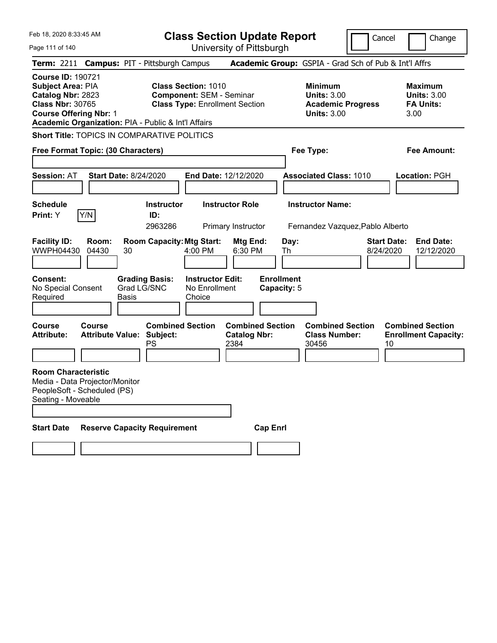Feb 18, 2020 8:33:45 AM Page 111 of 140 **Class Section Update Report** University of Pittsburgh Cancel Change **Term:** 2211 **Campus:** PIT - Pittsburgh Campus **Academic Group:** GSPIA - Grad Sch of Pub & Int'l Affrs **Course ID:** 190721 **Subject Area:** PIA **Class Section:** 1010 **Minimum Maximum Catalog Nbr:** 2823 **Component:** SEM - Seminar **Units:** 3.00 **Units:** 3.00 **Class Type: Enrollment Section <b>Academic Progress FA Units: Course Offering Nbr:** 1 **Units:** 3.00 3.00 **Academic Organization:** PIA - Public & Int'l Affairs **Short Title:** TOPICS IN COMPARATIVE POLITICS **Free Format Topic: (30 Characters) Fee Type: Fee Amount: Session:** AT **Start Date:** 8/24/2020 **End Date:** 12/12/2020 **Associated Class:** 1010 **Location:** PGH **Schedule Instructor Instructor Role Instructor Name: Print:**  $Y$   $|Y/N|$  **ID:** 2963286 Primary Instructor Fernandez Vazquez,Pablo Alberto **Facility ID: Room: Room Capacity:Mtg Start: Mtg End: Day: Start Date: End Date:** WWPH04430 04430 30 4:00 PM 6:30 PM Th 8/24/2020 12/12/2020 **Consent: Grading Basis: Instructor Edit: Enrollment** No Special Consent Required Grad LG/SNC Basis No Enrollment Choice **Capacity:** 5 **Course Course Combined Section Combined Section Combined Section Combined Section**  Attribute: Attribute Value: Subject: Catalog Nbr: Class Number: Enrollment Capacity:<br>PS 2384 30456 10 PS 2384 30456 2015 **Room Characteristic** Media - Data Projector/Monitor PeopleSoft - Scheduled (PS) Seating - Moveable **Start Date Reserve Capacity Requirement Cap Enrl**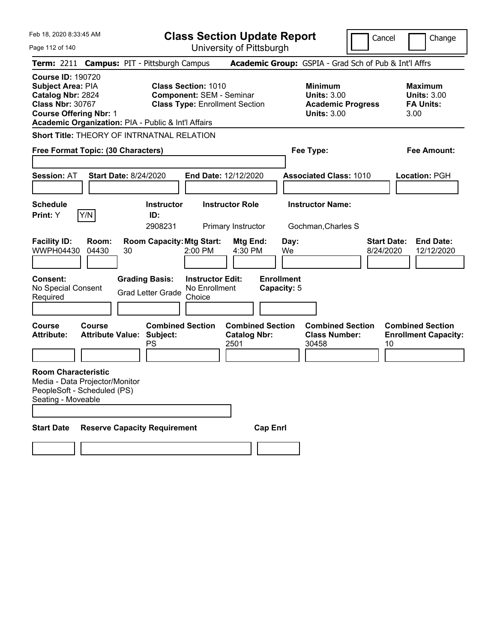Feb 18, 2020 8:33:45 AM Page 112 of 140 **Class Section Update Report** University of Pittsburgh Cancel Change **Term:** 2211 **Campus:** PIT - Pittsburgh Campus **Academic Group:** GSPIA - Grad Sch of Pub & Int'l Affrs **Course ID:** 190720 **Subject Area:** PIA **Class Section:** 1010 **Minimum Maximum Catalog Nbr:** 2824 **Component:** SEM - Seminar **Units:** 3.00 **Units:** 3.00 **Class Type: Enrollment Section <b>Academic Progress FA Units: Course Offering Nbr:** 1 **Units:** 3.00 3.00 **Academic Organization:** PIA - Public & Int'l Affairs **Short Title:** THEORY OF INTRNATNAL RELATION **Free Format Topic: (30 Characters) Fee Type: Fee Amount: Session:** AT **Start Date:** 8/24/2020 **End Date:** 12/12/2020 **Associated Class:** 1010 **Location:** PGH **Schedule Instructor Instructor Role Instructor Name: Print:**  $Y$   $|Y/N|$  **ID:** 2908231 Primary Instructor Gochman,Charles S **Facility ID: Room: Room Capacity:Mtg Start: Mtg End: Day: Start Date: End Date:** WWPH04430 04430 30 2:00 PM 4:30 PM We 8/24/2020 12/12/2020 **Consent: Grading Basis: Instructor Edit: Enrollment** No Special Consent No Special Consent Grad Letter Grade No Enrollment<br>Required Choice Choice **Capacity:** 5 **Course Course Combined Section Combined Section Combined Section Combined Section**  Attribute: Attribute Value: Subject: Catalog Nbr: Class Number: Enrollment Capacity:<br>PS 2501 30458 10 PS 2501 2501 30458 10 **Room Characteristic** Media - Data Projector/Monitor PeopleSoft - Scheduled (PS) Seating - Moveable **Start Date Reserve Capacity Requirement Cap Enrl**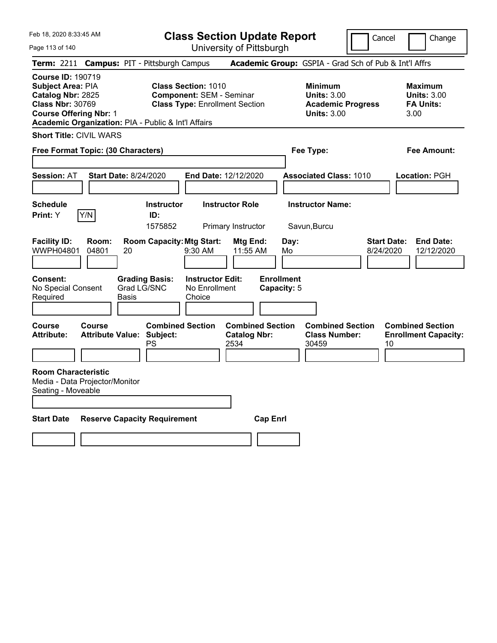Feb 18, 2020 8:33:45 AM

Page 113 of 140

**Class Section Update Report**

University of Pittsburgh

Cancel Change

| Term: 2211 Campus: PIT - Pittsburgh Campus                                                                                                                                            |                                                   |       |                                      |                                                                                                        |                                                        |                 |                                  | Academic Group: GSPIA - Grad Sch of Pub & Int'l Affrs                                  |                                 |                                                                  |
|---------------------------------------------------------------------------------------------------------------------------------------------------------------------------------------|---------------------------------------------------|-------|--------------------------------------|--------------------------------------------------------------------------------------------------------|--------------------------------------------------------|-----------------|----------------------------------|----------------------------------------------------------------------------------------|---------------------------------|------------------------------------------------------------------|
| <b>Course ID: 190719</b><br>Subject Area: PIA<br>Catalog Nbr: 2825<br><b>Class Nbr: 30769</b><br><b>Course Offering Nbr: 1</b><br>Academic Organization: PIA - Public & Int'l Affairs |                                                   |       |                                      | <b>Class Section: 1010</b><br><b>Component: SEM - Seminar</b><br><b>Class Type: Enrollment Section</b> |                                                        |                 |                                  | <b>Minimum</b><br><b>Units: 3.00</b><br><b>Academic Progress</b><br><b>Units: 3.00</b> |                                 | <b>Maximum</b><br><b>Units: 3.00</b><br><b>FA Units:</b><br>3.00 |
| <b>Short Title: CIVIL WARS</b>                                                                                                                                                        |                                                   |       |                                      |                                                                                                        |                                                        |                 |                                  |                                                                                        |                                 |                                                                  |
| Free Format Topic: (30 Characters)                                                                                                                                                    |                                                   |       |                                      |                                                                                                        |                                                        |                 |                                  | Fee Type:                                                                              |                                 | Fee Amount:                                                      |
| <b>Session: AT</b>                                                                                                                                                                    | <b>Start Date: 8/24/2020</b>                      |       |                                      | End Date: 12/12/2020                                                                                   |                                                        |                 |                                  | <b>Associated Class: 1010</b>                                                          |                                 | Location: PGH                                                    |
| <b>Schedule</b><br>Print: Y                                                                                                                                                           | Y/N                                               |       | <b>Instructor</b><br>ID:<br>1575852  |                                                                                                        | <b>Instructor Role</b><br>Primary Instructor           |                 |                                  | <b>Instructor Name:</b><br>Savun, Burcu                                                |                                 |                                                                  |
| <b>Facility ID:</b><br><b>WWPH04801</b>                                                                                                                                               | Room:<br>04801                                    | 20    | <b>Room Capacity: Mtg Start:</b>     | 9:30 AM                                                                                                | Mtg End:<br>11:55 AM                                   |                 | Day:<br>Mo                       |                                                                                        | <b>Start Date:</b><br>8/24/2020 | <b>End Date:</b><br>12/12/2020                                   |
| Consent:<br>No Special Consent<br>Required                                                                                                                                            |                                                   | Basis | <b>Grading Basis:</b><br>Grad LG/SNC | <b>Instructor Edit:</b><br>No Enrollment<br>Choice                                                     |                                                        |                 | <b>Enrollment</b><br>Capacity: 5 |                                                                                        |                                 |                                                                  |
| Course<br>Attribute:                                                                                                                                                                  | <b>Course</b><br><b>Attribute Value: Subject:</b> |       | <b>Combined Section</b><br>PS        |                                                                                                        | <b>Combined Section</b><br><b>Catalog Nbr:</b><br>2534 |                 |                                  | <b>Combined Section</b><br><b>Class Number:</b><br>30459                               | 10                              | <b>Combined Section</b><br><b>Enrollment Capacity:</b>           |
| <b>Room Characteristic</b><br>Media - Data Projector/Monitor<br>Seating - Moveable                                                                                                    |                                                   |       |                                      |                                                                                                        |                                                        |                 |                                  |                                                                                        |                                 |                                                                  |
| <b>Start Date</b>                                                                                                                                                                     |                                                   |       | <b>Reserve Capacity Requirement</b>  |                                                                                                        |                                                        | <b>Cap Enrl</b> |                                  |                                                                                        |                                 |                                                                  |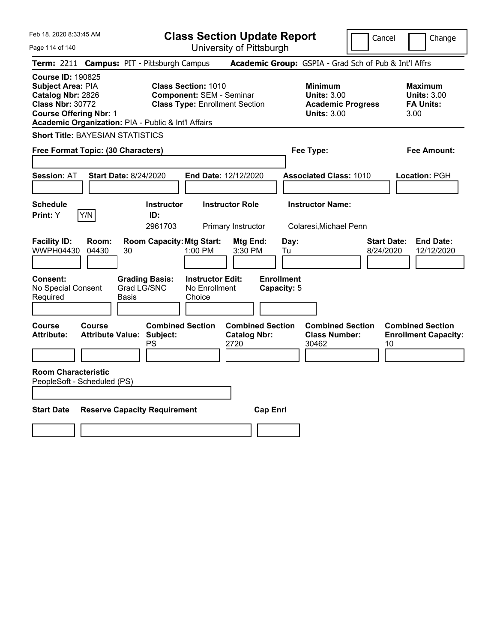|  | Feb 18, 2020 8:33:45 AM |  |
|--|-------------------------|--|
|  |                         |  |

**Class Section Update Report** University of Pittsburgh

Cancel Change

Page 114 of 140

|                                                                                                                                       |                                          | Term: 2211 Campus: PIT - Pittsburgh Campus          |                                                                                                        |                                                        |                                                                                        | Academic Group: GSPIA - Grad Sch of Pub & Int'l Affrs    |                                                                  |                                                        |
|---------------------------------------------------------------------------------------------------------------------------------------|------------------------------------------|-----------------------------------------------------|--------------------------------------------------------------------------------------------------------|--------------------------------------------------------|----------------------------------------------------------------------------------------|----------------------------------------------------------|------------------------------------------------------------------|--------------------------------------------------------|
| <b>Course ID: 190825</b><br><b>Subject Area: PIA</b><br>Catalog Nbr: 2826<br><b>Class Nbr: 30772</b><br><b>Course Offering Nbr: 1</b> |                                          | Academic Organization: PIA - Public & Int'l Affairs | <b>Class Section: 1010</b><br><b>Component: SEM - Seminar</b><br><b>Class Type: Enrollment Section</b> |                                                        | <b>Minimum</b><br><b>Units: 3.00</b><br><b>Academic Progress</b><br><b>Units: 3.00</b> |                                                          | <b>Maximum</b><br><b>Units: 3.00</b><br><b>FA Units:</b><br>3.00 |                                                        |
|                                                                                                                                       |                                          | <b>Short Title: BAYESIAN STATISTICS</b>             |                                                                                                        |                                                        |                                                                                        |                                                          |                                                                  |                                                        |
|                                                                                                                                       |                                          | Free Format Topic: (30 Characters)                  |                                                                                                        |                                                        |                                                                                        | Fee Type:                                                |                                                                  | <b>Fee Amount:</b>                                     |
| Session: AT                                                                                                                           |                                          | <b>Start Date: 8/24/2020</b>                        |                                                                                                        | End Date: 12/12/2020                                   |                                                                                        | <b>Associated Class: 1010</b>                            |                                                                  | Location: PGH                                          |
| <b>Schedule</b><br>Print: Y                                                                                                           | Y/N                                      | <b>Instructor</b><br>ID:<br>2961703                 |                                                                                                        | <b>Instructor Role</b><br>Primary Instructor           |                                                                                        | <b>Instructor Name:</b><br>Colaresi, Michael Penn        |                                                                  |                                                        |
| <b>Facility ID:</b><br>WWPH04430                                                                                                      | Room:<br>04430                           | <b>Room Capacity: Mtg Start:</b><br>30              | 1:00 PM                                                                                                | Mtg End:<br>3:30 PM                                    | Day:<br>Tu                                                                             |                                                          | <b>Start Date:</b><br>8/24/2020                                  | <b>End Date:</b><br>12/12/2020                         |
| <b>Consent:</b><br>No Special Consent<br>Required                                                                                     |                                          | <b>Grading Basis:</b><br>Grad LG/SNC<br>Basis       | <b>Instructor Edit:</b><br>No Enrollment<br>Choice                                                     |                                                        | <b>Enrollment</b><br>Capacity: 5                                                       |                                                          |                                                                  |                                                        |
| <b>Course</b><br><b>Attribute:</b>                                                                                                    | <b>Course</b><br><b>Attribute Value:</b> | Subject:<br>PS                                      | <b>Combined Section</b>                                                                                | <b>Combined Section</b><br><b>Catalog Nbr:</b><br>2720 |                                                                                        | <b>Combined Section</b><br><b>Class Number:</b><br>30462 | 10                                                               | <b>Combined Section</b><br><b>Enrollment Capacity:</b> |
| <b>Room Characteristic</b><br>PeopleSoft - Scheduled (PS)                                                                             |                                          |                                                     |                                                                                                        |                                                        |                                                                                        |                                                          |                                                                  |                                                        |
| <b>Start Date</b>                                                                                                                     |                                          | <b>Reserve Capacity Requirement</b>                 |                                                                                                        | <b>Cap Enrl</b>                                        |                                                                                        |                                                          |                                                                  |                                                        |
|                                                                                                                                       |                                          |                                                     |                                                                                                        |                                                        |                                                                                        |                                                          |                                                                  |                                                        |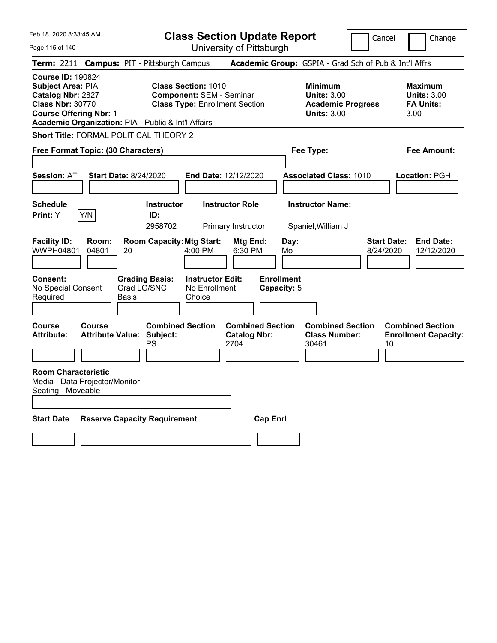|  | Feb 18, 2020 8:33:45 AM |  |
|--|-------------------------|--|
|  |                         |  |

Page 115 of 140

**Class Section Update Report**

Cancel **Change** 

University of Pittsburgh

|                                                                                                                                |                | Term: 2211 Campus: PIT - Pittsburgh Campus                        |                                                               |                                                        |                                  | Academic Group: GSPIA - Grad Sch of Pub & Int'l Affrs                                  |                                                                   |
|--------------------------------------------------------------------------------------------------------------------------------|----------------|-------------------------------------------------------------------|---------------------------------------------------------------|--------------------------------------------------------|----------------------------------|----------------------------------------------------------------------------------------|-------------------------------------------------------------------|
| <b>Course ID: 190824</b><br>Subject Area: PIA<br>Catalog Nbr: 2827<br><b>Class Nbr: 30770</b><br><b>Course Offering Nbr: 1</b> |                | Academic Organization: PIA - Public & Int'l Affairs               | <b>Class Section: 1010</b><br><b>Component: SEM - Seminar</b> | <b>Class Type: Enrollment Section</b>                  |                                  | <b>Minimum</b><br><b>Units: 3.00</b><br><b>Academic Progress</b><br><b>Units: 3.00</b> | <b>Maximum</b><br><b>Units: 3.00</b><br><b>FA Units:</b><br>3.00  |
|                                                                                                                                |                | Short Title: FORMAL POLITICAL THEORY 2                            |                                                               |                                                        |                                  |                                                                                        |                                                                   |
| Free Format Topic: (30 Characters)                                                                                             |                |                                                                   |                                                               |                                                        |                                  | Fee Type:                                                                              | <b>Fee Amount:</b>                                                |
|                                                                                                                                |                |                                                                   |                                                               |                                                        |                                  |                                                                                        |                                                                   |
| <b>Session: AT</b>                                                                                                             |                | <b>Start Date: 8/24/2020</b>                                      |                                                               | End Date: 12/12/2020                                   |                                  | <b>Associated Class: 1010</b>                                                          | Location: PGH                                                     |
| <b>Schedule</b><br>Print: Y                                                                                                    | Y/N            | <b>Instructor</b><br>ID:<br>2958702                               |                                                               | <b>Instructor Role</b><br>Primary Instructor           |                                  | <b>Instructor Name:</b><br>Spaniel, William J                                          |                                                                   |
| <b>Facility ID:</b><br><b>WWPH04801</b>                                                                                        | Room:<br>04801 | <b>Room Capacity: Mtg Start:</b><br>20                            | 4:00 PM                                                       | Mtg End:<br>6:30 PM                                    | Day:<br>Mo                       |                                                                                        | <b>Start Date:</b><br><b>End Date:</b><br>8/24/2020<br>12/12/2020 |
| <b>Consent:</b><br>No Special Consent<br>Required                                                                              |                | <b>Grading Basis:</b><br>Grad LG/SNC<br>Basis                     | <b>Instructor Edit:</b><br>No Enrollment<br>Choice            |                                                        | <b>Enrollment</b><br>Capacity: 5 |                                                                                        |                                                                   |
| Course<br><b>Attribute:</b>                                                                                                    | Course         | <b>Combined Section</b><br><b>Attribute Value: Subject:</b><br>PS |                                                               | <b>Combined Section</b><br><b>Catalog Nbr:</b><br>2704 |                                  | <b>Combined Section</b><br><b>Class Number:</b><br>30461                               | <b>Combined Section</b><br><b>Enrollment Capacity:</b><br>10      |
| <b>Room Characteristic</b><br>Media - Data Projector/Monitor<br>Seating - Moveable                                             |                |                                                                   |                                                               |                                                        |                                  |                                                                                        |                                                                   |
| <b>Start Date</b>                                                                                                              |                | <b>Reserve Capacity Requirement</b>                               |                                                               | <b>Cap Enrl</b>                                        |                                  |                                                                                        |                                                                   |
|                                                                                                                                |                |                                                                   |                                                               |                                                        |                                  |                                                                                        |                                                                   |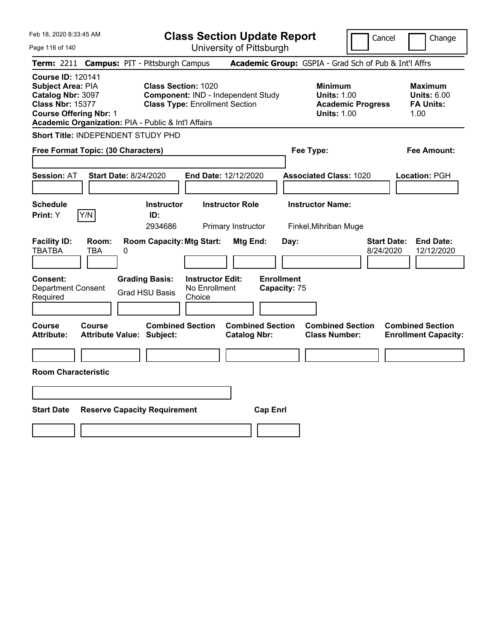| Feb 18, 2020 8:33:45 AM                                                                                                                                                               | <b>Class Section Update Report</b>                                                                        |                                                                                                   | Change<br>Cancel                                                                             |
|---------------------------------------------------------------------------------------------------------------------------------------------------------------------------------------|-----------------------------------------------------------------------------------------------------------|---------------------------------------------------------------------------------------------------|----------------------------------------------------------------------------------------------|
| Page 116 of 140                                                                                                                                                                       | University of Pittsburgh                                                                                  |                                                                                                   |                                                                                              |
| Term: 2211                                                                                                                                                                            | <b>Campus: PIT - Pittsburgh Campus</b>                                                                    | Academic Group: GSPIA - Grad Sch of Pub & Int'l Affrs                                             |                                                                                              |
| <b>Course ID: 120141</b><br>Subject Area: PIA<br>Catalog Nbr: 3097<br><b>Class Nbr: 15377</b><br><b>Course Offering Nbr: 1</b><br>Academic Organization: PIA - Public & Int'l Affairs | <b>Class Section: 1020</b><br>Component: IND - Independent Study<br><b>Class Type: Enrollment Section</b> | <b>Minimum</b><br><b>Units: 1.00</b><br><b>Units: 1.00</b>                                        | <b>Maximum</b><br><b>Units: 6.00</b><br><b>Academic Progress</b><br><b>FA Units:</b><br>1.00 |
| <b>Short Title: INDEPENDENT STUDY PHD</b>                                                                                                                                             |                                                                                                           |                                                                                                   |                                                                                              |
| Free Format Topic: (30 Characters)                                                                                                                                                    |                                                                                                           | Fee Type:                                                                                         | Fee Amount:                                                                                  |
| <b>Session: AT</b><br><b>Start Date: 8/24/2020</b>                                                                                                                                    | End Date: 12/12/2020                                                                                      | <b>Associated Class: 1020</b>                                                                     | Location: PGH                                                                                |
| <b>Schedule</b><br>Y/N<br>Print: Y                                                                                                                                                    | <b>Instructor Role</b><br><b>Instructor</b><br>ID:<br>2934686<br>Primary Instructor                       | <b>Instructor Name:</b><br>Finkel, Mihriban Muge                                                  |                                                                                              |
| <b>Facility ID:</b><br>Room:<br><b>TBATBA</b><br>TBA<br>0                                                                                                                             | <b>Room Capacity: Mtg Start:</b>                                                                          | Mtg End:<br>Day:                                                                                  | <b>Start Date:</b><br><b>End Date:</b><br>8/24/2020<br>12/12/2020                            |
| <b>Consent:</b><br><b>Department Consent</b><br>Required                                                                                                                              | <b>Grading Basis:</b><br><b>Instructor Edit:</b><br>No Enrollment<br><b>Grad HSU Basis</b><br>Choice      | <b>Enrollment</b><br>Capacity: 75                                                                 |                                                                                              |
| Course<br>Course<br><b>Attribute:</b><br><b>Attribute Value: Subject:</b>                                                                                                             | <b>Combined Section</b>                                                                                   | <b>Combined Section</b><br><b>Combined Section</b><br><b>Catalog Nbr:</b><br><b>Class Number:</b> | <b>Combined Section</b><br><b>Enrollment Capacity:</b>                                       |
|                                                                                                                                                                                       |                                                                                                           |                                                                                                   |                                                                                              |
| <b>Room Characteristic</b>                                                                                                                                                            |                                                                                                           |                                                                                                   |                                                                                              |
|                                                                                                                                                                                       |                                                                                                           |                                                                                                   |                                                                                              |
| <b>Start Date</b><br><b>Reserve Capacity Requirement</b>                                                                                                                              |                                                                                                           | <b>Cap Enrl</b>                                                                                   |                                                                                              |
|                                                                                                                                                                                       |                                                                                                           |                                                                                                   |                                                                                              |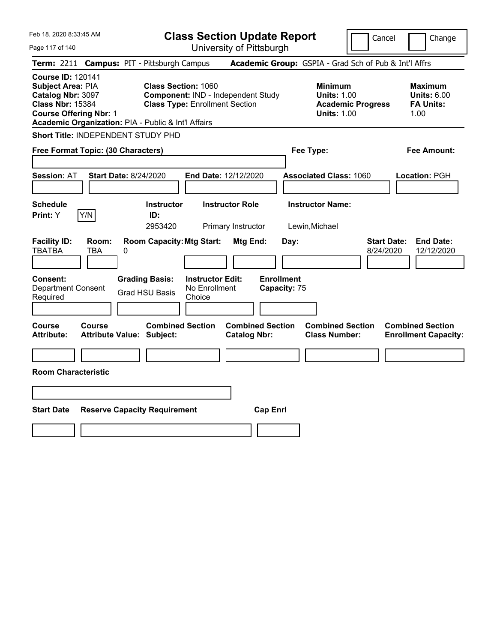| Feb 18, 2020 8:33:45 AM                                                                                                                                                                      |                                                             | <b>Class Section Update Report</b>                                          |                                                |                                           |                                                                                        | Cancel<br>Change                                                  |
|----------------------------------------------------------------------------------------------------------------------------------------------------------------------------------------------|-------------------------------------------------------------|-----------------------------------------------------------------------------|------------------------------------------------|-------------------------------------------|----------------------------------------------------------------------------------------|-------------------------------------------------------------------|
| Page 117 of 140                                                                                                                                                                              |                                                             |                                                                             | University of Pittsburgh                       |                                           |                                                                                        |                                                                   |
| <b>Term:</b> 2211                                                                                                                                                                            | <b>Campus: PIT - Pittsburgh Campus</b>                      |                                                                             |                                                |                                           |                                                                                        | Academic Group: GSPIA - Grad Sch of Pub & Int'l Affrs             |
| <b>Course ID: 120141</b><br><b>Subject Area: PIA</b><br>Catalog Nbr: 3097<br><b>Class Nbr: 15384</b><br><b>Course Offering Nbr: 1</b><br>Academic Organization: PIA - Public & Int'l Affairs | <b>Class Section: 1060</b>                                  | Component: IND - Independent Study<br><b>Class Type: Enrollment Section</b> |                                                |                                           | <b>Minimum</b><br><b>Units: 1.00</b><br><b>Academic Progress</b><br><b>Units: 1.00</b> | <b>Maximum</b><br><b>Units: 6.00</b><br><b>FA Units:</b><br>1.00  |
| Short Title: INDEPENDENT STUDY PHD                                                                                                                                                           |                                                             |                                                                             |                                                |                                           |                                                                                        |                                                                   |
| Free Format Topic: (30 Characters)                                                                                                                                                           |                                                             |                                                                             |                                                | Fee Type:                                 |                                                                                        | Fee Amount:                                                       |
| <b>Session: AT</b>                                                                                                                                                                           | <b>Start Date: 8/24/2020</b>                                | End Date: 12/12/2020                                                        |                                                |                                           | <b>Associated Class: 1060</b>                                                          | Location: PGH                                                     |
| <b>Schedule</b><br>Y/N<br><b>Print:</b> Y                                                                                                                                                    | <b>Instructor</b><br>ID:<br>2953420                         | <b>Instructor Role</b>                                                      | Primary Instructor                             | <b>Instructor Name:</b><br>Lewin, Michael |                                                                                        |                                                                   |
| <b>Facility ID:</b><br>Room:<br><b>TBATBA</b><br>TBA                                                                                                                                         | <b>Room Capacity: Mtg Start:</b><br>0                       |                                                                             | <b>Mtg End:</b>                                | Day:                                      |                                                                                        | <b>Start Date:</b><br><b>End Date:</b><br>8/24/2020<br>12/12/2020 |
| <b>Consent:</b><br><b>Department Consent</b><br>Required                                                                                                                                     | <b>Grading Basis:</b><br><b>Grad HSU Basis</b>              | <b>Instructor Edit:</b><br>No Enrollment<br>Choice                          | <b>Enrollment</b>                              | Capacity: 75                              |                                                                                        |                                                                   |
| Course<br>Course<br><b>Attribute:</b>                                                                                                                                                        | <b>Combined Section</b><br><b>Attribute Value: Subject:</b> |                                                                             | <b>Combined Section</b><br><b>Catalog Nbr:</b> |                                           | <b>Combined Section</b><br><b>Class Number:</b>                                        | <b>Combined Section</b><br><b>Enrollment Capacity:</b>            |
| <b>Room Characteristic</b>                                                                                                                                                                   |                                                             |                                                                             |                                                |                                           |                                                                                        |                                                                   |
|                                                                                                                                                                                              |                                                             |                                                                             |                                                |                                           |                                                                                        |                                                                   |
| <b>Start Date</b>                                                                                                                                                                            | <b>Reserve Capacity Requirement</b>                         |                                                                             | <b>Cap Enrl</b>                                |                                           |                                                                                        |                                                                   |
|                                                                                                                                                                                              |                                                             |                                                                             |                                                |                                           |                                                                                        |                                                                   |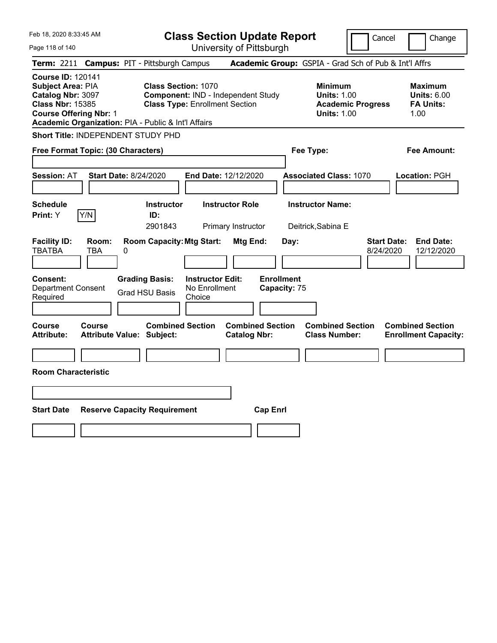| Feb 18, 2020 8:33:45 AM                                                                                                                                                               |                                            |   |                                                                                                           | <b>Class Section Update Report</b>                 |                                              |                         |                                   |                                                            |                          | Cancel                          | Change                                                           |
|---------------------------------------------------------------------------------------------------------------------------------------------------------------------------------------|--------------------------------------------|---|-----------------------------------------------------------------------------------------------------------|----------------------------------------------------|----------------------------------------------|-------------------------|-----------------------------------|------------------------------------------------------------|--------------------------|---------------------------------|------------------------------------------------------------------|
| Page 118 of 140                                                                                                                                                                       |                                            |   |                                                                                                           | University of Pittsburgh                           |                                              |                         |                                   |                                                            |                          |                                 |                                                                  |
| <b>Term: 2211</b>                                                                                                                                                                     |                                            |   | <b>Campus: PIT - Pittsburgh Campus</b>                                                                    |                                                    |                                              |                         |                                   | Academic Group: GSPIA - Grad Sch of Pub & Int'l Affrs      |                          |                                 |                                                                  |
| <b>Course ID: 120141</b><br>Subject Area: PIA<br>Catalog Nbr: 3097<br><b>Class Nbr: 15385</b><br><b>Course Offering Nbr: 1</b><br>Academic Organization: PIA - Public & Int'l Affairs |                                            |   | <b>Class Section: 1070</b><br>Component: IND - Independent Study<br><b>Class Type: Enrollment Section</b> |                                                    |                                              |                         |                                   | <b>Minimum</b><br><b>Units: 1.00</b><br><b>Units: 1.00</b> | <b>Academic Progress</b> |                                 | <b>Maximum</b><br><b>Units: 6.00</b><br><b>FA Units:</b><br>1.00 |
| Short Title: INDEPENDENT STUDY PHD                                                                                                                                                    |                                            |   |                                                                                                           |                                                    |                                              |                         |                                   |                                                            |                          |                                 |                                                                  |
| Free Format Topic: (30 Characters)                                                                                                                                                    |                                            |   |                                                                                                           |                                                    |                                              |                         |                                   | Fee Type:                                                  |                          |                                 | Fee Amount:                                                      |
| <b>Session: AT</b>                                                                                                                                                                    | <b>Start Date: 8/24/2020</b>               |   |                                                                                                           | End Date: 12/12/2020                               |                                              |                         |                                   | <b>Associated Class: 1070</b>                              |                          |                                 | Location: PGH                                                    |
| <b>Schedule</b><br>Print: Y                                                                                                                                                           | Y/N                                        |   | <b>Instructor</b><br>ID:<br>2901843                                                                       |                                                    | <b>Instructor Role</b><br>Primary Instructor |                         |                                   | <b>Instructor Name:</b><br>Deitrick, Sabina E              |                          |                                 |                                                                  |
| <b>Facility ID:</b><br><b>TBATBA</b>                                                                                                                                                  | Room:<br>TBA                               | 0 | <b>Room Capacity: Mtg Start:</b>                                                                          |                                                    | Mtg End:                                     |                         | Day:                              |                                                            |                          | <b>Start Date:</b><br>8/24/2020 | <b>End Date:</b><br>12/12/2020                                   |
| <b>Consent:</b><br><b>Department Consent</b><br>Required                                                                                                                              |                                            |   | <b>Grading Basis:</b><br><b>Grad HSU Basis</b>                                                            | <b>Instructor Edit:</b><br>No Enrollment<br>Choice |                                              |                         | <b>Enrollment</b><br>Capacity: 75 |                                                            |                          |                                 |                                                                  |
| <b>Course</b><br><b>Attribute:</b>                                                                                                                                                    | Course<br><b>Attribute Value: Subject:</b> |   | <b>Combined Section</b>                                                                                   |                                                    | <b>Catalog Nbr:</b>                          | <b>Combined Section</b> |                                   | <b>Combined Section</b><br><b>Class Number:</b>            |                          |                                 | <b>Combined Section</b><br><b>Enrollment Capacity:</b>           |
| <b>Room Characteristic</b>                                                                                                                                                            |                                            |   |                                                                                                           |                                                    |                                              |                         |                                   |                                                            |                          |                                 |                                                                  |
|                                                                                                                                                                                       |                                            |   |                                                                                                           |                                                    |                                              |                         |                                   |                                                            |                          |                                 |                                                                  |
| <b>Start Date</b>                                                                                                                                                                     |                                            |   | <b>Reserve Capacity Requirement</b>                                                                       |                                                    |                                              | <b>Cap Enrl</b>         |                                   |                                                            |                          |                                 |                                                                  |
|                                                                                                                                                                                       |                                            |   |                                                                                                           |                                                    |                                              |                         |                                   |                                                            |                          |                                 |                                                                  |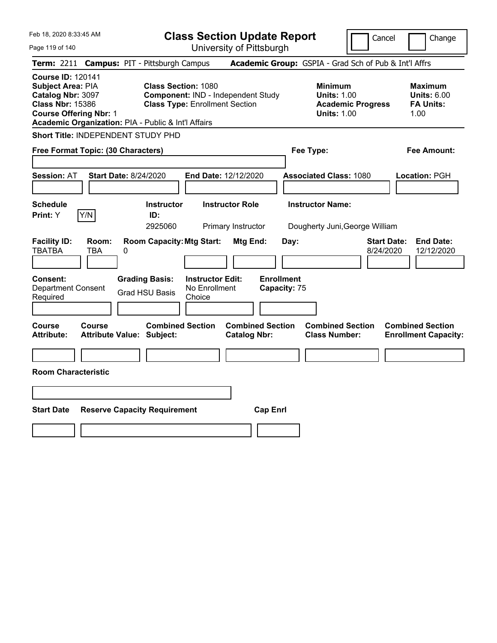| Feb 18, 2020 8:33:45 AM<br>Page 119 of 140                                                                                                                                                   |                                            |   |                                                                                                           | <b>Class Section Update Report</b>                 | University of Pittsburgh                       |                                   |      |                                                            |                          | Cancel                          |      | Change                                                 |
|----------------------------------------------------------------------------------------------------------------------------------------------------------------------------------------------|--------------------------------------------|---|-----------------------------------------------------------------------------------------------------------|----------------------------------------------------|------------------------------------------------|-----------------------------------|------|------------------------------------------------------------|--------------------------|---------------------------------|------|--------------------------------------------------------|
| Term: 2211 Campus: PIT - Pittsburgh Campus                                                                                                                                                   |                                            |   |                                                                                                           |                                                    |                                                |                                   |      | Academic Group: GSPIA - Grad Sch of Pub & Int'l Affrs      |                          |                                 |      |                                                        |
| <b>Course ID: 120141</b><br><b>Subject Area: PIA</b><br>Catalog Nbr: 3097<br><b>Class Nbr: 15386</b><br><b>Course Offering Nbr: 1</b><br>Academic Organization: PIA - Public & Int'l Affairs |                                            |   | <b>Class Section: 1080</b><br>Component: IND - Independent Study<br><b>Class Type: Enrollment Section</b> |                                                    |                                                |                                   |      | <b>Minimum</b><br><b>Units: 1.00</b><br><b>Units: 1.00</b> | <b>Academic Progress</b> |                                 | 1.00 | Maximum<br><b>Units: 6.00</b><br><b>FA Units:</b>      |
| Short Title: INDEPENDENT STUDY PHD                                                                                                                                                           |                                            |   |                                                                                                           |                                                    |                                                |                                   |      |                                                            |                          |                                 |      |                                                        |
| Free Format Topic: (30 Characters)                                                                                                                                                           |                                            |   |                                                                                                           |                                                    |                                                |                                   |      | Fee Type:                                                  |                          |                                 |      | Fee Amount:                                            |
| <b>Session: AT</b>                                                                                                                                                                           | <b>Start Date: 8/24/2020</b>               |   |                                                                                                           | End Date: 12/12/2020                               |                                                |                                   |      | <b>Associated Class: 1080</b>                              |                          |                                 |      | Location: PGH                                          |
| <b>Schedule</b><br><b>Print:</b> Y                                                                                                                                                           | Y/N                                        |   | <b>Instructor</b><br>ID:<br>2925060                                                                       |                                                    | <b>Instructor Role</b><br>Primary Instructor   |                                   |      | <b>Instructor Name:</b><br>Dougherty Juni, George William  |                          |                                 |      |                                                        |
| <b>Facility ID:</b><br><b>TBATBA</b>                                                                                                                                                         | Room:<br>TBA                               | 0 | <b>Room Capacity: Mtg Start:</b>                                                                          |                                                    | Mtg End:                                       |                                   | Day: |                                                            |                          | <b>Start Date:</b><br>8/24/2020 |      | <b>End Date:</b><br>12/12/2020                         |
| <b>Consent:</b><br>Department Consent<br>Required                                                                                                                                            |                                            |   | <b>Grading Basis:</b><br><b>Grad HSU Basis</b>                                                            | <b>Instructor Edit:</b><br>No Enrollment<br>Choice |                                                | <b>Enrollment</b><br>Capacity: 75 |      |                                                            |                          |                                 |      |                                                        |
| Course<br>Attribute:                                                                                                                                                                         | Course<br><b>Attribute Value: Subject:</b> |   | <b>Combined Section</b>                                                                                   |                                                    | <b>Combined Section</b><br><b>Catalog Nbr:</b> |                                   |      | <b>Combined Section</b><br><b>Class Number:</b>            |                          |                                 |      | <b>Combined Section</b><br><b>Enrollment Capacity:</b> |
| <b>Room Characteristic</b>                                                                                                                                                                   |                                            |   |                                                                                                           |                                                    |                                                |                                   |      |                                                            |                          |                                 |      |                                                        |
|                                                                                                                                                                                              |                                            |   |                                                                                                           |                                                    |                                                |                                   |      |                                                            |                          |                                 |      |                                                        |
| <b>Start Date</b>                                                                                                                                                                            |                                            |   | <b>Reserve Capacity Requirement</b>                                                                       |                                                    |                                                | <b>Cap Enrl</b>                   |      |                                                            |                          |                                 |      |                                                        |
|                                                                                                                                                                                              |                                            |   |                                                                                                           |                                                    |                                                |                                   |      |                                                            |                          |                                 |      |                                                        |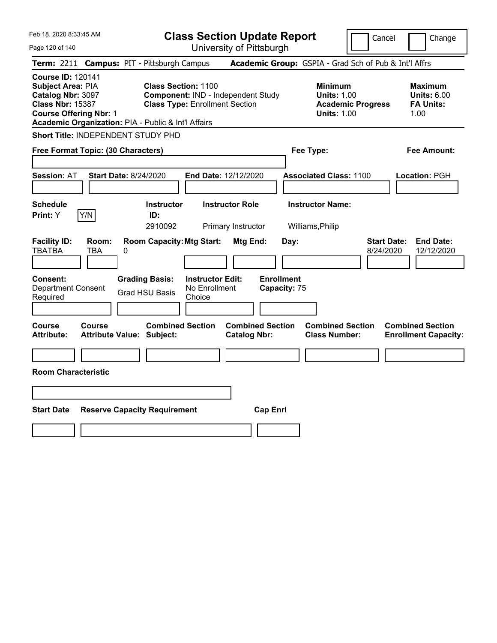| Feb 18, 2020 8:33:45 AM                                                                                                        |                              |                                                                                                                            |                                                    | <b>Class Section Update Report</b>             |                                   |                                                            | Cancel                   | Change                                                           |
|--------------------------------------------------------------------------------------------------------------------------------|------------------------------|----------------------------------------------------------------------------------------------------------------------------|----------------------------------------------------|------------------------------------------------|-----------------------------------|------------------------------------------------------------|--------------------------|------------------------------------------------------------------|
| Page 120 of 140                                                                                                                |                              |                                                                                                                            |                                                    | University of Pittsburgh                       |                                   |                                                            |                          |                                                                  |
| Term: 2211                                                                                                                     |                              | <b>Campus: PIT - Pittsburgh Campus</b>                                                                                     |                                                    |                                                |                                   |                                                            |                          | Academic Group: GSPIA - Grad Sch of Pub & Int'l Affrs            |
| <b>Course ID: 120141</b><br>Subject Area: PIA<br>Catalog Nbr: 3097<br><b>Class Nbr: 15387</b><br><b>Course Offering Nbr: 1</b> |                              | <b>Class Section: 1100</b><br><b>Class Type: Enrollment Section</b><br>Academic Organization: PIA - Public & Int'l Affairs |                                                    | Component: IND - Independent Study             |                                   | <b>Minimum</b><br><b>Units: 1.00</b><br><b>Units: 1.00</b> | <b>Academic Progress</b> | <b>Maximum</b><br><b>Units: 6.00</b><br><b>FA Units:</b><br>1.00 |
| <b>Short Title: INDEPENDENT STUDY PHD</b>                                                                                      |                              |                                                                                                                            |                                                    |                                                |                                   |                                                            |                          |                                                                  |
| Free Format Topic: (30 Characters)                                                                                             |                              |                                                                                                                            |                                                    |                                                |                                   | Fee Type:                                                  |                          | Fee Amount:                                                      |
| <b>Session: AT</b>                                                                                                             | <b>Start Date: 8/24/2020</b> |                                                                                                                            |                                                    | <b>End Date: 12/12/2020</b>                    |                                   | <b>Associated Class: 1100</b>                              |                          | Location: PGH                                                    |
| <b>Schedule</b><br>Print: Y                                                                                                    | Y/N                          | <b>Instructor</b><br>ID:<br>2910092                                                                                        |                                                    | <b>Instructor Role</b><br>Primary Instructor   |                                   | <b>Instructor Name:</b><br>Williams, Philip                |                          |                                                                  |
| <b>Facility ID:</b><br><b>TBATBA</b>                                                                                           | Room:<br>TBA<br>0            | <b>Room Capacity: Mtg Start:</b>                                                                                           |                                                    | Mtg End:                                       | Day:                              |                                                            | 8/24/2020                | <b>Start Date:</b><br><b>End Date:</b><br>12/12/2020             |
| <b>Consent:</b><br><b>Department Consent</b><br>Required                                                                       |                              | <b>Grading Basis:</b><br><b>Grad HSU Basis</b>                                                                             | <b>Instructor Edit:</b><br>No Enrollment<br>Choice |                                                | <b>Enrollment</b><br>Capacity: 75 |                                                            |                          |                                                                  |
| Course<br><b>Attribute:</b>                                                                                                    | Course                       | <b>Combined Section</b><br><b>Attribute Value: Subject:</b>                                                                |                                                    | <b>Combined Section</b><br><b>Catalog Nbr:</b> |                                   | <b>Combined Section</b><br><b>Class Number:</b>            |                          | <b>Combined Section</b><br><b>Enrollment Capacity:</b>           |
|                                                                                                                                |                              |                                                                                                                            |                                                    |                                                |                                   |                                                            |                          |                                                                  |
| <b>Room Characteristic</b>                                                                                                     |                              |                                                                                                                            |                                                    |                                                |                                   |                                                            |                          |                                                                  |
|                                                                                                                                |                              |                                                                                                                            |                                                    |                                                |                                   |                                                            |                          |                                                                  |
| <b>Start Date</b>                                                                                                              |                              | <b>Reserve Capacity Requirement</b>                                                                                        |                                                    | <b>Cap Enrl</b>                                |                                   |                                                            |                          |                                                                  |
|                                                                                                                                |                              |                                                                                                                            |                                                    |                                                |                                   |                                                            |                          |                                                                  |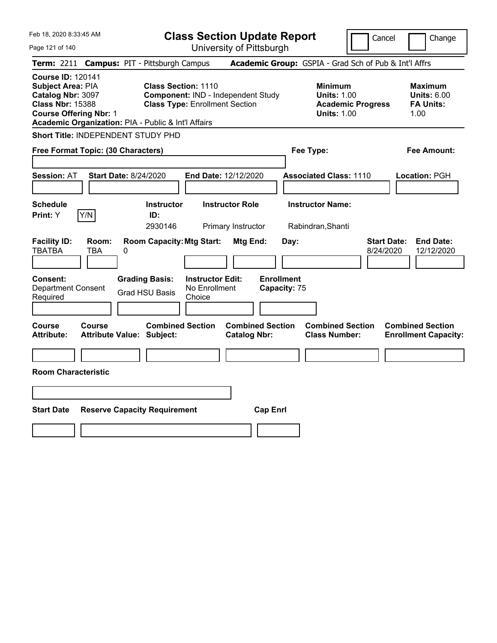| Feb 18, 2020 8:33:45 AM                                                                                                                                                               |                                                   |   |                                                                                                           | <b>Class Section Update Report</b>                 |                                                |                 |                                   |                                                                                        | Cancel                          |      | Change                                                   |
|---------------------------------------------------------------------------------------------------------------------------------------------------------------------------------------|---------------------------------------------------|---|-----------------------------------------------------------------------------------------------------------|----------------------------------------------------|------------------------------------------------|-----------------|-----------------------------------|----------------------------------------------------------------------------------------|---------------------------------|------|----------------------------------------------------------|
| Page 121 of 140                                                                                                                                                                       |                                                   |   |                                                                                                           | University of Pittsburgh                           |                                                |                 |                                   |                                                                                        |                                 |      |                                                          |
| <b>Term: 2211</b>                                                                                                                                                                     |                                                   |   | <b>Campus: PIT - Pittsburgh Campus</b>                                                                    |                                                    |                                                |                 |                                   | Academic Group: GSPIA - Grad Sch of Pub & Int'l Affrs                                  |                                 |      |                                                          |
| <b>Course ID: 120141</b><br>Subject Area: PIA<br>Catalog Nbr: 3097<br><b>Class Nbr: 15388</b><br><b>Course Offering Nbr: 1</b><br>Academic Organization: PIA - Public & Int'l Affairs |                                                   |   | <b>Class Section: 1110</b><br>Component: IND - Independent Study<br><b>Class Type: Enrollment Section</b> |                                                    |                                                |                 |                                   | <b>Minimum</b><br><b>Units: 1.00</b><br><b>Academic Progress</b><br><b>Units: 1.00</b> |                                 | 1.00 | <b>Maximum</b><br><b>Units: 6.00</b><br><b>FA Units:</b> |
| Short Title: INDEPENDENT STUDY PHD                                                                                                                                                    |                                                   |   |                                                                                                           |                                                    |                                                |                 |                                   |                                                                                        |                                 |      |                                                          |
| Free Format Topic: (30 Characters)                                                                                                                                                    |                                                   |   |                                                                                                           |                                                    |                                                |                 |                                   | Fee Type:                                                                              |                                 |      | Fee Amount:                                              |
| <b>Session: AT</b>                                                                                                                                                                    | <b>Start Date: 8/24/2020</b>                      |   |                                                                                                           | <b>End Date: 12/12/2020</b>                        |                                                |                 |                                   | <b>Associated Class: 1110</b>                                                          |                                 |      | Location: PGH                                            |
| <b>Schedule</b><br><b>Print:</b> Y                                                                                                                                                    | Y/N                                               |   | <b>Instructor</b><br>ID:<br>2930146                                                                       |                                                    | <b>Instructor Role</b><br>Primary Instructor   |                 |                                   | <b>Instructor Name:</b><br>Rabindran, Shanti                                           |                                 |      |                                                          |
| <b>Facility ID:</b><br><b>TBATBA</b>                                                                                                                                                  | Room:<br><b>TBA</b>                               | 0 | <b>Room Capacity: Mtg Start:</b>                                                                          |                                                    | Mtg End:                                       |                 | Day:                              |                                                                                        | <b>Start Date:</b><br>8/24/2020 |      | <b>End Date:</b><br>12/12/2020                           |
| Consent:<br><b>Department Consent</b><br>Required                                                                                                                                     |                                                   |   | <b>Grading Basis:</b><br><b>Grad HSU Basis</b>                                                            | <b>Instructor Edit:</b><br>No Enrollment<br>Choice |                                                |                 | <b>Enrollment</b><br>Capacity: 75 |                                                                                        |                                 |      |                                                          |
| <b>Course</b><br><b>Attribute:</b>                                                                                                                                                    | <b>Course</b><br><b>Attribute Value: Subject:</b> |   | <b>Combined Section</b>                                                                                   |                                                    | <b>Combined Section</b><br><b>Catalog Nbr:</b> |                 |                                   | <b>Combined Section</b><br><b>Class Number:</b>                                        |                                 |      | <b>Combined Section</b><br><b>Enrollment Capacity:</b>   |
| <b>Room Characteristic</b>                                                                                                                                                            |                                                   |   |                                                                                                           |                                                    |                                                |                 |                                   |                                                                                        |                                 |      |                                                          |
|                                                                                                                                                                                       |                                                   |   |                                                                                                           |                                                    |                                                |                 |                                   |                                                                                        |                                 |      |                                                          |
|                                                                                                                                                                                       |                                                   |   |                                                                                                           |                                                    |                                                |                 |                                   |                                                                                        |                                 |      |                                                          |
| <b>Start Date</b>                                                                                                                                                                     |                                                   |   | <b>Reserve Capacity Requirement</b>                                                                       |                                                    |                                                | <b>Cap Enrl</b> |                                   |                                                                                        |                                 |      |                                                          |
|                                                                                                                                                                                       |                                                   |   |                                                                                                           |                                                    |                                                |                 |                                   |                                                                                        |                                 |      |                                                          |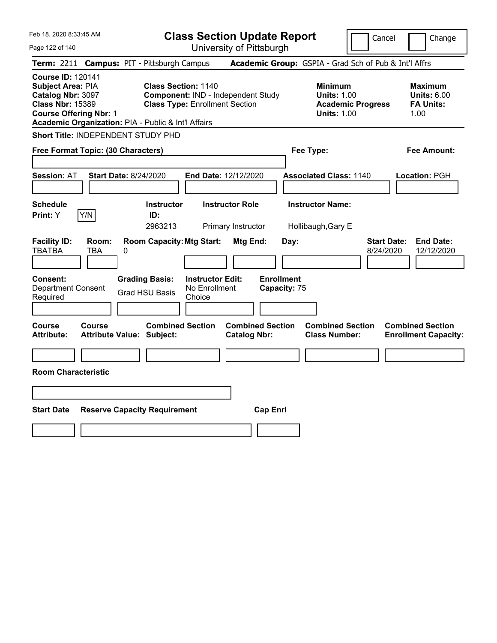| Feb 18, 2020 8:33:45 AM                                                                                                                                                               |                                                   |   |                                                                                                           | <b>Class Section Update Report</b>                 |                                                |                 |                                   |                                                                                        | Cancel                          | Change                                                           |
|---------------------------------------------------------------------------------------------------------------------------------------------------------------------------------------|---------------------------------------------------|---|-----------------------------------------------------------------------------------------------------------|----------------------------------------------------|------------------------------------------------|-----------------|-----------------------------------|----------------------------------------------------------------------------------------|---------------------------------|------------------------------------------------------------------|
| Page 122 of 140                                                                                                                                                                       |                                                   |   |                                                                                                           | University of Pittsburgh                           |                                                |                 |                                   |                                                                                        |                                 |                                                                  |
| <b>Term: 2211</b>                                                                                                                                                                     |                                                   |   | <b>Campus: PIT - Pittsburgh Campus</b>                                                                    |                                                    |                                                |                 |                                   | Academic Group: GSPIA - Grad Sch of Pub & Int'l Affrs                                  |                                 |                                                                  |
| <b>Course ID: 120141</b><br>Subject Area: PIA<br>Catalog Nbr: 3097<br><b>Class Nbr: 15389</b><br><b>Course Offering Nbr: 1</b><br>Academic Organization: PIA - Public & Int'l Affairs |                                                   |   | <b>Class Section: 1140</b><br>Component: IND - Independent Study<br><b>Class Type: Enrollment Section</b> |                                                    |                                                |                 |                                   | <b>Minimum</b><br><b>Units: 1.00</b><br><b>Academic Progress</b><br><b>Units: 1.00</b> |                                 | <b>Maximum</b><br><b>Units: 6.00</b><br><b>FA Units:</b><br>1.00 |
| Short Title: INDEPENDENT STUDY PHD                                                                                                                                                    |                                                   |   |                                                                                                           |                                                    |                                                |                 |                                   |                                                                                        |                                 |                                                                  |
| Free Format Topic: (30 Characters)                                                                                                                                                    |                                                   |   |                                                                                                           |                                                    |                                                |                 |                                   | Fee Type:                                                                              |                                 | Fee Amount:                                                      |
| <b>Session: AT</b>                                                                                                                                                                    | <b>Start Date: 8/24/2020</b>                      |   |                                                                                                           | <b>End Date: 12/12/2020</b>                        |                                                |                 |                                   | <b>Associated Class: 1140</b>                                                          |                                 | Location: PGH                                                    |
| <b>Schedule</b><br><b>Print:</b> Y                                                                                                                                                    | Y/N                                               |   | <b>Instructor</b><br>ID:<br>2963213                                                                       |                                                    | <b>Instructor Role</b><br>Primary Instructor   |                 |                                   | <b>Instructor Name:</b><br>Hollibaugh, Gary E                                          |                                 |                                                                  |
| <b>Facility ID:</b><br><b>TBATBA</b>                                                                                                                                                  | Room:<br><b>TBA</b>                               | 0 | <b>Room Capacity: Mtg Start:</b>                                                                          |                                                    | Mtg End:                                       |                 | Day:                              |                                                                                        | <b>Start Date:</b><br>8/24/2020 | <b>End Date:</b><br>12/12/2020                                   |
| Consent:<br><b>Department Consent</b><br>Required                                                                                                                                     |                                                   |   | <b>Grading Basis:</b><br><b>Grad HSU Basis</b>                                                            | <b>Instructor Edit:</b><br>No Enrollment<br>Choice |                                                |                 | <b>Enrollment</b><br>Capacity: 75 |                                                                                        |                                 |                                                                  |
| <b>Course</b><br><b>Attribute:</b>                                                                                                                                                    | <b>Course</b><br><b>Attribute Value: Subject:</b> |   | <b>Combined Section</b>                                                                                   |                                                    | <b>Combined Section</b><br><b>Catalog Nbr:</b> |                 |                                   | <b>Combined Section</b><br><b>Class Number:</b>                                        |                                 | <b>Combined Section</b><br><b>Enrollment Capacity:</b>           |
|                                                                                                                                                                                       |                                                   |   |                                                                                                           |                                                    |                                                |                 |                                   |                                                                                        |                                 |                                                                  |
| <b>Room Characteristic</b>                                                                                                                                                            |                                                   |   |                                                                                                           |                                                    |                                                |                 |                                   |                                                                                        |                                 |                                                                  |
|                                                                                                                                                                                       |                                                   |   |                                                                                                           |                                                    |                                                |                 |                                   |                                                                                        |                                 |                                                                  |
| <b>Start Date</b>                                                                                                                                                                     |                                                   |   | <b>Reserve Capacity Requirement</b>                                                                       |                                                    |                                                | <b>Cap Enrl</b> |                                   |                                                                                        |                                 |                                                                  |
|                                                                                                                                                                                       |                                                   |   |                                                                                                           |                                                    |                                                |                 |                                   |                                                                                        |                                 |                                                                  |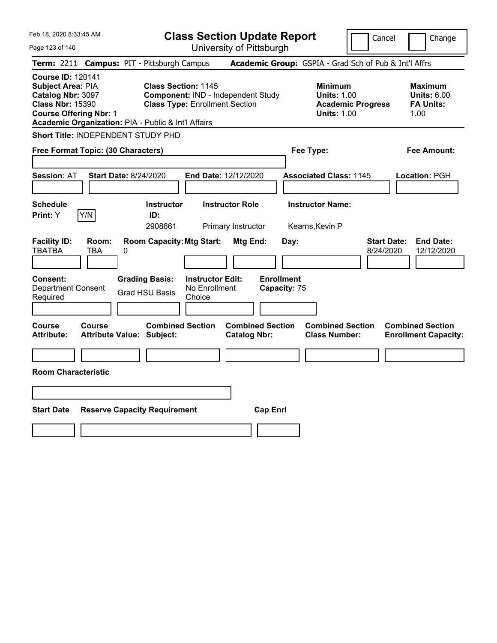| Feb 18, 2020 8:33:45 AM                                                                                                                                                               |                                                      | <b>Class Section Update Report</b>                                          |                                   |                                                                                        | Cancel                          | Change                                                           |
|---------------------------------------------------------------------------------------------------------------------------------------------------------------------------------------|------------------------------------------------------|-----------------------------------------------------------------------------|-----------------------------------|----------------------------------------------------------------------------------------|---------------------------------|------------------------------------------------------------------|
| Page 123 of 140                                                                                                                                                                       |                                                      | University of Pittsburgh                                                    |                                   |                                                                                        |                                 |                                                                  |
| Term: 2211                                                                                                                                                                            | <b>Campus: PIT - Pittsburgh Campus</b>               |                                                                             |                                   | Academic Group: GSPIA - Grad Sch of Pub & Int'l Affrs                                  |                                 |                                                                  |
| <b>Course ID: 120141</b><br>Subject Area: PIA<br>Catalog Nbr: 3097<br><b>Class Nbr: 15390</b><br><b>Course Offering Nbr: 1</b><br>Academic Organization: PIA - Public & Int'l Affairs | <b>Class Section: 1145</b>                           | Component: IND - Independent Study<br><b>Class Type: Enrollment Section</b> |                                   | <b>Minimum</b><br><b>Units: 1.00</b><br><b>Academic Progress</b><br><b>Units: 1.00</b> |                                 | <b>Maximum</b><br><b>Units: 6.00</b><br><b>FA Units:</b><br>1.00 |
| Short Title: INDEPENDENT STUDY PHD                                                                                                                                                    |                                                      |                                                                             |                                   |                                                                                        |                                 |                                                                  |
| Free Format Topic: (30 Characters)                                                                                                                                                    |                                                      |                                                                             |                                   | Fee Type:                                                                              |                                 | Fee Amount:                                                      |
| <b>Session: AT</b>                                                                                                                                                                    | Start Date: 8/24/2020                                | <b>End Date: 12/12/2020</b>                                                 |                                   | <b>Associated Class: 1145</b>                                                          |                                 | Location: PGH                                                    |
| <b>Schedule</b><br>Y/N<br>Print: Y                                                                                                                                                    | <b>Instructor</b><br>ID:<br>2908661                  | <b>Instructor Role</b><br>Primary Instructor                                |                                   | <b>Instructor Name:</b><br>Kearns, Kevin P                                             |                                 |                                                                  |
| <b>Facility ID:</b><br>Room:<br><b>TBATBA</b><br><b>TBA</b>                                                                                                                           | <b>Room Capacity: Mtg Start:</b><br>0                |                                                                             | Mtg End:<br>Day:                  |                                                                                        | <b>Start Date:</b><br>8/24/2020 | <b>End Date:</b><br>12/12/2020                                   |
| Consent:<br><b>Department Consent</b><br>Required                                                                                                                                     | <b>Grading Basis:</b><br><b>Grad HSU Basis</b>       | <b>Instructor Edit:</b><br>No Enrollment<br>Choice                          | <b>Enrollment</b><br>Capacity: 75 |                                                                                        |                                 |                                                                  |
| Course<br>Course<br><b>Attribute:</b>                                                                                                                                                 | <b>Combined Section</b><br>Attribute Value: Subject: | <b>Catalog Nbr:</b>                                                         | <b>Combined Section</b>           | <b>Combined Section</b><br><b>Class Number:</b>                                        |                                 | <b>Combined Section</b><br><b>Enrollment Capacity:</b>           |
| <b>Room Characteristic</b>                                                                                                                                                            |                                                      |                                                                             |                                   |                                                                                        |                                 |                                                                  |
|                                                                                                                                                                                       |                                                      |                                                                             |                                   |                                                                                        |                                 |                                                                  |
| <b>Start Date</b>                                                                                                                                                                     | <b>Reserve Capacity Requirement</b>                  |                                                                             | <b>Cap Enrl</b>                   |                                                                                        |                                 |                                                                  |
|                                                                                                                                                                                       |                                                      |                                                                             |                                   |                                                                                        |                                 |                                                                  |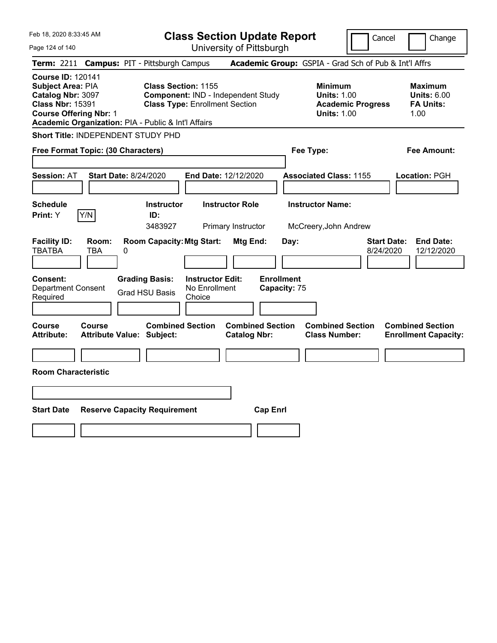| Feb 18, 2020 8:33:45 AM                                                                                                                                                               |                                            |   |                                                                                                           | <b>Class Section Update Report</b>                 |                                                |                                   |      |                                                            |                          | Cancel                          | Change                                                           |
|---------------------------------------------------------------------------------------------------------------------------------------------------------------------------------------|--------------------------------------------|---|-----------------------------------------------------------------------------------------------------------|----------------------------------------------------|------------------------------------------------|-----------------------------------|------|------------------------------------------------------------|--------------------------|---------------------------------|------------------------------------------------------------------|
| Page 124 of 140                                                                                                                                                                       |                                            |   |                                                                                                           |                                                    | University of Pittsburgh                       |                                   |      |                                                            |                          |                                 |                                                                  |
| Term: 2211                                                                                                                                                                            |                                            |   | <b>Campus: PIT - Pittsburgh Campus</b>                                                                    |                                                    |                                                |                                   |      | Academic Group: GSPIA - Grad Sch of Pub & Int'l Affrs      |                          |                                 |                                                                  |
| <b>Course ID: 120141</b><br>Subject Area: PIA<br>Catalog Nbr: 3097<br><b>Class Nbr: 15391</b><br><b>Course Offering Nbr: 1</b><br>Academic Organization: PIA - Public & Int'l Affairs |                                            |   | <b>Class Section: 1155</b><br>Component: IND - Independent Study<br><b>Class Type: Enrollment Section</b> |                                                    |                                                |                                   |      | <b>Minimum</b><br><b>Units: 1.00</b><br><b>Units: 1.00</b> | <b>Academic Progress</b> |                                 | <b>Maximum</b><br><b>Units: 6.00</b><br><b>FA Units:</b><br>1.00 |
| Short Title: INDEPENDENT STUDY PHD                                                                                                                                                    |                                            |   |                                                                                                           |                                                    |                                                |                                   |      |                                                            |                          |                                 |                                                                  |
| Free Format Topic: (30 Characters)                                                                                                                                                    |                                            |   |                                                                                                           |                                                    |                                                |                                   |      | Fee Type:                                                  |                          |                                 | Fee Amount:                                                      |
| <b>Session: AT</b>                                                                                                                                                                    | <b>Start Date: 8/24/2020</b>               |   |                                                                                                           | End Date: 12/12/2020                               |                                                |                                   |      | <b>Associated Class: 1155</b>                              |                          |                                 | Location: PGH                                                    |
| <b>Schedule</b><br><b>Print:</b> Y                                                                                                                                                    | Y/N                                        |   | <b>Instructor</b><br>ID:<br>3483927                                                                       |                                                    | <b>Instructor Role</b><br>Primary Instructor   |                                   |      | <b>Instructor Name:</b><br>McCreery, John Andrew           |                          |                                 |                                                                  |
| <b>Facility ID:</b><br>TBATBA                                                                                                                                                         | Room:<br>TBA                               | 0 | <b>Room Capacity: Mtg Start:</b>                                                                          |                                                    | Mtg End:                                       |                                   | Day: |                                                            |                          | <b>Start Date:</b><br>8/24/2020 | <b>End Date:</b><br>12/12/2020                                   |
| <b>Consent:</b><br><b>Department Consent</b><br>Required                                                                                                                              |                                            |   | <b>Grading Basis:</b><br><b>Grad HSU Basis</b>                                                            | <b>Instructor Edit:</b><br>No Enrollment<br>Choice |                                                | <b>Enrollment</b><br>Capacity: 75 |      |                                                            |                          |                                 |                                                                  |
| Course<br><b>Attribute:</b>                                                                                                                                                           | Course<br><b>Attribute Value: Subject:</b> |   | <b>Combined Section</b>                                                                                   |                                                    | <b>Combined Section</b><br><b>Catalog Nbr:</b> |                                   |      | <b>Combined Section</b><br><b>Class Number:</b>            |                          |                                 | <b>Combined Section</b><br><b>Enrollment Capacity:</b>           |
|                                                                                                                                                                                       |                                            |   |                                                                                                           |                                                    |                                                |                                   |      |                                                            |                          |                                 |                                                                  |
| <b>Room Characteristic</b>                                                                                                                                                            |                                            |   |                                                                                                           |                                                    |                                                |                                   |      |                                                            |                          |                                 |                                                                  |
|                                                                                                                                                                                       |                                            |   |                                                                                                           |                                                    |                                                |                                   |      |                                                            |                          |                                 |                                                                  |
| <b>Start Date</b>                                                                                                                                                                     |                                            |   | <b>Reserve Capacity Requirement</b>                                                                       |                                                    |                                                | <b>Cap Enrl</b>                   |      |                                                            |                          |                                 |                                                                  |
|                                                                                                                                                                                       |                                            |   |                                                                                                           |                                                    |                                                |                                   |      |                                                            |                          |                                 |                                                                  |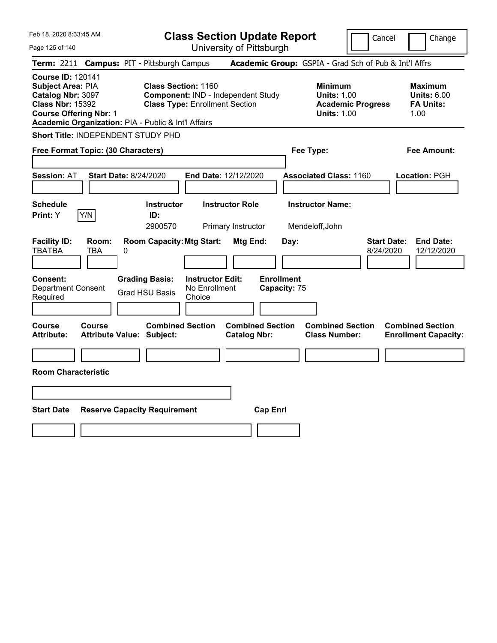| Feb 18, 2020 8:33:45 AM                                                                                                                                                                      |                                                             |                                                                             | <b>Class Section Update Report</b>             |                                                                                        | Cancel                          | Change                                                           |
|----------------------------------------------------------------------------------------------------------------------------------------------------------------------------------------------|-------------------------------------------------------------|-----------------------------------------------------------------------------|------------------------------------------------|----------------------------------------------------------------------------------------|---------------------------------|------------------------------------------------------------------|
| Page 125 of 140                                                                                                                                                                              |                                                             |                                                                             | University of Pittsburgh                       |                                                                                        |                                 |                                                                  |
| <b>Term:</b> 2211                                                                                                                                                                            | <b>Campus: PIT - Pittsburgh Campus</b>                      |                                                                             |                                                | Academic Group: GSPIA - Grad Sch of Pub & Int'l Affrs                                  |                                 |                                                                  |
| <b>Course ID: 120141</b><br><b>Subject Area: PIA</b><br>Catalog Nbr: 3097<br><b>Class Nbr: 15392</b><br><b>Course Offering Nbr: 1</b><br>Academic Organization: PIA - Public & Int'l Affairs | <b>Class Section: 1160</b>                                  | Component: IND - Independent Study<br><b>Class Type: Enrollment Section</b> |                                                | <b>Minimum</b><br><b>Units: 1.00</b><br><b>Academic Progress</b><br><b>Units: 1.00</b> |                                 | <b>Maximum</b><br><b>Units: 6.00</b><br><b>FA Units:</b><br>1.00 |
| Short Title: INDEPENDENT STUDY PHD                                                                                                                                                           |                                                             |                                                                             |                                                |                                                                                        |                                 |                                                                  |
| Free Format Topic: (30 Characters)                                                                                                                                                           |                                                             |                                                                             |                                                | Fee Type:                                                                              |                                 | Fee Amount:                                                      |
| Session: AT                                                                                                                                                                                  | <b>Start Date: 8/24/2020</b>                                | End Date: 12/12/2020                                                        |                                                | <b>Associated Class: 1160</b>                                                          |                                 | Location: PGH                                                    |
| <b>Schedule</b><br>Y/N<br>Print: Y                                                                                                                                                           | <b>Instructor</b><br>ID:<br>2900570                         | <b>Instructor Role</b><br>Primary Instructor                                |                                                | <b>Instructor Name:</b><br>Mendeloff, John                                             |                                 |                                                                  |
| <b>Facility ID:</b><br>Room:<br><b>TBATBA</b><br>TBA                                                                                                                                         | <b>Room Capacity: Mtg Start:</b><br>0                       |                                                                             | Mtg End:<br>Day:                               |                                                                                        | <b>Start Date:</b><br>8/24/2020 | <b>End Date:</b><br>12/12/2020                                   |
| <b>Consent:</b><br><b>Department Consent</b><br>Required                                                                                                                                     | <b>Grading Basis:</b><br><b>Grad HSU Basis</b>              | <b>Instructor Edit:</b><br>No Enrollment<br>Choice                          | <b>Enrollment</b><br>Capacity: 75              |                                                                                        |                                 |                                                                  |
| <b>Course</b><br>Course<br><b>Attribute:</b>                                                                                                                                                 | <b>Combined Section</b><br><b>Attribute Value: Subject:</b> |                                                                             | <b>Combined Section</b><br><b>Catalog Nbr:</b> | <b>Combined Section</b><br><b>Class Number:</b>                                        |                                 | <b>Combined Section</b><br><b>Enrollment Capacity:</b>           |
|                                                                                                                                                                                              |                                                             |                                                                             |                                                |                                                                                        |                                 |                                                                  |
| <b>Room Characteristic</b>                                                                                                                                                                   |                                                             |                                                                             |                                                |                                                                                        |                                 |                                                                  |
|                                                                                                                                                                                              |                                                             |                                                                             |                                                |                                                                                        |                                 |                                                                  |
| <b>Start Date</b>                                                                                                                                                                            | <b>Reserve Capacity Requirement</b>                         |                                                                             | <b>Cap Enrl</b>                                |                                                                                        |                                 |                                                                  |
|                                                                                                                                                                                              |                                                             |                                                                             |                                                |                                                                                        |                                 |                                                                  |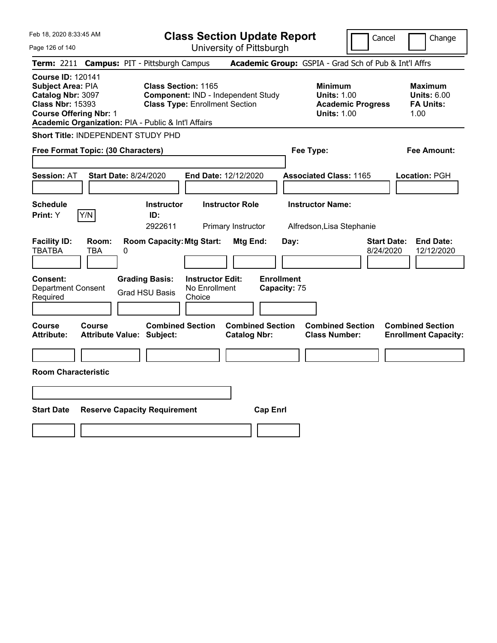| Feb 18, 2020 8:33:45 AM<br>Page 126 of 140                                                                                                                                            |                                                             | <b>Class Section Update Report</b><br>University of Pittsburgh              |                                                |                                                                                        | Cancel                          | Change                                                           |
|---------------------------------------------------------------------------------------------------------------------------------------------------------------------------------------|-------------------------------------------------------------|-----------------------------------------------------------------------------|------------------------------------------------|----------------------------------------------------------------------------------------|---------------------------------|------------------------------------------------------------------|
| Term: 2211 Campus: PIT - Pittsburgh Campus                                                                                                                                            |                                                             |                                                                             |                                                | Academic Group: GSPIA - Grad Sch of Pub & Int'l Affrs                                  |                                 |                                                                  |
| <b>Course ID: 120141</b><br>Subject Area: PIA<br>Catalog Nbr: 3097<br><b>Class Nbr: 15393</b><br><b>Course Offering Nbr: 1</b><br>Academic Organization: PIA - Public & Int'l Affairs | <b>Class Section: 1165</b>                                  | Component: IND - Independent Study<br><b>Class Type: Enrollment Section</b> |                                                | <b>Minimum</b><br><b>Units: 1.00</b><br><b>Academic Progress</b><br><b>Units: 1.00</b> |                                 | <b>Maximum</b><br><b>Units: 6.00</b><br><b>FA Units:</b><br>1.00 |
| Short Title: INDEPENDENT STUDY PHD                                                                                                                                                    |                                                             |                                                                             |                                                |                                                                                        |                                 |                                                                  |
| Free Format Topic: (30 Characters)                                                                                                                                                    |                                                             |                                                                             |                                                | Fee Type:                                                                              |                                 | Fee Amount:                                                      |
| <b>Session: AT</b>                                                                                                                                                                    | <b>Start Date: 8/24/2020</b>                                | End Date: 12/12/2020                                                        |                                                | <b>Associated Class: 1165</b>                                                          |                                 | <b>Location: PGH</b>                                             |
| <b>Schedule</b>                                                                                                                                                                       | <b>Instructor</b>                                           | <b>Instructor Role</b>                                                      |                                                | <b>Instructor Name:</b>                                                                |                                 |                                                                  |
| Y/N<br>Print: Y                                                                                                                                                                       | ID:<br>2922611                                              | Primary Instructor                                                          |                                                | Alfredson, Lisa Stephanie                                                              |                                 |                                                                  |
| <b>Facility ID:</b><br>Room:<br><b>TBATBA</b><br><b>TBA</b>                                                                                                                           | <b>Room Capacity: Mtg Start:</b><br>0                       |                                                                             | Mtg End:<br>Day:                               |                                                                                        | <b>Start Date:</b><br>8/24/2020 | <b>End Date:</b><br>12/12/2020                                   |
| Consent:<br>Department Consent<br>Required                                                                                                                                            | <b>Grading Basis:</b><br><b>Grad HSU Basis</b>              | <b>Instructor Edit:</b><br>No Enrollment<br>Choice                          | <b>Enrollment</b><br>Capacity: 75              |                                                                                        |                                 |                                                                  |
| Course<br><b>Course</b><br><b>Attribute:</b>                                                                                                                                          | <b>Combined Section</b><br><b>Attribute Value: Subject:</b> |                                                                             | <b>Combined Section</b><br><b>Catalog Nbr:</b> | <b>Combined Section</b><br><b>Class Number:</b>                                        |                                 | <b>Combined Section</b><br><b>Enrollment Capacity:</b>           |
|                                                                                                                                                                                       |                                                             |                                                                             |                                                |                                                                                        |                                 |                                                                  |
| <b>Room Characteristic</b>                                                                                                                                                            |                                                             |                                                                             |                                                |                                                                                        |                                 |                                                                  |
|                                                                                                                                                                                       |                                                             |                                                                             |                                                |                                                                                        |                                 |                                                                  |
| <b>Start Date</b>                                                                                                                                                                     | <b>Reserve Capacity Requirement</b>                         |                                                                             | <b>Cap Enrl</b>                                |                                                                                        |                                 |                                                                  |
|                                                                                                                                                                                       |                                                             |                                                                             |                                                |                                                                                        |                                 |                                                                  |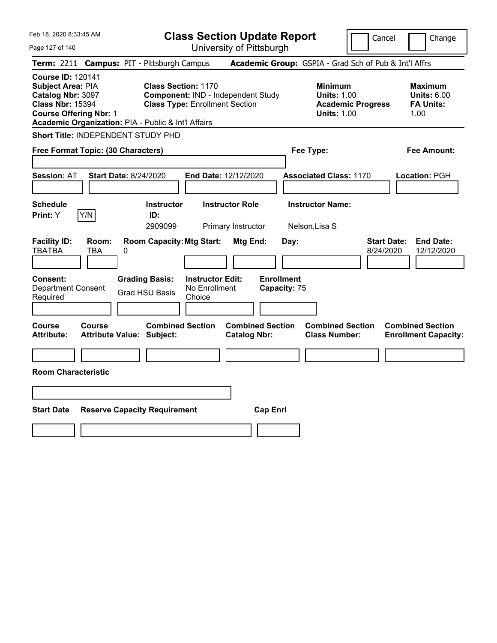| Feb 18, 2020 8:33:45 AM                                                                                                                                                               |                                        |                                                                     |                                                    | <b>Class Section Update Report</b>             |                                   |                                                            |                          | Cancel<br>Change                                                  |
|---------------------------------------------------------------------------------------------------------------------------------------------------------------------------------------|----------------------------------------|---------------------------------------------------------------------|----------------------------------------------------|------------------------------------------------|-----------------------------------|------------------------------------------------------------|--------------------------|-------------------------------------------------------------------|
| Page 127 of 140                                                                                                                                                                       |                                        |                                                                     |                                                    | University of Pittsburgh                       |                                   |                                                            |                          |                                                                   |
| Term: 2211                                                                                                                                                                            | <b>Campus: PIT - Pittsburgh Campus</b> |                                                                     |                                                    |                                                |                                   |                                                            |                          | Academic Group: GSPIA - Grad Sch of Pub & Int'l Affrs             |
| <b>Course ID: 120141</b><br>Subject Area: PIA<br>Catalog Nbr: 3097<br><b>Class Nbr: 15394</b><br><b>Course Offering Nbr: 1</b><br>Academic Organization: PIA - Public & Int'l Affairs |                                        | <b>Class Section: 1170</b><br><b>Class Type: Enrollment Section</b> |                                                    | Component: IND - Independent Study             |                                   | <b>Minimum</b><br><b>Units: 1.00</b><br><b>Units: 1.00</b> | <b>Academic Progress</b> | <b>Maximum</b><br><b>Units: 6.00</b><br><b>FA Units:</b><br>1.00  |
| Short Title: INDEPENDENT STUDY PHD                                                                                                                                                    |                                        |                                                                     |                                                    |                                                |                                   |                                                            |                          |                                                                   |
| Free Format Topic: (30 Characters)                                                                                                                                                    |                                        |                                                                     |                                                    |                                                |                                   | Fee Type:                                                  |                          | Fee Amount:                                                       |
| <b>Session: AT</b>                                                                                                                                                                    | Start Date: 8/24/2020                  |                                                                     |                                                    | <b>End Date: 12/12/2020</b>                    |                                   | <b>Associated Class: 1170</b>                              |                          | Location: PGH                                                     |
| <b>Schedule</b><br>Y/N<br>Print: Y                                                                                                                                                    |                                        | <b>Instructor</b><br>ID:<br>2909099                                 |                                                    | <b>Instructor Role</b><br>Primary Instructor   |                                   | <b>Instructor Name:</b><br>Nelson, Lisa S                  |                          |                                                                   |
| <b>Facility ID:</b><br><b>TBATBA</b>                                                                                                                                                  | Room:<br><b>TBA</b><br>0               | <b>Room Capacity: Mtg Start:</b>                                    |                                                    | Mtg End:                                       | Day:                              |                                                            |                          | <b>Start Date:</b><br><b>End Date:</b><br>8/24/2020<br>12/12/2020 |
| Consent:<br><b>Department Consent</b><br>Required                                                                                                                                     |                                        | <b>Grading Basis:</b><br><b>Grad HSU Basis</b>                      | <b>Instructor Edit:</b><br>No Enrollment<br>Choice |                                                | <b>Enrollment</b><br>Capacity: 75 |                                                            |                          |                                                                   |
| Course<br><b>Attribute:</b>                                                                                                                                                           | Course<br>Attribute Value: Subject:    | <b>Combined Section</b>                                             |                                                    | <b>Combined Section</b><br><b>Catalog Nbr:</b> |                                   | <b>Combined Section</b><br><b>Class Number:</b>            |                          | <b>Combined Section</b><br><b>Enrollment Capacity:</b>            |
| <b>Room Characteristic</b>                                                                                                                                                            |                                        |                                                                     |                                                    |                                                |                                   |                                                            |                          |                                                                   |
|                                                                                                                                                                                       |                                        |                                                                     |                                                    |                                                |                                   |                                                            |                          |                                                                   |
| <b>Start Date</b>                                                                                                                                                                     | <b>Reserve Capacity Requirement</b>    |                                                                     |                                                    | <b>Cap Enrl</b>                                |                                   |                                                            |                          |                                                                   |
|                                                                                                                                                                                       |                                        |                                                                     |                                                    |                                                |                                   |                                                            |                          |                                                                   |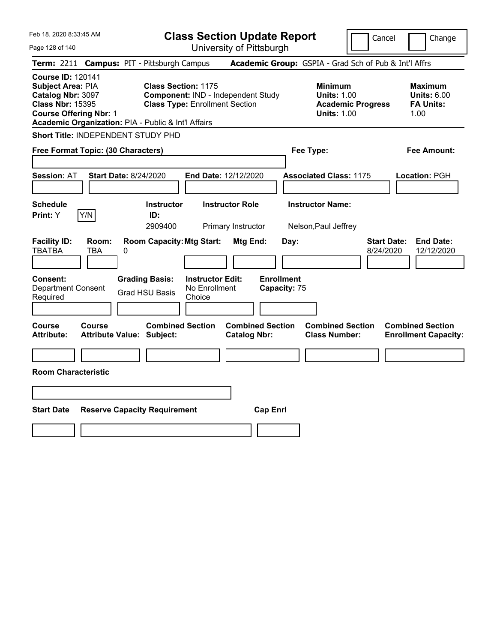| Feb 18, 2020 8:33:45 AM                                                                                                                                                               |                                            |   |                                                                                                           | <b>Class Section Update Report</b>                 |                                              |                         |                                   |                                                            |                          | Cancel                          | Change                                                           |
|---------------------------------------------------------------------------------------------------------------------------------------------------------------------------------------|--------------------------------------------|---|-----------------------------------------------------------------------------------------------------------|----------------------------------------------------|----------------------------------------------|-------------------------|-----------------------------------|------------------------------------------------------------|--------------------------|---------------------------------|------------------------------------------------------------------|
| Page 128 of 140                                                                                                                                                                       |                                            |   |                                                                                                           | University of Pittsburgh                           |                                              |                         |                                   |                                                            |                          |                                 |                                                                  |
| <b>Term: 2211</b>                                                                                                                                                                     |                                            |   | <b>Campus: PIT - Pittsburgh Campus</b>                                                                    |                                                    |                                              |                         |                                   | Academic Group: GSPIA - Grad Sch of Pub & Int'l Affrs      |                          |                                 |                                                                  |
| <b>Course ID: 120141</b><br>Subject Area: PIA<br>Catalog Nbr: 3097<br><b>Class Nbr: 15395</b><br><b>Course Offering Nbr: 1</b><br>Academic Organization: PIA - Public & Int'l Affairs |                                            |   | <b>Class Section: 1175</b><br>Component: IND - Independent Study<br><b>Class Type: Enrollment Section</b> |                                                    |                                              |                         |                                   | <b>Minimum</b><br><b>Units: 1.00</b><br><b>Units: 1.00</b> | <b>Academic Progress</b> |                                 | <b>Maximum</b><br><b>Units: 6.00</b><br><b>FA Units:</b><br>1.00 |
| Short Title: INDEPENDENT STUDY PHD                                                                                                                                                    |                                            |   |                                                                                                           |                                                    |                                              |                         |                                   |                                                            |                          |                                 |                                                                  |
| Free Format Topic: (30 Characters)                                                                                                                                                    |                                            |   |                                                                                                           |                                                    |                                              |                         |                                   | Fee Type:                                                  |                          |                                 | Fee Amount:                                                      |
| <b>Session: AT</b>                                                                                                                                                                    | <b>Start Date: 8/24/2020</b>               |   |                                                                                                           | End Date: 12/12/2020                               |                                              |                         |                                   | <b>Associated Class: 1175</b>                              |                          |                                 | Location: PGH                                                    |
| <b>Schedule</b><br>Print: Y                                                                                                                                                           | Y/N                                        |   | <b>Instructor</b><br>ID:<br>2909400                                                                       |                                                    | <b>Instructor Role</b><br>Primary Instructor |                         |                                   | <b>Instructor Name:</b><br>Nelson, Paul Jeffrey            |                          |                                 |                                                                  |
| <b>Facility ID:</b><br><b>TBATBA</b>                                                                                                                                                  | Room:<br>TBA                               | 0 | <b>Room Capacity: Mtg Start:</b>                                                                          |                                                    | Mtg End:                                     |                         | Day:                              |                                                            |                          | <b>Start Date:</b><br>8/24/2020 | <b>End Date:</b><br>12/12/2020                                   |
| <b>Consent:</b><br><b>Department Consent</b><br>Required                                                                                                                              |                                            |   | <b>Grading Basis:</b><br><b>Grad HSU Basis</b>                                                            | <b>Instructor Edit:</b><br>No Enrollment<br>Choice |                                              |                         | <b>Enrollment</b><br>Capacity: 75 |                                                            |                          |                                 |                                                                  |
| <b>Course</b><br><b>Attribute:</b>                                                                                                                                                    | Course<br><b>Attribute Value: Subject:</b> |   | <b>Combined Section</b>                                                                                   |                                                    | <b>Catalog Nbr:</b>                          | <b>Combined Section</b> |                                   | <b>Combined Section</b><br><b>Class Number:</b>            |                          |                                 | <b>Combined Section</b><br><b>Enrollment Capacity:</b>           |
| <b>Room Characteristic</b>                                                                                                                                                            |                                            |   |                                                                                                           |                                                    |                                              |                         |                                   |                                                            |                          |                                 |                                                                  |
|                                                                                                                                                                                       |                                            |   |                                                                                                           |                                                    |                                              |                         |                                   |                                                            |                          |                                 |                                                                  |
| <b>Start Date</b>                                                                                                                                                                     |                                            |   | <b>Reserve Capacity Requirement</b>                                                                       |                                                    |                                              | <b>Cap Enrl</b>         |                                   |                                                            |                          |                                 |                                                                  |
|                                                                                                                                                                                       |                                            |   |                                                                                                           |                                                    |                                              |                         |                                   |                                                            |                          |                                 |                                                                  |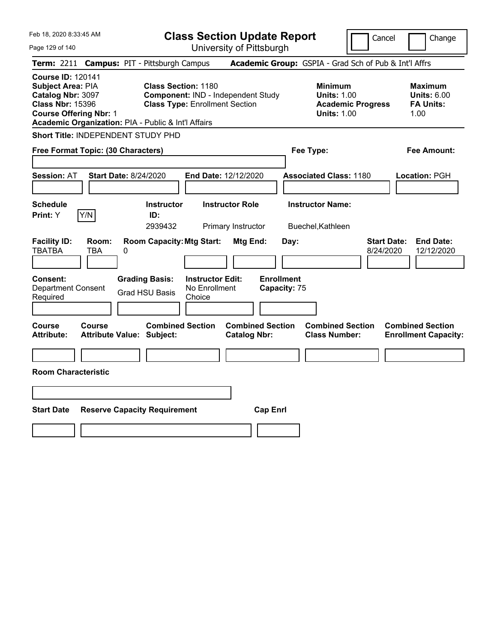| Feb 18, 2020 8:33:45 AM                                                                                                                                                                      | <b>Class Section Update Report</b>                                                                        | Cancel<br>Change                                                                                                                                           |
|----------------------------------------------------------------------------------------------------------------------------------------------------------------------------------------------|-----------------------------------------------------------------------------------------------------------|------------------------------------------------------------------------------------------------------------------------------------------------------------|
| Page 129 of 140                                                                                                                                                                              | University of Pittsburgh                                                                                  |                                                                                                                                                            |
| <b>Campus: PIT - Pittsburgh Campus</b><br><b>Term: 2211</b>                                                                                                                                  |                                                                                                           | Academic Group: GSPIA - Grad Sch of Pub & Int'l Affrs                                                                                                      |
| <b>Course ID: 120141</b><br><b>Subject Area: PIA</b><br>Catalog Nbr: 3097<br><b>Class Nbr: 15396</b><br><b>Course Offering Nbr: 1</b><br>Academic Organization: PIA - Public & Int'l Affairs | <b>Class Section: 1180</b><br>Component: IND - Independent Study<br><b>Class Type: Enrollment Section</b> | <b>Minimum</b><br><b>Maximum</b><br><b>Units: 1.00</b><br><b>Units: 6.00</b><br><b>Academic Progress</b><br><b>FA Units:</b><br><b>Units: 1.00</b><br>1.00 |
| <b>Short Title: INDEPENDENT STUDY PHD</b>                                                                                                                                                    |                                                                                                           |                                                                                                                                                            |
| Free Format Topic: (30 Characters)                                                                                                                                                           |                                                                                                           | Fee Type:<br>Fee Amount:                                                                                                                                   |
| <b>Start Date: 8/24/2020</b><br><b>Session: AT</b>                                                                                                                                           | End Date: 12/12/2020                                                                                      | <b>Associated Class: 1180</b><br>Location: PGH                                                                                                             |
| <b>Schedule</b>                                                                                                                                                                              | <b>Instructor Role</b><br><b>Instructor</b>                                                               | <b>Instructor Name:</b>                                                                                                                                    |
| Y/N<br>Print: Y<br>ID:                                                                                                                                                                       | 2939432<br>Primary Instructor                                                                             | Buechel, Kathleen                                                                                                                                          |
| <b>Facility ID:</b><br>Room:<br><b>TBATBA</b><br>TBA<br>0                                                                                                                                    | <b>Room Capacity: Mtg Start:</b><br>Mtg End:<br>Day:                                                      | <b>Start Date:</b><br><b>End Date:</b><br>8/24/2020<br>12/12/2020                                                                                          |
| <b>Grading Basis:</b><br><b>Consent:</b><br><b>Department Consent</b><br><b>Grad HSU Basis</b><br>Required                                                                                   | <b>Enrollment</b><br><b>Instructor Edit:</b><br>No Enrollment<br>Capacity: 75<br>Choice                   |                                                                                                                                                            |
| Course<br>Course<br><b>Attribute:</b><br><b>Attribute Value: Subject:</b>                                                                                                                    | <b>Combined Section</b><br><b>Combined Section</b><br><b>Catalog Nbr:</b>                                 | <b>Combined Section</b><br><b>Combined Section</b><br><b>Class Number:</b><br><b>Enrollment Capacity:</b>                                                  |
|                                                                                                                                                                                              |                                                                                                           |                                                                                                                                                            |
| <b>Room Characteristic</b>                                                                                                                                                                   |                                                                                                           |                                                                                                                                                            |
|                                                                                                                                                                                              |                                                                                                           |                                                                                                                                                            |
| <b>Start Date</b><br><b>Reserve Capacity Requirement</b>                                                                                                                                     | <b>Cap Enrl</b>                                                                                           |                                                                                                                                                            |
|                                                                                                                                                                                              |                                                                                                           |                                                                                                                                                            |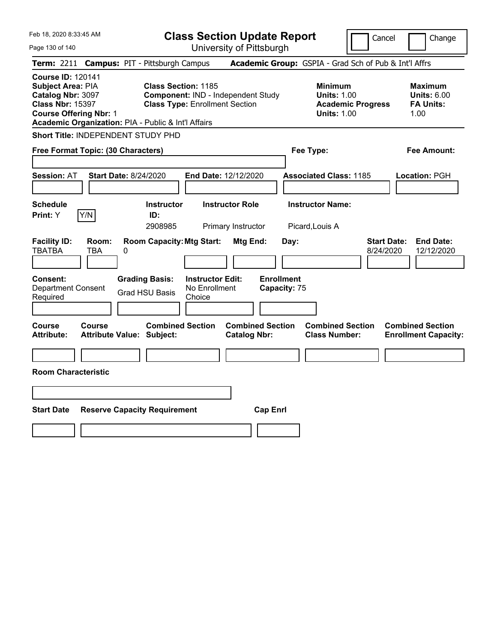| Feb 18, 2020 8:33:45 AM                                                                                                                                                               |                                            |   |                                                                                                           | <b>Class Section Update Report</b>                 |                                              |                         |                                   |                                                            |                          | Cancel                          | Change                                                           |
|---------------------------------------------------------------------------------------------------------------------------------------------------------------------------------------|--------------------------------------------|---|-----------------------------------------------------------------------------------------------------------|----------------------------------------------------|----------------------------------------------|-------------------------|-----------------------------------|------------------------------------------------------------|--------------------------|---------------------------------|------------------------------------------------------------------|
| Page 130 of 140                                                                                                                                                                       |                                            |   |                                                                                                           | University of Pittsburgh                           |                                              |                         |                                   |                                                            |                          |                                 |                                                                  |
| <b>Term: 2211</b>                                                                                                                                                                     |                                            |   | <b>Campus: PIT - Pittsburgh Campus</b>                                                                    |                                                    |                                              |                         |                                   | Academic Group: GSPIA - Grad Sch of Pub & Int'l Affrs      |                          |                                 |                                                                  |
| <b>Course ID: 120141</b><br>Subject Area: PIA<br>Catalog Nbr: 3097<br><b>Class Nbr: 15397</b><br><b>Course Offering Nbr: 1</b><br>Academic Organization: PIA - Public & Int'l Affairs |                                            |   | <b>Class Section: 1185</b><br>Component: IND - Independent Study<br><b>Class Type: Enrollment Section</b> |                                                    |                                              |                         |                                   | <b>Minimum</b><br><b>Units: 1.00</b><br><b>Units: 1.00</b> | <b>Academic Progress</b> |                                 | <b>Maximum</b><br><b>Units: 6.00</b><br><b>FA Units:</b><br>1.00 |
| Short Title: INDEPENDENT STUDY PHD                                                                                                                                                    |                                            |   |                                                                                                           |                                                    |                                              |                         |                                   |                                                            |                          |                                 |                                                                  |
| Free Format Topic: (30 Characters)                                                                                                                                                    |                                            |   |                                                                                                           |                                                    |                                              |                         |                                   | Fee Type:                                                  |                          |                                 | Fee Amount:                                                      |
| <b>Session: AT</b>                                                                                                                                                                    | <b>Start Date: 8/24/2020</b>               |   |                                                                                                           | End Date: 12/12/2020                               |                                              |                         |                                   | <b>Associated Class: 1185</b>                              |                          |                                 | Location: PGH                                                    |
| <b>Schedule</b><br>Print: Y                                                                                                                                                           | Y/N                                        |   | <b>Instructor</b><br>ID:<br>2908985                                                                       |                                                    | <b>Instructor Role</b><br>Primary Instructor |                         |                                   | <b>Instructor Name:</b><br>Picard, Louis A                 |                          |                                 |                                                                  |
| <b>Facility ID:</b><br><b>TBATBA</b>                                                                                                                                                  | Room:<br>TBA                               | 0 | <b>Room Capacity: Mtg Start:</b>                                                                          |                                                    | Mtg End:                                     |                         | Day:                              |                                                            |                          | <b>Start Date:</b><br>8/24/2020 | <b>End Date:</b><br>12/12/2020                                   |
| <b>Consent:</b><br><b>Department Consent</b><br>Required                                                                                                                              |                                            |   | <b>Grading Basis:</b><br><b>Grad HSU Basis</b>                                                            | <b>Instructor Edit:</b><br>No Enrollment<br>Choice |                                              |                         | <b>Enrollment</b><br>Capacity: 75 |                                                            |                          |                                 |                                                                  |
| <b>Course</b><br><b>Attribute:</b>                                                                                                                                                    | Course<br><b>Attribute Value: Subject:</b> |   | <b>Combined Section</b>                                                                                   |                                                    | <b>Catalog Nbr:</b>                          | <b>Combined Section</b> |                                   | <b>Combined Section</b><br><b>Class Number:</b>            |                          |                                 | <b>Combined Section</b><br><b>Enrollment Capacity:</b>           |
| <b>Room Characteristic</b>                                                                                                                                                            |                                            |   |                                                                                                           |                                                    |                                              |                         |                                   |                                                            |                          |                                 |                                                                  |
|                                                                                                                                                                                       |                                            |   |                                                                                                           |                                                    |                                              |                         |                                   |                                                            |                          |                                 |                                                                  |
| <b>Start Date</b>                                                                                                                                                                     |                                            |   | <b>Reserve Capacity Requirement</b>                                                                       |                                                    |                                              | <b>Cap Enrl</b>         |                                   |                                                            |                          |                                 |                                                                  |
|                                                                                                                                                                                       |                                            |   |                                                                                                           |                                                    |                                              |                         |                                   |                                                            |                          |                                 |                                                                  |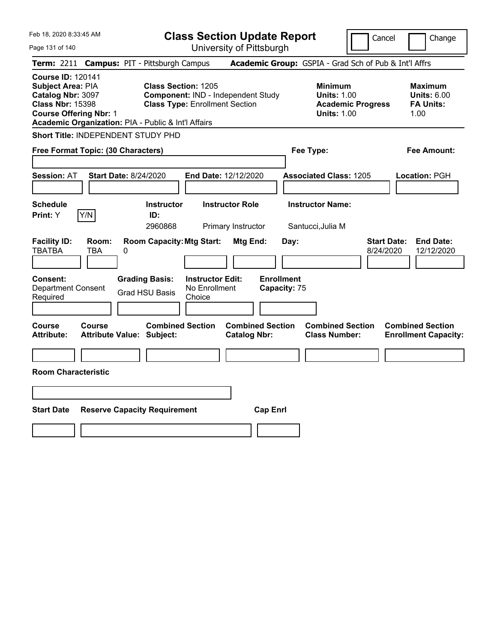| Feb 18, 2020 8:33:45 AM                                                                                                                                                                      |                                                                                                           | <b>Class Section Update Report</b>             |                                                                                        | Change<br>Cancel                                                  |
|----------------------------------------------------------------------------------------------------------------------------------------------------------------------------------------------|-----------------------------------------------------------------------------------------------------------|------------------------------------------------|----------------------------------------------------------------------------------------|-------------------------------------------------------------------|
| Page 131 of 140                                                                                                                                                                              |                                                                                                           | University of Pittsburgh                       |                                                                                        |                                                                   |
| Term: 2211                                                                                                                                                                                   | <b>Campus: PIT - Pittsburgh Campus</b>                                                                    |                                                | Academic Group: GSPIA - Grad Sch of Pub & Int'l Affrs                                  |                                                                   |
| <b>Course ID: 120141</b><br><b>Subject Area: PIA</b><br>Catalog Nbr: 3097<br><b>Class Nbr: 15398</b><br><b>Course Offering Nbr: 1</b><br>Academic Organization: PIA - Public & Int'l Affairs | <b>Class Section: 1205</b><br>Component: IND - Independent Study<br><b>Class Type: Enrollment Section</b> |                                                | <b>Minimum</b><br><b>Units: 1.00</b><br><b>Academic Progress</b><br><b>Units: 1.00</b> | <b>Maximum</b><br><b>Units: 6.00</b><br><b>FA Units:</b><br>1.00  |
| Short Title: INDEPENDENT STUDY PHD                                                                                                                                                           |                                                                                                           |                                                |                                                                                        |                                                                   |
| Free Format Topic: (30 Characters)                                                                                                                                                           |                                                                                                           |                                                | Fee Type:                                                                              | Fee Amount:                                                       |
| <b>Start Date: 8/24/2020</b><br><b>Session: AT</b>                                                                                                                                           |                                                                                                           | End Date: 12/12/2020                           | <b>Associated Class: 1205</b>                                                          | Location: PGH                                                     |
| <b>Schedule</b><br>Y/N<br>Print: Y                                                                                                                                                           | <b>Instructor</b><br>ID:<br>2960868                                                                       | <b>Instructor Role</b><br>Primary Instructor   | <b>Instructor Name:</b><br>Santucci, Julia M                                           |                                                                   |
| <b>Facility ID:</b><br>Room:<br><b>TBATBA</b><br><b>TBA</b><br>0                                                                                                                             | <b>Room Capacity: Mtg Start:</b>                                                                          | Mtg End:<br>Day:                               |                                                                                        | <b>Start Date:</b><br><b>End Date:</b><br>8/24/2020<br>12/12/2020 |
| <b>Consent:</b><br><b>Department Consent</b><br>Required                                                                                                                                     | <b>Grading Basis:</b><br><b>Instructor Edit:</b><br>No Enrollment<br><b>Grad HSU Basis</b><br>Choice      | <b>Enrollment</b><br>Capacity: 75              |                                                                                        |                                                                   |
| <b>Course</b><br>Course<br><b>Attribute Value: Subject:</b><br><b>Attribute:</b>                                                                                                             | <b>Combined Section</b>                                                                                   | <b>Combined Section</b><br><b>Catalog Nbr:</b> | <b>Combined Section</b><br><b>Class Number:</b>                                        | <b>Combined Section</b><br><b>Enrollment Capacity:</b>            |
| <b>Room Characteristic</b>                                                                                                                                                                   |                                                                                                           |                                                |                                                                                        |                                                                   |
|                                                                                                                                                                                              |                                                                                                           |                                                |                                                                                        |                                                                   |
| <b>Start Date</b>                                                                                                                                                                            | <b>Reserve Capacity Requirement</b>                                                                       | <b>Cap Enrl</b>                                |                                                                                        |                                                                   |
|                                                                                                                                                                                              |                                                                                                           |                                                |                                                                                        |                                                                   |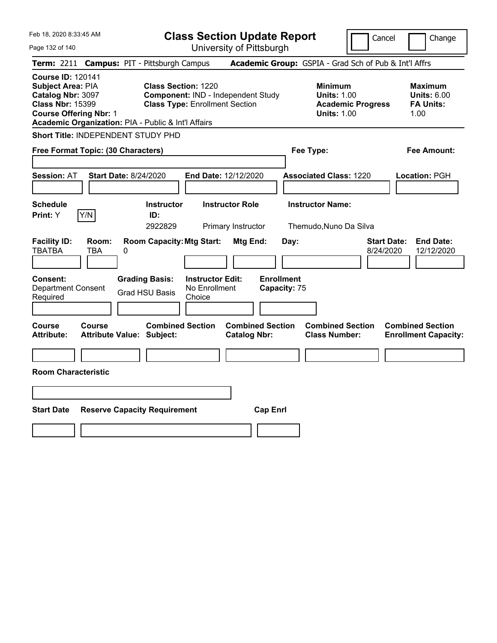| Feb 18, 2020 8:33:45 AM                                                                                                                                                               |                                            |   |                                                                                                           | <b>Class Section Update Report</b>                 |                                                |                                   |      |                                                                                        | Cancel                          | Change                                                           |
|---------------------------------------------------------------------------------------------------------------------------------------------------------------------------------------|--------------------------------------------|---|-----------------------------------------------------------------------------------------------------------|----------------------------------------------------|------------------------------------------------|-----------------------------------|------|----------------------------------------------------------------------------------------|---------------------------------|------------------------------------------------------------------|
| Page 132 of 140                                                                                                                                                                       |                                            |   |                                                                                                           | University of Pittsburgh                           |                                                |                                   |      |                                                                                        |                                 |                                                                  |
| Term: 2211                                                                                                                                                                            |                                            |   | <b>Campus: PIT - Pittsburgh Campus</b>                                                                    |                                                    |                                                |                                   |      | Academic Group: GSPIA - Grad Sch of Pub & Int'l Affrs                                  |                                 |                                                                  |
| <b>Course ID: 120141</b><br>Subject Area: PIA<br>Catalog Nbr: 3097<br><b>Class Nbr: 15399</b><br><b>Course Offering Nbr: 1</b><br>Academic Organization: PIA - Public & Int'l Affairs |                                            |   | <b>Class Section: 1220</b><br>Component: IND - Independent Study<br><b>Class Type: Enrollment Section</b> |                                                    |                                                |                                   |      | <b>Minimum</b><br><b>Units: 1.00</b><br><b>Academic Progress</b><br><b>Units: 1.00</b> |                                 | <b>Maximum</b><br><b>Units: 6.00</b><br><b>FA Units:</b><br>1.00 |
| <b>Short Title: INDEPENDENT STUDY PHD</b>                                                                                                                                             |                                            |   |                                                                                                           |                                                    |                                                |                                   |      |                                                                                        |                                 |                                                                  |
| Free Format Topic: (30 Characters)                                                                                                                                                    |                                            |   |                                                                                                           |                                                    |                                                |                                   |      | Fee Type:                                                                              |                                 | Fee Amount:                                                      |
| <b>Session: AT</b>                                                                                                                                                                    | <b>Start Date: 8/24/2020</b>               |   |                                                                                                           | <b>End Date: 12/12/2020</b>                        |                                                |                                   |      | <b>Associated Class: 1220</b>                                                          |                                 | Location: PGH                                                    |
| <b>Schedule</b><br>Print: Y                                                                                                                                                           | Y/N                                        |   | <b>Instructor</b><br>ID:<br>2922829                                                                       |                                                    | <b>Instructor Role</b><br>Primary Instructor   |                                   |      | <b>Instructor Name:</b><br>Themudo, Nuno Da Silva                                      |                                 |                                                                  |
| <b>Facility ID:</b><br><b>TBATBA</b>                                                                                                                                                  | Room:<br>TBA                               | 0 | <b>Room Capacity: Mtg Start:</b>                                                                          |                                                    | Mtg End:                                       |                                   | Day: |                                                                                        | <b>Start Date:</b><br>8/24/2020 | <b>End Date:</b><br>12/12/2020                                   |
| <b>Consent:</b><br><b>Department Consent</b><br>Required                                                                                                                              |                                            |   | <b>Grading Basis:</b><br><b>Grad HSU Basis</b>                                                            | <b>Instructor Edit:</b><br>No Enrollment<br>Choice |                                                | <b>Enrollment</b><br>Capacity: 75 |      |                                                                                        |                                 |                                                                  |
| Course<br><b>Attribute:</b>                                                                                                                                                           | Course<br><b>Attribute Value: Subject:</b> |   | <b>Combined Section</b>                                                                                   |                                                    | <b>Combined Section</b><br><b>Catalog Nbr:</b> |                                   |      | <b>Combined Section</b><br><b>Class Number:</b>                                        |                                 | <b>Combined Section</b><br><b>Enrollment Capacity:</b>           |
|                                                                                                                                                                                       |                                            |   |                                                                                                           |                                                    |                                                |                                   |      |                                                                                        |                                 |                                                                  |
| <b>Room Characteristic</b>                                                                                                                                                            |                                            |   |                                                                                                           |                                                    |                                                |                                   |      |                                                                                        |                                 |                                                                  |
|                                                                                                                                                                                       |                                            |   |                                                                                                           |                                                    |                                                |                                   |      |                                                                                        |                                 |                                                                  |
| <b>Start Date</b>                                                                                                                                                                     |                                            |   | <b>Reserve Capacity Requirement</b>                                                                       |                                                    |                                                | <b>Cap Enrl</b>                   |      |                                                                                        |                                 |                                                                  |
|                                                                                                                                                                                       |                                            |   |                                                                                                           |                                                    |                                                |                                   |      |                                                                                        |                                 |                                                                  |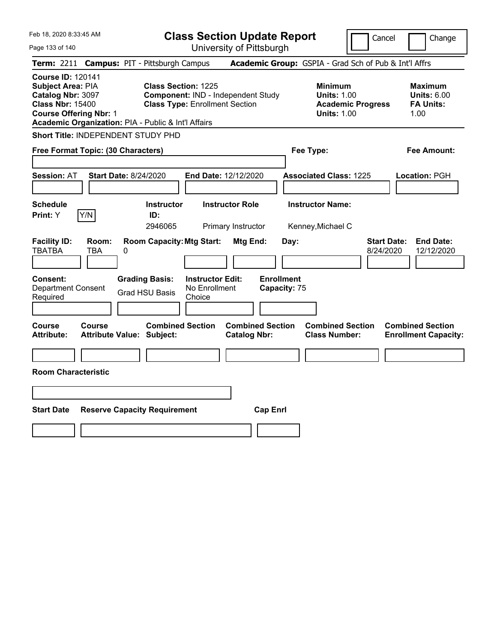| Feb 18, 2020 8:33:45 AM                                                                                                                                                               |                                     |                                                                     |                                                    | <b>Class Section Update Report</b>             |                                   |                                                            |                          | Cancel<br>Change                                                  |
|---------------------------------------------------------------------------------------------------------------------------------------------------------------------------------------|-------------------------------------|---------------------------------------------------------------------|----------------------------------------------------|------------------------------------------------|-----------------------------------|------------------------------------------------------------|--------------------------|-------------------------------------------------------------------|
| Page 133 of 140                                                                                                                                                                       |                                     |                                                                     |                                                    | University of Pittsburgh                       |                                   |                                                            |                          |                                                                   |
| Term: 2211                                                                                                                                                                            |                                     | <b>Campus: PIT - Pittsburgh Campus</b>                              |                                                    |                                                |                                   |                                                            |                          | Academic Group: GSPIA - Grad Sch of Pub & Int'l Affrs             |
| <b>Course ID: 120141</b><br>Subject Area: PIA<br>Catalog Nbr: 3097<br><b>Class Nbr: 15400</b><br><b>Course Offering Nbr: 1</b><br>Academic Organization: PIA - Public & Int'l Affairs |                                     | <b>Class Section: 1225</b><br><b>Class Type: Enrollment Section</b> |                                                    | Component: IND - Independent Study             |                                   | <b>Minimum</b><br><b>Units: 1.00</b><br><b>Units: 1.00</b> | <b>Academic Progress</b> | <b>Maximum</b><br><b>Units: 6.00</b><br><b>FA Units:</b><br>1.00  |
| Short Title: INDEPENDENT STUDY PHD                                                                                                                                                    |                                     |                                                                     |                                                    |                                                |                                   |                                                            |                          |                                                                   |
| Free Format Topic: (30 Characters)                                                                                                                                                    |                                     |                                                                     |                                                    |                                                |                                   | Fee Type:                                                  |                          | Fee Amount:                                                       |
| <b>Session: AT</b>                                                                                                                                                                    | Start Date: 8/24/2020               |                                                                     |                                                    | <b>End Date: 12/12/2020</b>                    |                                   | <b>Associated Class: 1225</b>                              |                          | Location: PGH                                                     |
| <b>Schedule</b><br>Y/N<br>Print: Y                                                                                                                                                    |                                     | <b>Instructor</b><br>ID:<br>2946065                                 |                                                    | <b>Instructor Role</b><br>Primary Instructor   |                                   | <b>Instructor Name:</b><br>Kenney, Michael C               |                          |                                                                   |
| <b>Facility ID:</b><br><b>TBATBA</b>                                                                                                                                                  | Room:<br><b>TBA</b><br>0            | <b>Room Capacity: Mtg Start:</b>                                    |                                                    | Mtg End:                                       | Day:                              |                                                            |                          | <b>Start Date:</b><br><b>End Date:</b><br>8/24/2020<br>12/12/2020 |
| Consent:<br><b>Department Consent</b><br>Required                                                                                                                                     |                                     | <b>Grading Basis:</b><br><b>Grad HSU Basis</b>                      | <b>Instructor Edit:</b><br>No Enrollment<br>Choice |                                                | <b>Enrollment</b><br>Capacity: 75 |                                                            |                          |                                                                   |
| Course<br><b>Attribute:</b>                                                                                                                                                           | Course<br>Attribute Value: Subject: | <b>Combined Section</b>                                             |                                                    | <b>Combined Section</b><br><b>Catalog Nbr:</b> |                                   | <b>Combined Section</b><br><b>Class Number:</b>            |                          | <b>Combined Section</b><br><b>Enrollment Capacity:</b>            |
| <b>Room Characteristic</b>                                                                                                                                                            |                                     |                                                                     |                                                    |                                                |                                   |                                                            |                          |                                                                   |
|                                                                                                                                                                                       |                                     |                                                                     |                                                    |                                                |                                   |                                                            |                          |                                                                   |
| <b>Start Date</b>                                                                                                                                                                     |                                     | <b>Reserve Capacity Requirement</b>                                 |                                                    | <b>Cap Enrl</b>                                |                                   |                                                            |                          |                                                                   |
|                                                                                                                                                                                       |                                     |                                                                     |                                                    |                                                |                                   |                                                            |                          |                                                                   |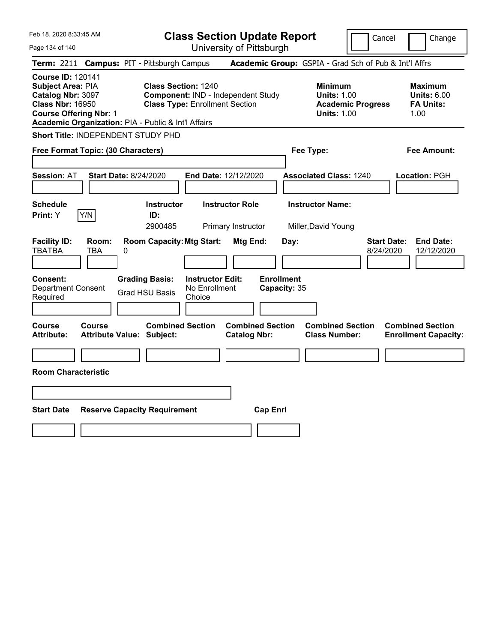| Feb 18, 2020 8:33:45 AM                                                                                                        |                              |                                                                                                                            |                                                    | <b>Class Section Update Report</b>             |                                   |                                                            | Cancel                   | Change                                                            |
|--------------------------------------------------------------------------------------------------------------------------------|------------------------------|----------------------------------------------------------------------------------------------------------------------------|----------------------------------------------------|------------------------------------------------|-----------------------------------|------------------------------------------------------------|--------------------------|-------------------------------------------------------------------|
| Page 134 of 140                                                                                                                |                              |                                                                                                                            |                                                    | University of Pittsburgh                       |                                   |                                                            |                          |                                                                   |
| Term: 2211                                                                                                                     |                              | <b>Campus: PIT - Pittsburgh Campus</b>                                                                                     |                                                    |                                                |                                   |                                                            |                          | Academic Group: GSPIA - Grad Sch of Pub & Int'l Affrs             |
| <b>Course ID: 120141</b><br>Subject Area: PIA<br>Catalog Nbr: 3097<br><b>Class Nbr: 16950</b><br><b>Course Offering Nbr: 1</b> |                              | <b>Class Section: 1240</b><br><b>Class Type: Enrollment Section</b><br>Academic Organization: PIA - Public & Int'l Affairs |                                                    | Component: IND - Independent Study             |                                   | <b>Minimum</b><br><b>Units: 1.00</b><br><b>Units: 1.00</b> | <b>Academic Progress</b> | <b>Maximum</b><br><b>Units: 6.00</b><br><b>FA Units:</b><br>1.00  |
| <b>Short Title: INDEPENDENT STUDY PHD</b>                                                                                      |                              |                                                                                                                            |                                                    |                                                |                                   |                                                            |                          |                                                                   |
| Free Format Topic: (30 Characters)                                                                                             |                              |                                                                                                                            |                                                    |                                                |                                   | Fee Type:                                                  |                          | Fee Amount:                                                       |
| <b>Session: AT</b>                                                                                                             | <b>Start Date: 8/24/2020</b> |                                                                                                                            |                                                    | <b>End Date: 12/12/2020</b>                    |                                   | <b>Associated Class: 1240</b>                              |                          | Location: PGH                                                     |
| <b>Schedule</b><br>Print: Y                                                                                                    | Y/N                          | <b>Instructor</b><br>ID:<br>2900485                                                                                        |                                                    | <b>Instructor Role</b><br>Primary Instructor   |                                   | <b>Instructor Name:</b><br>Miller, David Young             |                          |                                                                   |
| <b>Facility ID:</b><br><b>TBATBA</b>                                                                                           | Room:<br>TBA<br>0            | <b>Room Capacity: Mtg Start:</b>                                                                                           |                                                    | Mtg End:                                       | Day:                              |                                                            |                          | <b>Start Date:</b><br><b>End Date:</b><br>12/12/2020<br>8/24/2020 |
| <b>Consent:</b><br><b>Department Consent</b><br>Required                                                                       |                              | <b>Grading Basis:</b><br><b>Grad HSU Basis</b>                                                                             | <b>Instructor Edit:</b><br>No Enrollment<br>Choice |                                                | <b>Enrollment</b><br>Capacity: 35 |                                                            |                          |                                                                   |
| Course<br><b>Attribute:</b>                                                                                                    | Course                       | <b>Combined Section</b><br><b>Attribute Value: Subject:</b>                                                                |                                                    | <b>Combined Section</b><br><b>Catalog Nbr:</b> |                                   | <b>Combined Section</b><br><b>Class Number:</b>            |                          | <b>Combined Section</b><br><b>Enrollment Capacity:</b>            |
|                                                                                                                                |                              |                                                                                                                            |                                                    |                                                |                                   |                                                            |                          |                                                                   |
| <b>Room Characteristic</b>                                                                                                     |                              |                                                                                                                            |                                                    |                                                |                                   |                                                            |                          |                                                                   |
|                                                                                                                                |                              |                                                                                                                            |                                                    |                                                |                                   |                                                            |                          |                                                                   |
| <b>Start Date</b>                                                                                                              |                              | <b>Reserve Capacity Requirement</b>                                                                                        |                                                    | <b>Cap Enrl</b>                                |                                   |                                                            |                          |                                                                   |
|                                                                                                                                |                              |                                                                                                                            |                                                    |                                                |                                   |                                                            |                          |                                                                   |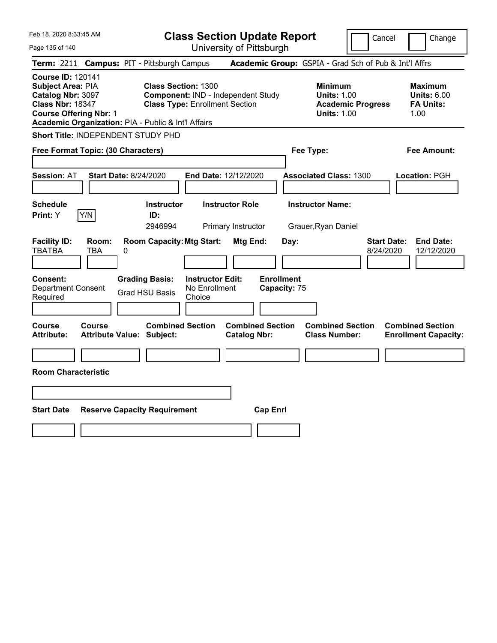| Feb 18, 2020 8:33:45 AM                                                                                                                                                               | <b>Class Section Update Report</b>                                                                        | Cancel<br>Change                                                                                                                                           |
|---------------------------------------------------------------------------------------------------------------------------------------------------------------------------------------|-----------------------------------------------------------------------------------------------------------|------------------------------------------------------------------------------------------------------------------------------------------------------------|
| Page 135 of 140                                                                                                                                                                       | University of Pittsburgh                                                                                  |                                                                                                                                                            |
| Term: 2211 Campus: PIT - Pittsburgh Campus                                                                                                                                            |                                                                                                           | Academic Group: GSPIA - Grad Sch of Pub & Int'l Affrs                                                                                                      |
| <b>Course ID: 120141</b><br>Subject Area: PIA<br>Catalog Nbr: 3097<br><b>Class Nbr: 18347</b><br><b>Course Offering Nbr: 1</b><br>Academic Organization: PIA - Public & Int'l Affairs | <b>Class Section: 1300</b><br>Component: IND - Independent Study<br><b>Class Type: Enrollment Section</b> | <b>Minimum</b><br><b>Maximum</b><br><b>Units: 1.00</b><br><b>Units: 6.00</b><br><b>Academic Progress</b><br><b>FA Units:</b><br><b>Units: 1.00</b><br>1.00 |
| Short Title: INDEPENDENT STUDY PHD                                                                                                                                                    |                                                                                                           |                                                                                                                                                            |
| Free Format Topic: (30 Characters)                                                                                                                                                    | Fee Type:                                                                                                 | Fee Amount:                                                                                                                                                |
| <b>Session: AT</b><br><b>Start Date: 8/24/2020</b>                                                                                                                                    | End Date: 12/12/2020                                                                                      | <b>Associated Class: 1300</b><br><b>Location: PGH</b>                                                                                                      |
| <b>Schedule</b>                                                                                                                                                                       | <b>Instructor Role</b><br><b>Instructor</b>                                                               | <b>Instructor Name:</b>                                                                                                                                    |
| Y/N<br>Print: Y<br>ID:                                                                                                                                                                |                                                                                                           |                                                                                                                                                            |
|                                                                                                                                                                                       | 2946994<br>Primary Instructor                                                                             | Grauer, Ryan Daniel                                                                                                                                        |
| <b>Facility ID:</b><br>Room:<br><b>TBATBA</b><br><b>TBA</b><br>0                                                                                                                      | <b>Room Capacity: Mtg Start:</b><br>Mtg End:<br>Day:                                                      | <b>Start Date:</b><br><b>End Date:</b><br>8/24/2020<br>12/12/2020                                                                                          |
| Consent:<br><b>Grading Basis:</b><br><b>Department Consent</b><br><b>Grad HSU Basis</b><br>Required                                                                                   | <b>Enrollment</b><br><b>Instructor Edit:</b><br>No Enrollment<br>Capacity: 75<br>Choice                   |                                                                                                                                                            |
| Course<br>Course<br><b>Attribute:</b><br><b>Attribute Value: Subject:</b>                                                                                                             | <b>Combined Section</b><br><b>Combined Section</b><br><b>Catalog Nbr:</b>                                 | <b>Combined Section</b><br><b>Combined Section</b><br><b>Class Number:</b><br><b>Enrollment Capacity:</b>                                                  |
|                                                                                                                                                                                       |                                                                                                           |                                                                                                                                                            |
| <b>Room Characteristic</b>                                                                                                                                                            |                                                                                                           |                                                                                                                                                            |
|                                                                                                                                                                                       |                                                                                                           |                                                                                                                                                            |
| <b>Start Date</b><br><b>Reserve Capacity Requirement</b>                                                                                                                              | <b>Cap Enrl</b>                                                                                           |                                                                                                                                                            |
|                                                                                                                                                                                       |                                                                                                           |                                                                                                                                                            |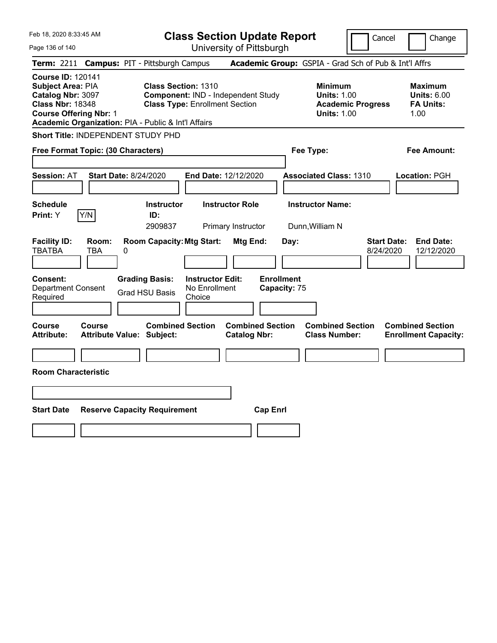| Feb 18, 2020 8:33:45 AM                                                                                                                                                               |                                        |                                                                                                           |                                                    |                                              | <b>Class Section Update Report</b> |                                                            | Cancel                   | Change                                                           |
|---------------------------------------------------------------------------------------------------------------------------------------------------------------------------------------|----------------------------------------|-----------------------------------------------------------------------------------------------------------|----------------------------------------------------|----------------------------------------------|------------------------------------|------------------------------------------------------------|--------------------------|------------------------------------------------------------------|
| Page 136 of 140                                                                                                                                                                       |                                        |                                                                                                           |                                                    | University of Pittsburgh                     |                                    |                                                            |                          |                                                                  |
| <b>Term: 2211</b>                                                                                                                                                                     | <b>Campus: PIT - Pittsburgh Campus</b> |                                                                                                           |                                                    |                                              |                                    | Academic Group: GSPIA - Grad Sch of Pub & Int'l Affrs      |                          |                                                                  |
| <b>Course ID: 120141</b><br>Subject Area: PIA<br>Catalog Nbr: 3097<br><b>Class Nbr: 18348</b><br><b>Course Offering Nbr: 1</b><br>Academic Organization: PIA - Public & Int'l Affairs |                                        | <b>Class Section: 1310</b><br>Component: IND - Independent Study<br><b>Class Type: Enrollment Section</b> |                                                    |                                              |                                    | <b>Minimum</b><br><b>Units: 1.00</b><br><b>Units: 1.00</b> | <b>Academic Progress</b> | <b>Maximum</b><br><b>Units: 6.00</b><br><b>FA Units:</b><br>1.00 |
| Short Title: INDEPENDENT STUDY PHD                                                                                                                                                    |                                        |                                                                                                           |                                                    |                                              |                                    |                                                            |                          |                                                                  |
| Free Format Topic: (30 Characters)                                                                                                                                                    |                                        |                                                                                                           |                                                    |                                              |                                    | Fee Type:                                                  |                          | Fee Amount:                                                      |
| <b>Session: AT</b>                                                                                                                                                                    | <b>Start Date: 8/24/2020</b>           |                                                                                                           | <b>End Date: 12/12/2020</b>                        |                                              |                                    | <b>Associated Class: 1310</b>                              |                          | Location: PGH                                                    |
| <b>Schedule</b><br>Y/N<br><b>Print:</b> Y                                                                                                                                             |                                        | <b>Instructor</b><br>ID:<br>2909837                                                                       |                                                    | <b>Instructor Role</b><br>Primary Instructor |                                    | <b>Instructor Name:</b><br>Dunn, William N                 |                          |                                                                  |
| <b>Facility ID:</b><br><b>TBATBA</b><br><b>TBA</b>                                                                                                                                    | Room:<br>0                             | <b>Room Capacity: Mtg Start:</b>                                                                          |                                                    | Mtg End:                                     | Day:                               |                                                            | 8/24/2020                | <b>Start Date:</b><br><b>End Date:</b><br>12/12/2020             |
| Consent:<br><b>Department Consent</b><br>Required                                                                                                                                     |                                        | <b>Grading Basis:</b><br><b>Grad HSU Basis</b>                                                            | <b>Instructor Edit:</b><br>No Enrollment<br>Choice |                                              | <b>Enrollment</b><br>Capacity: 75  |                                                            |                          |                                                                  |
| <b>Course</b><br><b>Course</b><br><b>Attribute:</b>                                                                                                                                   | <b>Attribute Value: Subject:</b>       | <b>Combined Section</b>                                                                                   |                                                    | <b>Catalog Nbr:</b>                          | <b>Combined Section</b>            | <b>Combined Section</b><br><b>Class Number:</b>            |                          | <b>Combined Section</b><br><b>Enrollment Capacity:</b>           |
|                                                                                                                                                                                       |                                        |                                                                                                           |                                                    |                                              |                                    |                                                            |                          |                                                                  |
| <b>Room Characteristic</b>                                                                                                                                                            |                                        |                                                                                                           |                                                    |                                              |                                    |                                                            |                          |                                                                  |
|                                                                                                                                                                                       |                                        |                                                                                                           |                                                    |                                              |                                    |                                                            |                          |                                                                  |
| <b>Start Date</b>                                                                                                                                                                     | <b>Reserve Capacity Requirement</b>    |                                                                                                           |                                                    |                                              | <b>Cap Enrl</b>                    |                                                            |                          |                                                                  |
|                                                                                                                                                                                       |                                        |                                                                                                           |                                                    |                                              |                                    |                                                            |                          |                                                                  |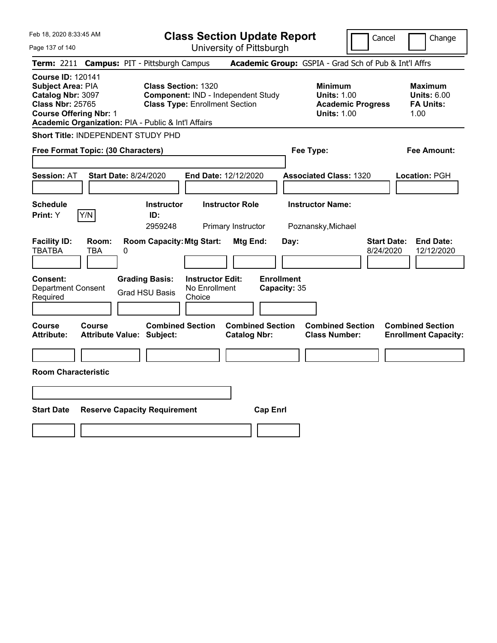| Feb 18, 2020 8:33:45 AM                                                                                                                                                                      |                                                                                                           | <b>Class Section Update Report</b>             |                                                                                        | Change<br>Cancel                                                  |
|----------------------------------------------------------------------------------------------------------------------------------------------------------------------------------------------|-----------------------------------------------------------------------------------------------------------|------------------------------------------------|----------------------------------------------------------------------------------------|-------------------------------------------------------------------|
| Page 137 of 140                                                                                                                                                                              |                                                                                                           | University of Pittsburgh                       |                                                                                        |                                                                   |
| Term: 2211                                                                                                                                                                                   | <b>Campus: PIT - Pittsburgh Campus</b>                                                                    |                                                | Academic Group: GSPIA - Grad Sch of Pub & Int'l Affrs                                  |                                                                   |
| <b>Course ID: 120141</b><br><b>Subject Area: PIA</b><br>Catalog Nbr: 3097<br><b>Class Nbr: 25765</b><br><b>Course Offering Nbr: 1</b><br>Academic Organization: PIA - Public & Int'l Affairs | <b>Class Section: 1320</b><br>Component: IND - Independent Study<br><b>Class Type: Enrollment Section</b> |                                                | <b>Minimum</b><br><b>Units: 1.00</b><br><b>Academic Progress</b><br><b>Units: 1.00</b> | <b>Maximum</b><br><b>Units: 6.00</b><br><b>FA Units:</b><br>1.00  |
| Short Title: INDEPENDENT STUDY PHD                                                                                                                                                           |                                                                                                           |                                                |                                                                                        |                                                                   |
| Free Format Topic: (30 Characters)                                                                                                                                                           |                                                                                                           |                                                | Fee Type:                                                                              | Fee Amount:                                                       |
| <b>Start Date: 8/24/2020</b><br><b>Session: AT</b>                                                                                                                                           |                                                                                                           | End Date: 12/12/2020                           | <b>Associated Class: 1320</b>                                                          | Location: PGH                                                     |
| <b>Schedule</b><br>Y/N<br>Print: Y                                                                                                                                                           | <b>Instructor</b><br>ID:<br>2959248                                                                       | <b>Instructor Role</b><br>Primary Instructor   | <b>Instructor Name:</b><br>Poznansky, Michael                                          |                                                                   |
| <b>Facility ID:</b><br>Room:<br><b>TBATBA</b><br><b>TBA</b><br>0                                                                                                                             | <b>Room Capacity: Mtg Start:</b>                                                                          | Mtg End:<br>Day:                               |                                                                                        | <b>Start Date:</b><br><b>End Date:</b><br>8/24/2020<br>12/12/2020 |
| <b>Consent:</b><br><b>Department Consent</b><br>Required                                                                                                                                     | <b>Grading Basis:</b><br><b>Instructor Edit:</b><br>No Enrollment<br><b>Grad HSU Basis</b><br>Choice      | <b>Enrollment</b><br>Capacity: 35              |                                                                                        |                                                                   |
| <b>Course</b><br><b>Course</b><br><b>Attribute Value: Subject:</b><br><b>Attribute:</b>                                                                                                      | <b>Combined Section</b>                                                                                   | <b>Combined Section</b><br><b>Catalog Nbr:</b> | <b>Combined Section</b><br><b>Class Number:</b>                                        | <b>Combined Section</b><br><b>Enrollment Capacity:</b>            |
| <b>Room Characteristic</b>                                                                                                                                                                   |                                                                                                           |                                                |                                                                                        |                                                                   |
|                                                                                                                                                                                              |                                                                                                           |                                                |                                                                                        |                                                                   |
| <b>Start Date</b>                                                                                                                                                                            | <b>Reserve Capacity Requirement</b>                                                                       | <b>Cap Enrl</b>                                |                                                                                        |                                                                   |
|                                                                                                                                                                                              |                                                                                                           |                                                |                                                                                        |                                                                   |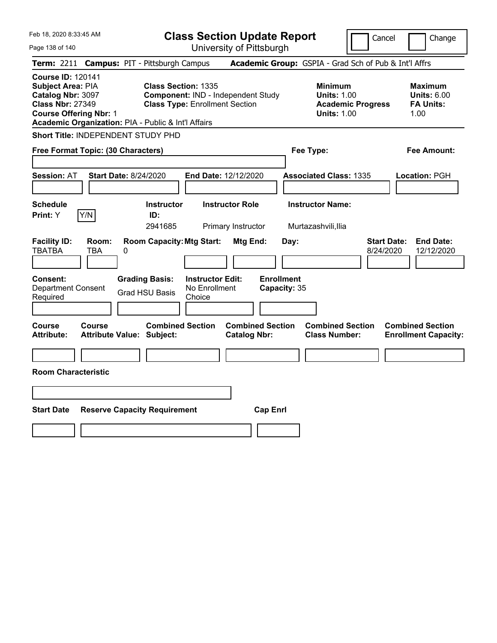| Feb 18, 2020 8:33:45 AM                                                                                                        |                                                                                   |                                                                             | <b>Class Section Update Report</b>                    |                                                            | Cancel                          | Change                                                           |
|--------------------------------------------------------------------------------------------------------------------------------|-----------------------------------------------------------------------------------|-----------------------------------------------------------------------------|-------------------------------------------------------|------------------------------------------------------------|---------------------------------|------------------------------------------------------------------|
| Page 138 of 140                                                                                                                |                                                                                   |                                                                             | University of Pittsburgh                              |                                                            |                                 |                                                                  |
| Term: 2211                                                                                                                     | <b>Campus: PIT - Pittsburgh Campus</b>                                            |                                                                             | Academic Group: GSPIA - Grad Sch of Pub & Int'l Affrs |                                                            |                                 |                                                                  |
| <b>Course ID: 120141</b><br>Subject Area: PIA<br>Catalog Nbr: 3097<br><b>Class Nbr: 27349</b><br><b>Course Offering Nbr: 1</b> | <b>Class Section: 1335</b><br>Academic Organization: PIA - Public & Int'l Affairs | Component: IND - Independent Study<br><b>Class Type: Enrollment Section</b> |                                                       | <b>Minimum</b><br><b>Units: 1.00</b><br><b>Units: 1.00</b> | <b>Academic Progress</b>        | <b>Maximum</b><br><b>Units: 6.00</b><br><b>FA Units:</b><br>1.00 |
|                                                                                                                                | Short Title: INDEPENDENT STUDY PHD                                                |                                                                             |                                                       |                                                            |                                 |                                                                  |
| Free Format Topic: (30 Characters)                                                                                             |                                                                                   |                                                                             |                                                       | Fee Type:                                                  |                                 | Fee Amount:                                                      |
| <b>Session: AT</b>                                                                                                             | Start Date: 8/24/2020                                                             | <b>End Date: 12/12/2020</b>                                                 |                                                       | <b>Associated Class: 1335</b>                              |                                 | Location: PGH                                                    |
| <b>Schedule</b><br>Y/N<br>Print: Y                                                                                             | <b>Instructor</b><br>ID:<br>2941685                                               | <b>Instructor Role</b>                                                      | Primary Instructor                                    | <b>Instructor Name:</b><br>Murtazashvili, Ilia             |                                 |                                                                  |
| <b>Facility ID:</b><br>Room:<br><b>TBATBA</b><br><b>TBA</b>                                                                    | <b>Room Capacity: Mtg Start:</b><br>0                                             |                                                                             | Mtg End:<br>Day:                                      |                                                            | <b>Start Date:</b><br>8/24/2020 | <b>End Date:</b><br>12/12/2020                                   |
| Consent:<br><b>Department Consent</b><br>Required                                                                              | <b>Grading Basis:</b><br><b>Grad HSU Basis</b>                                    | <b>Instructor Edit:</b><br>No Enrollment<br>Choice                          | <b>Enrollment</b><br>Capacity: 35                     |                                                            |                                 |                                                                  |
| Course<br>Course<br><b>Attribute:</b>                                                                                          | <b>Combined Section</b><br>Attribute Value: Subject:                              |                                                                             | <b>Combined Section</b><br><b>Catalog Nbr:</b>        | <b>Combined Section</b><br><b>Class Number:</b>            |                                 | <b>Combined Section</b><br><b>Enrollment Capacity:</b>           |
| <b>Room Characteristic</b>                                                                                                     |                                                                                   |                                                                             |                                                       |                                                            |                                 |                                                                  |
|                                                                                                                                |                                                                                   |                                                                             |                                                       |                                                            |                                 |                                                                  |
| <b>Start Date</b>                                                                                                              | <b>Reserve Capacity Requirement</b>                                               |                                                                             | <b>Cap Enrl</b>                                       |                                                            |                                 |                                                                  |
|                                                                                                                                |                                                                                   |                                                                             |                                                       |                                                            |                                 |                                                                  |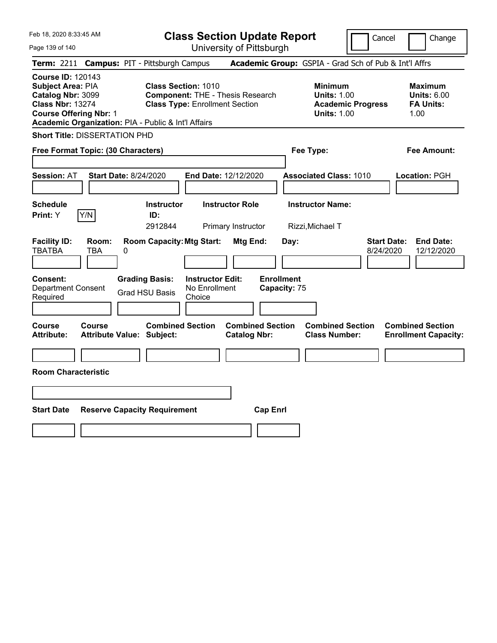| Feb 18, 2020 8:33:45 AM                                                                                                        |                                                             | <b>Class Section Update Report</b>                                                                             |                                   |                                                                                        | Cancel<br>Change                                                  |  |
|--------------------------------------------------------------------------------------------------------------------------------|-------------------------------------------------------------|----------------------------------------------------------------------------------------------------------------|-----------------------------------|----------------------------------------------------------------------------------------|-------------------------------------------------------------------|--|
| Page 139 of 140                                                                                                                |                                                             | University of Pittsburgh                                                                                       |                                   |                                                                                        |                                                                   |  |
| <b>Term: 2211</b>                                                                                                              | <b>Campus: PIT - Pittsburgh Campus</b>                      |                                                                                                                |                                   |                                                                                        | Academic Group: GSPIA - Grad Sch of Pub & Int'l Affrs             |  |
| <b>Course ID: 120143</b><br>Subject Area: PIA<br>Catalog Nbr: 3099<br><b>Class Nbr: 13274</b><br><b>Course Offering Nbr: 1</b> | Academic Organization: PIA - Public & Int'l Affairs         | <b>Class Section: 1010</b><br><b>Component: THE - Thesis Research</b><br><b>Class Type: Enrollment Section</b> |                                   | <b>Minimum</b><br><b>Units: 1.00</b><br><b>Academic Progress</b><br><b>Units: 1.00</b> | <b>Maximum</b><br><b>Units: 6.00</b><br><b>FA Units:</b><br>1.00  |  |
| <b>Short Title: DISSERTATION PHD</b>                                                                                           |                                                             |                                                                                                                |                                   |                                                                                        |                                                                   |  |
| Free Format Topic: (30 Characters)                                                                                             |                                                             |                                                                                                                |                                   | Fee Type:                                                                              | Fee Amount:                                                       |  |
| <b>Session: AT</b>                                                                                                             | <b>Start Date: 8/24/2020</b>                                | End Date: 12/12/2020                                                                                           |                                   | <b>Associated Class: 1010</b>                                                          | Location: PGH                                                     |  |
| <b>Schedule</b><br>Y/N<br>Print: Y                                                                                             | <b>Instructor</b><br>ID:<br>2912844                         | <b>Instructor Role</b><br>Primary Instructor                                                                   |                                   | <b>Instructor Name:</b><br>Rizzi, Michael T                                            |                                                                   |  |
| <b>Facility ID:</b><br>Room:<br><b>TBATBA</b><br>TBA                                                                           | <b>Room Capacity: Mtg Start:</b><br>$\pmb{0}$               | Mtg End:                                                                                                       | Day:                              |                                                                                        | <b>Start Date:</b><br><b>End Date:</b><br>8/24/2020<br>12/12/2020 |  |
| <b>Consent:</b><br><b>Department Consent</b><br>Required                                                                       | <b>Grading Basis:</b><br><b>Grad HSU Basis</b>              | <b>Instructor Edit:</b><br>No Enrollment<br>Choice                                                             | <b>Enrollment</b><br>Capacity: 75 |                                                                                        |                                                                   |  |
| Course<br><b>Course</b><br><b>Attribute:</b>                                                                                   | <b>Combined Section</b><br><b>Attribute Value: Subject:</b> | <b>Catalog Nbr:</b>                                                                                            | <b>Combined Section</b>           | <b>Combined Section</b><br><b>Class Number:</b>                                        | <b>Combined Section</b><br><b>Enrollment Capacity:</b>            |  |
| <b>Room Characteristic</b>                                                                                                     |                                                             |                                                                                                                |                                   |                                                                                        |                                                                   |  |
|                                                                                                                                |                                                             |                                                                                                                |                                   |                                                                                        |                                                                   |  |
| <b>Start Date</b><br><b>Reserve Capacity Requirement</b><br><b>Cap Enrl</b>                                                    |                                                             |                                                                                                                |                                   |                                                                                        |                                                                   |  |
|                                                                                                                                |                                                             |                                                                                                                |                                   |                                                                                        |                                                                   |  |